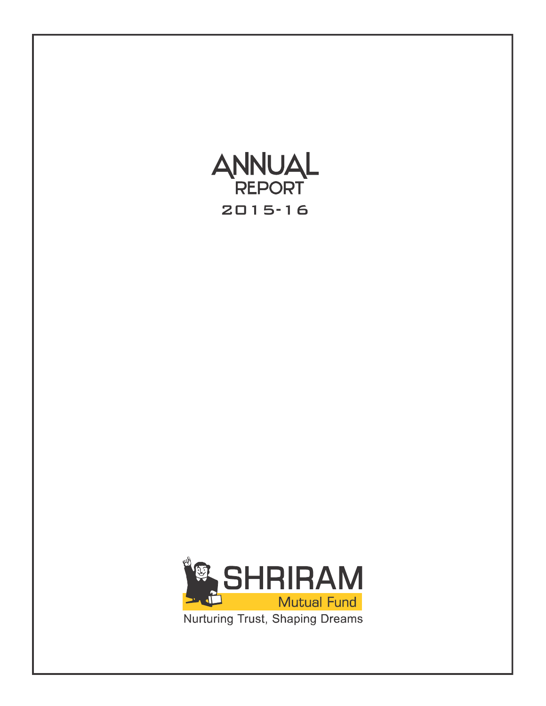

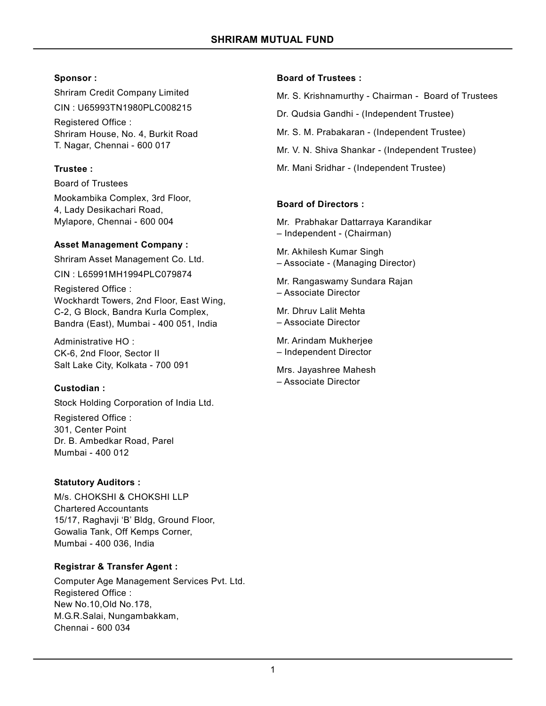## **Sponsor :**

Shriram Credit Company Limited CIN : U65993TN1980PLC008215 Registered Office : Shriram House, No. 4, Burkit Road

T. Nagar, Chennai - 600 017

## **Trustee :**

Board of Trustees Mookambika Complex, 3rd Floor, 4, Lady Desikachari Road, Mylapore, Chennai - 600 004

## **Asset Management Company :**

Shriram Asset Management Co. Ltd.

CIN : L65991MH1994PLC079874

Registered Office : Wockhardt Towers, 2nd Floor, East Wing, C-2, G Block, Bandra Kurla Complex, Bandra (East), Mumbai - 400 051, India

Administrative HO : CK-6, 2nd Floor, Sector II Salt Lake City, Kolkata - 700 091

# **Custodian :**

Stock Holding Corporation of India Ltd.

Registered Office : 301, Center Point Dr. B. Ambedkar Road, Parel Mumbai - 400 012

# **Statutory Auditors :**

M/s. CHOKSHI & CHOKSHI LLP Chartered Accountants 15/17, Raghavji 'B' Bldg, Ground Floor, Gowalia Tank, Off Kemps Corner, Mumbai - 400 036, India

# **Registrar & Transfer Agent :**

Computer Age Management Services Pvt. Ltd. Registered Office : New No.10,Old No.178, M.G.R.Salai, Nungambakkam, Chennai - 600 034

## **Board of Trustees :**

Mr. S. Krishnamurthy - Chairman - Board of Trustees

- Dr. Qudsia Gandhi (Independent Trustee)
- Mr. S. M. Prabakaran (Independent Trustee)
- Mr. V. N. Shiva Shankar (Independent Trustee)
- Mr. Mani Sridhar (Independent Trustee)

## **Board of Directors :**

Mr. Prabhakar Dattarraya Karandikar – Independent - (Chairman)

Mr. Akhilesh Kumar Singh – Associate - (Managing Director)

Mr. Rangaswamy Sundara Rajan – Associate Director

Mr. Dhruv Lalit Mehta – Associate Director

Mr. Arindam Mukherjee – Independent Director

Mrs. Jayashree Mahesh – Associate Director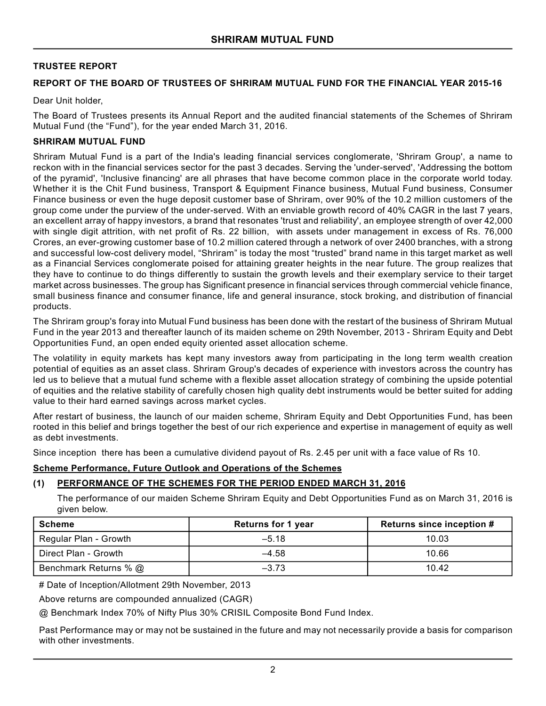#### **TRUSTEE REPORT**

#### **REPORT OF THE BOARD OF TRUSTEES OF SHRIRAM MUTUAL FUND FOR THE FINANCIAL YEAR 2015-16**

Dear Unit holder,

The Board of Trustees presents its Annual Report and the audited financial statements of the Schemes of Shriram Mutual Fund (the "Fund"), for the year ended March 31, 2016.

#### **SHRIRAM MUTUAL FUND**

Shriram Mutual Fund is a part of the India's leading financial services conglomerate, 'Shriram Group', a name to reckon with in the financial services sector for the past 3 decades. Serving the 'under-served', 'Addressing the bottom of the pyramid', 'Inclusive financing' are all phrases that have become common place in the corporate world today. Whether it is the Chit Fund business, Transport & Equipment Finance business, Mutual Fund business, Consumer Finance business or even the huge deposit customer base of Shriram, over 90% of the 10.2 million customers of the group come under the purview of the under-served. With an enviable growth record of 40% CAGR in the last 7 years, an excellent array of happy investors, a brand that resonates 'trust and reliability', an employee strength of over 42,000 with single digit attrition, with net profit of Rs. 22 billion, with assets under management in excess of Rs. 76,000 Crores, an ever-growing customer base of 10.2 million catered through a network of over 2400 branches, with a strong and successful low-cost delivery model, "Shriram" is today the most "trusted" brand name in this target market as well as a Financial Services conglomerate poised for attaining greater heights in the near future. The group realizes that they have to continue to do things differently to sustain the growth levels and their exemplary service to their target market across businesses. The group has Significant presence in financial services through commercial vehicle finance, small business finance and consumer finance, life and general insurance, stock broking, and distribution of financial products.

The Shriram group's foray into Mutual Fund business has been done with the restart of the business of Shriram Mutual Fund in the year 2013 and thereafter launch of its maiden scheme on 29th November, 2013 - Shriram Equity and Debt Opportunities Fund, an open ended equity oriented asset allocation scheme.

The volatility in equity markets has kept many investors away from participating in the long term wealth creation potential of equities as an asset class. Shriram Group's decades of experience with investors across the country has led us to believe that a mutual fund scheme with a flexible asset allocation strategy of combining the upside potential of equities and the relative stability of carefully chosen high quality debt instruments would be better suited for adding value to their hard earned savings across market cycles.

After restart of business, the launch of our maiden scheme, Shriram Equity and Debt Opportunities Fund, has been rooted in this belief and brings together the best of our rich experience and expertise in management of equity as well as debt investments.

Since inception there has been a cumulative dividend payout of Rs. 2.45 per unit with a face value of Rs 10.

#### **Scheme Performance, Future Outlook and Operations of the Schemes**

## **(1) PERFORMANCE OF THE SCHEMES FOR THE PERIOD ENDED MARCH 31, 2016**

The performance of our maiden Scheme Shriram Equity and Debt Opportunities Fund as on March 31, 2016 is given below.

| Scheme                | <b>Returns for 1 year</b> | Returns since inception # |
|-----------------------|---------------------------|---------------------------|
| Regular Plan - Growth | $-5.18$                   | 10.03                     |
| Direct Plan - Growth  | $-4.58$                   | 10.66                     |
| Benchmark Returns % @ | $-3.73$                   | 10.42                     |

# Date of Inception/Allotment 29th November, 2013

Above returns are compounded annualized (CAGR)

@ Benchmark Index 70% of Nifty Plus 30% CRISIL Composite Bond Fund Index.

Past Performance may or may not be sustained in the future and may not necessarily provide a basis for comparison with other investments.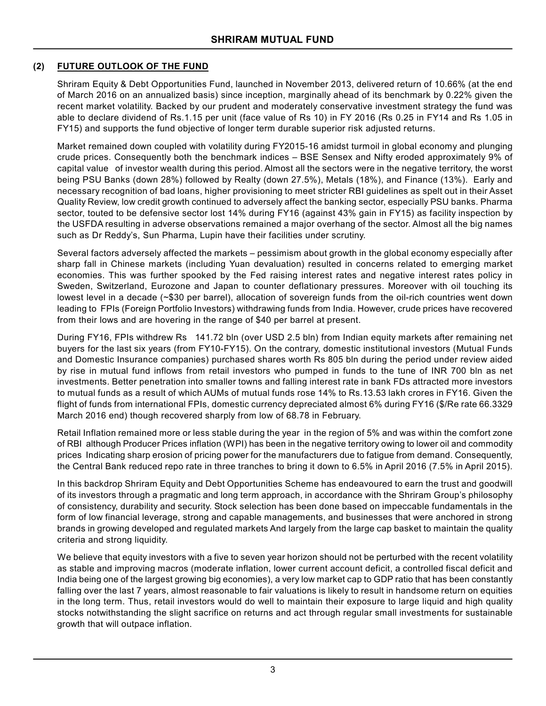## **(2) FUTURE OUTLOOK OF THE FUND**

Shriram Equity & Debt Opportunities Fund, launched in November 2013, delivered return of 10.66% (at the end of March 2016 on an annualized basis) since inception, marginally ahead of its benchmark by 0.22% given the recent market volatility. Backed by our prudent and moderately conservative investment strategy the fund was able to declare dividend of Rs.1.15 per unit (face value of Rs 10) in FY 2016 (Rs 0.25 in FY14 and Rs 1.05 in FY15) and supports the fund objective of longer term durable superior risk adjusted returns.

Market remained down coupled with volatility during FY2015-16 amidst turmoil in global economy and plunging crude prices. Consequently both the benchmark indices – BSE Sensex and Nifty eroded approximately 9% of capital value of investor wealth during this period. Almost all the sectors were in the negative territory, the worst being PSU Banks (down 28%) followed by Realty (down 27.5%), Metals (18%), and Finance (13%). Early and necessary recognition of bad loans, higher provisioning to meet stricter RBI guidelines as spelt out in their Asset Quality Review, low credit growth continued to adversely affect the banking sector, especially PSU banks. Pharma sector, touted to be defensive sector lost 14% during FY16 (against 43% gain in FY15) as facility inspection by the USFDA resulting in adverse observations remained a major overhang of the sector. Almost all the big names such as Dr Reddy's, Sun Pharma, Lupin have their facilities under scrutiny.

Several factors adversely affected the markets – pessimism about growth in the global economy especially after sharp fall in Chinese markets (including Yuan devaluation) resulted in concerns related to emerging market economies. This was further spooked by the Fed raising interest rates and negative interest rates policy in Sweden, Switzerland, Eurozone and Japan to counter deflationary pressures. Moreover with oil touching its lowest level in a decade (~\$30 per barrel), allocation of sovereign funds from the oil-rich countries went down leading to FPIs (Foreign Portfolio Investors) withdrawing funds from India. However, crude prices have recovered from their lows and are hovering in the range of \$40 per barrel at present.

During FY16, FPIs withdrew Rs 141.72 bln (over USD 2.5 bln) from Indian equity markets after remaining net buyers for the last six years (from FY10-FY15). On the contrary, domestic institutional investors (Mutual Funds and Domestic Insurance companies) purchased shares worth Rs 805 bln during the period under review aided by rise in mutual fund inflows from retail investors who pumped in funds to the tune of INR 700 bln as net investments. Better penetration into smaller towns and falling interest rate in bank FDs attracted more investors to mutual funds as a result of which AUMs of mutual funds rose 14% to Rs.13.53 lakh crores in FY16. Given the flight of funds from international FPIs, domestic currency depreciated almost 6% during FY16 (\$/Re rate 66.3329 March 2016 end) though recovered sharply from low of 68.78 in February.

Retail Inflation remained more or less stable during the year in the region of 5% and was within the comfort zone of RBI although Producer Prices inflation (WPI) has been in the negative territory owing to lower oil and commodity prices Indicating sharp erosion of pricing power for the manufacturers due to fatigue from demand. Consequently, the Central Bank reduced repo rate in three tranches to bring it down to 6.5% in April 2016 (7.5% in April 2015).

In this backdrop Shriram Equity and Debt Opportunities Scheme has endeavoured to earn the trust and goodwill of its investors through a pragmatic and long term approach, in accordance with the Shriram Group's philosophy of consistency, durability and security. Stock selection has been done based on impeccable fundamentals in the form of low financial leverage, strong and capable managements, and businesses that were anchored in strong brands in growing developed and regulated markets And largely from the large cap basket to maintain the quality criteria and strong liquidity.

We believe that equity investors with a five to seven year horizon should not be perturbed with the recent volatility as stable and improving macros (moderate inflation, lower current account deficit, a controlled fiscal deficit and India being one of the largest growing big economies), a very low market cap to GDP ratio that has been constantly falling over the last 7 years, almost reasonable to fair valuations is likely to result in handsome return on equities in the long term. Thus, retail investors would do well to maintain their exposure to large liquid and high quality stocks notwithstanding the slight sacrifice on returns and act through regular small investments for sustainable growth that will outpace inflation.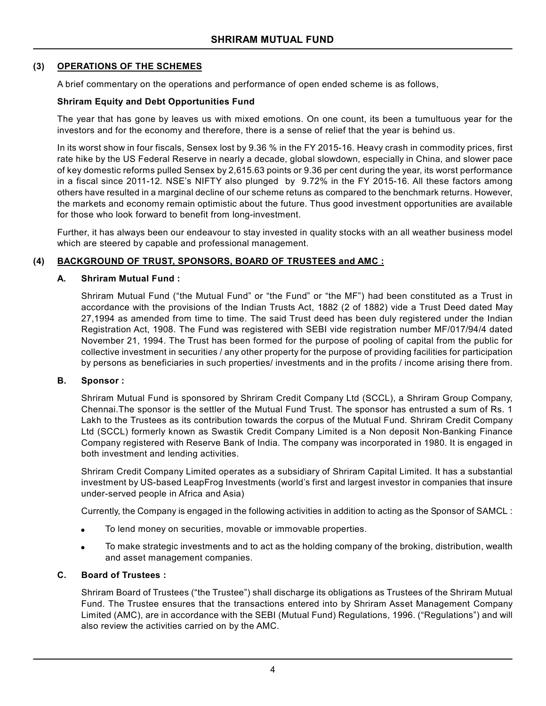#### **(3) OPERATIONS OF THE SCHEMES**

A brief commentary on the operations and performance of open ended scheme is as follows,

#### **Shriram Equity and Debt Opportunities Fund**

The year that has gone by leaves us with mixed emotions. On one count, its been a tumultuous year for the investors and for the economy and therefore, there is a sense of relief that the year is behind us.

In its worst show in four fiscals, Sensex lost by 9.36 % in the FY 2015-16. Heavy crash in commodity prices, first rate hike by the US Federal Reserve in nearly a decade, global slowdown, especially in China, and slower pace of key domestic reforms pulled Sensex by 2,615.63 points or 9.36 per cent during the year, its worst performance in a fiscal since 2011-12. NSE's NIFTY also plunged by 9.72% in the FY 2015-16. All these factors among others have resulted in a marginal decline of our scheme retuns as compared to the benchmark returns. However, the markets and economy remain optimistic about the future. Thus good investment opportunities are available for those who look forward to benefit from long-investment.

Further, it has always been our endeavour to stay invested in quality stocks with an all weather business model which are steered by capable and professional management.

#### **(4) BACKGROUND OF TRUST, SPONSORS, BOARD OF TRUSTEES and AMC :**

#### **A. Shriram Mutual Fund :**

Shriram Mutual Fund ("the Mutual Fund" or "the Fund" or "the MF") had been constituted as a Trust in accordance with the provisions of the Indian Trusts Act, 1882 (2 of 1882) vide a Trust Deed dated May 27,1994 as amended from time to time. The said Trust deed has been duly registered under the Indian Registration Act, 1908. The Fund was registered with SEBI vide registration number MF/017/94/4 dated November 21, 1994. The Trust has been formed for the purpose of pooling of capital from the public for collective investment in securities / any other property for the purpose of providing facilities for participation by persons as beneficiaries in such properties/ investments and in the profits / income arising there from.

#### **B. Sponsor :**

Shriram Mutual Fund is sponsored by Shriram Credit Company Ltd (SCCL), a Shriram Group Company, Chennai.The sponsor is the settler of the Mutual Fund Trust. The sponsor has entrusted a sum of Rs. 1 Lakh to the Trustees as its contribution towards the corpus of the Mutual Fund. Shriram Credit Company Ltd (SCCL) formerly known as Swastik Credit Company Limited is a Non deposit Non-Banking Finance Company registered with Reserve Bank of India. The company was incorporated in 1980. It is engaged in both investment and lending activities.

Shriram Credit Company Limited operates as a subsidiary of Shriram Capital Limited. It has a substantial investment by US-based LeapFrog Investments (world's first and largest investor in companies that insure under-served people in Africa and Asia)

Currently, the Company is engaged in the following activities in addition to acting as the Sponsor of SAMCL :

- To lend money on securities, movable or immovable properties.
- To make strategic investments and to act as the holding company of the broking, distribution, wealth and asset management companies.

#### **C. Board of Trustees :**

Shriram Board of Trustees ("the Trustee") shall discharge its obligations as Trustees of the Shriram Mutual Fund. The Trustee ensures that the transactions entered into by Shriram Asset Management Company Limited (AMC), are in accordance with the SEBI (Mutual Fund) Regulations, 1996. ("Regulations") and will also review the activities carried on by the AMC.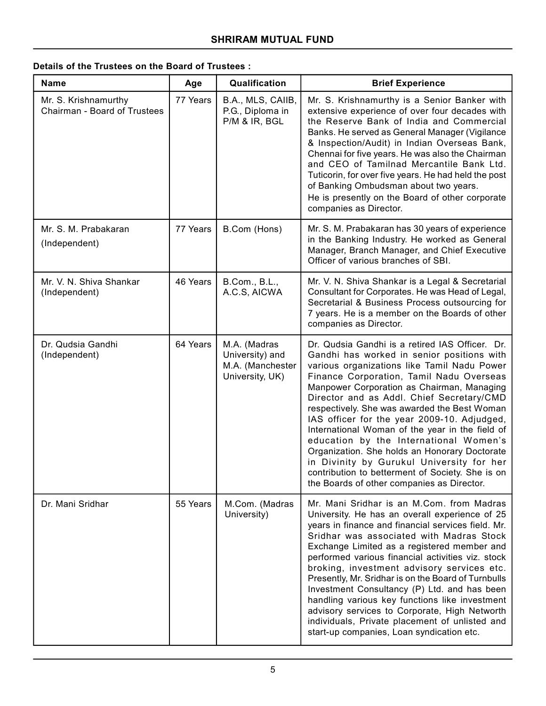# **Details of the Trustees on the Board of Trustees :**

| <b>Name</b>                                          | Age      | Qualification                                                          | <b>Brief Experience</b>                                                                                                                                                                                                                                                                                                                                                                                                                                                                                                                                                                                                                                                         |
|------------------------------------------------------|----------|------------------------------------------------------------------------|---------------------------------------------------------------------------------------------------------------------------------------------------------------------------------------------------------------------------------------------------------------------------------------------------------------------------------------------------------------------------------------------------------------------------------------------------------------------------------------------------------------------------------------------------------------------------------------------------------------------------------------------------------------------------------|
| Mr. S. Krishnamurthy<br>Chairman - Board of Trustees | 77 Years | B.A., MLS, CAIIB,<br>P.G., Diploma in<br>P/M & IR, BGL                 | Mr. S. Krishnamurthy is a Senior Banker with<br>extensive experience of over four decades with<br>the Reserve Bank of India and Commercial<br>Banks. He served as General Manager (Vigilance<br>& Inspection/Audit) in Indian Overseas Bank,<br>Chennai for five years. He was also the Chairman<br>and CEO of Tamilnad Mercantile Bank Ltd.<br>Tuticorin, for over five years. He had held the post<br>of Banking Ombudsman about two years.<br>He is presently on the Board of other corporate<br>companies as Director.                                                                                                                                                      |
| Mr. S. M. Prabakaran<br>(Independent)                | 77 Years | B.Com (Hons)                                                           | Mr. S. M. Prabakaran has 30 years of experience<br>in the Banking Industry. He worked as General<br>Manager, Branch Manager, and Chief Executive<br>Officer of various branches of SBI.                                                                                                                                                                                                                                                                                                                                                                                                                                                                                         |
| Mr. V. N. Shiva Shankar<br>(Independent)             | 46 Years | B.Com., B.L.,<br>A.C.S, AICWA                                          | Mr. V. N. Shiva Shankar is a Legal & Secretarial<br>Consultant for Corporates. He was Head of Legal,<br>Secretarial & Business Process outsourcing for<br>7 years. He is a member on the Boards of other<br>companies as Director.                                                                                                                                                                                                                                                                                                                                                                                                                                              |
| Dr. Qudsia Gandhi<br>(Independent)                   | 64 Years | M.A. (Madras<br>University) and<br>M.A. (Manchester<br>University, UK) | Dr. Qudsia Gandhi is a retired IAS Officer. Dr.<br>Gandhi has worked in senior positions with<br>various organizations like Tamil Nadu Power<br>Finance Corporation, Tamil Nadu Overseas<br>Manpower Corporation as Chairman, Managing<br>Director and as Addl. Chief Secretary/CMD<br>respectively. She was awarded the Best Woman<br>IAS officer for the year 2009-10. Adjudged,<br>International Woman of the year in the field of<br>education by the International Women's<br>Organization. She holds an Honorary Doctorate<br>in Divinity by Gurukul University for her<br>contribution to betterment of Society. She is on<br>the Boards of other companies as Director. |
| Dr. Mani Sridhar                                     | 55 Years | M.Com. (Madras<br>University)                                          | Mr. Mani Sridhar is an M.Com. from Madras<br>University. He has an overall experience of 25<br>years in finance and financial services field. Mr.<br>Sridhar was associated with Madras Stock<br>Exchange Limited as a registered member and<br>performed various financial activities viz. stock<br>broking, investment advisory services etc.<br>Presently, Mr. Sridhar is on the Board of Turnbulls<br>Investment Consultancy (P) Ltd. and has been<br>handling various key functions like investment<br>advisory services to Corporate, High Networth<br>individuals, Private placement of unlisted and<br>start-up companies, Loan syndication etc.                        |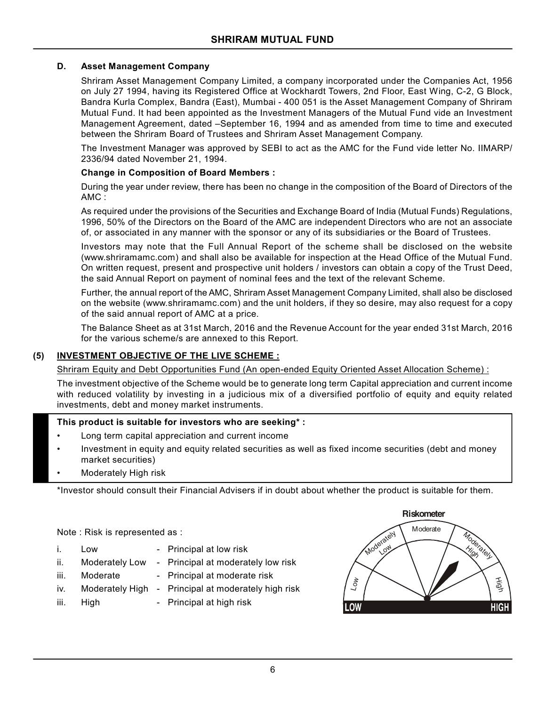#### **D. Asset Management Company**

Shriram Asset Management Company Limited, a company incorporated under the Companies Act, 1956 on July 27 1994, having its Registered Office at Wockhardt Towers, 2nd Floor, East Wing, C-2, G Block, Bandra Kurla Complex, Bandra (East), Mumbai - 400 051 is the Asset Management Company of Shriram Mutual Fund. It had been appointed as the Investment Managers of the Mutual Fund vide an Investment Management Agreement, dated –September 16, 1994 and as amended from time to time and executed between the Shriram Board of Trustees and Shriram Asset Management Company.

The Investment Manager was approved by SEBI to act as the AMC for the Fund vide letter No. IIMARP/ 2336/94 dated November 21, 1994.

#### **Change in Composition of Board Members :**

During the year under review, there has been no change in the composition of the Board of Directors of the AMC :

As required under the provisions of the Securities and Exchange Board of India (Mutual Funds) Regulations, 1996, 50% of the Directors on the Board of the AMC are independent Directors who are not an associate of, or associated in any manner with the sponsor or any of its subsidiaries or the Board of Trustees.

Investors may note that the Full Annual Report of the scheme shall be disclosed on the website (www.shriramamc.com) and shall also be available for inspection at the Head Office of the Mutual Fund. On written request, present and prospective unit holders / investors can obtain a copy of the Trust Deed, the said Annual Report on payment of nominal fees and the text of the relevant Scheme.

Further, the annual report of the AMC, Shriram Asset Management Company Limited, shall also be disclosed on the website (www.shriramamc.com) and the unit holders, if they so desire, may also request for a copy of the said annual report of AMC at a price.

The Balance Sheet as at 31st March, 2016 and the Revenue Account for the year ended 31st March, 2016 for the various scheme/s are annexed to this Report.

## **(5) INVESTMENT OBJECTIVE OF THE LIVE SCHEME :**

Shriram Equity and Debt Opportunities Fund (An open-ended Equity Oriented Asset Allocation Scheme) :

The investment objective of the Scheme would be to generate long term Capital appreciation and current income with reduced volatility by investing in a judicious mix of a diversified portfolio of equity and equity related investments, debt and money market instruments.

#### **This product is suitable for investors who are seeking\* :**

- Long term capital appreciation and current income
- Investment in equity and equity related securities as well as fixed income securities (debt and money market securities)
- Moderately High risk

\*Investor should consult their Financial Advisers if in doubt about whether the product is suitable for them.

Note : Risk is represented as :

- i. Low Principal at low risk
- ii. Moderately Low Principal at moderately low risk
- iii. Moderate Principal at moderate risk
- iv. Moderately High Principal at moderately high risk
- iii. High Principal at high risk

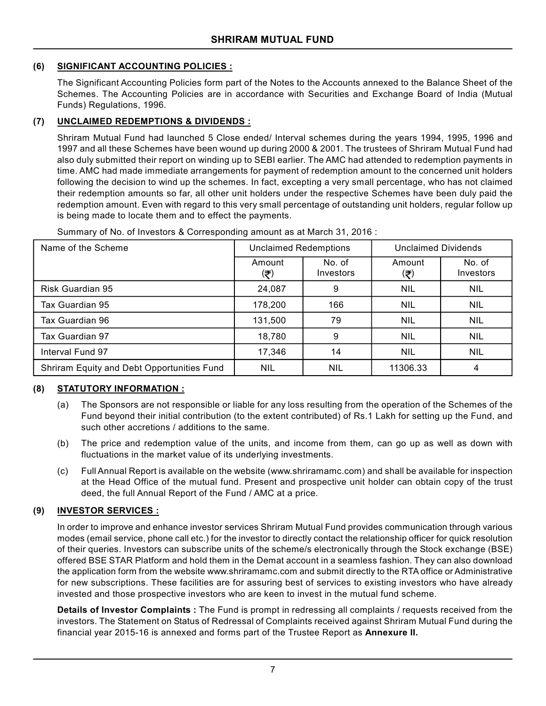## **(6) SIGNIFICANT ACCOUNTING POLICIES :**

The Significant Accounting Policies form part of the Notes to the Accounts annexed to the Balance Sheet of the Schemes. The Accounting Policies are in accordance with Securities and Exchange Board of India (Mutual Funds) Regulations, 1996.

## **(7) UNCLAIMED REDEMPTIONS & DIVIDENDS :**

Shriram Mutual Fund had launched 5 Close ended/ Interval schemes during the years 1994, 1995, 1996 and 1997 and all these Schemes have been wound up during 2000 & 2001. The trustees of Shriram Mutual Fund had also duly submitted their report on winding up to SEBI earlier. The AMC had attended to redemption payments in time. AMC had made immediate arrangements for payment of redemption amount to the concerned unit holders following the decision to wind up the schemes. In fact, excepting a very small percentage, who has not claimed their redemption amounts so far, all other unit holders under the respective Schemes have been duly paid the redemption amount. Even with regard to this very small percentage of outstanding unit holders, regular follow up is being made to locate them and to effect the payments.

| Name of the Scheme                         | <b>Unclaimed Redemptions</b> |                     | <b>Unclaimed Dividends</b> |                     |
|--------------------------------------------|------------------------------|---------------------|----------------------------|---------------------|
|                                            | Amount<br>(₹)                | No. of<br>Investors | Amount<br>(₹)              | No. of<br>Investors |
| Risk Guardian 95                           | 24,087                       | 9                   | <b>NIL</b>                 | <b>NIL</b>          |
| Tax Guardian 95                            | 178,200                      | 166                 | NIL                        | <b>NIL</b>          |
| Tax Guardian 96                            | 131,500                      | 79                  | <b>NIL</b>                 | <b>NIL</b>          |
| Tax Guardian 97                            | 18,780                       | 9                   | NIL                        | <b>NIL</b>          |
| Interval Fund 97                           | 17,346                       | 14                  | NIL                        | <b>NIL</b>          |
| Shriram Equity and Debt Opportunities Fund | <b>NIL</b>                   | <b>NIL</b>          | 11306.33                   | 4                   |

Summary of No. of Investors & Corresponding amount as at March 31, 2016 :

# **(8) STATUTORY INFORMATION :**

- (a) The Sponsors are not responsible or liable for any loss resulting from the operation of the Schemes of the Fund beyond their initial contribution (to the extent contributed) of Rs.1 Lakh for setting up the Fund, and such other accretions / additions to the same.
- (b) The price and redemption value of the units, and income from them, can go up as well as down with fluctuations in the market value of its underlying investments.
- (c) Full Annual Report is available on the website (www.shriramamc.com) and shall be available for inspection at the Head Office of the mutual fund. Present and prospective unit holder can obtain copy of the trust deed, the full Annual Report of the Fund / AMC at a price.

## **(9) INVESTOR SERVICES :**

In order to improve and enhance investor services Shriram Mutual Fund provides communication through various modes (email service, phone call etc.) for the investor to directly contact the relationship officer for quick resolution of their queries. Investors can subscribe units of the scheme/s electronically through the Stock exchange (BSE) offered BSE STAR Platform and hold them in the Demat account in a seamless fashion. They can also download the application form from the website www.shriramamc.com and submit directly to the RTA office or Administrative for new subscriptions. These facilities are for assuring best of services to existing investors who have already invested and those prospective investors who are keen to invest in the mutual fund scheme.

**Details of Investor Complaints :** The Fund is prompt in redressing all complaints / requests received from the investors. The Statement on Status of Redressal of Complaints received against Shriram Mutual Fund during the financial year 2015-16 is annexed and forms part of the Trustee Report as **Annexure II.**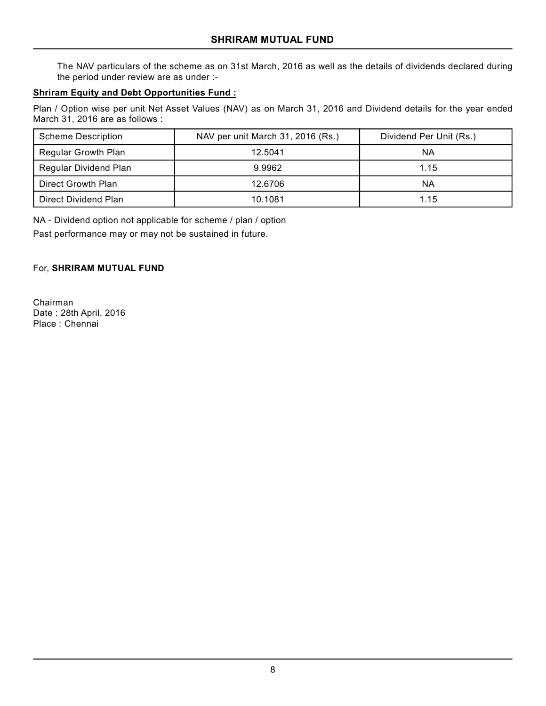The NAV particulars of the scheme as on 31st March, 2016 as well as the details of dividends declared during the period under review are as under :-

## **Shriram Equity and Debt Opportunities Fund :**

Plan / Option wise per unit Net Asset Values (NAV) as on March 31, 2016 and Dividend details for the year ended March 31, 2016 are as follows :

| <b>Scheme Description</b> | NAV per unit March 31, 2016 (Rs.) | Dividend Per Unit (Rs.) |
|---------------------------|-----------------------------------|-------------------------|
| Regular Growth Plan       | 12.5041                           | ΝA                      |
| Regular Dividend Plan     | 9.9962                            | 1.15                    |
| Direct Growth Plan        | 12.6706                           | ΝA                      |
| Direct Dividend Plan      | 10.1081                           | 1.15                    |

NA - Dividend option not applicable for scheme / plan / option Past performance may or may not be sustained in future.

For, **SHRIRAM MUTUAL FUND**

Chairman Date : 28th April, 2016 Place : Chennai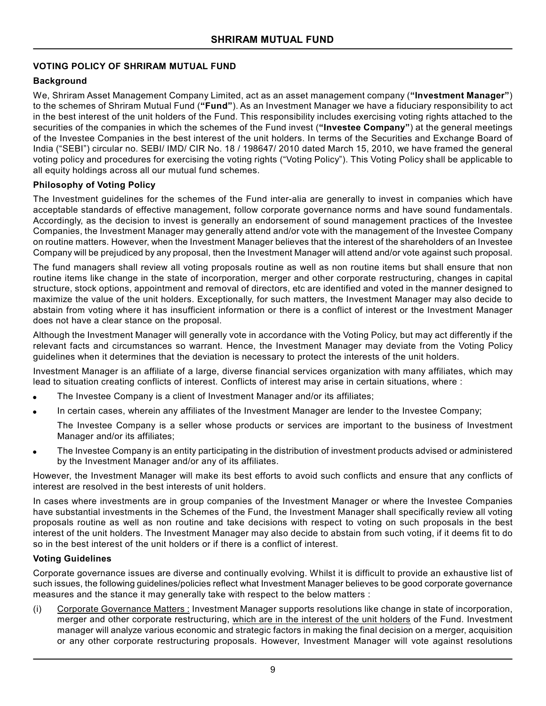## **VOTING POLICY OF SHRIRAM MUTUAL FUND**

## **Background**

We, Shriram Asset Management Company Limited, act as an asset management company (**"Investment Manager"**) to the schemes of Shriram Mutual Fund (**"Fund"**). As an Investment Manager we have a fiduciary responsibility to act in the best interest of the unit holders of the Fund. This responsibility includes exercising voting rights attached to the securities of the companies in which the schemes of the Fund invest (**"Investee Company"**) at the general meetings of the Investee Companies in the best interest of the unit holders. In terms of the Securities and Exchange Board of India ("SEBI") circular no. SEBI/ IMD/ CIR No. 18 / 198647/ 2010 dated March 15, 2010, we have framed the general voting policy and procedures for exercising the voting rights ("Voting Policy"). This Voting Policy shall be applicable to all equity holdings across all our mutual fund schemes.

## **Philosophy of Voting Policy**

The Investment guidelines for the schemes of the Fund inter-alia are generally to invest in companies which have acceptable standards of effective management, follow corporate governance norms and have sound fundamentals. Accordingly, as the decision to invest is generally an endorsement of sound management practices of the Investee Companies, the Investment Manager may generally attend and/or vote with the management of the Investee Company on routine matters. However, when the Investment Manager believes that the interest of the shareholders of an Investee Company will be prejudiced by any proposal, then the Investment Manager will attend and/or vote against such proposal.

The fund managers shall review all voting proposals routine as well as non routine items but shall ensure that non routine items like change in the state of incorporation, merger and other corporate restructuring, changes in capital structure, stock options, appointment and removal of directors, etc are identified and voted in the manner designed to maximize the value of the unit holders. Exceptionally, for such matters, the Investment Manager may also decide to abstain from voting where it has insufficient information or there is a conflict of interest or the Investment Manager does not have a clear stance on the proposal.

Although the Investment Manager will generally vote in accordance with the Voting Policy, but may act differently if the relevant facts and circumstances so warrant. Hence, the Investment Manager may deviate from the Voting Policy guidelines when it determines that the deviation is necessary to protect the interests of the unit holders.

Investment Manager is an affiliate of a large, diverse financial services organization with many affiliates, which may lead to situation creating conflicts of interest. Conflicts of interest may arise in certain situations, where :

- The Investee Company is a client of Investment Manager and/or its affiliates;
- In certain cases, wherein any affiliates of the Investment Manager are lender to the Investee Company;

The Investee Company is a seller whose products or services are important to the business of Investment Manager and/or its affiliates;

 The Investee Company is an entity participating in the distribution of investment products advised or administered by the Investment Manager and/or any of its affiliates.

However, the Investment Manager will make its best efforts to avoid such conflicts and ensure that any conflicts of interest are resolved in the best interests of unit holders.

In cases where investments are in group companies of the Investment Manager or where the Investee Companies have substantial investments in the Schemes of the Fund, the Investment Manager shall specifically review all voting proposals routine as well as non routine and take decisions with respect to voting on such proposals in the best interest of the unit holders. The Investment Manager may also decide to abstain from such voting, if it deems fit to do so in the best interest of the unit holders or if there is a conflict of interest.

#### **Voting Guidelines**

Corporate governance issues are diverse and continually evolving. Whilst it is difficult to provide an exhaustive list of such issues, the following guidelines/policies reflect what Investment Manager believes to be good corporate governance measures and the stance it may generally take with respect to the below matters :

(i) Corporate Governance Matters : Investment Manager supports resolutions like change in state of incorporation, merger and other corporate restructuring, which are in the interest of the unit holders of the Fund. Investment manager will analyze various economic and strategic factors in making the final decision on a merger, acquisition or any other corporate restructuring proposals. However, Investment Manager will vote against resolutions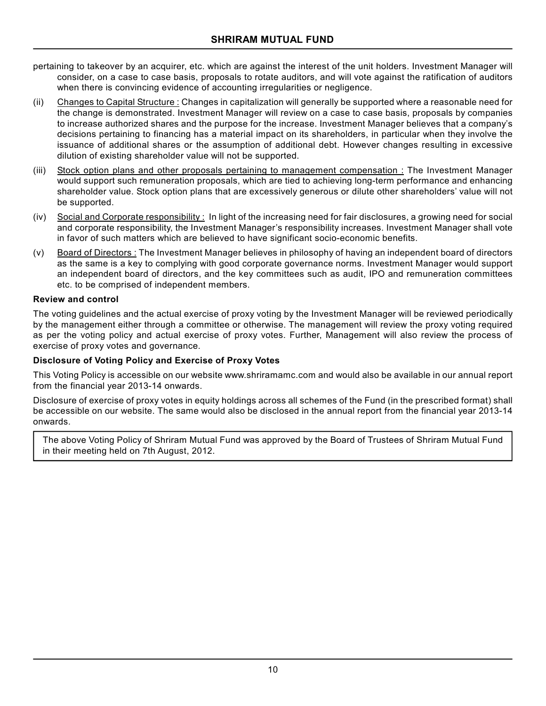- pertaining to takeover by an acquirer, etc. which are against the interest of the unit holders. Investment Manager will consider, on a case to case basis, proposals to rotate auditors, and will vote against the ratification of auditors when there is convincing evidence of accounting irregularities or negligence.
- (ii) Changes to Capital Structure : Changes in capitalization will generally be supported where a reasonable need for the change is demonstrated. Investment Manager will review on a case to case basis, proposals by companies to increase authorized shares and the purpose for the increase. Investment Manager believes that a company's decisions pertaining to financing has a material impact on its shareholders, in particular when they involve the issuance of additional shares or the assumption of additional debt. However changes resulting in excessive dilution of existing shareholder value will not be supported.
- (iii) Stock option plans and other proposals pertaining to management compensation : The Investment Manager would support such remuneration proposals, which are tied to achieving long-term performance and enhancing shareholder value. Stock option plans that are excessively generous or dilute other shareholders' value will not be supported.
- (iv) Social and Corporate responsibility : In light of the increasing need for fair disclosures, a growing need for social and corporate responsibility, the Investment Manager's responsibility increases. Investment Manager shall vote in favor of such matters which are believed to have significant socio-economic benefits.
- (v) Board of Directors : The Investment Manager believes in philosophy of having an independent board of directors as the same is a key to complying with good corporate governance norms. Investment Manager would support an independent board of directors, and the key committees such as audit, IPO and remuneration committees etc. to be comprised of independent members.

#### **Review and control**

The voting guidelines and the actual exercise of proxy voting by the Investment Manager will be reviewed periodically by the management either through a committee or otherwise. The management will review the proxy voting required as per the voting policy and actual exercise of proxy votes. Further, Management will also review the process of exercise of proxy votes and governance.

## **Disclosure of Voting Policy and Exercise of Proxy Votes**

This Voting Policy is accessible on our website www.shriramamc.com and would also be available in our annual report from the financial year 2013-14 onwards.

Disclosure of exercise of proxy votes in equity holdings across all schemes of the Fund (in the prescribed format) shall be accessible on our website. The same would also be disclosed in the annual report from the financial year 2013-14 onwards.

The above Voting Policy of Shriram Mutual Fund was approved by the Board of Trustees of Shriram Mutual Fund in their meeting held on 7th August, 2012.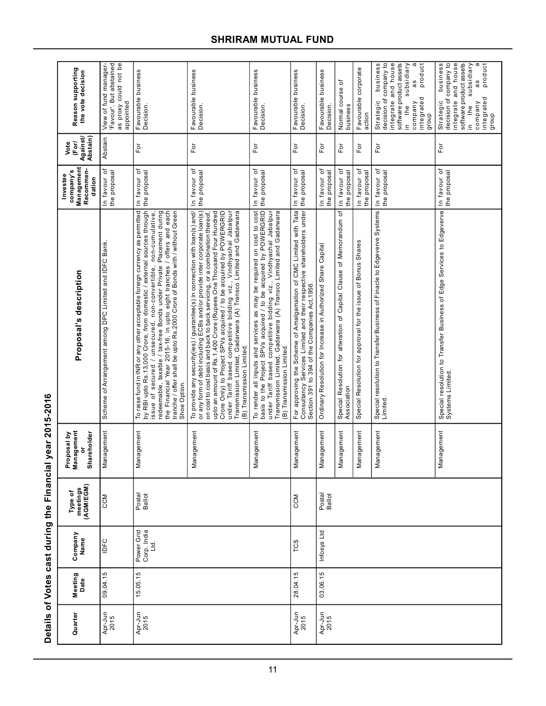| Reason supporting<br>the vote decision<br>Against/<br>Abstain)<br>Vote<br>(For) | 'Favour'. But abstained<br>as proxy could not be<br>View of fund manager-<br>appointed<br>Abstain<br>đ | Favourable business<br>Decision.<br>For                                                                                                                                                                                                                                                                                                                                                                                                                           | Favourable business<br>Decision.<br>For                                                                                                                                                                                                                                                                                                                                                                                                                                                                                                                   | Favourable business<br>Decision.<br>For                                                                                                                                                                                                                                                                         | Favourable business<br>Decision.<br>For                                                                                                                                                     | Favourable business<br>Decision<br>$\mathsf{F}\mathsf{or}$   | Normal course of<br>business<br>For                                              | Favourable corporate<br>action<br>For                         | integrate and house<br>product<br>business<br>decision of company to<br>software product assets<br>subsidiary<br>a<br>as<br>integrated<br>Strategic<br>company<br>the<br>dionb<br>$\equiv$<br>For | business<br>decision of company to<br>integrate and house<br>software product assets<br>subsidiary<br>Strategic<br>the<br>ءِ.<br>For |
|---------------------------------------------------------------------------------|--------------------------------------------------------------------------------------------------------|-------------------------------------------------------------------------------------------------------------------------------------------------------------------------------------------------------------------------------------------------------------------------------------------------------------------------------------------------------------------------------------------------------------------------------------------------------------------|-----------------------------------------------------------------------------------------------------------------------------------------------------------------------------------------------------------------------------------------------------------------------------------------------------------------------------------------------------------------------------------------------------------------------------------------------------------------------------------------------------------------------------------------------------------|-----------------------------------------------------------------------------------------------------------------------------------------------------------------------------------------------------------------------------------------------------------------------------------------------------------------|---------------------------------------------------------------------------------------------------------------------------------------------------------------------------------------------|--------------------------------------------------------------|----------------------------------------------------------------------------------|---------------------------------------------------------------|---------------------------------------------------------------------------------------------------------------------------------------------------------------------------------------------------|--------------------------------------------------------------------------------------------------------------------------------------|
| Management<br>Recommen-<br>company's<br>Investee<br>dation                      | the proposal<br>In favour                                                                              | In favour of<br>the proposal                                                                                                                                                                                                                                                                                                                                                                                                                                      | In favour of<br>the proposal                                                                                                                                                                                                                                                                                                                                                                                                                                                                                                                              | In favour of<br>the proposal                                                                                                                                                                                                                                                                                    | In favour of<br>the proposal                                                                                                                                                                | In favour of<br>the proposal                                 | In favour of<br>the proposal<br>đ                                                | In favour of<br>the proposal                                  | In favour of<br>the proposal                                                                                                                                                                      | In favour of<br>the proposal                                                                                                         |
| Proposal's description                                                          | Scheme of Arrangement among DPC Limited and IDFC Bank.                                                 | To raise fund in INR or any other acceptable foreign currency as permitted<br>by RBI upto Rs.13,000 Crore, from domestic / external sources through<br>redeemable, taxable / tax-free Bonds under Private Placement during<br>the Financial Year 2015-16, in upto eight tranches / offers and each<br>tranche / offer shall be upto Rs.2000 Crore of Bonds with / without Green<br>issue of secured / unsecured, non-convertible, non-cumulative,<br>Shoe Option. | To provide any security(ies) / guarantee(s) in connection with loan(s) and/<br>or any form of debt including ECBs and/or provide inter corporate loan(s)<br>upto an amount of Rs.1,400 Crore (Rupees One Thousand Four Hundred<br>Crore Only) to Project SPVs acquired / to be acquired by POWERGRID<br>under Tariff based competitive bidding viz., Vindhyachal Jabalpur<br>Transmission Limited, Gadarwara (A) Transco Limited and Gadarwara<br>on cost to cost basis and back to back servicing, or a combination thereof<br>(B) Transmission Limited. | To render all inputs and services as may be required on cost to cost<br>basis to the Project SPVs acquired / to be acquired by POWERGRID<br>under Tariff based competitive bidding viz., Vindhyachal Jabalpur<br>Transmission Limited, Gadarwara (A) Transco Limited and Gadarwara<br>(B) Transmission Limited. | For approving the Scheme of Amalgamation of CMC Limited with Tata<br>Consultancy Services Limited and their respective shareholders under<br>Section 391 to 394 of the Companies Act, 1956. | Ordinary Resolution for Increase in Authorized Share Capital | Special Resolution for alteration of Capital Clause of Memorandum<br>Association | Special Resolution for approval for the issue of Bonus Shares | Special resolution to Transfer Business of Finacle to Edgeverve Systems<br>Limited.                                                                                                               | Special resolution to Transfer Business of Edge Services to Edgeverve<br>Systems Limited.                                            |
| igement<br>Shareholder<br>Proposal by<br>ŏ<br>Mana                              | Management                                                                                             | Management                                                                                                                                                                                                                                                                                                                                                                                                                                                        | Management                                                                                                                                                                                                                                                                                                                                                                                                                                                                                                                                                | Management                                                                                                                                                                                                                                                                                                      | Management                                                                                                                                                                                  | agement<br>Mana                                              | igement<br>Mana                                                                  | igement<br>Mana                                               | Management                                                                                                                                                                                        | Management                                                                                                                           |
| meetings<br>(AGM/EGM)<br>Type of                                                | CCM                                                                                                    | Postal<br>Ballot                                                                                                                                                                                                                                                                                                                                                                                                                                                  |                                                                                                                                                                                                                                                                                                                                                                                                                                                                                                                                                           |                                                                                                                                                                                                                                                                                                                 | CCM                                                                                                                                                                                         | Postal<br>Ballot                                             |                                                                                  |                                                               |                                                                                                                                                                                                   |                                                                                                                                      |
| Company<br>Name                                                                 | IDFC                                                                                                   | Power Grid<br>Corp. India<br><u>Lid</u>                                                                                                                                                                                                                                                                                                                                                                                                                           |                                                                                                                                                                                                                                                                                                                                                                                                                                                                                                                                                           |                                                                                                                                                                                                                                                                                                                 | TCS                                                                                                                                                                                         | Infosys Ltd                                                  |                                                                                  |                                                               |                                                                                                                                                                                                   |                                                                                                                                      |
| Meeting<br>Date                                                                 | 09.04.15                                                                                               | 15.05.15                                                                                                                                                                                                                                                                                                                                                                                                                                                          |                                                                                                                                                                                                                                                                                                                                                                                                                                                                                                                                                           |                                                                                                                                                                                                                                                                                                                 | 28.04.15                                                                                                                                                                                    | 03.06.15                                                     |                                                                                  |                                                               |                                                                                                                                                                                                   |                                                                                                                                      |
| Quarter                                                                         | Apr-Jun<br>2015                                                                                        | Apr-Jun<br>2015                                                                                                                                                                                                                                                                                                                                                                                                                                                   |                                                                                                                                                                                                                                                                                                                                                                                                                                                                                                                                                           |                                                                                                                                                                                                                                                                                                                 | Apr-Jun<br>2015                                                                                                                                                                             | Apr-Jun<br>2015                                              |                                                                                  |                                                               |                                                                                                                                                                                                   |                                                                                                                                      |

# Details of Votes cast during the Financial year 2015-2016 **Details of Votes cast during the Financial year 2015-2016**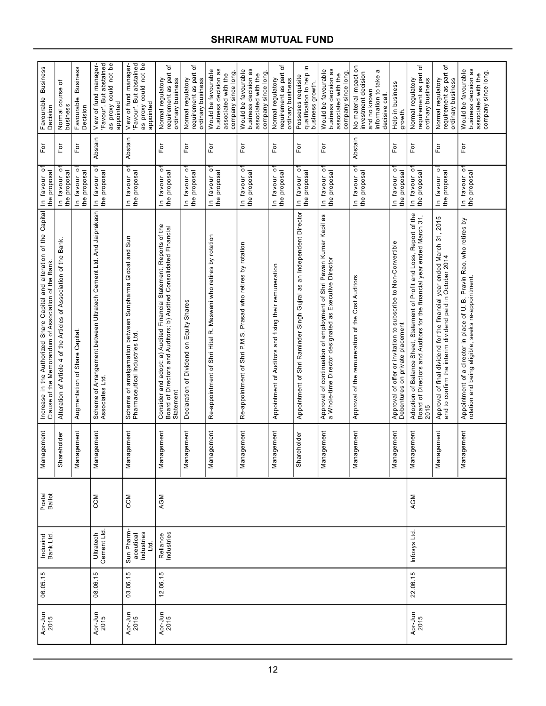| <b>Business</b><br>Favourable<br>Decision                                                                                      | Normal course of<br>business                                           | <b>Business</b><br>Favourable<br>Decision | 'Favour'. But abstained<br>as proxy could not be<br>View of fund manager-<br>appointed | 'Favour'. But abstained<br>as proxy could not be<br>View of fund manager-<br>appointed    | ৳<br>requirement as part<br>Normal regulatory<br>ordinary business                                                                                    | requirement as part of<br>Normal regulatory<br>ordinary business | business decision as<br>Would be favourable<br>company since long<br>associated with the | business decision as<br>Would be favourable<br>company since long<br>associated with the | ৳<br>requirement as part<br>Normal regulatory<br>ordinary business | qualification to help in<br>Posseses requisite<br>business growth.   | business decision as<br>Would be favourable<br>company since long<br>associated with the                                        | No material impact on<br>a<br>investment decision<br>information to take<br>and no known<br>decisive call | Help in business<br>growth.                                                                        | 'ত<br>requirement as part<br>Normal regulatory<br>ordinary business                                                                                      | requirement as part of<br>Normal regulatory<br>ordinary business                                                                   | business decision as<br>Would be favourable<br>company since long.<br>associated with the                                    |
|--------------------------------------------------------------------------------------------------------------------------------|------------------------------------------------------------------------|-------------------------------------------|----------------------------------------------------------------------------------------|-------------------------------------------------------------------------------------------|-------------------------------------------------------------------------------------------------------------------------------------------------------|------------------------------------------------------------------|------------------------------------------------------------------------------------------|------------------------------------------------------------------------------------------|--------------------------------------------------------------------|----------------------------------------------------------------------|---------------------------------------------------------------------------------------------------------------------------------|-----------------------------------------------------------------------------------------------------------|----------------------------------------------------------------------------------------------------|----------------------------------------------------------------------------------------------------------------------------------------------------------|------------------------------------------------------------------------------------------------------------------------------------|------------------------------------------------------------------------------------------------------------------------------|
| For                                                                                                                            | For                                                                    | For                                       | Abstain                                                                                | Abstain                                                                                   | For                                                                                                                                                   | For                                                              | For                                                                                      | For                                                                                      | For                                                                | For                                                                  | For                                                                                                                             | Abstain                                                                                                   | For                                                                                                | For                                                                                                                                                      | For                                                                                                                                | For                                                                                                                          |
| In favour of<br>the proposal                                                                                                   | In favour o<br>the proposal                                            | In favour o<br>the proposal               | In favour o<br>the proposal                                                            | In favour of<br>the proposal                                                              | ō<br>the proposal<br>In favour                                                                                                                        | $\overline{\circ}$<br>the proposal<br>In favour                  | $\overline{\circ}$<br>In favour o<br>the proposal                                        | $\circ$<br>In favour of<br>the proposal                                                  | $\overline{O}$<br>the proposal<br>In favour                        | $\overline{\circ}$<br>the proposal<br>In favour                      | In favour of<br>the proposal                                                                                                    | In favour o<br>the proposal                                                                               | $\overline{\circ}$<br>the proposal<br>In favour                                                    | In favour o<br>the proposal                                                                                                                              | $\circ$<br>the proposal<br>In favour                                                                                               | In favour of<br>the proposal                                                                                                 |
| Increase in the Authorized Share Capital and alteration of the Capital<br>Clause of the Memorandum of Association of the Bank. | Bank.<br>Alteration of Article 4 of the Articles of Association of the | Augmentation of Share Capital             | Scheme of Arrangement between Ultratech Cement Ltd. And Jaiprakash<br>Associates Ltd.  | Scheme of amalgamation between Sunpharma Global and Sun<br>Pharmaceutical Industries Ltd. | Consider and adopt: a) Audited Financial Statement, Reports of the<br>Board of Directors and Auditors; b) Audited Consolidated Financial<br>Statement | Declaration of Dividend on Equity Shares                         | Re-appointment of Shri Hital R. Meswani who retires by rotation                          | Re-appointment of Shri P.M.S. Prasad who retires by rotation                             | Appointment of Auditors and fixing their remuneration              | Appointment of Shri Raminder Singh Gujral as an Independent Director | æ<br>Approval of continuation of employment of Shri Pawan Kumar Kapil<br>a Whole-time Director designated as Executive Director | Approval of the remuneration of the Cost Auditors                                                         | Approval of offer or invitation to subscribe to Non-Convertible<br>Debentures on private placement | Adoption of Balance Sheet, Statement of Profit and Loss, Report of the<br>Board of Directors and Auditors for the financial year ended March 31,<br>2015 | Approval of final dividend for the financial year ended March 31, 2015<br>and to confirm the interim dividend paid in October 2014 | Appointment of a director in place of U. B. Pravin Rao, who retires by<br>rotation and being eligible, seeks re-appointment. |
| nagement<br>Man                                                                                                                | Shareholder                                                            | nagement<br>Man                           | agement<br>Man                                                                         | nagement<br>Nan                                                                           | agement<br>Man                                                                                                                                        | lagement<br>Man                                                  | lagement<br>Man                                                                          | lagement<br>Man                                                                          | lagement<br>Man                                                    | Shareholder                                                          | agement<br>Man                                                                                                                  | lagement<br>Man                                                                                           | lagement<br>Man                                                                                    | agement<br>Man                                                                                                                                           | agement<br>Man                                                                                                                     | Management                                                                                                                   |
| Postal<br>Ballot                                                                                                               |                                                                        |                                           | CCM                                                                                    | CCM                                                                                       | AGM                                                                                                                                                   |                                                                  |                                                                                          |                                                                                          |                                                                    |                                                                      |                                                                                                                                 |                                                                                                           |                                                                                                    | AGM                                                                                                                                                      |                                                                                                                                    |                                                                                                                              |
| Indusind<br>Bank Ltd.                                                                                                          |                                                                        |                                           | Ultratech<br>Cement Ltd.                                                               | Sun Pharm<br>aceutical<br>Industries<br>Ltd.                                              | Reliance<br>Industries                                                                                                                                |                                                                  |                                                                                          |                                                                                          |                                                                    |                                                                      |                                                                                                                                 |                                                                                                           |                                                                                                    | Infosys Ltd.                                                                                                                                             |                                                                                                                                    |                                                                                                                              |
| 06.05.15                                                                                                                       |                                                                        |                                           | 08.06.15                                                                               | 03.06.15                                                                                  | 12.06.15                                                                                                                                              |                                                                  |                                                                                          |                                                                                          |                                                                    |                                                                      |                                                                                                                                 |                                                                                                           |                                                                                                    | 22.06.15                                                                                                                                                 |                                                                                                                                    |                                                                                                                              |
| Apr-Jun<br>2015                                                                                                                |                                                                        |                                           | Apr-Jun<br>2015                                                                        | Apr-Jun<br>2015                                                                           | Apr-Jun<br>2015                                                                                                                                       |                                                                  |                                                                                          |                                                                                          |                                                                    |                                                                      |                                                                                                                                 |                                                                                                           |                                                                                                    | Apr-Jun<br>2015                                                                                                                                          |                                                                                                                                    |                                                                                                                              |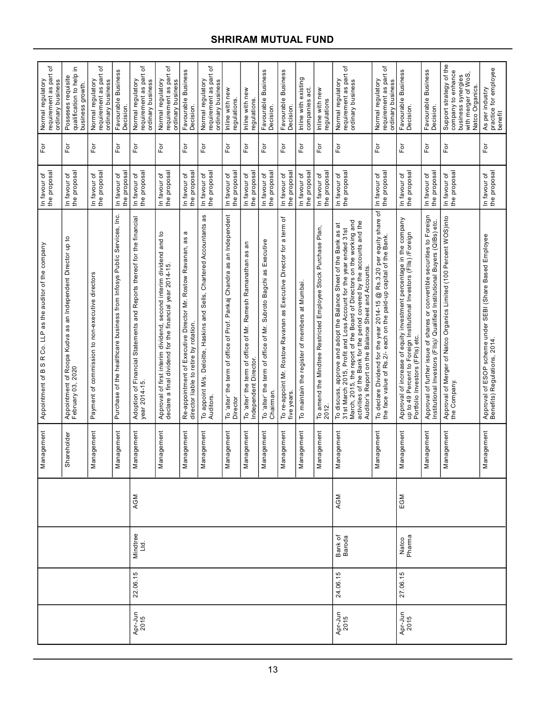| ৳<br>requirement as part<br>Normal regulatory<br>ordinary business | 으.<br>qualification to help<br>Posseses requisite<br>business growth.                       | requirement as part of<br>Normal regulatory<br>ordinary business | Favourable Business<br>Decision.                                       | ৳<br>requirement as part<br>Normal regulatory<br>ordinary business                      | requirement as part of<br>Normal regulatory<br>ordinary business                                                                     | Favourable Business<br>Decision.                                                                              | ৳<br>requirement as part<br>Normal regulatory<br>ordinary business                  | Inline with new<br>regulations.                                                     | Inline with new<br>regulations                                                           | Favourable Business<br>Decision                                               | Favourable Business<br>Decision.                                                      | Inline with existing<br>companies act          | Inline with new<br>regulations                                               | requirement as part of<br>Normal regulatory<br>ordinary business                                                                                                                                                                                                                                                                             | ৳<br>requirement as part<br>Normal regulatory<br>ordinary business                                                                            | Favourable Business<br>Decision.                                                                                                                                              | Favourable Business<br>Decision.                                                                                                                       | Support strategy of the<br>company to enhance<br>business synergies<br>with merger of WoS,<br>Natco Organics. | practice for employee<br>benefit<br>As per industry                                      |
|--------------------------------------------------------------------|---------------------------------------------------------------------------------------------|------------------------------------------------------------------|------------------------------------------------------------------------|-----------------------------------------------------------------------------------------|--------------------------------------------------------------------------------------------------------------------------------------|---------------------------------------------------------------------------------------------------------------|-------------------------------------------------------------------------------------|-------------------------------------------------------------------------------------|------------------------------------------------------------------------------------------|-------------------------------------------------------------------------------|---------------------------------------------------------------------------------------|------------------------------------------------|------------------------------------------------------------------------------|----------------------------------------------------------------------------------------------------------------------------------------------------------------------------------------------------------------------------------------------------------------------------------------------------------------------------------------------|-----------------------------------------------------------------------------------------------------------------------------------------------|-------------------------------------------------------------------------------------------------------------------------------------------------------------------------------|--------------------------------------------------------------------------------------------------------------------------------------------------------|---------------------------------------------------------------------------------------------------------------|------------------------------------------------------------------------------------------|
| For                                                                | For                                                                                         | $\overline{P}$                                                   | For                                                                    | For                                                                                     | For                                                                                                                                  | For                                                                                                           | For                                                                                 | For                                                                                 | For                                                                                      | For                                                                           | $\mathsf{F}\mathsf{or}$                                                               | $F$ or                                         | For                                                                          | For                                                                                                                                                                                                                                                                                                                                          | For                                                                                                                                           | For                                                                                                                                                                           | For                                                                                                                                                    | For                                                                                                           | For                                                                                      |
| In favour of<br>the proposal                                       | the proposal<br>In favour of                                                                | In favour of<br>the proposal                                     | the proposal<br>In favour of                                           | the proposal<br>In favour of                                                            | the proposal<br>In favour of                                                                                                         | the proposal<br>In favour of                                                                                  | the proposal<br>In favour of                                                        | the proposal<br>In favour of                                                        | the proposal<br>In favour of                                                             | the proposal<br>In favour of                                                  | the proposal<br>In favour of                                                          | the proposal<br>In favour of                   | the proposal<br>In favour of                                                 | the proposal<br>In favour of                                                                                                                                                                                                                                                                                                                 | the proposal<br>In favour of                                                                                                                  | the proposal<br>In favour of                                                                                                                                                  | the proposal<br>In favour of                                                                                                                           | the proposal<br>In favour of                                                                                  | In favour of<br>the proposal                                                             |
| R Co. LLP as the auditor of the company<br>Appointment of B S      | of Roopa Kudva as an Independent Director up to<br>2020<br>Appointment of<br>February 03, 2 | Payment of commission to non-executive directors                 | Purchase of the healthcare business from Infosys Public Services, Inc. | Adoption of Financial Statements and Reports thereof for the financial<br>year 2014-15. | ٩,<br>and<br>Approval of first interim dividend, second interim dividend<br>declare a final dividend for the financial year 2014-15. | a<br>as<br>Re-appointment of Executive Director Mr. Rostow Ravanan,<br>director liable to retire by rotation. | æ<br>To appoint M/s. Deloitte, Haskins and Sells, Chartered Accountants<br>Auditors | To 'alter' the term of office of Prof. Pankaj Chandra as an Independent<br>Director | an<br>To 'alter' the term of office of Mr. Ramesh Ramanathan as<br>Independent Director. | To 'alter' the term of office of Mr. Subroto Bagchi as Executive<br>Chairman. | ৳<br>To re-appoint Mr. Rostow Ravanan as Executive Director for a term<br>five years. | To maintain the register of members at Mumbai. | amend the Mindtree Restricted Employee Stock Purchase Plan,<br>To ar<br>2012 | March, 2015, the report of the Board of Directors on the working and<br>activities of the Bank for the period covered by the accounts and the<br>To discuss, approve and adopt the Balance Sheet of the Bank as at<br>31st March 2015, Profit and Loss Account for the year ended 31st<br>Auditor's Report on the Balance Sheet and Accounts | đ<br>To declare Dividend for the year 2014-15 @ Rs.3.20 per equity share<br>the face value of Rs.2/- each on the paid-up capital of the Bank. | Approval of increase of equity investment percentage in the company<br>up to 49 Percent to Foreign Institutional Investors (FIIs) /Foreign<br>Portfolio Investors (FPIs) etc. | Approval of further issue of shares or convertible securities to Foreign<br>Institutional Investors (FIIs)/ Qualified Institutional Buyers (QIBs) etc. | Approval of Merger of Natco Organics Limited (100 Percent WOS)into<br>the Company.                            | Approval of ESOP scheme under SEBI (Share Based Employee<br>Benefits) Regulations, 2014. |
| Management                                                         | Shareholder                                                                                 | nagement<br>Nar                                                  | Management                                                             | nagement<br>Mar                                                                         | Management                                                                                                                           | iagement<br>Mar                                                                                               | Management                                                                          | Management                                                                          | agement<br>Nar                                                                           | nagement<br>Mar                                                               | lagement<br>Nar                                                                       | Management                                     | nagement<br>Nar                                                              | Management                                                                                                                                                                                                                                                                                                                                   | Management                                                                                                                                    | Management                                                                                                                                                                    | Management                                                                                                                                             | nagement<br>Nar                                                                                               | Management                                                                               |
|                                                                    |                                                                                             |                                                                  |                                                                        | AGM                                                                                     |                                                                                                                                      |                                                                                                               |                                                                                     |                                                                                     |                                                                                          |                                                                               |                                                                                       |                                                |                                                                              | AGM                                                                                                                                                                                                                                                                                                                                          |                                                                                                                                               | EGM                                                                                                                                                                           |                                                                                                                                                        |                                                                                                               |                                                                                          |
|                                                                    |                                                                                             |                                                                  |                                                                        | Mindtree<br>Ltd.                                                                        |                                                                                                                                      |                                                                                                               |                                                                                     |                                                                                     |                                                                                          |                                                                               |                                                                                       |                                                |                                                                              | Bank of<br>Baroda                                                                                                                                                                                                                                                                                                                            |                                                                                                                                               | Natco<br>Pharma                                                                                                                                                               |                                                                                                                                                        |                                                                                                               |                                                                                          |
|                                                                    |                                                                                             |                                                                  |                                                                        | 22.06.15                                                                                |                                                                                                                                      |                                                                                                               |                                                                                     |                                                                                     |                                                                                          |                                                                               |                                                                                       |                                                |                                                                              | 24.06.15                                                                                                                                                                                                                                                                                                                                     |                                                                                                                                               | 27.06.15                                                                                                                                                                      |                                                                                                                                                        |                                                                                                               |                                                                                          |
|                                                                    |                                                                                             |                                                                  |                                                                        | Apr-Jun<br>2015                                                                         |                                                                                                                                      |                                                                                                               |                                                                                     |                                                                                     |                                                                                          |                                                                               |                                                                                       |                                                |                                                                              | Apr-Jun<br>2015                                                                                                                                                                                                                                                                                                                              |                                                                                                                                               | Apr-Jun<br>2015                                                                                                                                                               |                                                                                                                                                        |                                                                                                               |                                                                                          |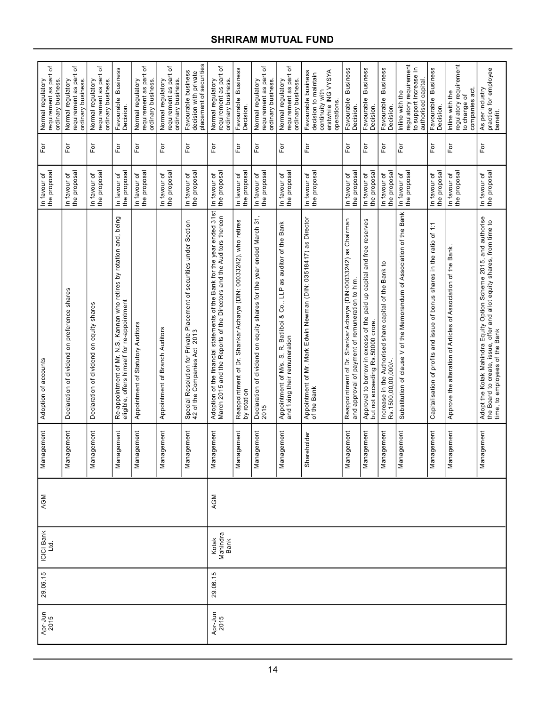|                                                                                                                                                                                                                                                                                                                                                                                                                                                                                                     | Re-appointment of Mr. N.S. Kannan who retires by rotation and, being<br>eligible, offers himself for re-appointment         |                                                                                 |                                                                                                                   |   | In favour of<br>In favour of<br>In favour of<br>In favour of<br>In favour of<br>In favour of<br>In favour of<br>In favour of<br>In favour of<br>In favour of<br>In favour of | the proposal<br>the proposal<br>the proposa<br>the proposa<br>the proposal<br>the proposal<br>In favour of<br>the proposal<br>the proposa<br>the proposal<br>the proposa<br>the proposa<br>the proposal<br>the proposal<br>the proposal<br>In favour of<br>In favour of<br>Ξ<br>đ                                                      | the proposal<br>In favour of                                  |
|-----------------------------------------------------------------------------------------------------------------------------------------------------------------------------------------------------------------------------------------------------------------------------------------------------------------------------------------------------------------------------------------------------------------------------------------------------------------------------------------------------|-----------------------------------------------------------------------------------------------------------------------------|---------------------------------------------------------------------------------|-------------------------------------------------------------------------------------------------------------------|---|------------------------------------------------------------------------------------------------------------------------------------------------------------------------------|----------------------------------------------------------------------------------------------------------------------------------------------------------------------------------------------------------------------------------------------------------------------------------------------------------------------------------------|---------------------------------------------------------------|
| Adoption of the financial statements of the Bank for the year ended 31st<br>March 2015 and the Reports of the Directors and the Auditors thereon<br>Declaration of dividend on equity shares for the year ended March 31<br>2015<br>Special Resolution for Private Placement of securities under Section<br>42 of the Companies Act 2013<br>Reappointment of Dr. Shankar Acharya (DIN: 00033242), who retires<br>by rotation<br>Appointment of Statutory Auditors<br>Appointment of Branch Auditors | auditor of the Bank<br>as<br>& Co., LLP<br><b>Batliboi</b><br>Appointment of M/s. S. R. Ba<br>and fixing their remuneration | Appointment of Mr. Mark Edwin Newman (DIN: 03518417) as Director<br>of the Bank | Reappointment of Dr. Shankar Acharya (DIN:00033242) as Chairman<br>and approval of payment of remuneration to him | ą |                                                                                                                                                                              | Substitution of clause V of the Memorandum of Association of the Bank<br>Approval to borrow in excess of the paid up capital and free reserves<br>but not exceeding Rs.50000 crore.<br>Capitalisation of profits and issue of bonus shares in the ratio<br>Increase in the Authorised share capital of the Bank<br>Rs.1500,00,00,000/- | Approve the alteration of Articles of Association of the Bank |
|                                                                                                                                                                                                                                                                                                                                                                                                                                                                                                     |                                                                                                                             |                                                                                 |                                                                                                                   |   |                                                                                                                                                                              |                                                                                                                                                                                                                                                                                                                                        |                                                               |
|                                                                                                                                                                                                                                                                                                                                                                                                                                                                                                     |                                                                                                                             |                                                                                 |                                                                                                                   |   |                                                                                                                                                                              |                                                                                                                                                                                                                                                                                                                                        |                                                               |
|                                                                                                                                                                                                                                                                                                                                                                                                                                                                                                     |                                                                                                                             |                                                                                 |                                                                                                                   |   |                                                                                                                                                                              |                                                                                                                                                                                                                                                                                                                                        |                                                               |
|                                                                                                                                                                                                                                                                                                                                                                                                                                                                                                     |                                                                                                                             |                                                                                 |                                                                                                                   |   |                                                                                                                                                                              |                                                                                                                                                                                                                                                                                                                                        |                                                               |
|                                                                                                                                                                                                                                                                                                                                                                                                                                                                                                     |                                                                                                                             |                                                                                 |                                                                                                                   |   |                                                                                                                                                                              |                                                                                                                                                                                                                                                                                                                                        |                                                               |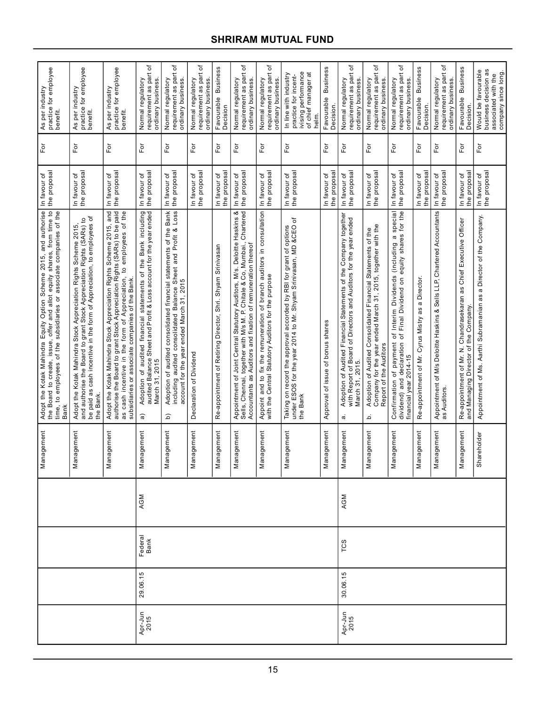|                 |          |                 |     | Management            | Adopt the Kotak Mahindra Equity Option Scheme 2015, and authorise<br>the Board to create, issue, offer and allot equity shares, from time to<br>time, to employees of the subsidiaries or associate companies of the<br><b>Bank</b>                                         | the proposa<br>In favour of  | For                        | practice for employee<br>benefit.<br>As per industry                                                 |  |
|-----------------|----------|-----------------|-----|-----------------------|-----------------------------------------------------------------------------------------------------------------------------------------------------------------------------------------------------------------------------------------------------------------------------|------------------------------|----------------------------|------------------------------------------------------------------------------------------------------|--|
|                 |          |                 |     | Management            | be paid as cash incentive in the form of Appreciation, to employees of<br>Adopt the Kotak Mahindra Stock Appreciation Rights Scheme 2015,<br>and authorise the Board to grant Stock Appreciation Rights (SARs) to<br>the Bank                                               | the proposal<br>In favour of | For                        | As per industry<br>practice for employee<br>benefit.                                                 |  |
|                 |          |                 |     | nagement<br>Δã        | Adopt the Kotak Mahindra Stock Appreciation Rights Scheme 2015, and<br>authorise the Board to grant Stock Appreciation Rights (SARs) to be paid<br>cash incentive in the form of Appreciation, to employees of the<br>subsidiaries or associate companies of the Bank<br>8g | the proposa<br>In favour of  | $F\sigma$                  | practice for employee<br>As per industry<br>benefit.                                                 |  |
| Apr-Jun<br>2015 | 29.06.15 | Federal<br>Bank | AGM | Management            | Adoption of audited financial statements of the Bank including<br>audited Balance Sheet and Profit & Loss account for the year ended<br>March 31, 2015<br>କ                                                                                                                 | the proposa<br>In favour of  | $\overline{\rm F}$ or      | ৳<br>Normal regulatory<br>requirement as part<br>ordinary business.                                  |  |
|                 |          |                 |     | Management            | Bank<br>Loss<br>Adoption of audited consolidated financial statements of the<br>including audited consolidated Balance Sheet and Profit &<br>account for the year ended March 31, 2015<br>$\widehat{\mathsf{d}}$                                                            | the proposa<br>In favour of  | $\mathsf{F}\mathsf{or}$    | ٥ť<br>requirement as part<br>Normal regulatory<br>ordinary business                                  |  |
|                 |          |                 |     | nagement<br>$\bar{z}$ | Declaration of Dividend                                                                                                                                                                                                                                                     | the proposal<br>In favour of | $\mathsf{F}\mathsf{or}$    | ৳<br>requirement as part<br>ordinary business<br>Normal regulatory                                   |  |
|                 |          |                 |     | nagement<br>Nar       | Re-appointment of Retiring Director, Shri. Shyam Srinivasan                                                                                                                                                                                                                 | the proposal<br>In favour of | For                        | <b>Business</b><br>Favourable<br>Decision                                                            |  |
|                 |          |                 |     | nagement<br>Σã        | Appointment of Joint Central Statutory Auditors, M/s. Deloitte Haskins &<br>Sells, Chennai, together with M/s M. P. Chitale & Co, Mumbai., Chartered<br>Chartered<br>Accountants as Auditors and fixation of remuneration thereof                                           | the proposal<br>In favour of | $\bar{\rm e}$              | ٥ť<br>requirement as part<br>ordinary business.<br>Normal regulatory                                 |  |
|                 |          |                 |     | nagement<br>Δã        | Appoint and to fix the remuneration of branch auditors in consultation<br>with the Central Statutory Auditors for the purpose                                                                                                                                               | the proposal<br>In favour of | For                        | đ<br>requirement as part<br>ordinary business.<br>Normal regulatory                                  |  |
|                 |          |                 |     | Management            | đ<br>Taking on record the approval accorded by RBI for grant of options<br>under ESOS for the year 2014 to Mr. Shyam Srinivasan, MD &CEO<br>the Bank                                                                                                                        | In favour of<br>the proposal | For                        | ivising performance<br>of chief manager at<br>In line with industry<br>practice for incent-<br>helm. |  |
|                 |          |                 |     | Management            | Approval of issue of bonus shares                                                                                                                                                                                                                                           | the proposa<br>In favour of  | $\overline{\rm F}$         | <b>Business</b><br>Favourable<br>Decision                                                            |  |
| Apr-Jun<br>2015 | 30.06.15 | TCS             | AGM | agement<br>Nai        | Financial Statements of the Company together<br>with Report of Board of Directors and Auditors for the year ended<br>Adoption of Audited<br>March 31, 2015.<br>$\sigma$                                                                                                     | the proposal<br>In favour of | For                        | ٔб<br>requirement as part<br>ordinary business.<br>Normal regulatory                                 |  |
|                 |          |                 |     | Management            | Adoption of Audited Consolidated Financial Statements of the<br>Company for the year ended March 31, 2015, together with the<br>Report of the Auditors<br>.<br>م                                                                                                            | In favour of<br>the proposal | For                        | đ<br>requirement as part<br>ordinary business.<br>Normal regulatory                                  |  |
|                 |          |                 |     | nagement<br>Δã        | Interim Dividends (including a special<br>Final Dividend on equity shares for the<br>$\rm \breve{\sigma}$<br>ٔ ځ<br>Confirmation of payment<br>dividend) and declaration<br>declaration<br>financial year 2014-15                                                           | the proposal<br>In favour of | For                        | đ<br>requirement as part<br>ordinary business.<br>Normal regulatory                                  |  |
|                 |          |                 |     | nagement<br>Δã        | a Director.<br>æ<br>Re-appointment of Mr. Cyrus Mistry                                                                                                                                                                                                                      | the proposa<br>In favour of  | $\overline{\mathsf{F}}$ or | <b>Business</b><br>Favourable<br>Decision.                                                           |  |
|                 |          |                 |     | nagement<br>Σã        | Appointment of M/s Deloitte Haskins & Sells LLP, Chartered Accountants<br>as Auditors.                                                                                                                                                                                      | the proposa<br>In favour of  | For                        | requirement as part of<br>ordinary business.<br>Normal regulatory                                    |  |
|                 |          |                 |     | nagement<br>Δã        | as Chief Executive Officer<br>Re-appointment of Mr. N. Chandrasekaran<br>and Managing Director of the Company.                                                                                                                                                              | the proposa<br>In favour of  | For                        | <b>Business</b><br>Favourable<br>Decision                                                            |  |
|                 |          |                 |     | Shareholder           | Appointment of Ms. Aarthi Subramanian as a Director of the Company.                                                                                                                                                                                                         | the proposal<br>In favour of | For                        | business decision as<br>Would be favourable<br>company since long.<br>associated with the            |  |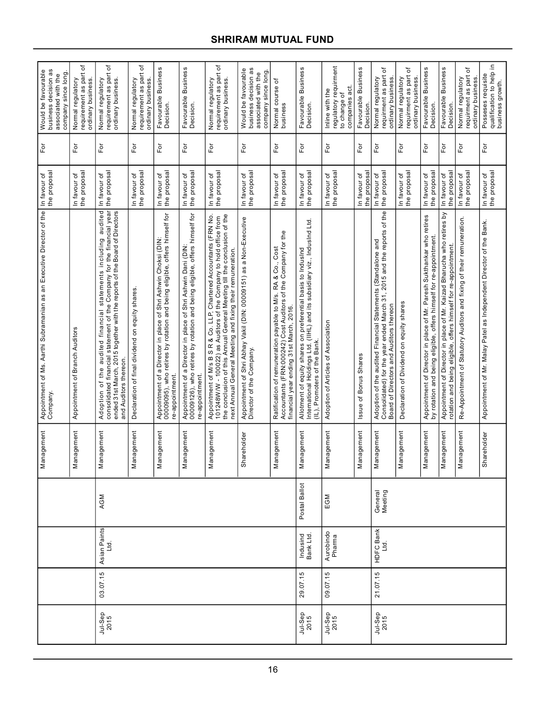| business decision as<br>Would be favourable<br>company since long<br>associated with the | ᡃ᠋ᡠ<br>requirement as part<br>ordinary business.<br>Normal regulatory | đ<br>requirement as part<br>ordinary business.<br>Normal regulatory                                                                                                                                                                             | đ<br>requirement as part<br>ordinary business.<br>Normal regulatory | Favourable Business<br>Decision.                                                                                                                               | <b>Business</b><br>Favourable<br>Decision.                                                                                                                   | ৳<br>requirement as part<br>ordinary business.<br>Normal regulatory                                                                                                                                                                                                                  | business decision as<br>Would be favourable<br>company since long<br>associated with the       | Normal course of<br>business                                                                                                                                            | Favourable Business<br>Decision.                                                                                                                                          | regulatory requirment<br>act.<br>Inline with the<br>to change of<br>companies | Favourable Business<br>Decision. | đ<br>requirment as part<br>ordinary business.<br>Normal regulatory                                                                                                                   | ৳<br>requirment as part<br>Normal regulatory<br>ordinary business | Favourable Business<br><b>Decision</b>                                                                                                      | Favourable Business<br>Decision                                                                                                                | ৳<br>requirment as part<br>Normal regulatory<br>ordinary business     | 크.<br>qualification to help<br>business growth.<br>Posseses requisite |
|------------------------------------------------------------------------------------------|-----------------------------------------------------------------------|-------------------------------------------------------------------------------------------------------------------------------------------------------------------------------------------------------------------------------------------------|---------------------------------------------------------------------|----------------------------------------------------------------------------------------------------------------------------------------------------------------|--------------------------------------------------------------------------------------------------------------------------------------------------------------|--------------------------------------------------------------------------------------------------------------------------------------------------------------------------------------------------------------------------------------------------------------------------------------|------------------------------------------------------------------------------------------------|-------------------------------------------------------------------------------------------------------------------------------------------------------------------------|---------------------------------------------------------------------------------------------------------------------------------------------------------------------------|-------------------------------------------------------------------------------|----------------------------------|--------------------------------------------------------------------------------------------------------------------------------------------------------------------------------------|-------------------------------------------------------------------|---------------------------------------------------------------------------------------------------------------------------------------------|------------------------------------------------------------------------------------------------------------------------------------------------|-----------------------------------------------------------------------|-----------------------------------------------------------------------|
| Γō                                                                                       | For                                                                   | For                                                                                                                                                                                                                                             | For                                                                 | For                                                                                                                                                            | For                                                                                                                                                          | For                                                                                                                                                                                                                                                                                  | $\overline{\rm E}$                                                                             | For                                                                                                                                                                     | For                                                                                                                                                                       | $\overline{P}$                                                                | $\mathsf{For}$                   | For                                                                                                                                                                                  | For                                                               | For                                                                                                                                         | $\mathsf{For}$                                                                                                                                 | For                                                                   | $\overline{P}$                                                        |
| In favour of<br>the proposal                                                             | the proposal<br>In favour of                                          | the proposal<br>In favour of                                                                                                                                                                                                                    | the proposal<br>In favour of                                        | In favour of<br>the proposal                                                                                                                                   | the proposal<br>In favour of                                                                                                                                 | the proposa<br>In favour of                                                                                                                                                                                                                                                          | the proposal<br>In favour of                                                                   | the proposal<br>In favour of                                                                                                                                            | the proposal<br>In favour of                                                                                                                                              | the proposal<br>In favour of                                                  | the proposa<br>In favour of      | the proposal<br>In favour of                                                                                                                                                         | the proposal<br>In favour of                                      | the proposa<br>In favour of                                                                                                                 | the proposa<br>In favour of                                                                                                                    | the proposal<br>In favour of                                          | In favour of<br>the proposal                                          |
| Appointment of Ms. Aarthi Subramanian as an Executive Director of the<br>Company.        | Appointment of Branch Auditors                                        | Adoption of the audited financial statements including audited<br>consolidated financial statement of the Company for the financial year<br>ended 31st March, 2015 together with the reports of the Board of Directors<br>and Auditors thereon. | Declaration of final dividend on equity shares                      | 00000005), who retires by rotation and being eligible, offers himself for<br>Appointment of a Director in place of Shri Ashwin Choksi (DIN:<br>re-appointment. | Appointment of a Director in place of Shri Ashwin Dani (DIN:<br>00009126), who retires by rotation and being eligible, offers himself for<br>re-appointment. | the conclusion of this Annual General Meeting till the conclusion of the<br>Appointment of M/s B S R & Co. LLP, Chartered Accountants (FRN No.<br>the Company to hold office from<br>next Annual General Meeting and fixing their remuneration<br>101248W/W - 100022) as Auditors of | Appointment of Shri Abhay Vakil (DIN: 00009151) as a Non-Executive<br>Director of the Company. | Ratification of remuneration payable to M/s. RA & Co., Cost<br>Accountants (FRN:000242) Cost Auditors of the Company for the<br>financial year ending 31st March, 2016. | International Holdings Ltd. (IIHL) and its subsidiary viz., IndusInd Ltd.<br>Allotment of equity shares on preferential basis to IndusInd<br>(IL), Promoters of the Bank. | Adoption of Articles of Association                                           | ssue of Bonus Shares             | of the<br>Adoption of the audited Financial Statements (Standalone and<br>Consolidated) for the year ended March 31, 2015 and the reports<br>Board of Directors and Auditors thereon | Declaration of Dividend on equity shares                          | Appointment of Director in place of Mr. Paresh Sukthankar who retires<br>by rotation and being eligible, offers himself for re-appointment. | Appointment of Director in place of Mr. Kaizad Bharucha who retires by<br>re-appointment<br>and being eligible, offers himself for<br>rotation | Re-Appointment of Statutory Auditors and fixing of their remuneration | Appointment of Mr. Malay Patel as Independent Director of the Bank.   |
| Management                                                                               | Management                                                            | nagement<br>ē⊠                                                                                                                                                                                                                                  | nagement<br>ē⊠                                                      | nagement<br>ēΜ                                                                                                                                                 | nagement<br>lai                                                                                                                                              | nagement<br>ēΜ                                                                                                                                                                                                                                                                       | Shareholder                                                                                    | Management                                                                                                                                                              | Management                                                                                                                                                                | nagement<br>la                                                                | nagement<br>Σã                   | Management                                                                                                                                                                           | Management                                                        | Management                                                                                                                                  | nagement<br>ē⊠                                                                                                                                 | agement<br>ēΜ                                                         | Shareholder                                                           |
|                                                                                          |                                                                       | AGM                                                                                                                                                                                                                                             |                                                                     |                                                                                                                                                                |                                                                                                                                                              |                                                                                                                                                                                                                                                                                      |                                                                                                |                                                                                                                                                                         | Postal Ballot                                                                                                                                                             | EGM                                                                           |                                  | General<br>Meeting                                                                                                                                                                   |                                                                   |                                                                                                                                             |                                                                                                                                                |                                                                       |                                                                       |
|                                                                                          |                                                                       | Asian Paints<br>$\overline{B}$                                                                                                                                                                                                                  |                                                                     |                                                                                                                                                                |                                                                                                                                                              |                                                                                                                                                                                                                                                                                      |                                                                                                |                                                                                                                                                                         | Indusind<br>Bank Ltd.                                                                                                                                                     | Aurobindo<br>Pharma                                                           |                                  | <b>HDFC Bank</b><br>Ltd.                                                                                                                                                             |                                                                   |                                                                                                                                             |                                                                                                                                                |                                                                       |                                                                       |
|                                                                                          |                                                                       | 03.07.15                                                                                                                                                                                                                                        |                                                                     |                                                                                                                                                                |                                                                                                                                                              |                                                                                                                                                                                                                                                                                      |                                                                                                |                                                                                                                                                                         | 29.07.15                                                                                                                                                                  | 09.07.15                                                                      |                                  | 21.07.15                                                                                                                                                                             |                                                                   |                                                                                                                                             |                                                                                                                                                |                                                                       |                                                                       |
|                                                                                          |                                                                       | Jul-Sep<br>2015                                                                                                                                                                                                                                 |                                                                     |                                                                                                                                                                |                                                                                                                                                              |                                                                                                                                                                                                                                                                                      |                                                                                                |                                                                                                                                                                         | Jul-Sep<br>2015                                                                                                                                                           | Jul-Sep<br>2015                                                               |                                  | Jul-Sep<br>2015                                                                                                                                                                      |                                                                   |                                                                                                                                             |                                                                                                                                                |                                                                       |                                                                       |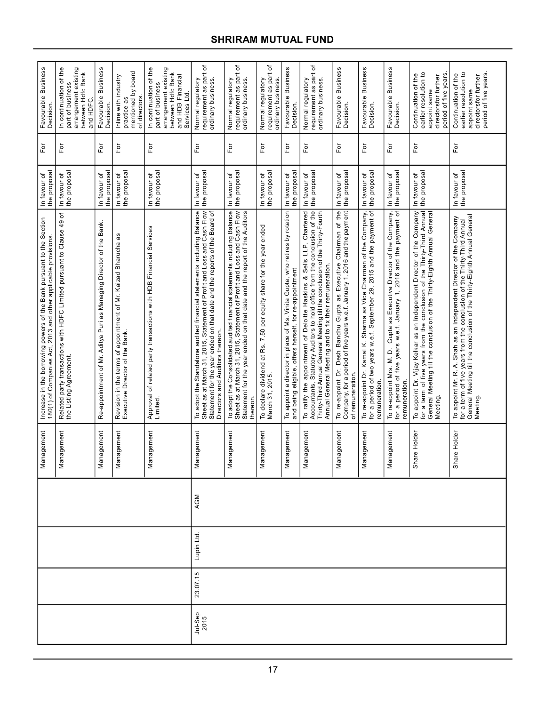| Favourable Business<br>Decision.<br>For                                                                                                   | In continuation of the<br>part of business<br>arrangement existing<br>between Hdfc Bank<br>and HDFC<br>$\bar{\rm e}$ | Favourable Business<br><b>Decision</b><br>For                       | mentioned by board<br>Inline with industry<br>of directors.<br>practice as<br>For                            | In continuation of the<br>arrangement existing<br>between Hdfc Bank<br>and HDB Financial<br>part of business<br>Services Ltd<br>$F$ or | requirement as part of<br>ordinary business.<br>Normal regulatory<br>For                                                                                                                                                                                         | ٔб<br>Normal regulatory<br>requirement as part<br>ordinary business.<br>For                                                                                                                                                               | requirement as part of<br>ordinary business.<br>Normal regulatory<br>For               | Favourable Business<br>Decision.<br>For                                                                                               | requirement as part of<br>ordinary business.<br>Normal regulatory<br>$\overline{F}$                                                                                                                                                                                                        | Favourable Business<br>Decision.<br>For                                                                                                                            | Favourable Business<br>Decision.<br>$\mathsf{F}\mathsf{or}$                                                                                                   | Favourable Business<br>Decision.<br>For                                                                                                                                                              | Continuation of the<br>earlier resolution to<br>period of five years<br>directorsfor further<br>appoint same<br>For                                                                                                                     | Continuation of the<br>$C$ - $\frac{1}{2}$ $\cdots$ resolution to<br>For                                                                                                                                                  |
|-------------------------------------------------------------------------------------------------------------------------------------------|----------------------------------------------------------------------------------------------------------------------|---------------------------------------------------------------------|--------------------------------------------------------------------------------------------------------------|----------------------------------------------------------------------------------------------------------------------------------------|------------------------------------------------------------------------------------------------------------------------------------------------------------------------------------------------------------------------------------------------------------------|-------------------------------------------------------------------------------------------------------------------------------------------------------------------------------------------------------------------------------------------|----------------------------------------------------------------------------------------|---------------------------------------------------------------------------------------------------------------------------------------|--------------------------------------------------------------------------------------------------------------------------------------------------------------------------------------------------------------------------------------------------------------------------------------------|--------------------------------------------------------------------------------------------------------------------------------------------------------------------|---------------------------------------------------------------------------------------------------------------------------------------------------------------|------------------------------------------------------------------------------------------------------------------------------------------------------------------------------------------------------|-----------------------------------------------------------------------------------------------------------------------------------------------------------------------------------------------------------------------------------------|---------------------------------------------------------------------------------------------------------------------------------------------------------------------------------------------------------------------------|
| the proposal<br>In favour of                                                                                                              | the proposal<br>In favour of<br>đ                                                                                    | the proposal<br>In favour of                                        | the proposal<br>In favour of                                                                                 | In favour of<br>the proposal                                                                                                           | the proposal<br>In favour of                                                                                                                                                                                                                                     | the proposal<br>In favour of                                                                                                                                                                                                              | the proposal<br>In favour of                                                           | the proposa<br>In favour of                                                                                                           | the proposal<br>In favour of                                                                                                                                                                                                                                                               | the proposal<br>In favour of                                                                                                                                       | In favour of<br>the proposal                                                                                                                                  | the proposal<br>In favour of                                                                                                                                                                         | the proposal<br>In favour of                                                                                                                                                                                                            | In favour of<br>the proposal                                                                                                                                                                                              |
| Increase in the borrowing powers of the Bank pursuant to the Section<br>2013 and other applicable provisions.<br>180(1) of Companies Act, | Related party transactions with HDFC Limited pursuant to Clause 49<br>the Listing Agreement.                         | Re-appointment of Mr. Aditya Puri as Managing Director of the Bank. | æ<br>appointment of Mr. Kaizad Bharucha<br>Revision in the terms of appoir<br>Executive Director of the Bank | Approval of related party transactions with HDB Financial Services<br>Limited.                                                         | To adopt the Standalone audited financial statements including Balance<br>Sheet as at March 31, 2015, Statement of Profit and Loss and Cash Flow<br>Statement for the year ended on that date and the reports of the Board of<br>Directors and Auditors thereon. | To adopt the Consolidated audited financial statements including Balance<br>Sheet as at March 31, 2015, Statement of Profit and Loss and Cash Flow<br>Statement for the year ended on that date and the report of the Auditors<br>thereon | To declare dividend at Rs. 7.50 per equity share for the year ended<br>March 31, 2015. | To appoint a director in place of Ms. Vinita Gupta, who retires by rotation<br>and being eligible, offers herself, for re-appointment | To ratify the appointment of Deloitte Haskins & Sells LLP, Chartered<br>Accountants, Statutory Auditors to hold office from the conclusion of the<br>Thirty-Third Annual General Meeting till the conclusion of the Thirty-Fourth<br>Annual General Meeting and to fix their remuneration. | To re-appoint Dr. Desh Bandhu Gupta as Executive Chairman of the<br>Company, for a period of five years w.e.f. January 1, 2016 and the payment<br>of remuneration. | To re-appoint Dr. Kamal K. Sharma as Vice Chairman of the Company,<br>for a period of two years w.e.f. September 29, 2015 and the payment of<br>remuneration. | re-appoint Mrs. M. D. Gupta as Executive Director of the Company,<br>a period of five years w.e.f. January 1, 2016 and the payment of<br>To re-appoint Mrs. M. D.<br>remuneration.<br>$\overline{5}$ | To appoint Dr. Vijay Kelkar as an Independent Director of the Company<br>for a term of five years from the conclusion of the Thirty-Third Annual<br>General Meeting till the conclusion of the Thirty-Eighth Annual General<br>Meeting. | General Meeting till the conclusion of the Thirty-Eighth Annual General<br>To appoint Mr. R. A. Shah as an Independent Director of the Company<br>for a term of five years from the conclusion of the Thirty-Third Annual |
| Management                                                                                                                                | Management                                                                                                           | lagement<br>Man                                                     | Management                                                                                                   | Management                                                                                                                             | agement<br>Man                                                                                                                                                                                                                                                   | agement<br>Man                                                                                                                                                                                                                            | lagement<br>Man                                                                        | agement<br>Man                                                                                                                        | agement<br>Man                                                                                                                                                                                                                                                                             | Management                                                                                                                                                         | nagement<br>Man                                                                                                                                               | lagement<br>Man                                                                                                                                                                                      | re Holder<br>Sha                                                                                                                                                                                                                        | re Holder<br>Sha                                                                                                                                                                                                          |
|                                                                                                                                           |                                                                                                                      |                                                                     |                                                                                                              |                                                                                                                                        | AGM                                                                                                                                                                                                                                                              |                                                                                                                                                                                                                                           |                                                                                        |                                                                                                                                       |                                                                                                                                                                                                                                                                                            |                                                                                                                                                                    |                                                                                                                                                               |                                                                                                                                                                                                      |                                                                                                                                                                                                                                         |                                                                                                                                                                                                                           |
|                                                                                                                                           |                                                                                                                      |                                                                     |                                                                                                              |                                                                                                                                        | Lupin Ltd.                                                                                                                                                                                                                                                       |                                                                                                                                                                                                                                           |                                                                                        |                                                                                                                                       |                                                                                                                                                                                                                                                                                            |                                                                                                                                                                    |                                                                                                                                                               |                                                                                                                                                                                                      |                                                                                                                                                                                                                                         |                                                                                                                                                                                                                           |
|                                                                                                                                           |                                                                                                                      |                                                                     |                                                                                                              |                                                                                                                                        | 23.07.15                                                                                                                                                                                                                                                         |                                                                                                                                                                                                                                           |                                                                                        |                                                                                                                                       |                                                                                                                                                                                                                                                                                            |                                                                                                                                                                    |                                                                                                                                                               |                                                                                                                                                                                                      |                                                                                                                                                                                                                                         |                                                                                                                                                                                                                           |
|                                                                                                                                           |                                                                                                                      |                                                                     |                                                                                                              |                                                                                                                                        | Jul-Sep<br>2015                                                                                                                                                                                                                                                  |                                                                                                                                                                                                                                           |                                                                                        |                                                                                                                                       |                                                                                                                                                                                                                                                                                            |                                                                                                                                                                    |                                                                                                                                                               |                                                                                                                                                                                                      |                                                                                                                                                                                                                                         |                                                                                                                                                                                                                           |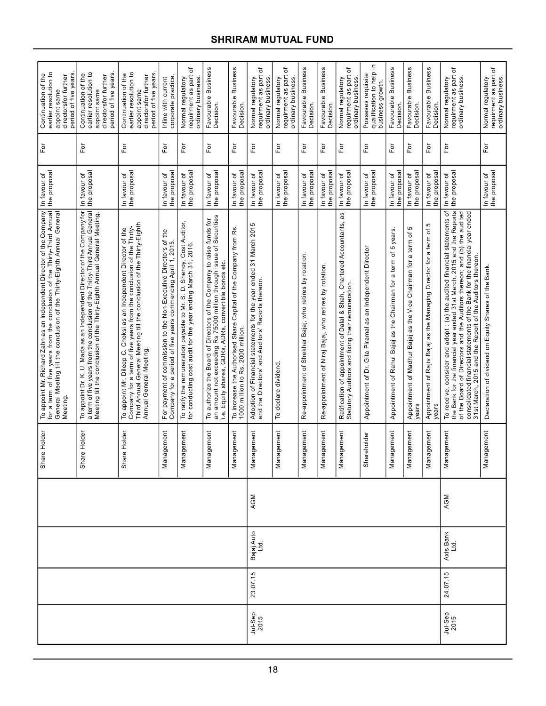| Continuation of the<br>earlier resolution to<br>period of five years<br>directorsfor further<br>appoint same                                                                                                                           | earlier resolution to<br>period of five years<br>Continuation of the<br>directorsfor further<br>appoint same                                                                                                                          | earlier resolution to<br>period of five years<br>Continuation of the<br>directorsfor further<br>appoint same                                                                                                                                 | corporate practice.<br>Inline with current                                                                                      | ৳<br>requirment as part<br>Normal regulatory<br>ordinary business.                                                                     | <b>Business</b><br>Favourable<br>Decision.                                                                                                                                                                | Favourable Business<br>Decision.                                                                      | ৳<br>requirment as part<br>Normal regulatory<br>ordinary business                                                      | đ<br>requirment as part<br>Normal regulatory<br>ordinary business | <b>Business</b><br>Favourable<br>Decision.               | Favourable Business<br>Decision.                       | đ<br>requirment as part<br>Normal regulatory<br>ordinary business                                                              | ≘<br>qualification to help<br>Posseses requisite<br>business growth. | Favourable Business<br>Decision.                                        | Favourable Business<br>Decision.                                                | Favourable Business<br>Decision.                                                | ৳<br>requirment as part<br>ordinary business.<br>Normal regulatory                                                                                                                                                                                                                                                                                                              | ৳<br>requirment as part<br>ordinary business.<br>Normal regulatory |
|----------------------------------------------------------------------------------------------------------------------------------------------------------------------------------------------------------------------------------------|---------------------------------------------------------------------------------------------------------------------------------------------------------------------------------------------------------------------------------------|----------------------------------------------------------------------------------------------------------------------------------------------------------------------------------------------------------------------------------------------|---------------------------------------------------------------------------------------------------------------------------------|----------------------------------------------------------------------------------------------------------------------------------------|-----------------------------------------------------------------------------------------------------------------------------------------------------------------------------------------------------------|-------------------------------------------------------------------------------------------------------|------------------------------------------------------------------------------------------------------------------------|-------------------------------------------------------------------|----------------------------------------------------------|--------------------------------------------------------|--------------------------------------------------------------------------------------------------------------------------------|----------------------------------------------------------------------|-------------------------------------------------------------------------|---------------------------------------------------------------------------------|---------------------------------------------------------------------------------|---------------------------------------------------------------------------------------------------------------------------------------------------------------------------------------------------------------------------------------------------------------------------------------------------------------------------------------------------------------------------------|--------------------------------------------------------------------|
| Γō                                                                                                                                                                                                                                     | For                                                                                                                                                                                                                                   | For                                                                                                                                                                                                                                          | $\overline{\mathsf{F}}$ or                                                                                                      | For                                                                                                                                    | $\mathsf{F}\mathsf{or}$                                                                                                                                                                                   | For                                                                                                   | $\bar{\rm E}$                                                                                                          | $\bar{\rm E}$                                                     | For                                                      | Ĕŏ                                                     | $\overline{P}$                                                                                                                 | For                                                                  | For                                                                     | $\overline{p}$                                                                  | For                                                                             | $F$ or                                                                                                                                                                                                                                                                                                                                                                          | For                                                                |
| the proposal<br>In favour of                                                                                                                                                                                                           | the proposal<br>In favour of                                                                                                                                                                                                          | the proposa<br>In favour of                                                                                                                                                                                                                  | the proposa<br>In favour of                                                                                                     | the proposa<br>In favour of                                                                                                            | the proposal<br>In favour of                                                                                                                                                                              | the proposal<br>In favour of                                                                          | the proposa<br>In favour of                                                                                            | the proposa<br>In favour of                                       | the proposa<br>In favour of                              | the proposal<br>In favour of                           | the proposal<br>In favour of                                                                                                   | the proposa<br>In favour of                                          | the proposa<br>In favour of                                             | the proposal<br>In favour of                                                    | the proposa<br>In favour of                                                     | In favour of<br>the proposal                                                                                                                                                                                                                                                                                                                                                    | the proposal<br>In favour of                                       |
| To appoint Mr. Richard Zahn as an Independent Director of the Company<br>for a term of five years from the conclusion of the Thirty-Third Annual<br>General Meeting till the conclusion of the Thirty-Eighth Annual General<br>Meeting | appoint Dr. K. U. Mada as an Independent Director of the Company for<br>a term of five years from the conclusion of the Thirty-Third Annual General<br>Meeting till the conclusion of the Thirty-Eighth Annual General Meeting.<br>م∟ | Third Annual General Meeting till the conclusion of the Thirty-Eighth<br>Company for a term of five years from the conclusion of the Thirty-<br>To appoint Mr. Dileep C. Choksi as an Independent Director of the<br>Annual General Meeting. | For payment of commission to the Non-Executive Directors of the<br>Company for a period of five years commencing April 1, 2015. | To ratify the remuneration payable to Mr. S. D. Shenoy, Cost Auditor,<br>for conducting cost audit for the year ending March 31, 2016. | an amount not exceeding Rs 75000 million through issue of Securities<br>authorize the Board of Directors of the Company to raise funds for<br>Equity shares, GDRs, ADRs, convertible bonds etc.<br>ڹ<br>م | To increase the Authorised Share Capital of the Company from Rs.<br>1000 million to Rs. 2000 million. | Adoption of Financial statements for the year ended 31 March 2015<br>and the Directors' and Auditors' Reports thereon. | To declare dividend                                               | Re-appointment of Shekhar Bajaj, who retires by rotation | Re-appointment of Niraj Bajaj, who retires by rotation | as<br>Ratification of appointment of Dalal & Shah, Chartered Accountants,<br>Statutory Auditors and fixing their remuneration. | Appointment of Dr. Gita Piramal as an Independent Director           | 5 years.<br>as the Chairman for a term of<br>Appointment of Rahul Bajaj | ъ<br>a term of<br>Appointment of Madhur Bajaj as the Vice Chairman for<br>years | Ю<br>Appointment of Rajiv Bajaj as the Managing Director for a term of<br>years | To receive, consider and adopt : (a) the audited financial statements of<br>the Bank for the financial year ended 31st March, 2015 and the Reports<br>of the Board of Directors and the Auditors thereon; and (b) the audited<br>consolidated financial statements of the Bank for the financial year ended<br>thereon<br>2015 and the Report of the Auditors<br>March.<br>31st | Declaration of dividend on Equity Shares of the Bank               |
| Share Holder                                                                                                                                                                                                                           | re Holder<br>Sha                                                                                                                                                                                                                      | Share Holder                                                                                                                                                                                                                                 | nagement<br>Mai                                                                                                                 | nagement<br>Σã                                                                                                                         | nagement<br>Mai                                                                                                                                                                                           | nagement<br>$\overline{\mathbf{z}}$                                                                   | nagement<br>$\overline{\mathsf{a}}$                                                                                    | nagement<br>Μai                                                   | nagement<br>Σã                                           | nagement<br>Σã                                         | nagement<br>ga                                                                                                                 | Shareholder                                                          | nagement<br>Σã                                                          | nagement<br>Σã                                                                  | nagement<br>Δã                                                                  | Management                                                                                                                                                                                                                                                                                                                                                                      | Management                                                         |
|                                                                                                                                                                                                                                        |                                                                                                                                                                                                                                       |                                                                                                                                                                                                                                              |                                                                                                                                 |                                                                                                                                        |                                                                                                                                                                                                           |                                                                                                       | AGM                                                                                                                    |                                                                   |                                                          |                                                        |                                                                                                                                |                                                                      |                                                                         |                                                                                 |                                                                                 | AGM                                                                                                                                                                                                                                                                                                                                                                             |                                                                    |
|                                                                                                                                                                                                                                        |                                                                                                                                                                                                                                       |                                                                                                                                                                                                                                              |                                                                                                                                 |                                                                                                                                        |                                                                                                                                                                                                           |                                                                                                       | Bajaj Auto<br>Ltd.                                                                                                     |                                                                   |                                                          |                                                        |                                                                                                                                |                                                                      |                                                                         |                                                                                 |                                                                                 | Axis Bank<br>Ltd.                                                                                                                                                                                                                                                                                                                                                               |                                                                    |
|                                                                                                                                                                                                                                        |                                                                                                                                                                                                                                       |                                                                                                                                                                                                                                              |                                                                                                                                 |                                                                                                                                        |                                                                                                                                                                                                           |                                                                                                       | 23.07.15                                                                                                               |                                                                   |                                                          |                                                        |                                                                                                                                |                                                                      |                                                                         |                                                                                 |                                                                                 | 24.07.15                                                                                                                                                                                                                                                                                                                                                                        |                                                                    |
|                                                                                                                                                                                                                                        |                                                                                                                                                                                                                                       |                                                                                                                                                                                                                                              |                                                                                                                                 |                                                                                                                                        |                                                                                                                                                                                                           |                                                                                                       | Jul-Sep<br>2015                                                                                                        |                                                                   |                                                          |                                                        |                                                                                                                                |                                                                      |                                                                         |                                                                                 |                                                                                 | Jul-Sep<br>2015                                                                                                                                                                                                                                                                                                                                                                 |                                                                    |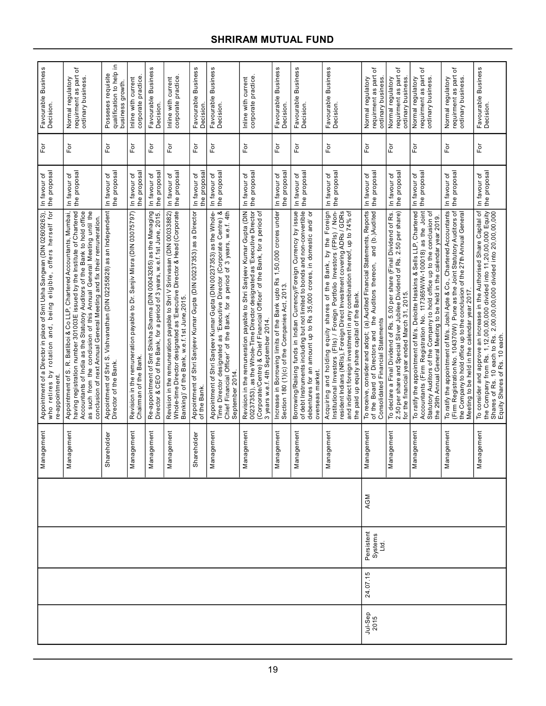|                             |                               |     | Management      | Appointment of a Director in place of Smt Usha Sangwan (DIN 02609263),<br>who retires by rotation and, being eligible, offers herself for<br>re-appointment.                                                                                                                                                                                                                   | the proposal<br>In favour of   | For            | Favourable Business<br>Decision.                                   |
|-----------------------------|-------------------------------|-----|-----------------|--------------------------------------------------------------------------------------------------------------------------------------------------------------------------------------------------------------------------------------------------------------------------------------------------------------------------------------------------------------------------------|--------------------------------|----------------|--------------------------------------------------------------------|
|                             |                               |     | agement<br>Nar  | Appointment of S. R. Batlibol & Co LLP, Chartered Accountants, Mumbai,<br>having registration number 301003E issued by the Institute of Chartered<br>Accountants of India as the Statutory Auditors of the Bank to hold office<br>as such from the conclusion of this Annual General Meeting until the<br>conclusion of next Annual General Meeting and fix their remuneration | the proposal<br>৳<br>In favour | For            | đ<br>requirment as part<br>Normal regulatory<br>ordinary business. |
|                             |                               |     | Shareholder     | Appointment of Shri S. Vishvanathan (DIN 02255828) as an Independent<br>Director of the Bank.                                                                                                                                                                                                                                                                                  | the proposal<br>In favour of   | For            | qualification to help in<br>Posseses requisite<br>business growth  |
|                             |                               |     | lagement<br>Nar | Revision in the remuneration payable to Dr. Sanjiv Misra (DIN 03075797)<br>Chairman of the Bank.                                                                                                                                                                                                                                                                               | the proposal<br>In favour of   | Εŏ             | corporate practice<br>Inline with current                          |
|                             |                               |     | lagement<br>Nar | Re-appointment of Smt Shikha Sharma (DIN 00043265) as the Managing<br>Director & CEO of the Bank, for a period of 3 years, w.e.f. 1st June, 2015.                                                                                                                                                                                                                              | the proposal<br>In favour of   | For            | Favourable Business<br>Decision.                                   |
|                             |                               |     | lagement<br>Nar | Revision in the remuneration payable to Shri V Srinivasan (DIN 00033882)<br>Whole-time Director designated as "Executive Director & Head (Corporate<br>Banking)' of the Bank, w.e.f.1st June,2015.                                                                                                                                                                             | the proposal<br>In favour of   | Ĕō             | corporate practice<br>Inline with current                          |
|                             |                               |     | Shareholder     | Appointment of Shri Sanjeev Kumar Gupta (DIN 00237353) as a Director<br>of the Bank                                                                                                                                                                                                                                                                                            | the proposa<br>In favour of    | Γō             | Favourable Business<br>Decision                                    |
|                             |                               |     | Management      | Appointment of Shri Sanjeev Kumar Gupta (DIN 00237353) as the Whole-<br>Time Director designated as 'Executive Director (Corporate Centre) &<br>Chief Financial Officer' of the Bank, for a period of 3 years, w.e.f. 4th<br>September 2014.                                                                                                                                   | the proposal<br>In favour of   | For            | Favourable Business<br>Decision.                                   |
|                             |                               |     | lagement<br>Nar | 00237353), as the Whole-Time Director designated as 'Executive Director<br>(Corporate/Centre) & Chief Financial Officer' of the Bank, for a period of<br>Revision in the remuneration payable to Shri Sanjeev Kumar Gupta (DIN<br>3 years w.e.f. 4th September 2014                                                                                                            | the proposal<br>In favour of   | For            | corporate practice.<br>Inline with current                         |
|                             |                               |     | nagement<br>lar | Increase in Borrowing limits of the Bank upto Rs 1,50,000 crores under<br>Section 180 (1)(c) of the Companies Act, 2013.                                                                                                                                                                                                                                                       | the proposal<br>In favour of   | Ēδ             | Favourable Business<br>Decision.                                   |
|                             |                               |     | agement<br>Mar  | Borrowing/Raising funds in Indian Currency/Foreign Currency by issue<br>of debt Instruments including but not limited to bonds and non-convertible<br>debentures for an amount up to Rs 35,000 crores, in domestic and/ or<br>overseas market.                                                                                                                                 | the proposal<br>In favour of   | For            | Favourable Business<br>Decision.                                   |
|                             |                               |     | nagement<br>Mar | Acquiring and holding equity shares of the Bank, by the Foreign<br>Institutional Investors (FIIs) / Foreign Portfolio Investors (FPIs) / Non-<br>resident Indians (NRIs), Foreign Direct Investment covering ADRs / GDRs<br>and indirect foreign investment in any combination thereof, up to 74% of<br>the paid up equity share capital of the Bank.                          | the proposal<br>In favour of   | For            | Favourable Business<br>Decision.                                   |
| 24.07.15<br>Jul-Sep<br>2015 | Persistent<br>Systems<br>Ltd. | AGM | Management      | To receive, consider and adopt; (a), Audited Financial Statements, Reports<br>of the Board of Directors and the Auditors thereon, and (b.) Audited<br>Consolidated Financial Statements                                                                                                                                                                                        | the proposal<br>In favour of   | For            | ৳<br>requirment as part<br>Normal regulatory<br>ordinary business  |
|                             |                               |     | lagement<br>Nar | To declare a Final Dividend of Rs. 5.00 per share (Final Dividend of Rs.<br>2.50 per share and Special Silver Jubilee Dividend of Rs. 2.50 per share)<br>for the financial year ended March 31, 2015.                                                                                                                                                                          | the proposal<br>In favour of   | For            | ৳<br>requirment as part<br>Normal regulatory<br>ordinary business. |
|                             |                               |     | iagement<br>Nar | Accountants (Firm Registration No. 117365W/W-100018) as the Joint<br>Statutory Auditors of the Company to hold office up to the conclusion of<br>To ratify the appointment of M/s. Deloitte Haskins & Sells LLP, Chartered<br>the 29th Annual General Meeting to be held in the calendar year 2019                                                                             | the proposal<br>In favour of   | ă              | ৳<br>requirment as part<br>Normal regulatory<br>ordinary business. |
|                             |                               |     | agement<br>Nar  | To ratify the appointment of M/s. Joshi Apte & Co., Chartered Accountants<br>(Firm Registration No. 104370W) Pune as the Joint Statutory Auditors of<br>the Company to hold office up to the conclusion of the 27th Annual General<br>Meeting to be held in the calendar year 2017.                                                                                            | the proposal<br>In favour of   | For            | ৳<br>Normal regulatory<br>requirment as part<br>ordinary business. |
|                             |                               |     | nagement<br>Mar | To consider and approve an increase in the Authorised Share Capital of<br>the Company from Rs. 1,12,00,00,000 divided into 11,20,00,000 Equity<br>Shares of Rs. 10 each to Rs. 2,00,00,00,000 divided into 20,00,00,000<br>Equity Share                                                                                                                                        | the proposal<br>In favour of   | $\overline{P}$ | Favourable Business<br>Decision.                                   |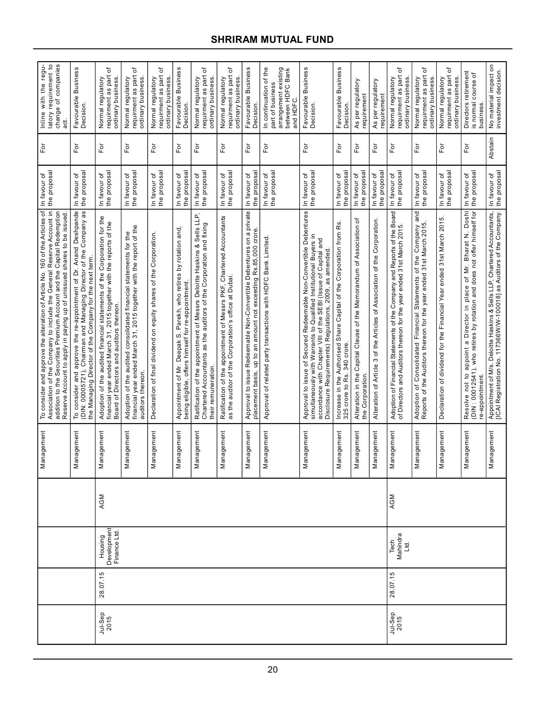|                 |          |                                        |     | Management      | To consider and approve the alteration of Article No. 160 of the Articles of<br>Association of the Company to include the General Reserve Account in<br>addition to the Securities Premium Account and the Capital Redemption<br>Reserve Account to apply in paying up of unissued shares to be issued | the proposa<br>In favour of  | $\overline{F}$          | Inline with the regu-<br>latory requirement to<br>change of companies<br>ಕ್ಷ                        |
|-----------------|----------|----------------------------------------|-----|-----------------|--------------------------------------------------------------------------------------------------------------------------------------------------------------------------------------------------------------------------------------------------------------------------------------------------------|------------------------------|-------------------------|-----------------------------------------------------------------------------------------------------|
|                 |          |                                        |     | nagement<br>Σg  | To consider and approve the re-appointment of Dr. Anand Deshpande<br>(DIN: 00005721), Chairman and Managing Director of the Company as<br>the Managing Director of the Company for the next term.                                                                                                      | the proposa<br>In favour of  | For                     | Business<br>Favourable<br>Decision.                                                                 |
| Jul-Sep<br>2015 | 28.07.15 | Development<br>Finance Ltd.<br>Housing | AGM | nagement<br>Σã  | Corporation for the<br>financial year ended March 31, 2015 together with the reports of the<br>Adoption of the audited financial statements of the<br>Board of Directors and auditors thereon                                                                                                          | the proposa<br>In favour of  | For                     | ৳<br>requirment as part<br>Normal regulatory<br>ordinary business                                   |
|                 |          |                                        |     | nagement<br>Σã  | financial year ended March 31, 2015 together with the report of the<br>Adoption of the audited consolidated financial statements for the<br>auditors thereon.                                                                                                                                          | the proposa<br>In favour of  | For                     | đ<br>requirment as part<br>Normal regulatory<br>ordinary business                                   |
|                 |          |                                        |     | nagement<br>Σã  | Declaration of final dividend on equity shares of the Corporation                                                                                                                                                                                                                                      | the proposal<br>In favour of | $\mathsf{F}\mathsf{or}$ | ৳<br>as part<br>Normal regulatory<br>ordinary business<br>requirment                                |
|                 |          |                                        |     | nagement<br>ΣÑ  | Appointment of Mr. Deepak S. Parekh, who retires by rotation and,<br>being eligible, offers himself for re-appointment.                                                                                                                                                                                | the proposal<br>In favour of | For                     | Favourable Business<br>Decision.                                                                    |
|                 |          |                                        |     | nagement<br>Σã  | Ratification of the appointment of Messrs Deloitte Haskins & Sells LLP,<br>Chartered Accountants as the auditors of the Corporation and fixing<br>their remuneration                                                                                                                                   | the proposa<br>In favour of  | For                     | ৳<br>requirment as part<br>Normal regulatory<br>ordinary business                                   |
|                 |          |                                        |     | nagement<br>Σã  | Ratification of the appointment of Messrs PKF, Chartered Accountants<br>as the auditor of the Corporation's office at Dubai.                                                                                                                                                                           | the proposa<br>In favour of  | $\overline{\rm F}$ or   | ৳<br>requirment as part<br>Normal regulatory<br>ordinary business                                   |
|                 |          |                                        |     | nagement<br>Σg  | Approval to issue Redeemable Non-Convertible Debentures on a private<br>placement basis, up to an amount not exceeding Rs.85,000 crore.                                                                                                                                                                | the proposa<br>In favour of  | For                     | Favourable Business<br><b>Decision</b>                                                              |
|                 |          |                                        |     | nagement<br>Σã  | Approval of related party transactions with HDFC Bank Limited                                                                                                                                                                                                                                          | the proposal<br>In favour of | For                     | arrangement existing<br>between HDFC Bank<br>In continuation of the<br>part of business<br>and HDFC |
|                 |          |                                        |     | nagement<br>Σã  | Approval to issue of Secured Redeemable Non-Convertible Debentures<br>simultaneously with Warrants to Qualified Institutional Buyers in<br>accordance with Chapter VIII of the SEBI (Issue of Capital and<br>Disclosure Requirements) Regulations, 2009, as amended                                    | the proposal<br>In favour of | $F$ or                  | <b>Business</b><br>Favourable I<br>Decision.                                                        |
|                 |          |                                        |     | nagement<br>Μai | Increase in the Authorised Share Capital of the Corporation from Rs.<br>325 crore to Rs. 340 crore                                                                                                                                                                                                     | the proposa<br>In favour of  | For                     | Favourable Business<br>Decision                                                                     |
|                 |          |                                        |     | nagement<br>Nai | Alteration in the Capital Clause of the Memorandum of Association of<br>the Corporation                                                                                                                                                                                                                | the proposa<br>In favour of  | $\bar{\rm E}$           | As per regulatory<br>requirement                                                                    |
|                 |          |                                        |     | nagement<br>Σã  | Alteration of Article 3 of the Articles of Association of the Corporation.                                                                                                                                                                                                                             | the proposa<br>In favour of  | $\overline{F}$          | As per regulatory<br>requirement                                                                    |
| Jul-Sep<br>2015 | 28.07.15 | Mahindra<br>Tech<br>르                  | AGM | nagement<br>Σã  | Adoption of Financial Statements of the Company and Reports of the Board<br>of Directors and Auditors thereon for the year ended 31st March 2015.                                                                                                                                                      | the proposa<br>In favour of  | $\overline{5}$          | ٔб<br>requirment as part<br>Normal regulatory<br>ordinary business.                                 |
|                 |          |                                        |     | nagement<br>Σg  | and<br>Adoption of Consolidated Financial Statements of the Company<br>Reports of the Auditors thereon for the year ended 31st March 2015                                                                                                                                                              | the proposa<br>In favour of  | For                     | ৳<br>requirment as part<br>Normal regulatory<br>ordinary business                                   |
|                 |          |                                        |     | nagement<br>Σã  | Declaration of dividend for the Financial Year ended 31st March 2015                                                                                                                                                                                                                                   | the proposa<br>In favour of  | $\bar{\rm F}$ or        | ৳<br>requirment as part<br>Normal regulatory<br>ordinary business                                   |
|                 |          |                                        |     | nagement<br>Μa  | Resolve not to appoint a Director in place of Mr. Bharat N. Doshi<br>(DIN : 00012541), who retires by rotation and does not offer himself for<br>re-appointment.                                                                                                                                       | the proposal<br>In favour of | For                     | Directors retirement<br>đ<br>is normal course<br>business.                                          |
|                 |          |                                        |     | Management      | Appointment of M/s. Deloitte Haskins & Sells LLP, Chartered Accountants,<br>[ICAI Registration No. 117366W/W-100018] as Auditors of the Company.                                                                                                                                                       | the proposal<br>In favour of | Abstain                 | No material impact on<br>investment decision.                                                       |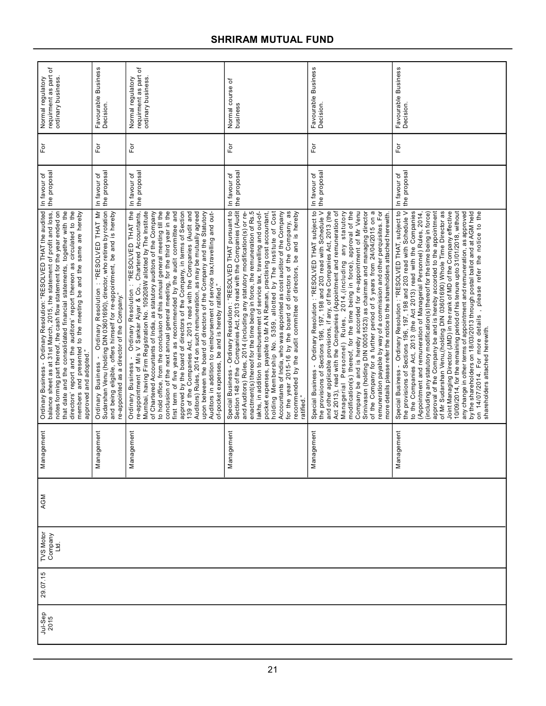| requirment as part of<br>ordinary business.<br>Normal regulatory                                                                                                                                                                                                                                                                                                                                                                                                                 | Favourable Business<br>Decision.                                                                                                                                                                                                                                    | requirment as part of<br>ordinary business.<br>Normal regulatory                                                                                                                                                                                                                                                                                                                                                                                                                                                                                                                                                                                                                                                                                                                                                                                                                                                                                        | Normal course of<br>business                                                                                                                                                                                                                                                                                                                                                                                                                                                                                                                                                                                                                                                                                                                                           | Favourable Business<br>Decision.                                                                                                                                                                                                                                                                                                                                                                                                                                                                                                                                                                                                                                                                                                                                                                                | Favourable Business<br>Decision.                                                                                                                                                                                                                                                                                                                                                                                                                                                                                                                                                                                                                                                                                                                                                                                                                                                                                                             |
|----------------------------------------------------------------------------------------------------------------------------------------------------------------------------------------------------------------------------------------------------------------------------------------------------------------------------------------------------------------------------------------------------------------------------------------------------------------------------------|---------------------------------------------------------------------------------------------------------------------------------------------------------------------------------------------------------------------------------------------------------------------|---------------------------------------------------------------------------------------------------------------------------------------------------------------------------------------------------------------------------------------------------------------------------------------------------------------------------------------------------------------------------------------------------------------------------------------------------------------------------------------------------------------------------------------------------------------------------------------------------------------------------------------------------------------------------------------------------------------------------------------------------------------------------------------------------------------------------------------------------------------------------------------------------------------------------------------------------------|------------------------------------------------------------------------------------------------------------------------------------------------------------------------------------------------------------------------------------------------------------------------------------------------------------------------------------------------------------------------------------------------------------------------------------------------------------------------------------------------------------------------------------------------------------------------------------------------------------------------------------------------------------------------------------------------------------------------------------------------------------------------|-----------------------------------------------------------------------------------------------------------------------------------------------------------------------------------------------------------------------------------------------------------------------------------------------------------------------------------------------------------------------------------------------------------------------------------------------------------------------------------------------------------------------------------------------------------------------------------------------------------------------------------------------------------------------------------------------------------------------------------------------------------------------------------------------------------------|----------------------------------------------------------------------------------------------------------------------------------------------------------------------------------------------------------------------------------------------------------------------------------------------------------------------------------------------------------------------------------------------------------------------------------------------------------------------------------------------------------------------------------------------------------------------------------------------------------------------------------------------------------------------------------------------------------------------------------------------------------------------------------------------------------------------------------------------------------------------------------------------------------------------------------------------|
| òΞ                                                                                                                                                                                                                                                                                                                                                                                                                                                                               | $\overline{P}$                                                                                                                                                                                                                                                      | $\overline{F}$                                                                                                                                                                                                                                                                                                                                                                                                                                                                                                                                                                                                                                                                                                                                                                                                                                                                                                                                          | For                                                                                                                                                                                                                                                                                                                                                                                                                                                                                                                                                                                                                                                                                                                                                                    | For                                                                                                                                                                                                                                                                                                                                                                                                                                                                                                                                                                                                                                                                                                                                                                                                             | $\overline{P}$                                                                                                                                                                                                                                                                                                                                                                                                                                                                                                                                                                                                                                                                                                                                                                                                                                                                                                                               |
| the proposal<br>In favour of                                                                                                                                                                                                                                                                                                                                                                                                                                                     | the proposal<br>In favour of                                                                                                                                                                                                                                        | the proposal<br>In favour of                                                                                                                                                                                                                                                                                                                                                                                                                                                                                                                                                                                                                                                                                                                                                                                                                                                                                                                            | the proposal<br>In favour of                                                                                                                                                                                                                                                                                                                                                                                                                                                                                                                                                                                                                                                                                                                                           | the proposal<br>In favour of                                                                                                                                                                                                                                                                                                                                                                                                                                                                                                                                                                                                                                                                                                                                                                                    | the proposal<br>In favour of                                                                                                                                                                                                                                                                                                                                                                                                                                                                                                                                                                                                                                                                                                                                                                                                                                                                                                                 |
| Ordinary Business - Ordinary Resolution: "RESOLVED THAT the audited<br>balance sheet as at 31st March, 2015, the statement of profit and loss,<br>notes forming part thereof, the cash flow statement for the year ended on<br>that date and the consolidated financial statements, together with the<br>report and the auditors' report thereon as circulated to the<br>members and presented to the meeting be and the same are hereby<br>approved and adopted."<br>directors' | Sudarshan Venu (holding DIN 03601690), director, who retires by rotation<br>Ordinary Resolution: "RESOLVED THAT Mr<br>and being eligible, offers himself for re-appointment, be and is hereby<br>re-appointed as a director of the Company."<br>Ordinary Business - | Ordinary Business - Ordinary Resolution: "RESOLVED THAT the<br>re-appointment of M/s V Sankar Aiyar & Co., Chartered Accountants,<br>Mumbai, having Firm Registration No. 109208W allotted by The Institute<br>to hold office, from the conclusion of this annual general meeting till the<br>conclusion of the next annual general meeting, for the third year in the<br>of Chartered Accountants of India, as statutory auditors of the Company<br>first term of five years as recommended by the audit committee and<br>approved by the board of directors of the Company, in terms of Section<br>139 of the Companies Act, 2013 read with the Companies (Audit and<br>Auditors) Rules, 2014 on such remuneration, as may be mutually agreed<br>upon between the board of directors of the Company and the Statutory<br>Auditors in addition to reimbursement of service tax, travelling and out-<br>of-pocket expenses, be and is hereby ratified." | Special Business - Ordinary Resolution : "RESOLVED THAT pursuant to<br>Section 148 of the Companies Act, 2013 read with the Companies (Audit<br>enactment(s) thereof for the time being in force, the remuneration of Rs.5<br>holding Membership No. 5359, allotted by The Institute of Cost<br>Accountants of India, who was appointed as cost auditor of the Company<br>for the year 2015-16 by the board of directors of the Company, as<br>lakhs, in addition to reimbursement of service tax, travelling and out-of-<br>recommended by the audit committee of directors, be and is hereby<br>and Auditors) Rules, 2014 (including any statutory modification(s) or re-<br><br>pocket expenses, payable to Mr A N Raman, practising cost accountant,<br>ratified." | Special Business - Ordinary Resolution: "RESOLVED THAT subject to<br>the provisions of Sections 196, 197, 198 and 203 read with Schedule V<br>and other applicable provisions, if any, of the Companies Act, 2013 (the<br>Act 2013), read with the Companies (Appointment and remuneration of<br>Managerial Personnel) Rules, 2014,(including any statutory<br>modification(s) thereof, for the time being in force), approval of the<br>Company be and is hereby accorded for re-appointment of Mr Venu<br>Srinivasan (holding DIN 00051523) as chairman and managing director<br>of the Company for a further period of 5 years from 24/04/2015 on a<br>remuneration payable by way of a commission and other perquisites. For<br>more details please refer the notice to the shareholders attached herewith. | Special Business - Ordinary Resolution: "RESOLVED THAT, subject to<br>the provisions of Sections 196, 197, 198 and 203 read with Schedule V<br>to the Companies Act, 2013 (the Act 2013) read with the Companies<br>of Mr Sudarshan Venu,(ĥolding DIN 03601690) Whole Time Director as<br>Joint Managing Director (JMD) in the rank of MD of the Company effective<br>10/09/2014, for the remaining period of his tenure upto 31/01/2018, without<br>approval of the Company be and is hereby accorded to the appointment<br>any change in other terms of appointment and remuneration, as approved<br>by the shareholders on 18/03/2013 through postal ballot and at AGM held<br>on 14/07/2014. For more details, please refer the notice to the<br>(including any statutory modification(s) thereof for the time being in force)<br>(Appointment and remuneration of Managerial Personnel) Rules, 2014,<br>shareholders attached herewith. |
| Management                                                                                                                                                                                                                                                                                                                                                                                                                                                                       | Management                                                                                                                                                                                                                                                          | Management                                                                                                                                                                                                                                                                                                                                                                                                                                                                                                                                                                                                                                                                                                                                                                                                                                                                                                                                              | Management                                                                                                                                                                                                                                                                                                                                                                                                                                                                                                                                                                                                                                                                                                                                                             | Management                                                                                                                                                                                                                                                                                                                                                                                                                                                                                                                                                                                                                                                                                                                                                                                                      | Management                                                                                                                                                                                                                                                                                                                                                                                                                                                                                                                                                                                                                                                                                                                                                                                                                                                                                                                                   |
| AGM                                                                                                                                                                                                                                                                                                                                                                                                                                                                              |                                                                                                                                                                                                                                                                     |                                                                                                                                                                                                                                                                                                                                                                                                                                                                                                                                                                                                                                                                                                                                                                                                                                                                                                                                                         |                                                                                                                                                                                                                                                                                                                                                                                                                                                                                                                                                                                                                                                                                                                                                                        |                                                                                                                                                                                                                                                                                                                                                                                                                                                                                                                                                                                                                                                                                                                                                                                                                 |                                                                                                                                                                                                                                                                                                                                                                                                                                                                                                                                                                                                                                                                                                                                                                                                                                                                                                                                              |
| TVS Motor<br>Company<br>Ltd.                                                                                                                                                                                                                                                                                                                                                                                                                                                     |                                                                                                                                                                                                                                                                     |                                                                                                                                                                                                                                                                                                                                                                                                                                                                                                                                                                                                                                                                                                                                                                                                                                                                                                                                                         |                                                                                                                                                                                                                                                                                                                                                                                                                                                                                                                                                                                                                                                                                                                                                                        |                                                                                                                                                                                                                                                                                                                                                                                                                                                                                                                                                                                                                                                                                                                                                                                                                 |                                                                                                                                                                                                                                                                                                                                                                                                                                                                                                                                                                                                                                                                                                                                                                                                                                                                                                                                              |
| 29.07.15                                                                                                                                                                                                                                                                                                                                                                                                                                                                         |                                                                                                                                                                                                                                                                     |                                                                                                                                                                                                                                                                                                                                                                                                                                                                                                                                                                                                                                                                                                                                                                                                                                                                                                                                                         |                                                                                                                                                                                                                                                                                                                                                                                                                                                                                                                                                                                                                                                                                                                                                                        |                                                                                                                                                                                                                                                                                                                                                                                                                                                                                                                                                                                                                                                                                                                                                                                                                 |                                                                                                                                                                                                                                                                                                                                                                                                                                                                                                                                                                                                                                                                                                                                                                                                                                                                                                                                              |
| Jul-Sep<br>2015                                                                                                                                                                                                                                                                                                                                                                                                                                                                  |                                                                                                                                                                                                                                                                     |                                                                                                                                                                                                                                                                                                                                                                                                                                                                                                                                                                                                                                                                                                                                                                                                                                                                                                                                                         |                                                                                                                                                                                                                                                                                                                                                                                                                                                                                                                                                                                                                                                                                                                                                                        |                                                                                                                                                                                                                                                                                                                                                                                                                                                                                                                                                                                                                                                                                                                                                                                                                 |                                                                                                                                                                                                                                                                                                                                                                                                                                                                                                                                                                                                                                                                                                                                                                                                                                                                                                                                              |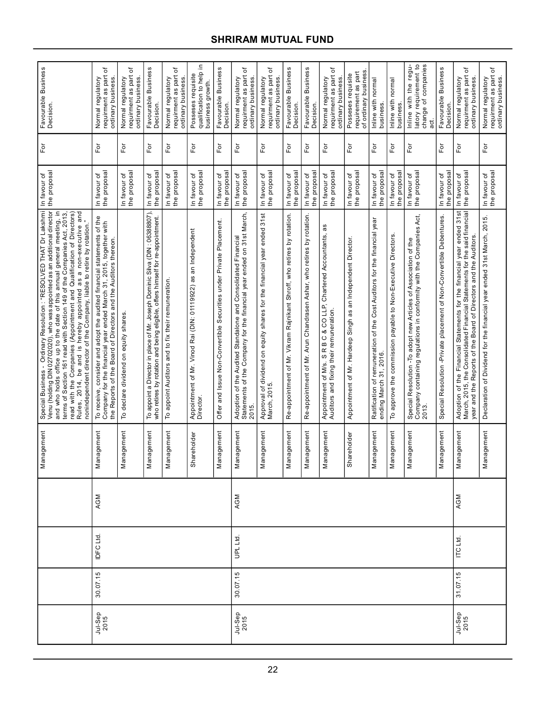| Special Business -  Ordinary Resolution : "RESOLVED THAT Dr Lakshmi<br>Venu (holding DIN 02702020), who was appointed as an additional director<br>To appoint a Director in place of Mr. Joseph Dominic Silva (DIN: 06388807),<br>Rules, 2014, be and is hereby appointed as a non-executive and<br>and who holds office up to the date of this annual general meeting, in<br>read with the Companies (Appointment and Qualification of Directors)<br>terms of Section 161 read with Section 149 of the Companies Act, 2013<br>who retires by rotation and being eligible, offers himself for re-appointment.<br>To receive, consider and adopt the audited financial statements of the<br>Company for the financial year ended March 31, 2015, together with<br>nonindependent director of the Company, liable to retire by rotation.<br>Appointment of Mr. Vinod Rai (DIN: 01119922) as an Independent<br>Director.<br>the Reports of the Board of Directors and the Auditors thereon.<br>To appoint Auditors and to fix their remuneration.<br>To declare dividend on equity shares. |
|-----------------------------------------------------------------------------------------------------------------------------------------------------------------------------------------------------------------------------------------------------------------------------------------------------------------------------------------------------------------------------------------------------------------------------------------------------------------------------------------------------------------------------------------------------------------------------------------------------------------------------------------------------------------------------------------------------------------------------------------------------------------------------------------------------------------------------------------------------------------------------------------------------------------------------------------------------------------------------------------------------------------------------------------------------------------------------------------|
| Offer and Issue Non-Convertible Securities under Private Placement.                                                                                                                                                                                                                                                                                                                                                                                                                                                                                                                                                                                                                                                                                                                                                                                                                                                                                                                                                                                                                     |
| Adoption of the Audited Standalone and Consolidated Financial<br>Statements of the Company for the financial year ended on 31st March,                                                                                                                                                                                                                                                                                                                                                                                                                                                                                                                                                                                                                                                                                                                                                                                                                                                                                                                                                  |
| Approval of dividend on equity shares for the financial year ended 31st<br>March, 2015.                                                                                                                                                                                                                                                                                                                                                                                                                                                                                                                                                                                                                                                                                                                                                                                                                                                                                                                                                                                                 |
| Re-appointment of Mr. Vikram Rajnikant Shroff, who retires by rotation.                                                                                                                                                                                                                                                                                                                                                                                                                                                                                                                                                                                                                                                                                                                                                                                                                                                                                                                                                                                                                 |
| Re-appointment of Mr. Arun Chandrasen Ashar, who retires by rotation.                                                                                                                                                                                                                                                                                                                                                                                                                                                                                                                                                                                                                                                                                                                                                                                                                                                                                                                                                                                                                   |
| Appointment of M/s. S R B C & CO LLP,<br>Auditors and fixing their remuneration.                                                                                                                                                                                                                                                                                                                                                                                                                                                                                                                                                                                                                                                                                                                                                                                                                                                                                                                                                                                                        |
| Appointment of Mr. Hardeep Singh as an Independent Director.                                                                                                                                                                                                                                                                                                                                                                                                                                                                                                                                                                                                                                                                                                                                                                                                                                                                                                                                                                                                                            |
| Ratification of remuneration of the Cost Auditors for the financial year<br>ending March 31, 2016.                                                                                                                                                                                                                                                                                                                                                                                                                                                                                                                                                                                                                                                                                                                                                                                                                                                                                                                                                                                      |
| To approve the commission payable to Non-Executive Directors                                                                                                                                                                                                                                                                                                                                                                                                                                                                                                                                                                                                                                                                                                                                                                                                                                                                                                                                                                                                                            |
| Company containing regulations in conformity with the Companies Act,<br>Special Resolution - To adopt new Articles of Association of the                                                                                                                                                                                                                                                                                                                                                                                                                                                                                                                                                                                                                                                                                                                                                                                                                                                                                                                                                |
| Special Resolution -Private placement of Non-Convertible Debentures                                                                                                                                                                                                                                                                                                                                                                                                                                                                                                                                                                                                                                                                                                                                                                                                                                                                                                                                                                                                                     |
| Adoption of the Financial Statements for the financial year ended 31st<br>March, 2015, the Consolidated Financial Statements for the said financial<br>year and the Reports of the Board of Directors and the Auditors.                                                                                                                                                                                                                                                                                                                                                                                                                                                                                                                                                                                                                                                                                                                                                                                                                                                                 |
| Declaration of Dividend for the financial year ended 31st March, 2015.                                                                                                                                                                                                                                                                                                                                                                                                                                                                                                                                                                                                                                                                                                                                                                                                                                                                                                                                                                                                                  |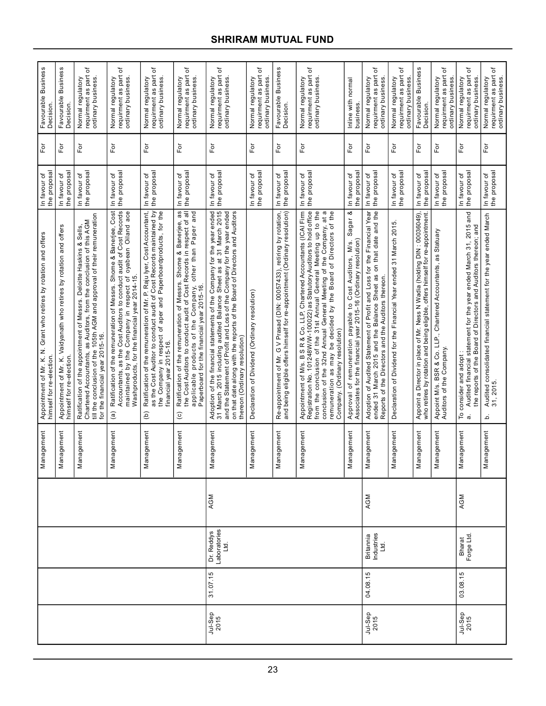|                 |          |                                    |     | Management      | Appointment of Mr. K. N. Grant who retires by rotation and offers<br>himself for re-election.                                                                                                                                                                                                                                                                                                   | the proposal<br>In favour of | For               | Favourable Business<br>Decision                                     |
|-----------------|----------|------------------------------------|-----|-----------------|-------------------------------------------------------------------------------------------------------------------------------------------------------------------------------------------------------------------------------------------------------------------------------------------------------------------------------------------------------------------------------------------------|------------------------------|-------------------|---------------------------------------------------------------------|
|                 |          |                                    |     | Management      | Appointment of Mr. K. Vaidyanath who retires by rotation and offers<br>himself for re-election.                                                                                                                                                                                                                                                                                                 | the proposal<br>In favour of | For               | Favourable Business<br>Decision                                     |
|                 |          |                                    |     | Management      | Ratification of the appointment of Messrs. Deloitte Haskins & Sells,<br>Chartered Accountants, as Auditors, from the conclusion of this AGM<br>till the conclusion of the 105th AGM and approval of their remuneration<br>for the financial year 2015-16.                                                                                                                                       | the proposal<br>In favour of | $\overline{F}$ or | ৳<br>requirment as part<br>Normal regulatory<br>ordinary business   |
|                 |          |                                    |     | iagement<br>Mar | Ratification of the remuneration of Messrs. Shome & Banerjee, Cost<br>Accountants, as the Cost Auditors to conduct audit of Cost Records<br>maintained by the Company in respect of oyabean Oiland ace<br>Washproducts, for the financial year 2014-15<br>$\widehat{a}$                                                                                                                         | the proposal<br>In favour of | For               | ৳<br>requirment as part<br>Normal regulatory<br>ordinary business   |
|                 |          |                                    |     | Management      | as the Cost Auditor to conduct audit of Cost Records maintained by<br>Ratification of the remuneration of Mr. P. Raju Iyer, Cost Accountant,<br>the Company in respect of aper and Paperboardproducts, for the<br>financial year 2015-16.<br>ê                                                                                                                                                  | the proposal<br>In favour of | For               | ৳<br>requirment as part<br>Normal regulatory<br>ordinary business.  |
|                 |          |                                    |     | nagement<br>Nar | as<br>applicable products of the Company, other than Paper and<br>Paperboard for the financial year 2015-16.<br>the Cost Auditors to conduct audit of Cost Records in respect of<br>Banerjee,<br>Ratification of the remuneration of Messrs. Shome &<br>$\widehat{\circ}$                                                                                                                       | the proposal<br>In favour of | $\overline{P}$    | ᡃᡠ<br>Normal regulatory<br>requirment as part<br>ordinary business  |
| Jul-Sep<br>2015 | 31.07.15 | Laboratories<br>Ltd.<br>Dr. Reddys | AGM | Management      | Adoption of the financial statements of the Company for the year ended<br>31 March 2015 including audited Balance Sheet as at 31 March 2015<br>and the Statement of Profit and Loss of the Company for the year ended<br>on that date a<br>thereon (Ordinary resolution)                                                                                                                        | the proposal<br>In favour of | For               | ৳<br>requirment as part<br>Normal regulatory<br>ordinary business   |
|                 |          |                                    |     | nagement<br>Mar | Declaration of Dividend (Ordinary resolution)                                                                                                                                                                                                                                                                                                                                                   | the proposal<br>In favour of | For               | ৳<br>requirment as part<br>ordinary business.<br>Normal regulatory  |
|                 |          |                                    |     | Management      | Re-appointment of Mr. G V Prasad (DIN: 00057433), retiring by rotation,<br>and being eligible offers himself for re-appointment (Ordinary resolution)                                                                                                                                                                                                                                           | the proposal<br>In favour of | $\bar{\rm e}$     | Favourable Business<br>Decision.                                    |
|                 |          |                                    |     | Management      | Appointment of M/s. B S R & Co. LLP, Chartered Accountants (ICAI Firm<br>Registration No. 101248W/W-100022) as Statutory Auditors to hold office<br>from the conclusion of the 31st Annual General Meeting up to the<br>conclusion of the 32nd Annual General Meeting of the Company, at a<br>remuneration as may be decided by the Board of Directors of the<br>Company. (Ordinary resolution) | the proposal<br>In favour of | For               | ৳<br>Normal regulatory<br>requirment as part<br>ordinary business.  |
|                 |          |                                    |     | agement<br>Nar  | Sagar &<br>Associates for the financial year 2015-16 (Ordinary resolution)<br>M/s.<br>Approval of remuneration payable to Cost Auditors,                                                                                                                                                                                                                                                        | the proposa<br>In favour of  | For               | Inline with normal<br>business.                                     |
| Jul-Sep<br>2015 | 04.08.15 | Industries<br>Ltd.<br>Britannia    | AGM | agemen<br>Mar   | Adoption of Audited Statement of Profit and Loss for the Financial Year<br>ended 31 March 2015 and the Balance Sheet as on that date and the<br>Reports of the Directors and the Auditors thereon                                                                                                                                                                                               | the proposa<br>In favour of  | $\bar{\rm E}$     | ৳<br>requirment as part<br>Normal regulatory<br>ordinary business   |
|                 |          |                                    |     | lagement<br>Nar | Declaration of Dividend for the Financial Year ended 31 March 2015                                                                                                                                                                                                                                                                                                                              | the proposal<br>In favour of | For               | ٔб<br>requirment as part<br>Normal regulatory<br>ordinary business  |
|                 |          |                                    |     | iagement<br>Nar | Appoint a Director in place of Mr. Ness N Wadia (holding DIN: 00036049),<br>who retires by rotation and being eligible, offers himself for re-appointment.                                                                                                                                                                                                                                      | the proposal<br>In favour of | For               | Favourable Business<br>Decision.                                    |
|                 |          |                                    |     | nagement<br>Nar | Appoint M/s. BSR & Co. LLP., Chartered Accountants, as Statuary<br>Auditors of the Company.                                                                                                                                                                                                                                                                                                     | the proposal<br>In favour of | $\overline{P}$    | ৳<br>requirment as part<br>Normal regulatory<br>ordinary business   |
| Jul-Sep<br>2015 | 03.08.15 | Bharat<br>Forge Ltd.               | AGM | hagement<br>Mar | Audited financial statement for the year ended March 31, 2015 and<br>gue<br>the reports of the Board of Directors and Auditors thereon;<br>consider and adopt:<br>٩<br>$\dot{\sigma}$                                                                                                                                                                                                           | the proposal<br>In favour of | For               | ৳<br>requirment as part<br>Normal regulatory<br>ordinary business   |
|                 |          |                                    |     | Management      | Audited consolidated financial statement for the year ended March<br>31, 2015.<br>.<br>م                                                                                                                                                                                                                                                                                                        | the proposal<br>In favour of | For               | ٔб<br>requirment as part<br>ordinary business.<br>Normal regulatory |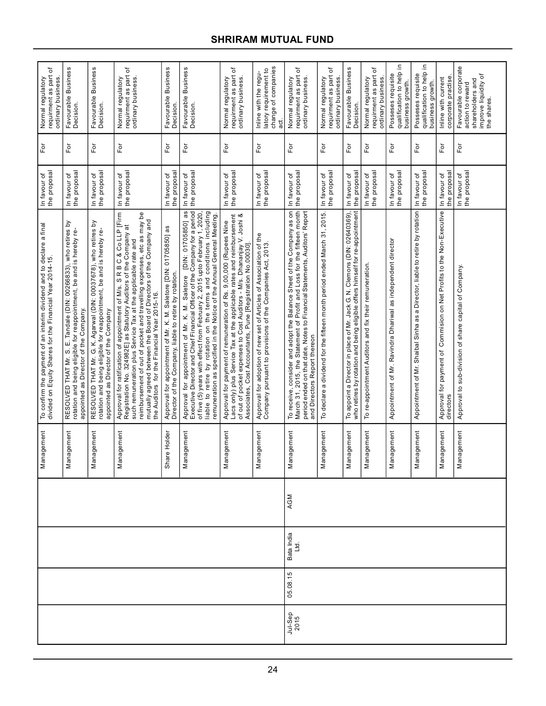| ٔб<br>requirment as part<br>Normal regulatory<br>ordinary business                                                               | Favourable Business<br>Decision.                                                                                                                                                                     | Favourable Business<br>Decision.                                                                                                                                                              | đ<br>Normal regulatory<br>requirment as part<br>ordinary business.                                                                                                                                                                                                                                                                                                                                          | Favourable Business<br>Decision                                                                                                | Favourable Business<br>Decision.                                                                                                                                                                                                                                                                                                                                             | ৳<br>requirment as part<br>ordinary business.<br>Normal regulatory                                                                                                                                                                                                                  | change of companies<br>latory requirement to<br>Inline with the regu-<br>ಕ್ಷ                                                     | ъ<br>requirment as part<br>Normal regulatory<br>ordinary business.                                                                                                                                                                                            | ৳<br>requirment as part<br>Normal regulatory<br>ordinary business        | Favourable Business<br>Decision.                                                                                                                          | ৳<br>requirment as part<br>Normal regulatory<br>ordinary business | 으.<br>qualification to help<br>Posseses requisite<br>business growth. | 으.<br>qualification to help<br>Posseses requisite<br>business growth.        | corporate practise<br>Inline with current                                           | Favourable corporate<br>improve liquidity of<br>shareholders and<br>action to reward<br>the shares. |
|----------------------------------------------------------------------------------------------------------------------------------|------------------------------------------------------------------------------------------------------------------------------------------------------------------------------------------------------|-----------------------------------------------------------------------------------------------------------------------------------------------------------------------------------------------|-------------------------------------------------------------------------------------------------------------------------------------------------------------------------------------------------------------------------------------------------------------------------------------------------------------------------------------------------------------------------------------------------------------|--------------------------------------------------------------------------------------------------------------------------------|------------------------------------------------------------------------------------------------------------------------------------------------------------------------------------------------------------------------------------------------------------------------------------------------------------------------------------------------------------------------------|-------------------------------------------------------------------------------------------------------------------------------------------------------------------------------------------------------------------------------------------------------------------------------------|----------------------------------------------------------------------------------------------------------------------------------|---------------------------------------------------------------------------------------------------------------------------------------------------------------------------------------------------------------------------------------------------------------|--------------------------------------------------------------------------|-----------------------------------------------------------------------------------------------------------------------------------------------------------|-------------------------------------------------------------------|-----------------------------------------------------------------------|------------------------------------------------------------------------------|-------------------------------------------------------------------------------------|-----------------------------------------------------------------------------------------------------|
| $\overline{F}$                                                                                                                   | $\overline{F}$                                                                                                                                                                                       | $\overline{5}$                                                                                                                                                                                | For                                                                                                                                                                                                                                                                                                                                                                                                         | For                                                                                                                            | For                                                                                                                                                                                                                                                                                                                                                                          | For                                                                                                                                                                                                                                                                                 | For                                                                                                                              | $\overline{F}$                                                                                                                                                                                                                                                | For                                                                      | For                                                                                                                                                       | For                                                               | ρF                                                                    | For                                                                          | For                                                                                 | $F$ or                                                                                              |
| the proposal<br>In favour of                                                                                                     | In favour of<br>the proposal                                                                                                                                                                         | In favour of<br>the proposal                                                                                                                                                                  | In favour of<br>the proposal                                                                                                                                                                                                                                                                                                                                                                                | the proposa<br>In favour of                                                                                                    | the proposal<br>In favour of                                                                                                                                                                                                                                                                                                                                                 | the proposal<br>In favour of                                                                                                                                                                                                                                                        | the proposal<br>In favour of                                                                                                     | the proposal<br>In favour of                                                                                                                                                                                                                                  | the proposal<br>In favour of                                             | the proposal<br>In favour of                                                                                                                              | the proposal<br>In favour of                                      | the proposa<br>In favour of                                           | the proposal<br>In favour of                                                 | the proposa<br>In favour of                                                         | the proposal<br>In favour of                                                                        |
| To confirm the payment of an interim dividend and to declare a final<br>divided on Equity Shares for the Financial Year 2014-15. | <u>ک</u><br>rotation and being eligible for reappointment, be and is hereby re-<br>who retires<br>Tandale (DIN: 00266833),<br>appointed as Director of the Company.<br>щі<br>THAT Mr. S.<br>RESOLVED | who retires by<br>RESOLVED THAT Mr. G. K. Agarwal (DIN: 00037678), who retires<br>rotation and being eligible for reappointment, be and is hereby re-<br>appointed as Director of the Company | Approval for ratification of appointment of M/s. S R B C & Co LLP [Firm<br>Registration No. 324982E] as Statutory Auditors of the Company at<br>reimbursement of out of pocket and travelling expenses, etc as may be<br>mutually agreed between the Board of Directors of the Company and<br>such remuneration plus Service Tax at the applicable rate and<br>the Auditors for the Financial Year 2015-16. | as<br>Approval for appointment of Mr. K. M. Saletore [DIN: 01705850]<br>Director of the Company, liable to retire by rotation. | Approval for appointment of Mr. K. M. Saletore [DIN: 01705850] as<br>Executive Director and Chief Financial Officer of the Company for a period<br>liable to retire by rotation on the terms and conditions including<br>of five (5) years with effect from February 2, 2015 upto February 1, 2020,<br>remuneration as specified in the Notice of the Annual General Meeting | Lacs only) plus Service Tax at the applicable rates and reimbursement<br>of out of pocket expenses to Cost Auditors - M/s. Dhananjay V. Joshi &<br>Approval for payment of remuneration of Rs. 9,00,000 (Rupees Nine<br>Associates, Cost Accountants, Pune [Registration No.00030]. | Approval for adoption of new set of Articles of Association of the<br>Company pursuant to provisions of the Companies Act, 2013. | To receive, consider and adopt the Balance Sheet of the Company as on<br>March 31, 2015, the Statement of Profit and Loss for the fifteen month<br>period ended on that date, Notes to Financial Statements, Auditors' Report<br>and Directors Report thereon | To declare a dividend for the fifteen month period ended March 31, 2015. | To appoint a Director in place of Mr. Jack G. N. Clemons (DIN: 02640369),<br>who retires by rotation and being eligible offers himself for re-appointment | To re-appointment Auditors and fix their remuneration             | Appointment of Mr. Ravindra Dhariwal as independent director          | Appointment of Mr. Shaibal Sinha as a Director, liable to retire by rotation | Approval for payment of  Commision on Net Profits to the Non-Executive<br>directors | Approval to sub-division of share capital of Company.                                               |
| Management                                                                                                                       | nagement<br>Δã                                                                                                                                                                                       | nagement<br>Σã                                                                                                                                                                                | nagement<br>Σã                                                                                                                                                                                                                                                                                                                                                                                              | Share Holder                                                                                                                   | Management                                                                                                                                                                                                                                                                                                                                                                   | Management                                                                                                                                                                                                                                                                          | Management                                                                                                                       | nagement<br>Δã                                                                                                                                                                                                                                                | nagement<br>Mai                                                          | nagement<br>Σã                                                                                                                                            | nagement<br>Σã                                                    | nagement<br>Σã                                                        | nagement<br>Σã                                                               | nagement<br>Μai                                                                     | Management                                                                                          |
|                                                                                                                                  |                                                                                                                                                                                                      |                                                                                                                                                                                               |                                                                                                                                                                                                                                                                                                                                                                                                             |                                                                                                                                |                                                                                                                                                                                                                                                                                                                                                                              |                                                                                                                                                                                                                                                                                     |                                                                                                                                  | AGM                                                                                                                                                                                                                                                           |                                                                          |                                                                                                                                                           |                                                                   |                                                                       |                                                                              |                                                                                     |                                                                                                     |
|                                                                                                                                  |                                                                                                                                                                                                      |                                                                                                                                                                                               |                                                                                                                                                                                                                                                                                                                                                                                                             |                                                                                                                                |                                                                                                                                                                                                                                                                                                                                                                              |                                                                                                                                                                                                                                                                                     |                                                                                                                                  | Bata India<br>Ltd.                                                                                                                                                                                                                                            |                                                                          |                                                                                                                                                           |                                                                   |                                                                       |                                                                              |                                                                                     |                                                                                                     |
|                                                                                                                                  |                                                                                                                                                                                                      |                                                                                                                                                                                               |                                                                                                                                                                                                                                                                                                                                                                                                             |                                                                                                                                |                                                                                                                                                                                                                                                                                                                                                                              |                                                                                                                                                                                                                                                                                     |                                                                                                                                  | 05.08.15                                                                                                                                                                                                                                                      |                                                                          |                                                                                                                                                           |                                                                   |                                                                       |                                                                              |                                                                                     |                                                                                                     |
|                                                                                                                                  |                                                                                                                                                                                                      |                                                                                                                                                                                               |                                                                                                                                                                                                                                                                                                                                                                                                             |                                                                                                                                |                                                                                                                                                                                                                                                                                                                                                                              |                                                                                                                                                                                                                                                                                     |                                                                                                                                  | Jul-Sep<br>2015                                                                                                                                                                                                                                               |                                                                          |                                                                                                                                                           |                                                                   |                                                                       |                                                                              |                                                                                     |                                                                                                     |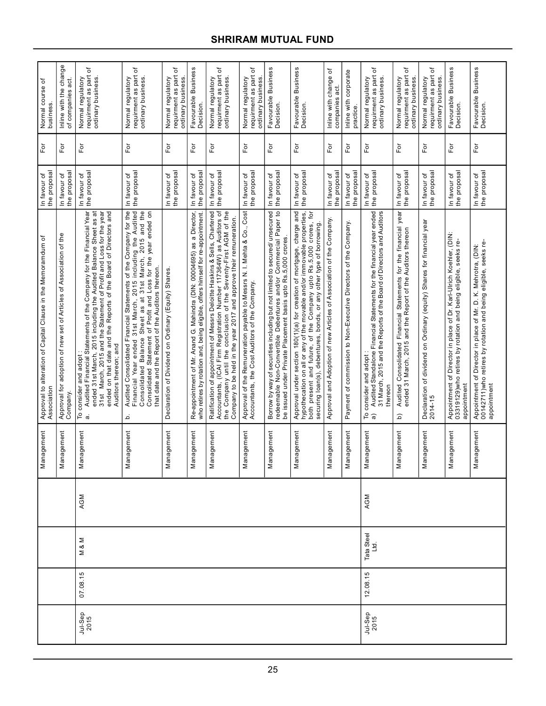| Σ<br>07.08.15 |                    |     |                 | Approval to alteration of Capital Clause in the Memoramdum of<br>Association                                                                                                                                                                                                                                                                               | the proposal                 |                    | Normal course of<br>business                                        |
|---------------|--------------------|-----|-----------------|------------------------------------------------------------------------------------------------------------------------------------------------------------------------------------------------------------------------------------------------------------------------------------------------------------------------------------------------------------|------------------------------|--------------------|---------------------------------------------------------------------|
|               |                    |     | nagement<br>Nar | Approval for adoption of new set of Articles of Association of the<br>Company.                                                                                                                                                                                                                                                                             | the proposal<br>In favour of | For                | Inline with the change<br>of companies act.                         |
|               | Σ<br>∞             | AGM | Management      | Audited Financial Statements of the Company for the Financial Year<br>ended 31st March, 2015 including the Audited Balance Sheet as at<br>ended on that date and the Reports of the Board of Directors and<br>31st March, 2015 and the Statement of Profit and Loss for the year<br>Auditors thereon; and<br>To consider and adopt<br>a. Audited Financial | the proposal<br>In favour of | For                | ٔб<br>requirment as part<br>ordinary business.<br>Normal regulatory |
|               |                    |     | Management      | Financial Year ended 31st March, 2015 including the Audited<br>Audited Consolidated Financial Statements of the Company for the<br>2015 and the<br>Consolidated Statement of Profit and Loss for the year ended on<br>Consolidated Balance Sheet as at 31st March,<br>that date and the Report of the Auditors thereon.<br>.<br>م                          | the proposa<br>In favour of  | For                | đ<br>requirment as part<br>Normal regulatory<br>ordinary business.  |
|               |                    |     | Management      | Declaration of Dividend on Ordinary (Equity) Shares.                                                                                                                                                                                                                                                                                                       | the proposa<br>In favour of  | $\overline{\rm E}$ | đ<br>requirment as part<br>Normal regulatory<br>ordinary business   |
|               |                    |     | nagement<br>Σã  | Re-appointment of Mr. Anand G. Mahindra (DIN: 00004695) as a Director,<br>who retires by rotation and, being eligible, offers himself for re-appointment                                                                                                                                                                                                   | the proposal<br>In favour of | For                | Favourable Business<br>Decision.                                    |
|               |                    |     | Management      | Accountants, (ICAI Firm Registration Number 117364W) as Auditors of<br>Ratification of appointment of Messrs Deloitte Haskins & Sells, Chartered<br>the Company until the conclusion of the Seventy-First AGM of the<br>Company to be held in the year 2017 and approve their remuneration.                                                                | the proposal<br>In favour of | For                | ৳<br>requirment as part<br>ordinary business.<br>Normal regulatory  |
|               |                    |     | nagement<br>Mai | Approval of the Remuneration payable to Messrs N. I. Mehta & Co., Cost<br>Accountants, the Cost Auditors of the Company.                                                                                                                                                                                                                                   | the proposa<br>In favour of  | For                | ৳<br>requirment as part<br>Normal regulatory<br>ordinary business.  |
|               |                    |     | nagement<br>Δã  | Borrow by way of securities including but not limited to secured/ unsecured<br>redeemable Non-Convertible Debentures and/or Commercial Paper to<br>be issued under Private Placement basis upto Rs.5,000 crores.                                                                                                                                           | the proposal<br>In favour of | For                | Favourable Business<br>Decision.                                    |
|               |                    |     | agement<br>Δã   | Approval under section 180(1)(a) for creation of mortgage, charge and<br>hypothecation on all or any of the movable and/or immovable properties,<br>both present and future, of the Company upto Rs.5,000 crores, for<br>securing loan(s), debentures, bonds, or any other type of borrowing                                                               | the proposa<br>In favour of  | $\overline{P}$     | Favourable Business<br>Decision.                                    |
|               |                    |     | nagement<br>Σã  | Approval and Adoption of new Articles of Association of the Company.                                                                                                                                                                                                                                                                                       | the proposal<br>In favour of | For                | Inline with change of<br>companies act                              |
|               |                    |     | iagement<br>ēΝ  | Payment of commission to Non-Executive Directors of the Company.                                                                                                                                                                                                                                                                                           | the proposa<br>In favour of  | For                | Inline with corporate<br>practice.                                  |
| 12.08.15      | Tata Steel<br>Ltd. | AGM | nagement<br>Nai | Audited Standalone Financial Statements for the financial year ended<br>31 March, 2015 and the Reports of the Board of Directors and Auditors<br>To consider and adopt<br>a) Audited Standalone<br>thereor                                                                                                                                                 | the proposa<br>In favour of  | For                | ৳<br>requirment as part<br>Normal regulatory<br>ordinary business   |
|               |                    |     | nagement<br>Σã  | year<br>Audited Consolidated Financial Statements for the financial<br>ended 31 March, 2015 and the Report of the Auditors thereon<br><u>ଚ</u>                                                                                                                                                                                                             | the proposa<br>In favour of  | For                | đ<br>requirment as part<br>ordinary business.<br>Normal regulatory  |
|               |                    |     | nagement<br>ēΜ  | Declaration of dividend on Ordinary (equity) Shares for financial year<br>2014-15                                                                                                                                                                                                                                                                          | the proposa<br>In favour of  | ρř                 | ٔб<br>requirment as part<br>Normal regulatory<br>ordinary business. |
|               |                    |     | nagement<br>ēΜ  | Appointment of Director in place of Dr. Karl-Ulrich Koehler, (DIN:<br>03319129) who retires by rotation and being eligible, seeks re-<br>appointment                                                                                                                                                                                                       | the proposa<br>In favour of  | For                | Favourable Business<br>Decision.                                    |
|               |                    |     | Management      | 00142711) who retires by rotation and being eligible, seeks re-<br>Appointment of Director in place of Mr. D. K. Mehrotra, (DIN:<br>appointment                                                                                                                                                                                                            | the proposa<br>In favour of  | For                | Favourable Business<br>Decision.                                    |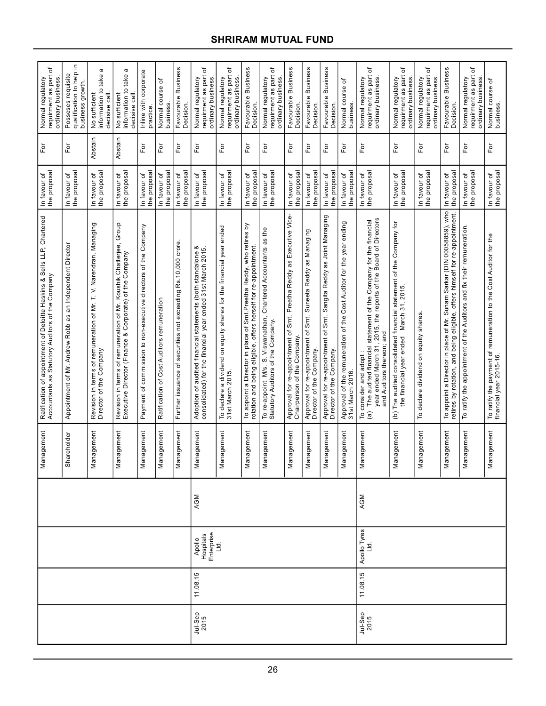| ৳<br>requirment as part<br>Normal regulatory<br>ordinary business                                                          | 으.<br>Posseses requisite<br>qualification to help<br>business growth. | ω<br>take<br>information to<br>decisive call.<br>No sufficient                                                | ω<br>take<br>information to<br>decisive call<br>No sufficient                                                                    | Inline with corporate<br>practice                               | ৳<br>Normal course<br><b>business</b>      | Favourable Business<br>Decision.                             | đ<br>requirment as part<br>Normal regulatory<br>ordinary business                                                                | đ<br>requirment as part<br>Normal regulatory<br>ordinary business                          | Favourable Business<br>Decision.                                                                                                         | ৳<br>requirment as part<br>Normal regulatory<br>ordinary business.                                                      | Favourable Business<br>Decision                                                                     | Favourable Business<br>Decision                                                                 | Favourable Business<br>Decision                                                                 | ৳<br>Normal course<br>business                                                                 | đ<br>requirment as part<br>Normal regulatory<br>ordinary business.                                                                                                                                                                | ৳<br>requirment as part<br>Normal regulatory<br>ordinary business                                                            | ৳<br>requirment as part<br>Normal regulatory<br>ordinary business | Favourable Business<br><b>Decision</b>                                                                                                                | ৳<br>requirment as part<br>Normal regulatory<br>ordinary business    | Normal course of<br>business.                                                                |
|----------------------------------------------------------------------------------------------------------------------------|-----------------------------------------------------------------------|---------------------------------------------------------------------------------------------------------------|----------------------------------------------------------------------------------------------------------------------------------|-----------------------------------------------------------------|--------------------------------------------|--------------------------------------------------------------|----------------------------------------------------------------------------------------------------------------------------------|--------------------------------------------------------------------------------------------|------------------------------------------------------------------------------------------------------------------------------------------|-------------------------------------------------------------------------------------------------------------------------|-----------------------------------------------------------------------------------------------------|-------------------------------------------------------------------------------------------------|-------------------------------------------------------------------------------------------------|------------------------------------------------------------------------------------------------|-----------------------------------------------------------------------------------------------------------------------------------------------------------------------------------------------------------------------------------|------------------------------------------------------------------------------------------------------------------------------|-------------------------------------------------------------------|-------------------------------------------------------------------------------------------------------------------------------------------------------|----------------------------------------------------------------------|----------------------------------------------------------------------------------------------|
| For                                                                                                                        | $F$ or                                                                | Abstain                                                                                                       | Abstain                                                                                                                          | $\mathsf{F}\mathsf{or}$                                         | For                                        | For                                                          | $F$ or                                                                                                                           | Εŏ                                                                                         | For                                                                                                                                      | For                                                                                                                     | For                                                                                                 | $\bar{\mathsf{F}}$ or                                                                           | For                                                                                             | For                                                                                            | For                                                                                                                                                                                                                               | Ĕō                                                                                                                           | Ēō                                                                | For                                                                                                                                                   | For                                                                  | For                                                                                          |
| the proposal<br>In favour of                                                                                               | the proposal<br>In favour of                                          | In favour of<br>the proposal                                                                                  | the proposal<br>In favour of                                                                                                     | the proposal<br>In favour of                                    | the proposal<br>In favour of               | the proposa<br>In favour of                                  | the proposal<br>In favour of                                                                                                     | the proposal<br>In favour of                                                               | the proposal<br>In favour of                                                                                                             | the proposal<br>In favour of                                                                                            | the proposal<br>In favour of                                                                        | the proposal<br>In favour of                                                                    | the proposal<br>In favour of                                                                    | the proposa<br>In favour of                                                                    | the proposal<br>In favour of                                                                                                                                                                                                      | In favour of<br>the proposal                                                                                                 | the proposal<br>In favour of                                      | the proposal<br>In favour of                                                                                                                          | the proposal<br>In favour of                                         | In favour of<br>the proposal                                                                 |
| Ratification of appointment of Deloitte Haskins & Sells LLP, Chartered<br>Accountants as Statutory Auditors of the Company | an Independent Director<br>as<br>Appointment of Mr. Andrew Robb       | terms of remuneration of Mr. T. V. Narendran, Managing<br>Revision in terms of rem<br>Director of the Company | Group<br>Revision in terms of remuneration of Mr. Koushik Chatterjee,<br>Executive Director (Finance & Corporate) of the Company | Payment of commission to non-executive directors of the Company | Ratification of Cost Auditors remuneration | Further issuance of securities not exceeding Rs.10,000 crore | ∞<br>consolidated) for the financial year ended 31st March 2015.<br>standalone<br>Adoption of audited financial statements (both | declare a dividend on equity shares for the financial year ended<br>31st March 2015.<br>ΡÓ | ă<br>To appoint a Director in place of Smt.Preetha Reddy, who retires<br>rotation and being eligible, offers herself for re-appointment. | S. Viswanathan, Chartered Accountants as the<br>To re-appoint M/s. S. Viswanathar<br>Statutory Auditors of the Company. | Approval for re-appointment of Smt. Preetha Reddy as Executive Vice-<br>Chairperson of the Company. | as Managing<br>Suneeta Reddy<br>Approval for re-appointment of Smt.<br>Director of the Company. | Approval for re-appointment of Smt. Sangita Reddy as Joint Managing<br>Director of the Company. | ending<br>Cost Auditor for the year<br>Approval of the remuneration of the<br>31st March 2016. | year ended March 31, 2015, the reports of the Board of Directors<br>financial<br>statement of the Company for the<br>and<br>and Auditors thereon;<br>The audited financial<br>consider and adopt<br>$\overline{P}$ $\overline{a}$ | The audited consolidated financial statement of the Company for<br>the financial year ended March 31, 2015.<br>$\widehat{e}$ | declare dividend on equity shares<br>P                            | To appoint a Director in place of Mr. Sunam Sarkar (DIN 00058859), who<br>retires by rotation, and being eligible, offers himself for re-appointment. | To ratify the appointment of the Auditors and fix their remuneration | To ratify the payment of remuneration to the Cost Auditor for the<br>financial year 2015-16. |
| Management                                                                                                                 | areholder<br>قع<br>5                                                  | Management                                                                                                    | Management                                                                                                                       | Management                                                      | Management                                 | Management                                                   | Management                                                                                                                       | Management                                                                                 | Management                                                                                                                               | Management                                                                                                              | Management                                                                                          | Management                                                                                      | Management                                                                                      | Management                                                                                     | Management                                                                                                                                                                                                                        | Management                                                                                                                   | Management                                                        | Management                                                                                                                                            | Management                                                           | Management                                                                                   |
|                                                                                                                            |                                                                       |                                                                                                               |                                                                                                                                  |                                                                 |                                            |                                                              | AGM                                                                                                                              |                                                                                            |                                                                                                                                          |                                                                                                                         |                                                                                                     |                                                                                                 |                                                                                                 |                                                                                                | AGM                                                                                                                                                                                                                               |                                                                                                                              |                                                                   |                                                                                                                                                       |                                                                      |                                                                                              |
|                                                                                                                            |                                                                       |                                                                                                               |                                                                                                                                  |                                                                 |                                            |                                                              | Hospitals<br>Enterprise<br>Ltd.<br>Apollo                                                                                        |                                                                                            |                                                                                                                                          |                                                                                                                         |                                                                                                     |                                                                                                 |                                                                                                 |                                                                                                | Apollo Tyres<br>Ltd.                                                                                                                                                                                                              |                                                                                                                              |                                                                   |                                                                                                                                                       |                                                                      |                                                                                              |
|                                                                                                                            |                                                                       |                                                                                                               |                                                                                                                                  |                                                                 |                                            |                                                              | 11.08.15                                                                                                                         |                                                                                            |                                                                                                                                          |                                                                                                                         |                                                                                                     |                                                                                                 |                                                                                                 |                                                                                                | 11.08.15                                                                                                                                                                                                                          |                                                                                                                              |                                                                   |                                                                                                                                                       |                                                                      |                                                                                              |
|                                                                                                                            |                                                                       |                                                                                                               |                                                                                                                                  |                                                                 |                                            |                                                              | Jul-Sep<br>2015                                                                                                                  |                                                                                            |                                                                                                                                          |                                                                                                                         |                                                                                                     |                                                                                                 |                                                                                                 |                                                                                                | Jul-Sep<br>2015                                                                                                                                                                                                                   |                                                                                                                              |                                                                   |                                                                                                                                                       |                                                                      |                                                                                              |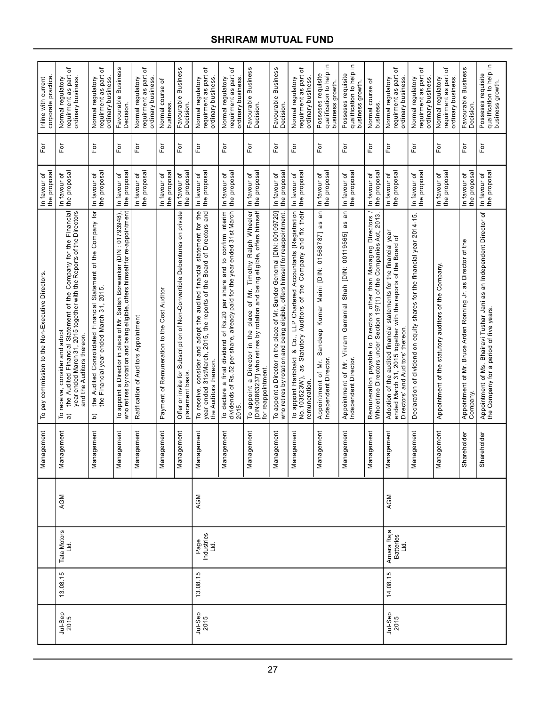| corporate practice<br>Inline with current        | ৳<br>requirment as part<br>ordinary business.<br>Normal regulatory                                                                                                                                                                          | ٥ť<br>Normal regulatory<br>requirment as part<br>ordinary business.                                              | Favourable Business<br>Decision.                                                                                                                          | ৳<br>requirment as part<br>Normal regulatory<br>ordinary business | Normal course of<br>business                | Favourable Business<br>Decision.                                                                | ᡃᡠ<br>requirment as part<br>Normal regulatory<br>ordinary business                                                                                                         | ৳<br>requirment as part<br>Normal regulatory<br>ordinary business                                                                                                                       | Favourable Business<br>Decision.                                                                                                                                        | Favourable Business<br>Decision                                                                                                                           | ৳<br>requirment as part<br>Normal regulatory<br>ordinary business                                                                                                                                       | 으.<br>qualification to help<br>Posseses requisite<br>business growth.                                         | 으.<br>qualification to help<br>Posseses requisite<br>business growth                             | Normal course of<br>business.                                                                                                                   | ৳<br>requirment as part<br>Normal regulatory<br>ordinary business                                                                                                         | ৳<br>requirment as part<br>Normal regulatory<br>ordinary business        | đ<br>requirment as part<br>Normal regulatory<br>ordinary business | Favourable Business<br>Decision                                          | 으.<br>qualification to help<br>Posseses requisite<br>business growth.                                                                     |
|--------------------------------------------------|---------------------------------------------------------------------------------------------------------------------------------------------------------------------------------------------------------------------------------------------|------------------------------------------------------------------------------------------------------------------|-----------------------------------------------------------------------------------------------------------------------------------------------------------|-------------------------------------------------------------------|---------------------------------------------|-------------------------------------------------------------------------------------------------|----------------------------------------------------------------------------------------------------------------------------------------------------------------------------|-----------------------------------------------------------------------------------------------------------------------------------------------------------------------------------------|-------------------------------------------------------------------------------------------------------------------------------------------------------------------------|-----------------------------------------------------------------------------------------------------------------------------------------------------------|---------------------------------------------------------------------------------------------------------------------------------------------------------------------------------------------------------|---------------------------------------------------------------------------------------------------------------|--------------------------------------------------------------------------------------------------|-------------------------------------------------------------------------------------------------------------------------------------------------|---------------------------------------------------------------------------------------------------------------------------------------------------------------------------|--------------------------------------------------------------------------|-------------------------------------------------------------------|--------------------------------------------------------------------------|-------------------------------------------------------------------------------------------------------------------------------------------|
| For                                              | $F$ or                                                                                                                                                                                                                                      | For                                                                                                              | $\bar{\rm E}$                                                                                                                                             | For                                                               | For                                         | For                                                                                             | For                                                                                                                                                                        | For                                                                                                                                                                                     | For                                                                                                                                                                     | For                                                                                                                                                       | Ĕō                                                                                                                                                                                                      | $F$ or                                                                                                        | Εŏ                                                                                               | $\overline{5}$                                                                                                                                  | $\mathsf{F}\mathsf{or}$                                                                                                                                                   | For                                                                      | For                                                               | For                                                                      | For                                                                                                                                       |
| the proposal<br>In favour of                     | the proposal<br>In favour of                                                                                                                                                                                                                | the proposal<br>In favour of                                                                                     | the proposal<br>In favour of                                                                                                                              | the proposal<br>In favour of                                      | the proposal<br>In favour of                | the proposa<br>In favour of                                                                     | the proposal<br>In favour of                                                                                                                                               | the proposal<br>In favour of                                                                                                                                                            | the proposal<br>In favour of                                                                                                                                            | the proposal<br>In favour of                                                                                                                              | the proposa<br>In favour of                                                                                                                                                                             | the proposal<br>In favour of                                                                                  | the proposal<br>In favour of                                                                     | the proposal<br>In favour of                                                                                                                    | the proposal<br>In favour of                                                                                                                                              | the proposal<br>In favour of                                             | the proposal<br>In favour of                                      | the proposal<br>In favour of                                             | the proposal<br>In favour of                                                                                                              |
| To pay commission to the Non-Executive Directors | Financial<br>year ended March 31, 2015 together with the Reports of the Directors<br>Company for the<br>the Audited Financial Statement of the<br>receive, consider and adopt<br>and the Auditors thereon.<br>Ρ<br>$\widehat{\mathfrak{a}}$ | the Audited Consolidated Financial Statement of the Company for<br>the Financial year ended March 31, 2015.<br>ଢ | To appoint a Director in place of Mr. Satish Borwankar (DIN : 01793948),<br>who retires by rotation and being eligible, offers himself for re-appointment | Ratification of Auditors Appointment                              | Payment of Remuneration to the Cost Auditor | on private<br>Offer or invite for Subscription of Non-Convertible Debentures<br>placement basis | To receive, consider and adopt the audited financial statement for the<br>31stMarch, 2015, the reports of the Board of Directors and<br>the Auditors thereon<br>year ended | To declare a final dividend of Rs.20 per share and to confirm interim<br>dividends of Rs.52 per share, already paid for the year ended 31st March<br>a final dividend of Rs.20<br>2015. | [DIN:00863237] who retires by rotation and being eligible, offers himself<br>of Mr. Timothy Ralph Wheeler<br>a Director in the place<br>for reappointment<br>To appoint | To appoint a Director in the place of Mr. Sunder Genomal [DIN: 00109720]<br>who retires by rotation and being eligible, offers himself for reappointment. | Co., LLP Chartered Accountants (Registration<br>To appoint Haribhakti & Co., LLP Chartered Accountants (Registration<br>No.103523W), as Statutory Auditors of the Company and fix their<br>remuneration | an<br>as<br>01568787]<br>Maini [DIN:<br>Sandeep Kumar<br>of Mr.<br>Appointment of Mr.<br>Independent Director | Ξ<br>as<br>Shah [DIN: 00119565]<br>Vikram Gamanlal<br>Appointment of Mr.<br>Independent Director | 2013.<br>Remuneration payable to Directors other than Managing Directors<br>Wholetime Directors under Section 197(1) of the Companies Act, 2013 | Adoption of the audited financial statements for the financial year<br>ended March 31, 2015 together with the reports of the Board of<br>Directors' and Auditors' thereon | Declaration of dividend on equity shares for the financial year 2014-15. | Appointment of the statutory auditors of the Company.             | Appointment of Mr. Bruce Arden Ronning Jr. as Director of the<br>Company | an Independent Director of<br>Bhairavi Tushar Jani as<br>Appointment of Ms. Bhairavi Tushar Ja<br>the Company for a period of five years. |
| Management                                       | nagement<br>Mar                                                                                                                                                                                                                             | lagement<br>Nar                                                                                                  | iagement<br>Nar                                                                                                                                           | nagement<br>Nar                                                   | Management                                  | agement<br>Nar                                                                                  | nagement<br>Nar                                                                                                                                                            | Management                                                                                                                                                                              | Management                                                                                                                                                              | Management                                                                                                                                                | agement<br>Mar                                                                                                                                                                                          | Management                                                                                                    | Management                                                                                       | Management                                                                                                                                      | Management                                                                                                                                                                | Management                                                               | Management                                                        | Shareholder                                                              | Shareholder                                                                                                                               |
|                                                  | AGM                                                                                                                                                                                                                                         |                                                                                                                  |                                                                                                                                                           |                                                                   |                                             |                                                                                                 | AGM                                                                                                                                                                        |                                                                                                                                                                                         |                                                                                                                                                                         |                                                                                                                                                           |                                                                                                                                                                                                         |                                                                                                               |                                                                                                  |                                                                                                                                                 | AGM                                                                                                                                                                       |                                                                          |                                                                   |                                                                          |                                                                                                                                           |
|                                                  | Tata Motors<br>Ltd.                                                                                                                                                                                                                         |                                                                                                                  |                                                                                                                                                           |                                                                   |                                             |                                                                                                 | Page<br>Industries<br>Ltd.                                                                                                                                                 |                                                                                                                                                                                         |                                                                                                                                                                         |                                                                                                                                                           |                                                                                                                                                                                                         |                                                                                                               |                                                                                                  |                                                                                                                                                 | Amara Raja<br>Batteries<br>Ltd.                                                                                                                                           |                                                                          |                                                                   |                                                                          |                                                                                                                                           |
|                                                  | 13.08.15                                                                                                                                                                                                                                    |                                                                                                                  |                                                                                                                                                           |                                                                   |                                             |                                                                                                 | 13.08.15                                                                                                                                                                   |                                                                                                                                                                                         |                                                                                                                                                                         |                                                                                                                                                           |                                                                                                                                                                                                         |                                                                                                               |                                                                                                  |                                                                                                                                                 | 14.08.15                                                                                                                                                                  |                                                                          |                                                                   |                                                                          |                                                                                                                                           |
|                                                  | Jul-Sep<br>2015                                                                                                                                                                                                                             |                                                                                                                  |                                                                                                                                                           |                                                                   |                                             |                                                                                                 | Jul-Sep<br>2015                                                                                                                                                            |                                                                                                                                                                                         |                                                                                                                                                                         |                                                                                                                                                           |                                                                                                                                                                                                         |                                                                                                               |                                                                                                  |                                                                                                                                                 | Jul-Sep<br>2015                                                                                                                                                           |                                                                          |                                                                   |                                                                          |                                                                                                                                           |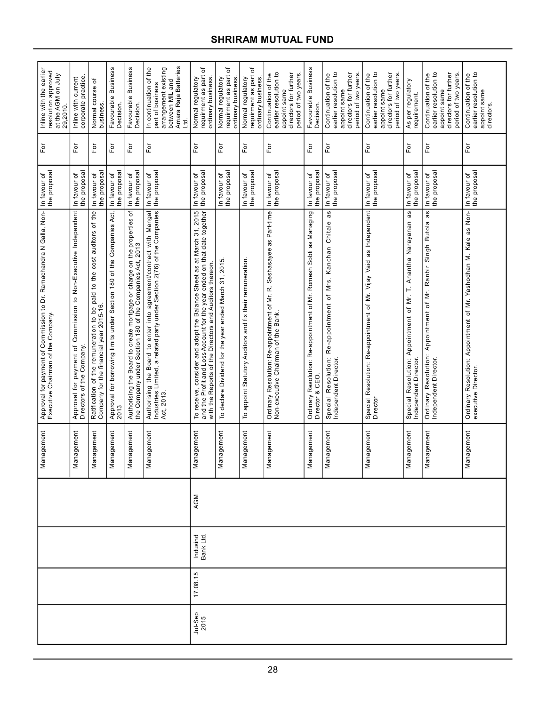| Inline with the earlier<br>resolution approved<br>at the AGM on July<br>29,2010.                          | corporate practice<br>Inline with current                                                    | Normal course of<br>business                                                                                                | Favourable Business<br><b>Decision</b>                                        | Favourable Business<br>Decision                                                                                                     | Amara Raja Batteries<br>arrangement existing<br>In continuation of the<br>part of business<br>between MIL and<br>Ltd.                                        | ৳<br>requirment as part<br>Normal regulatory<br>ordinary business.                                                                                                                                          | ৳<br>requirment as part<br>Normal regulatory<br>ordinary business. | ৳<br>requirment as part<br>Normal regulatory<br>ordinary business. | earlier resolution to<br>directors for further<br>period of two years.<br>Continuation of the<br>appoint same | Favourable Business<br>Decision.                                                       | Continuation of the<br>earlier resolution to<br>directors for further<br>period of two years<br>appoint same   | earlier resolution to<br>directors for further<br>Continuation of the<br>period of two years<br>appoint same | As per regulatory<br>requirement.                                                               | Continuation of the<br>earlier resolution to<br>directors for further<br>period of two years<br>appoint same | Continuation of the<br>earlier resolution to<br>appoint same<br>directors.               |
|-----------------------------------------------------------------------------------------------------------|----------------------------------------------------------------------------------------------|-----------------------------------------------------------------------------------------------------------------------------|-------------------------------------------------------------------------------|-------------------------------------------------------------------------------------------------------------------------------------|--------------------------------------------------------------------------------------------------------------------------------------------------------------|-------------------------------------------------------------------------------------------------------------------------------------------------------------------------------------------------------------|--------------------------------------------------------------------|--------------------------------------------------------------------|---------------------------------------------------------------------------------------------------------------|----------------------------------------------------------------------------------------|----------------------------------------------------------------------------------------------------------------|--------------------------------------------------------------------------------------------------------------|-------------------------------------------------------------------------------------------------|--------------------------------------------------------------------------------------------------------------|------------------------------------------------------------------------------------------|
| Ĕŏ                                                                                                        | For                                                                                          | For                                                                                                                         | èΞ                                                                            | For                                                                                                                                 | For                                                                                                                                                          | For                                                                                                                                                                                                         | For                                                                | For                                                                | For                                                                                                           | For                                                                                    | For                                                                                                            | For                                                                                                          | $\mathsf{For}$                                                                                  | For                                                                                                          | For                                                                                      |
| In favour of<br>the proposal                                                                              | the proposal<br>In favour of                                                                 | the proposal<br>In favour of                                                                                                | the proposal<br>In favour of                                                  | the proposal<br>In favour of                                                                                                        | the proposal<br>In favour of                                                                                                                                 | In favour of<br>the proposal                                                                                                                                                                                | In favour of<br>the proposal                                       | In favour of<br>the proposal                                       | In favour of<br>the proposal                                                                                  | the proposal<br>In favour of                                                           | the proposal<br>In favour of                                                                                   | the proposal<br>In favour of                                                                                 | the proposal<br>In favour of                                                                    | In favour of<br>the proposal                                                                                 | the proposal<br>In favour of                                                             |
| Approval for payment of Commission to Dr. Ramachandra N Galla, Non-<br>Executive Chairman of the Company. | Approval for payment of Commission to Non-Executive Independent<br>Directors of the Company. | auditors of the<br>cost<br>the<br>Ratification of the remuneration to be paid to<br>Company for the financial year 2015-16. | Approval for borrowing limits under Section 180 of the Companies Act,<br>2013 | Authorising the Board to create mortgage or charge on the properties of<br>the Company under Section 180 of the Companies Act, 2013 | Authorising the Board to enter into agreement/contract with Mangal<br>Industries Limited, a related party under Section 2(76) of the Companies<br>Act, 2013. | To receive, consider and adopt the Balance Sheet as at March 31, 2015<br>and the Profit and Loss Account for the year ended on that date together<br>with the Reports of the Directors and Auditors thereon | To declare Dividend for the year ended March 31, 2015.             | To appoint Statutory Auditors and fix their remuneration.          | Ordinary Resolution: Re-appointment of Mr. R. Seshasayee as Part-time<br>Non-executive Chairman of the Bank.  | Ordinary Resolution: Re-appointment of Mr. Romesh Sobti as Managing<br>Director & CEO. | as<br>Kanchan Chitale<br>Mrs.<br>Resolution: Re-appointment of<br>Special Resolution:<br>Independent Director. | as Independent<br>Special Resolution: Re-appointment of Mr. Vijay Vaid<br>Director                           | as<br>Anantha Narayanan<br>Ē<br>Special Resolution: Appointment of Mr.<br>Independent Director. | as<br>Ordinary Resolution: Appointment of Mr. Ranbir Singh Butola<br>Independent Director.                   | Ordinary Resolution: Appointment of Mr. Yashodhan M. Kale as Non-<br>executive Director. |
| Management                                                                                                | nagement<br>Nar                                                                              | lagement<br>Nar                                                                                                             | Management                                                                    | nagement<br>Man                                                                                                                     | Management                                                                                                                                                   | agement<br>Nar                                                                                                                                                                                              | agement<br>Nar                                                     | lagement<br>Nar                                                    | Management                                                                                                    | Management                                                                             | nagement<br>Nar                                                                                                | lagement<br>Nar                                                                                              | agement<br>Nar                                                                                  | nagement<br>Nar                                                                                              | Management                                                                               |
|                                                                                                           |                                                                                              |                                                                                                                             |                                                                               |                                                                                                                                     |                                                                                                                                                              | AGM                                                                                                                                                                                                         |                                                                    |                                                                    |                                                                                                               |                                                                                        |                                                                                                                |                                                                                                              |                                                                                                 |                                                                                                              |                                                                                          |
|                                                                                                           |                                                                                              |                                                                                                                             |                                                                               |                                                                                                                                     |                                                                                                                                                              | Indusind<br>Bank Ltd.                                                                                                                                                                                       |                                                                    |                                                                    |                                                                                                               |                                                                                        |                                                                                                                |                                                                                                              |                                                                                                 |                                                                                                              |                                                                                          |
|                                                                                                           |                                                                                              |                                                                                                                             |                                                                               |                                                                                                                                     |                                                                                                                                                              | 17.08.15                                                                                                                                                                                                    |                                                                    |                                                                    |                                                                                                               |                                                                                        |                                                                                                                |                                                                                                              |                                                                                                 |                                                                                                              |                                                                                          |
|                                                                                                           |                                                                                              |                                                                                                                             |                                                                               |                                                                                                                                     |                                                                                                                                                              | Jul-Sep<br>2015                                                                                                                                                                                             |                                                                    |                                                                    |                                                                                                               |                                                                                        |                                                                                                                |                                                                                                              |                                                                                                 |                                                                                                              |                                                                                          |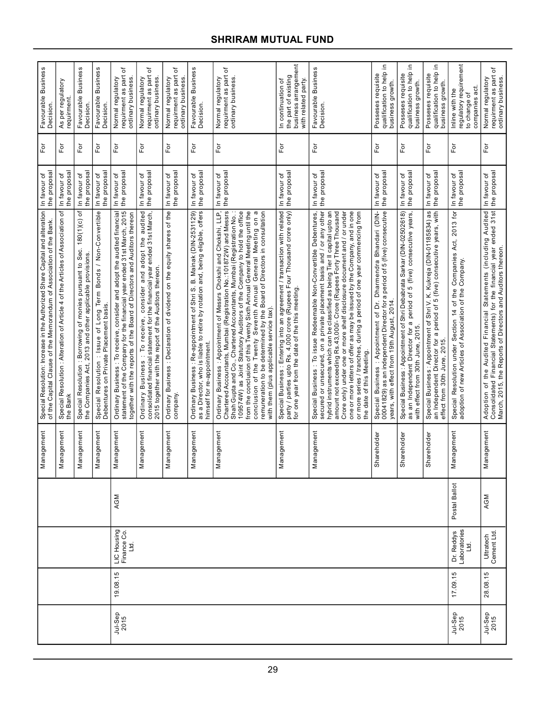|                 |          |                                    |               | Management      | Special Resolution: Increase in the Authorized Share Capital and alteration<br>of the Capital Clause of the Memorandum of Association of the Bank.                                                                                                                                                                                                                                                                                                                                                                                                                 | the proposal<br>In favour of    | $\mathsf{For}$             | Favourable Business<br>Decision.                                                            |
|-----------------|----------|------------------------------------|---------------|-----------------|--------------------------------------------------------------------------------------------------------------------------------------------------------------------------------------------------------------------------------------------------------------------------------------------------------------------------------------------------------------------------------------------------------------------------------------------------------------------------------------------------------------------------------------------------------------------|---------------------------------|----------------------------|---------------------------------------------------------------------------------------------|
|                 |          |                                    |               | Management      | Special Resolution : Alteration of Article 4 of the Articles of Association of<br>the Bank                                                                                                                                                                                                                                                                                                                                                                                                                                                                         | the proposa<br>In favour of     | For                        | As per regulatory<br>requirment                                                             |
|                 |          |                                    |               | agement<br>Man  | 180(1)(c) of<br>: Borrowing of monies pursuant to Sec.<br>the Companies Act, 2013 and other applicable provisions<br>Special Resolution                                                                                                                                                                                                                                                                                                                                                                                                                            | the proposa<br>In favour of     | For                        | Favourable Business<br>Decision                                                             |
|                 |          |                                    |               | agement<br>Man  | Special Resolution : Issue of Long Term Bonds / Non-Convertible<br>Debentures on Private Placement basis.                                                                                                                                                                                                                                                                                                                                                                                                                                                          | the proposa<br>In favour of     | For                        | Favourable Business<br>Decision.                                                            |
| Jul-Sep<br>2015 | 19.08.15 | LIC Housing<br><u>td</u>           | AGM           | agement<br>Man  | statement of the Company for the financial year ended 31st March, 2015<br>Ordinary Business: To receive, consider and adopt the audited financial<br>together with the reports of the Board of Directors and Auditors thereon                                                                                                                                                                                                                                                                                                                                      | the proposa<br>In favour of     | $\bar{\mathsf{F}}$ or      | ৳<br>requirment as part<br>Normal regulatory<br>ordinary business                           |
|                 |          |                                    |               | lagement<br>Man | audited<br>consolidated financial statement for the financial year ended 31st March,<br>consider and adopt the<br>2015 together with the report of the Auditors thereon<br>Ordinary Business : To receive,                                                                                                                                                                                                                                                                                                                                                         | the proposal<br>In favour of    | $\overline{\rm F}$ or      | ৳<br>requirment as part<br>Normal regulatory<br>ordinary business.                          |
|                 |          |                                    |               | lagement<br>Man | Ordinary Business: Declaration of dividend on the equity shares of the<br>company.                                                                                                                                                                                                                                                                                                                                                                                                                                                                                 | the proposal<br>٥ť<br>In favour | $\bar{\mathsf{F}}$ or      | đ<br>requirment as part<br>Normal regulatory<br>ordinary business                           |
|                 |          |                                    |               | iagement<br>Man | Ordinary Business : Re-appointment of Shri S. B. Mainak (DIN-2531129)<br>as a Director, who is liable to retire by rotation and, being eligible, offers<br>himself for re-appointment                                                                                                                                                                                                                                                                                                                                                                              | the proposal<br>٥ť<br>In favour | $\overline{\mathsf{F}}$ or | Favourable Business<br>Decision.                                                            |
|                 |          |                                    |               | agement<br>Man  | Chartered Accountants, Mumbai (Registration No.:101872W) and Messrs<br>from the conclusion of this Twenty Sixth Annual General Meeting until the<br>Ordinary Business : Appointment of Messrs Chokshi and Chokshi, LLP,<br>109574W) as Joint Statutory Auditors of the Company to hold the office<br>a<br>remuneration to be determined by the Board of Directors in consultation<br>Shah Gupta and Co., Chartered Accountants, Mumbai (Registration No.<br>conclusion of the Twenty Seventh Annual General Meeting on<br>with them (plus applicable service tax). | the proposal<br>In favour of    | For                        | ৳<br>requirment as part<br>ordinary business.<br>Normal regulatory                          |
|                 |          |                                    |               | agement<br>Man  | Special Business : Entering into an agreement / transaction with related<br>party / parties upto Rs. 4,000 crore (Rupees Four Thousand crore only)<br>for one year from the date of the this meeting.                                                                                                                                                                                                                                                                                                                                                              | the proposal<br>In favour of    | For                        | business arrangement<br>the part of existing<br>with related party.<br>continuation of<br>르 |
|                 |          |                                    |               | iagement<br>Man | Special Business : To issue Redeemable Non-Convertible Debentures,<br>secured or unsecured, on a private placement basis and / or any other<br>hybrid instruments which can be classified as being Tier II capital upto an<br>one or more letters of offer as may be issued by the Company, and in one<br>amount not exceeding Rs.43,000/- Crore (Rupees Forty Three Thousand<br>Crore only) under one or more shelf disclosure document and / or under<br>or more series / tranches, during a period of one year commencing from<br>the date of this Meeting.     | the proposal<br>In favour of    | For                        | Favourable Business<br>Decision.                                                            |
|                 |          |                                    |               | Shareholder     | Special Business: Appointment of Dr. Dharmendra Bhandari (DIN-<br>00041829) as an independent Director for a period of 5 (five) consecutive<br>years, with effect from 19th August, 2014.                                                                                                                                                                                                                                                                                                                                                                          | the proposa<br>In favour of     | For                        | 르.<br>qualification to help<br>business growth.<br>Posseses requisite                       |
|                 |          |                                    |               | Shareholder     | Special Business: Appointment of Shri Debabrata Sarkar (DIN-02502618)<br>as an Independent Director for a period of 5 (five) consecutive years,<br>with effect from 30th June, 2015.                                                                                                                                                                                                                                                                                                                                                                               | the proposal<br>In favour of    | For                        | 르.<br>qualification to help<br>business growth.<br>Posseses requisite                       |
|                 |          |                                    |               | Shareholder     | Special Business : Appointment of Shri V. K. Kukreja (DIN-01185834) as<br>an Independent Director for a period of 5 (five) consecutive years, with<br>effect from 30th June, 2015                                                                                                                                                                                                                                                                                                                                                                                  | In favour of<br>the proposal    | For                        | 르.<br>qualification to help<br>Posseses requisite<br>business growth.                       |
| Jul-Sep<br>2015 | 17.09.15 | Dr. Reddys<br>Laboratories<br>Ltd. | Postal Ballot | agement<br>Man  | 2013 for<br>Companies Act,<br>Special Resolution under Section 14 of the Companie<br>adoption of new Articles of Association of the Company.<br>Special Resolution under Section 14                                                                                                                                                                                                                                                                                                                                                                                | In favour of<br>the proposal    | ρF                         | regulatory requirement<br>companies act<br>Inline with the<br>to change of                  |
| Jul-Sep<br>2015 | 28.08.15 | Ultratech<br>Cement Ltd.           | AGM           | nagement<br>Man | Adoption of the Audited Financial Statements (including Audited<br>Consolidated Financial Statements) for the financial year ended 31st<br>March, 2015, the Reports of Directors and Auditors thereon.                                                                                                                                                                                                                                                                                                                                                             | the proposal<br>In favour of    | For                        | ৳<br>requirment as part<br>Normal regulatory<br>ordinary business.                          |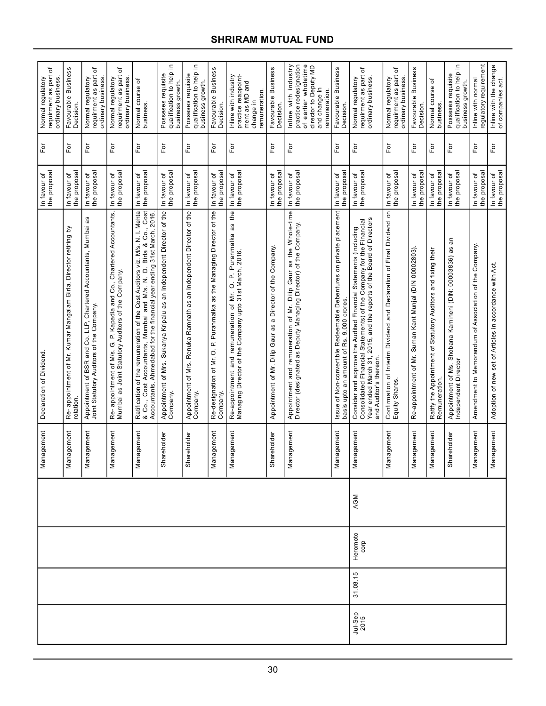|                             |                  |     | Management                             | Declaration of Dividend                                                                                                                                                                                                                  | the proposal<br>In favour of | For            | ৳<br>requirment as part<br>Normal regulatory<br>ordinary business                                                                |
|-----------------------------|------------------|-----|----------------------------------------|------------------------------------------------------------------------------------------------------------------------------------------------------------------------------------------------------------------------------------------|------------------------------|----------------|----------------------------------------------------------------------------------------------------------------------------------|
|                             |                  |     | iagement<br>Nar                        | <u>ځ</u><br>Re-appointment of Mr. Kumar Mangalam Birla, Director retiring<br>rotation.                                                                                                                                                   | the proposal<br>In favour of | For            | Favourable Business<br>Decision.                                                                                                 |
|                             |                  |     | iagement<br>$\overline{\mathsf{M}}$ ar | Appointment of BSR and Co. LLP, Chartered Accountants, Mumbai as<br>Joint Statutory Auditors of the Company.                                                                                                                             | the proposal<br>In favour of | For            | ৳<br>requirment as part<br>Normal regulatory<br>ordinary business.                                                               |
|                             |                  |     | agement<br>Mar                         | Re- appointment of M/s. G. P. Kapadia and Co., Chartered Accountants,<br>Mumbai as Joint Statutory Auditors of the Company.                                                                                                              | the proposal<br>In favour of | For            | ৳<br>requirment as part<br>Normal regulatory<br>ordinary business.                                                               |
|                             |                  |     | iagement<br>Nar                        | Ratification of the remuneration of the Cost Auditors viz. M/s. N. I. Mehta<br>& Co., Cost Accountants, Mumbai and M/s. N. D. Biria & Co., Cost<br>Accountants, Ahmedabad for the financial year ending 31st March, 2016.                | the proposal<br>In favour of | For            | Normal course of<br>business.                                                                                                    |
|                             |                  |     | Shareholder                            | Appointment of Mrs. Sukanya Kripalu as an Independent Director of the<br>Company.                                                                                                                                                        | the proposa<br>In favour of  | For            | Ξ.<br>qualification to help<br>Posseses requisite<br>business growth.                                                            |
|                             |                  |     | Shareholder                            | Appointment of Mrs. Renuka Ramnath as an Independent Director of the<br>Company.                                                                                                                                                         | the proposal<br>In favour of | For            | 으.<br>qualification to help<br>Posseses requisite<br>business growth.                                                            |
|                             |                  |     | iagement<br>Nar                        | Re-designation of Mr. O. P. Puranmalka as the Managing Director of the<br>Company.                                                                                                                                                       | the proposal<br>In favour of | For            | Favourable Business<br>Decision.                                                                                                 |
|                             |                  |     | agement<br>Nar                         | Puranmalka as the<br>Re-appointment and remuneration of Mr. O. P. Puranr<br>Managing Director of the Company upto 31st March, 2016                                                                                                       | the proposal<br>In favour of | For            | practice reappoint-<br>Inline with industry<br>ment as MD and<br>remuneration.<br>change in                                      |
|                             |                  |     | Shareholder                            | Appointment of Mr. Dilip Gaur as a Director of the Company.                                                                                                                                                                              | the proposal<br>In favour of | ρF             | Favourable Business<br>Decision.                                                                                                 |
|                             |                  |     | Management                             | as the Whole-time<br>Appointment and remuneration of Mr. Dilip Gaur as the Whole-t<br>Director (designated as Deputy Managing Director) of the Company.                                                                                  | the proposal<br>In favour of | For            | of earlier wholetime<br>Inline with industry<br>practice redesignation<br>director to Deputy MD<br>and change in<br>remuneration |
|                             |                  |     | lagement<br>Nar                        | Issue of Non-convertible Redeemable Debentures on private placement<br>basis upto an amount of Rs. 9,000 crores.                                                                                                                         | the proposal<br>In favour of | For            | Favourable Business<br>Decision.                                                                                                 |
| 31.08.15<br>Jul-Sep<br>2015 | Heromoto<br>corp | AGM | agement<br>Man                         | Year ended March 31, 2015, and the reports of the Board of Directors<br>Consolidated Financial Statements) of the Company for the Financial<br>Consider and approve the Audited Financial Statements (including<br>and Auditor's thereon | the proposal<br>In favour of | For            | ৳<br>requirment as part<br>ordinary business.<br>Normal regulatory                                                               |
|                             |                  |     | Management                             | Confirmation of Interim Dividend and Declaration of Final Dividend on<br>Equity Shares.                                                                                                                                                  | the proposal<br>In favour of | For            | đ<br>Normal regulatory<br>requirment as part<br>ordinary business                                                                |
|                             |                  |     | Management                             | Re-appointment of Mr. Suman Kant Munjal (DIN 00002803).                                                                                                                                                                                  | the proposal<br>In favour of | $\overline{P}$ | Favourable Business<br>Decision                                                                                                  |
|                             |                  |     | agement<br>Man                         | Ratify the Appointment of Statutory Auditors and fixing their<br>Remuneration.                                                                                                                                                           | the proposal<br>In favour of | For            | ৳<br>Normal course<br>business                                                                                                   |
|                             |                  |     | Shareholder                            | an<br>Appointment of Ms. Shobana Kamineni (DIN: 00003836) as<br>Independent Director                                                                                                                                                     | the proposal<br>In favour of | For            | Ξ.<br>qualification to help<br>Posseses requisite<br>business growth.                                                            |
|                             |                  |     | nagement<br>Mar                        | Amendment to Memorandum of Association of the Company.                                                                                                                                                                                   | the proposa<br>In favour of  | For            | regulatory requirement<br>Inline with normal                                                                                     |
|                             |                  |     | Management                             | Adoption of new set of Articles in accordance with Act.                                                                                                                                                                                  | the proposal<br>In favour of | $F$ or         | Inline with the change<br>of companies act.                                                                                      |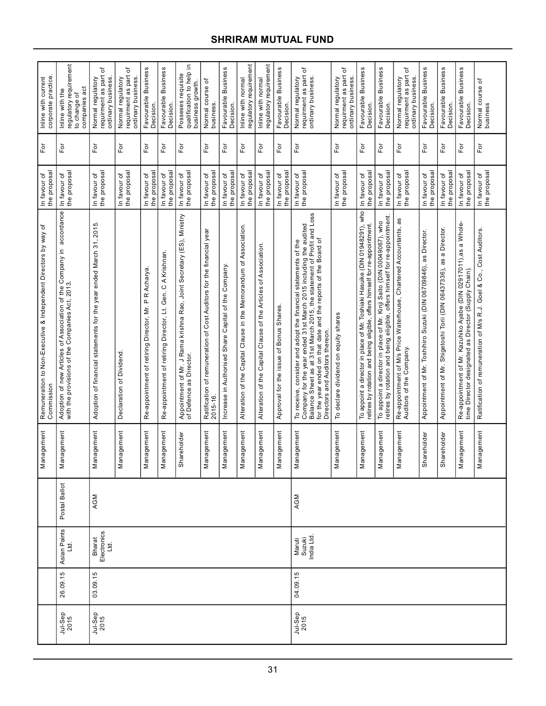| corporate practice<br>Inline with current                                       | regulatory requirement<br>to change of<br>companies act<br>Inline with the                                              | ৳<br>requirment as part<br>Normal regulatory<br>ordinary business.     | ৳<br>requirment as part<br>Normal regulatory<br>ordinary business | Favourable Business<br>Decision.                           | Favourable Business<br>Decision.                            | 으.<br>qualification to help<br>Posseses requisite<br>business growth.                            | Normal course of<br>business                                                     | Favourable Business<br><b>Decision</b>               | regulatory requirement<br>Inline with normal                          | regulatory requirement<br>Inline with normal                        | Favourable Business<br>Decision.        | đ<br>requirment as part<br>ordinary business.<br>Normal regulatory                                                                                                                                                                                                                                               | đ<br>requirment as part<br>Normal regulatory<br>ordinary business | Favourable Business<br>Decision.                                                                                                                         | Favourable Business<br>Decision.                                                                                                                   | đ<br>requirment as part<br>Normal regulatory<br>ordinary business                             | Favourable Business<br>Decision.                                 | Favourable Business<br>Decision                                       | <b>Business</b><br>Favourable<br>Decision.                                                                               | Normal course of<br>business                                       |
|---------------------------------------------------------------------------------|-------------------------------------------------------------------------------------------------------------------------|------------------------------------------------------------------------|-------------------------------------------------------------------|------------------------------------------------------------|-------------------------------------------------------------|--------------------------------------------------------------------------------------------------|----------------------------------------------------------------------------------|------------------------------------------------------|-----------------------------------------------------------------------|---------------------------------------------------------------------|-----------------------------------------|------------------------------------------------------------------------------------------------------------------------------------------------------------------------------------------------------------------------------------------------------------------------------------------------------------------|-------------------------------------------------------------------|----------------------------------------------------------------------------------------------------------------------------------------------------------|----------------------------------------------------------------------------------------------------------------------------------------------------|-----------------------------------------------------------------------------------------------|------------------------------------------------------------------|-----------------------------------------------------------------------|--------------------------------------------------------------------------------------------------------------------------|--------------------------------------------------------------------|
| For                                                                             | For                                                                                                                     | For                                                                    | For                                                               | For                                                        | For                                                         | Γō                                                                                               | $\overline{F}$                                                                   | For                                                  | For                                                                   | $\bar{\rm e}$                                                       | For                                     | For                                                                                                                                                                                                                                                                                                              | For                                                               | For                                                                                                                                                      | $\mathsf{For}$                                                                                                                                     | For                                                                                           | For                                                              | For                                                                   | $F$ or                                                                                                                   | For                                                                |
| the proposal<br>In favour of                                                    | the proposal<br>In favour of                                                                                            | In favour of<br>the proposal                                           | the proposal<br>In favour of                                      | the proposal<br>In favour of                               | the proposal<br>In favour of                                | the proposal<br>In favour of                                                                     | the proposal<br>In favour of                                                     | the proposal<br>In favour of                         | the proposal<br>In favour of                                          | the proposal<br>In favour of                                        | the proposa<br>In favour of             | the proposal<br>In favour of                                                                                                                                                                                                                                                                                     | the proposal<br>In favour of                                      | the proposal<br>In favour of                                                                                                                             | the proposal<br>In favour of                                                                                                                       | In favour of<br>the proposal                                                                  | the proposal<br>In favour of                                     | the proposal<br>In favour of                                          | the proposal<br>In favour of                                                                                             | the proposal<br>In favour of                                       |
| ৳<br>Remuneration to Non-Executive & Independent Directors by way<br>Commission | Adoption of new Articles of Association of the Company in accordance<br>with the provisions of the Companies Act, 2013. | ယ<br>Adoption of financial statements for the year ended March 31, 201 | Declaration of Dividend                                           | Acharya<br>P R<br>Re-appointment of retiring Director, Mr. | Re-appointment of retiring Director, Lt. Gen. C A Krishnan. | Appointment of Mr. J Rama krishna Rao, Joint Secretary (ES), Ministry<br>of Defence as Director. | Ratification of remuneration of Cost Auditors for the financial year<br>2015-16. | Increase in Authorised Share Capital of the Company. | Capital Clause in the Memorandum of Association.<br>Alteration of the | Capital Clause of the Articles of Association.<br>Alteration of the | Approval for the issue of Bonus Shares. | Balance Sheet as at 31st March 2015, the statement of Profit and Loss<br>Company for the year ended 31st March 2015 including the audited<br>for the year ended on that date and the reports of the Board of<br>To receive, consider and adopt the financial statements of the<br>Directors and Auditors thereon | To declare dividend on equity shares                              | To appoint a director in place of Mr. Toshiaki Hasuike (DIN 01948291), who<br>retires by rotation and being eligible, offers himself for re-appointment. | retires by rotation and being eligible, offers himself for re-appointment<br>To appoint a director in place of Mr. Kinji Saito (DIN 00049067), who | Re-appointment of M/s Price Waterhouse, Chartered Accountants, as<br>Auditors of the Company. | Appointment of Mr. Toshihiro Suzuki (DIN 06709846), as Director. | a Director.<br>Appointment of Mr. Shigetoshi Torii (DIN 06437336), as | Re-appointment of Mr. Kazuhiko Ayabe (DIN 02917011), as a Whole-<br>time Director designated as Director (Supply Chain). | Ratification of remuneration of M/s R.J. Goel & Co., Cost Auditors |
| Management                                                                      | nagement<br>Nar                                                                                                         | lagement<br>Nar                                                        | Management                                                        | nagement<br>Nai                                            | agement<br>Nar                                              | Shareholder                                                                                      | Management                                                                       | Management                                           | agement<br>Nar                                                        | agement<br>Nar                                                      | nagement<br>Mar                         | agement<br>Nar                                                                                                                                                                                                                                                                                                   | lagement<br>Mar                                                   | agement<br>Nar                                                                                                                                           | lagement<br>Mar                                                                                                                                    | agement<br>Nar                                                                                | Shareholder                                                      | Shareholder                                                           | nagement<br>Nar                                                                                                          | Management                                                         |
|                                                                                 | Postal Ballot                                                                                                           | AGM                                                                    |                                                                   |                                                            |                                                             |                                                                                                  |                                                                                  |                                                      |                                                                       |                                                                     |                                         | AGM                                                                                                                                                                                                                                                                                                              |                                                                   |                                                                                                                                                          |                                                                                                                                                    |                                                                                               |                                                                  |                                                                       |                                                                                                                          |                                                                    |
|                                                                                 | Asian Paints<br>Ltd.                                                                                                    | Bharat<br>Electronics<br><u>td</u>                                     |                                                                   |                                                            |                                                             |                                                                                                  |                                                                                  |                                                      |                                                                       |                                                                     |                                         | India Ltd<br>Maruti<br>Suzuki                                                                                                                                                                                                                                                                                    |                                                                   |                                                                                                                                                          |                                                                                                                                                    |                                                                                               |                                                                  |                                                                       |                                                                                                                          |                                                                    |
|                                                                                 | 26.09.15                                                                                                                | 03.09.15                                                               |                                                                   |                                                            |                                                             |                                                                                                  |                                                                                  |                                                      |                                                                       |                                                                     |                                         | 04.09.15                                                                                                                                                                                                                                                                                                         |                                                                   |                                                                                                                                                          |                                                                                                                                                    |                                                                                               |                                                                  |                                                                       |                                                                                                                          |                                                                    |
|                                                                                 | Jul-Sep<br>2015                                                                                                         | Jul-Sep<br>2015                                                        |                                                                   |                                                            |                                                             |                                                                                                  |                                                                                  |                                                      |                                                                       |                                                                     |                                         | Jul-Sep<br>2015                                                                                                                                                                                                                                                                                                  |                                                                   |                                                                                                                                                          |                                                                                                                                                    |                                                                                               |                                                                  |                                                                       |                                                                                                                          |                                                                    |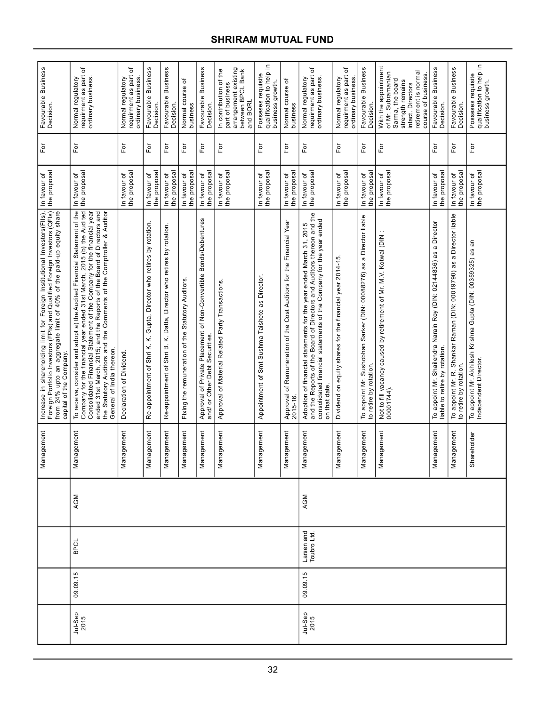| Favourable Business<br>Decision.<br>For                                                                                                                                                                                                                   | ৳<br>requirment as part<br>ordinary business.<br>Normal regulatory<br>For                                                                                                                                                                                                                                                                                                                                 | ৳<br>requirment as part<br>Normal regulatory<br>ordinary business<br>For | Favourable Business<br>Decision<br>For                                   | Favourable Business<br><b>Decision</b><br>For                                  | ৳<br>Normal course<br>business<br>For             | Favourable Business<br>Decision.<br>$\mathsf{For}$                                                 | arrangement existing<br>In contribution of the<br>between BPCL Bank<br>part of business<br>and BORL<br>For | Ξ.<br>qualification to help<br>Posseses requisite<br>business growth.<br>For | Normal course of<br>business<br>For                                              | ৳<br>requirment as part<br>Normal regulatory<br>ordinary business<br>For                                                                                                                                                            | ৳<br>Normal regulatory<br>requirment as part<br>ordinary business.<br>For | Favourable Business<br>Decision.<br>For                                                        | With the appointment<br>retirement is normal<br>of Mr. Subramanian<br>course of business<br>Sarma, the board<br>strength remains<br>intact. Directors<br>For | Favourable Business<br>Decision.<br>For                                                             | Favourable Business<br>Decision.<br>For                                                        | Ξ.<br>qualification to help<br>Posseses requisite<br>business growth.<br>For         |  |  |
|-----------------------------------------------------------------------------------------------------------------------------------------------------------------------------------------------------------------------------------------------------------|-----------------------------------------------------------------------------------------------------------------------------------------------------------------------------------------------------------------------------------------------------------------------------------------------------------------------------------------------------------------------------------------------------------|--------------------------------------------------------------------------|--------------------------------------------------------------------------|--------------------------------------------------------------------------------|---------------------------------------------------|----------------------------------------------------------------------------------------------------|------------------------------------------------------------------------------------------------------------|------------------------------------------------------------------------------|----------------------------------------------------------------------------------|-------------------------------------------------------------------------------------------------------------------------------------------------------------------------------------------------------------------------------------|---------------------------------------------------------------------------|------------------------------------------------------------------------------------------------|--------------------------------------------------------------------------------------------------------------------------------------------------------------|-----------------------------------------------------------------------------------------------------|------------------------------------------------------------------------------------------------|--------------------------------------------------------------------------------------|--|--|
|                                                                                                                                                                                                                                                           |                                                                                                                                                                                                                                                                                                                                                                                                           |                                                                          |                                                                          |                                                                                |                                                   |                                                                                                    |                                                                                                            |                                                                              |                                                                                  |                                                                                                                                                                                                                                     |                                                                           |                                                                                                |                                                                                                                                                              |                                                                                                     |                                                                                                |                                                                                      |  |  |
| the proposa<br>In favour of                                                                                                                                                                                                                               | the proposal<br>In favour of                                                                                                                                                                                                                                                                                                                                                                              | the proposal<br>In favour of                                             | the proposal<br>In favour of                                             | the proposal<br>In favour of                                                   | the proposa<br>In favour of                       | the proposal<br>In favour of                                                                       | the proposal<br>In favour of                                                                               | the proposal<br>In favour of                                                 | the proposa<br>In favour of                                                      | the proposal<br>In favour of                                                                                                                                                                                                        | the proposal<br>In favour of                                              | the proposal<br>In favour of                                                                   | the proposal<br>In favour of                                                                                                                                 | the proposal<br>In favour of                                                                        | the proposal<br>In favour of                                                                   | the proposal<br>In favour of                                                         |  |  |
| Increase in shareholding limit for Foreign Institutional Investors(FIIs),<br>Foreign Portfolio Investors (FPIs) and Qualified Foreign Investors (QFIs),<br>from 24% upto an aggregate limit of 40% of the paid-up equity share<br>capital of the Company. | To receive, consider and adopt a) the Audited Financial Statement of the<br>Company for the financial year ended 31st March, 2015 (b) the Audited<br>Consolidated Financial Statement of the Company for the financial year<br>ended 31st March, 2015; and the Reports of the Board of Directors and<br>the Statutory Auditors and the Comments of the Comptroller & Auditor<br>General of India thereon. | Declaration of Dividend.                                                 | Gupta, Director who retires by rotation.<br>Re-appointment of Shri K. K. | Datta, Director who retires by rotation<br>x<br>മ<br>Shri<br>Re-appointment of | Fixing the remuneration of the Statutory Auditors | Approval of Private Placement of Non-Convertible Bonds/Debentures<br>and/ or Other Debt Securities | Approval of Material Related Party Transactions.                                                           | as Director.<br>Appointment of Smt Sushma Taishete                           | Approval of Remuneration of the Cost Auditors for the Financial Year<br>2015-16. | Adoption of financial statements for the year ended March 31, 2015<br>and the Reports of the Board of Directors and Auditors thereon and the<br>consolidated financial statements of the Company for the year ended<br>on that date | Dividend on equity shares for the financial year 2014-15.                 | To appoint Mr. Sushobhan Sarker (DIN: 00088276) as a Director liable<br>to retire by rotation. | $\cdot$ .<br>Not to fill vacancy caused by retirement of Mr. M.V. Kotwal (DIN<br>00001744).                                                                  | To appoint Mr. Shailendra Narain Roy (DIN: 02144836) as a Director<br>liable to retire by rotation. | To appoint Mr. R. Shankar Raman (DIN: 00019798) as a Director liable<br>to retire by rotation. | To appoint Mr. Akhilesh Krishna Gupta (DIN: 00359325) as an<br>Independent Director. |  |  |
| Management                                                                                                                                                                                                                                                | nagement<br>Nar                                                                                                                                                                                                                                                                                                                                                                                           | Management                                                               | Management                                                               | agement<br>Σã                                                                  | nagement<br>Nar                                   | nagement<br>Nar                                                                                    | agement<br>Nar                                                                                             | nagement<br>Mar                                                              | lagement<br>Nai                                                                  | lagement<br>Mar                                                                                                                                                                                                                     | Management                                                                | Management                                                                                     | agement<br>Nar                                                                                                                                               | lagement<br>ēΜ                                                                                      | nagement<br>Nar                                                                                | Shareholder                                                                          |  |  |
|                                                                                                                                                                                                                                                           | AGM                                                                                                                                                                                                                                                                                                                                                                                                       |                                                                          |                                                                          |                                                                                |                                                   |                                                                                                    |                                                                                                            |                                                                              |                                                                                  |                                                                                                                                                                                                                                     | AGM                                                                       |                                                                                                |                                                                                                                                                              |                                                                                                     |                                                                                                |                                                                                      |  |  |
|                                                                                                                                                                                                                                                           | <b>BPCI</b>                                                                                                                                                                                                                                                                                                                                                                                               |                                                                          |                                                                          |                                                                                |                                                   |                                                                                                    | Larsen and<br>Toubro Ltd.                                                                                  |                                                                              |                                                                                  |                                                                                                                                                                                                                                     |                                                                           |                                                                                                |                                                                                                                                                              |                                                                                                     |                                                                                                |                                                                                      |  |  |
|                                                                                                                                                                                                                                                           | 09.09.15                                                                                                                                                                                                                                                                                                                                                                                                  |                                                                          |                                                                          |                                                                                |                                                   |                                                                                                    |                                                                                                            |                                                                              |                                                                                  | 09.09.15                                                                                                                                                                                                                            |                                                                           |                                                                                                |                                                                                                                                                              |                                                                                                     |                                                                                                |                                                                                      |  |  |
|                                                                                                                                                                                                                                                           | Jul-Sep<br>2015                                                                                                                                                                                                                                                                                                                                                                                           |                                                                          |                                                                          |                                                                                |                                                   |                                                                                                    |                                                                                                            |                                                                              |                                                                                  | Jul-Sep<br>2015                                                                                                                                                                                                                     |                                                                           |                                                                                                |                                                                                                                                                              |                                                                                                     |                                                                                                |                                                                                      |  |  |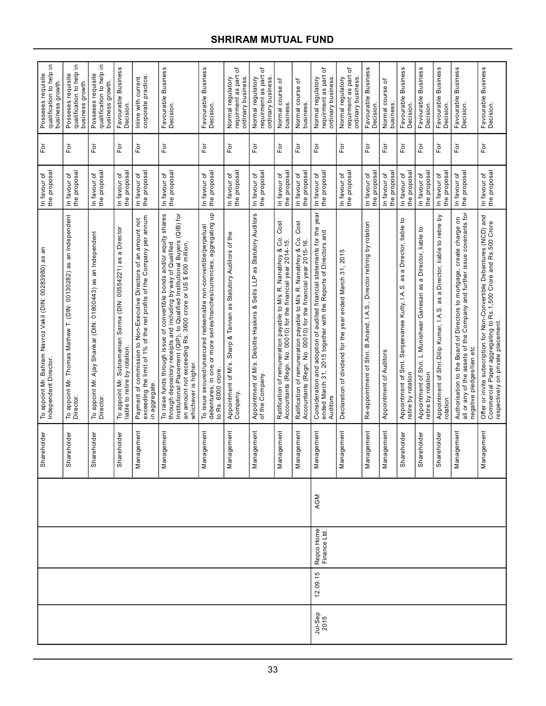|                             |                            |     | Shareholder                      | a<br>To appoint Mr. Bahram Navroz Vakil (DIN: 00283980) as<br>Independent Director.                                                                                                                                                                                                                          | In favour of<br>the proposal | For                     | Ξ.<br>Posseses requisite<br>qualification to help<br>business growth. |  |
|-----------------------------|----------------------------|-----|----------------------------------|--------------------------------------------------------------------------------------------------------------------------------------------------------------------------------------------------------------------------------------------------------------------------------------------------------------|------------------------------|-------------------------|-----------------------------------------------------------------------|--|
|                             |                            |     | reholder<br>Sha                  | as an Independent<br>To appoint Mr. Thomas Mathew T. (DIN: 00130282)<br>Director.                                                                                                                                                                                                                            | In favour of<br>the proposal | For                     | Ξ.<br>Posseses requisite<br>qualification to help<br>business growth. |  |
|                             |                            |     | reholder<br>Sha                  | To appoint Mr. Ajay Shankar (DIN: 01800443) as an Independent<br>Director.                                                                                                                                                                                                                                   | In favour of<br>the proposal | $\overline{\mathsf{P}}$ | Ξ.<br>qualification to help<br>Posseses requisite<br>business growth. |  |
|                             |                            |     | reholder<br>Sha                  | To appoint Mr. Subramanian Sarma (DIN: 00554221) as a Director<br>liable to retire by rotation.                                                                                                                                                                                                              | the proposal<br>In favour of | For                     | Favourable Business<br>Decision.                                      |  |
|                             |                            |     | agement<br>Man                   | exceeding the limit of 1% of the net profits of the Company per annum<br>Payment of commission to Non-Executive Directors of an amount not<br>in aggregate.                                                                                                                                                  | the proposal<br>In favour of | For                     | corporate practice.<br>Inline with current                            |  |
|                             |                            |     | lagement<br>Man                  | To raise funds through issue of convertible bonds and/or equity shares<br>Institutional Placement (QIP), to Qualified Institutional Buyers (QIB) for<br>an amount not exceeding Rs. 3600 crore or US \$600 million,<br>through depository receipts and including by way of Qualified<br>whichever is higher. | the proposal<br>In favour of | $F$ or                  | Favourable Business<br>Decision.                                      |  |
|                             |                            |     | agement<br>$\sum_{n=1}^{\infty}$ | 음<br>debentures, in one or more series/tranches/currencies, aggregating<br>To issue secured/unsecured redeemable non-convertible/perpetual<br>to Rs. 6000 crore.                                                                                                                                             | the proposal<br>In favour of | $\mathsf{F}\mathsf{or}$ | Favourable Business<br>Decision.                                      |  |
|                             |                            |     | agement<br>Man                   | Statutory Auditors of the<br>Sharp & Tannan as<br>Appointment of M/s.<br>Company.                                                                                                                                                                                                                            | the proposal<br>In favour of | For                     | đ<br>Normal regulatory<br>requirment as part<br>ordinary business.    |  |
|                             |                            |     | agement<br>Man                   | Appointment of M/s. Deloitte Haskins & Sells LLP as Statutory Auditors<br>of the Company.                                                                                                                                                                                                                    | the proposal<br>In favour of | $\mathsf{F}\mathsf{or}$ | ٔб<br>requirment as part<br>Normal regulatory<br>ordinary business    |  |
|                             |                            |     | agement<br>Man                   | Cost<br>Ratification of remuneration payable to M/s R. Nanabhoy & Co.<br>Accountants (Regn. No. 00010) for the financial year 2014-15.                                                                                                                                                                       | the proposa<br>In favour of  | For                     | Normal course of<br>business.                                         |  |
|                             |                            |     | agement<br>Man                   | Cost<br>Ratification of remuneration payable to M/s R. Nanabhoy & Co.<br>Accountants (Regn. No. 00010) for the financial year 2015-16.                                                                                                                                                                       | the proposal<br>In favour of | For                     | Normal course of<br>business.                                         |  |
| 12.09.15<br>Jul-Sep<br>2015 | Repco Home<br>Finance Ltd. | AGM | lagement<br>Man                  | Consideration and adoption of audited financial statements for the year<br>ended March 31, 2015 together with the Reports of Directors and<br>Auditors                                                                                                                                                       | the proposal<br>In favour of | $\mathsf{F}\mathsf{or}$ | ৳<br>requirment as part<br>Normal regulatory<br>ordinary business     |  |
|                             |                            |     | lagement<br>Man                  | Declaration of dividend for the year ended March 31, 2015                                                                                                                                                                                                                                                    | the proposal<br>In favour of | For                     | ٔ ځ<br>requirment as part<br>Normal regulatory<br>ordinary business.  |  |
|                             |                            |     | agement<br>Man                   | Re-appointment of Shri. B.Anand, I.A.S., Director retiring by rotation                                                                                                                                                                                                                                       | the proposa<br>In favour of  | For                     | Favourable Business<br><b>Decision</b>                                |  |
|                             |                            |     | agement<br>Man                   | Appointment of Auditors                                                                                                                                                                                                                                                                                      | the proposal<br>In favour of | For                     | Normal course of<br>business                                          |  |
|                             |                            |     | reholder<br>Sha                  | ٩,<br>Appointment of Smt. Sanjeevanee Kutty, I.A.S. as a Director, liable<br>retire by rotation                                                                                                                                                                                                              | the proposa<br>In favour of  | $\bar{\mathsf{F}}$ or   | Favourable Business<br>Decision                                       |  |
|                             |                            |     | reholder<br>Sha                  | Appointment of Shri. L.Munishwar Ganesan as a Director, liable to<br>retire by rotation                                                                                                                                                                                                                      | the proposal<br>In favour of | Fōr                     | Favourable Business<br>Decision.                                      |  |
|                             |                            |     | ireholder<br>Sha                 | ă<br>Appointment of Shri. Dilip Kumar, I.A.S. as a Director, liable to retire<br>rotation                                                                                                                                                                                                                    | the proposal<br>In favour of | For                     | Favourable Business<br>Decision                                       |  |
|                             |                            |     | agement<br>Man                   | all or any of the assets of the Company and further issue covenants for<br>5<br>create charge<br>Directors to mortgage,<br>Authorisation to the Board of<br>negative pledges/lien etc                                                                                                                        | the proposal<br>In favour of | $\bar{\rm F}$ or        | <b>Business</b><br>Favourable I<br>Decision.                          |  |
|                             |                            |     | iagement<br>Man                  | Offer or invite subscription for Non-Convertible Debentures (NCD) and<br>Commercial Paper aggregating to Rs.1,500 Crore and Rs.500 Crore<br>respectively on private placement.                                                                                                                               | In favour of<br>the proposal | For                     | Favourable Business<br>Decision.                                      |  |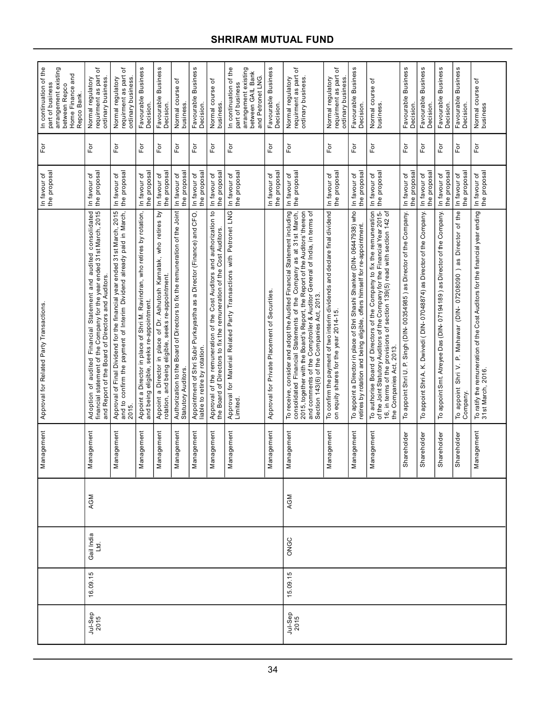| In continuation of the<br>arrangement existing<br>Home Finance and<br>part of business<br>between Repco<br>Repco Bank. | ৳<br>requirment as part<br>Normal regulatory<br>ordinary business                                                                                                                                | ৳<br>requirment as part<br>Normal regulatory<br>ordinary business.                                                                                         | Favourable Business<br>Decision.                                                                                           | Favourable Business<br>Decision.                                                                                            | Normal course of<br>business                                                                        | Favourable Business<br>Decision.                                                                       | Normal course of<br>business                                                                                                                  | In continuation of the<br>part of business                                     | arrangement existing<br>between GAIL Bank<br>and Petronet LNG. | Favourable Business<br>Decision.              | ৳<br>requirment as part<br>Normal regulatory<br>ordinary business.                                                                                                                                                                                                                                                                                     | ৳<br>requirment as part<br>Normal regulatory<br>ordinary business                                                    | Favourable Business<br>Decision.                                                                                                                       | Normal course of<br>business.                                                                                                                                                                                                                                  | Favourable Business<br>Decision                                        | Favourable Business<br>Decision.                                           | Favourable Business<br>Decision.                                       | <b>Business</b><br>Favourable<br>Decision.                                                                         | Normal course of<br>business                                                                       |
|------------------------------------------------------------------------------------------------------------------------|--------------------------------------------------------------------------------------------------------------------------------------------------------------------------------------------------|------------------------------------------------------------------------------------------------------------------------------------------------------------|----------------------------------------------------------------------------------------------------------------------------|-----------------------------------------------------------------------------------------------------------------------------|-----------------------------------------------------------------------------------------------------|--------------------------------------------------------------------------------------------------------|-----------------------------------------------------------------------------------------------------------------------------------------------|--------------------------------------------------------------------------------|----------------------------------------------------------------|-----------------------------------------------|--------------------------------------------------------------------------------------------------------------------------------------------------------------------------------------------------------------------------------------------------------------------------------------------------------------------------------------------------------|----------------------------------------------------------------------------------------------------------------------|--------------------------------------------------------------------------------------------------------------------------------------------------------|----------------------------------------------------------------------------------------------------------------------------------------------------------------------------------------------------------------------------------------------------------------|------------------------------------------------------------------------|----------------------------------------------------------------------------|------------------------------------------------------------------------|--------------------------------------------------------------------------------------------------------------------|----------------------------------------------------------------------------------------------------|
| Ĕŏ                                                                                                                     | For                                                                                                                                                                                              | $\overline{F}$                                                                                                                                             | For                                                                                                                        | Ēδ                                                                                                                          | $\overline{P}$                                                                                      | For                                                                                                    | For                                                                                                                                           | $\overline{F}$                                                                 |                                                                | $\bar{\rm F}$ or                              | For                                                                                                                                                                                                                                                                                                                                                    | $\overline{5}$                                                                                                       | $\overline{\rm F}$ or                                                                                                                                  | For                                                                                                                                                                                                                                                            | For                                                                    | $\overline{F}$                                                             | $\mathsf{For}$                                                         | $\bar{\rm e}$                                                                                                      | For                                                                                                |
| In favour of<br>the proposal                                                                                           | the proposal<br>In favour of                                                                                                                                                                     | the proposal<br>In favour of                                                                                                                               | the proposa<br>In favour of                                                                                                | the proposal<br>In favour of                                                                                                | the proposal<br>In favour of                                                                        | the proposa<br>In favour of                                                                            | the proposal<br>In favour of                                                                                                                  | In favour of                                                                   | the proposal                                                   | the proposal<br>In favour of                  | the proposal<br>In favour of                                                                                                                                                                                                                                                                                                                           | the proposal<br>In favour of                                                                                         | the proposal<br>In favour of                                                                                                                           | the proposal<br>In favour of                                                                                                                                                                                                                                   | the proposa<br>In favour of                                            | the proposal<br>In favour of                                               | the proposal<br>In favour of                                           | the proposal<br>In favour of                                                                                       | the proposal<br>In favour of                                                                       |
| Approval for Related Party Transactions                                                                                | Adoption of audited Financial Statement and audited consolidated<br>financial statement of the Company for the year ended 31st March, 2015<br>and Report of the Board of Directors and Auditors. | Approval of Final Dividend for the financial year ended 31st March, 2015<br>and to confirm the payment of Interim Dividend already paid in March,<br>2015. | Appoint a Director in place of Shri M. Ravindran, who retires by rotation,<br>eligible, seeks re-appointment.<br>and being | Appoint a Director in place of Dr. Ashutosh Karnatak, who retires by<br>rotation, and being eligible, seeks re-appointment. | Authorization to the Board of Directors to fix the remuneration of the Joint<br>Statutory Auditors. | Appointment of Shri Subir Purkayastha as a Director (Finance) and CFO,<br>liable to retire by rotation | Approval of the remuneration of the Cost Auditors and authorization to<br>the Board of Directors to fix the remuneration of the Cost Auditors | Approval for Material Related Party Transactions with Petronet LNG<br>Limited. |                                                                | Approval for Private Placement of Securities. | To receive, consider and adopt the Audited Financial Statement including<br>consolidated Financial Statements of the Company as at 31st March,<br>2015, together with the Board's Report, the Report of the Auditors' thereon<br>and comments of the Comptroller & Auditor General of India, in terms of<br>Section 143(6) of the Companies Act, 2013. | To confirm the payment of two interim dividends and declare final dividend<br>on equity shares for the year 2014-15. | To appoint a Director in place of Shri Shashi Shanker (DIN-06447938) who<br>retires by rotation and being eligible, offers himself for re-appointment. | To authorise Board of Directors of the Company to fix the remuneration<br>of the Joint Statutory Auditors of the Company for the Financial Year 2015-<br>16, in terms of the provisions of section 139(5) read with section 142 of<br>the Companies Act, 2013. | To appoint Shri U. P. Singh (DIN-00354985) as Director of the Company. | appoint Shri A. K. Dwivedi (DIN-07048874) as Director of the Company.<br>P | To appoint Smt. Atreyee Das (DIN-07194189) as Director of the Company. | Director of the<br>) as<br>07208090<br>Mahawar (DIN-<br>$\mathbf{a}^{\cdot}$<br>Shri V.<br>appoint<br>Company<br>P | To ratify the remuneration of the Cost Auditors for the financial year ending<br>31st March, 2016. |
| Management                                                                                                             | nagement<br>Man                                                                                                                                                                                  | lagement<br>Mar                                                                                                                                            | lagement<br>Man                                                                                                            | nagement<br>Mar                                                                                                             | lagement<br>Man                                                                                     | agement<br>Mar                                                                                         | Management                                                                                                                                    | nagement<br>Nar                                                                |                                                                | agement<br>Mar                                | Management                                                                                                                                                                                                                                                                                                                                             | Management                                                                                                           | Management                                                                                                                                             | agement<br>Nar                                                                                                                                                                                                                                                 | Shareholder                                                            | Shareholder                                                                | Shareholder                                                            | Shareholder                                                                                                        | Management                                                                                         |
|                                                                                                                        | AGM                                                                                                                                                                                              |                                                                                                                                                            |                                                                                                                            |                                                                                                                             |                                                                                                     |                                                                                                        |                                                                                                                                               |                                                                                |                                                                |                                               | AGM                                                                                                                                                                                                                                                                                                                                                    |                                                                                                                      |                                                                                                                                                        |                                                                                                                                                                                                                                                                |                                                                        |                                                                            |                                                                        |                                                                                                                    |                                                                                                    |
|                                                                                                                        | Gail India<br>Ltd.                                                                                                                                                                               |                                                                                                                                                            |                                                                                                                            |                                                                                                                             |                                                                                                     |                                                                                                        |                                                                                                                                               |                                                                                |                                                                |                                               | ONGC                                                                                                                                                                                                                                                                                                                                                   |                                                                                                                      |                                                                                                                                                        |                                                                                                                                                                                                                                                                |                                                                        |                                                                            |                                                                        |                                                                                                                    |                                                                                                    |
|                                                                                                                        | 16.09.15                                                                                                                                                                                         |                                                                                                                                                            |                                                                                                                            |                                                                                                                             |                                                                                                     |                                                                                                        |                                                                                                                                               |                                                                                |                                                                |                                               | 15.09.15                                                                                                                                                                                                                                                                                                                                               |                                                                                                                      |                                                                                                                                                        |                                                                                                                                                                                                                                                                |                                                                        |                                                                            |                                                                        |                                                                                                                    |                                                                                                    |
|                                                                                                                        | Jul-Sep<br>2015                                                                                                                                                                                  |                                                                                                                                                            |                                                                                                                            |                                                                                                                             |                                                                                                     |                                                                                                        |                                                                                                                                               |                                                                                |                                                                |                                               | Jul-Sep<br>2015                                                                                                                                                                                                                                                                                                                                        |                                                                                                                      |                                                                                                                                                        |                                                                                                                                                                                                                                                                |                                                                        |                                                                            |                                                                        |                                                                                                                    |                                                                                                    |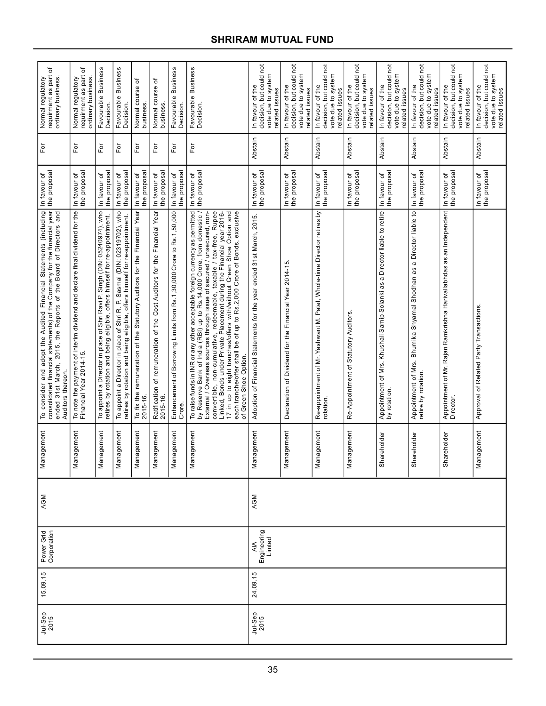| ъ<br>Normal regulatory<br>requirment as part<br>ordinary business                                                                                                                                                                         | ৳<br>Normal regulatory<br>requirment as part<br>ordinary business.                                    | Favourable Business<br>Decision                                                                                                                         | Favourable Business<br>Decision                                                                                                                        | Normal course of<br>business                                                            | Normal course of<br>business                                                            | <b>Business</b><br>Favourable<br>Decision.                                      | Favourable Business<br>Decision.                                                                                                                                                                                                                                                                                                                                                                                                                                                                                                                            | decision, but could not<br>vote due to system<br>In favour of the<br>related issues | decision, but could not<br>vote due to system<br>In favour of the<br>related issues | not<br>vote due to system<br>decision, but could<br>In favour of the<br>related issues | not<br>vote due to system<br>decision, but could<br>In favour of the<br>related issues | decision, but could not<br>vote due to system<br>In favour of the<br>related issues          | decision, but could not<br>vote due to system<br>In favour of the<br>related issues        | decision, but could not<br>vote due to system<br>In favour of the<br>related issues | not<br>vote due to system<br>decision, but could<br>In favour of the<br>related issues |
|-------------------------------------------------------------------------------------------------------------------------------------------------------------------------------------------------------------------------------------------|-------------------------------------------------------------------------------------------------------|---------------------------------------------------------------------------------------------------------------------------------------------------------|--------------------------------------------------------------------------------------------------------------------------------------------------------|-----------------------------------------------------------------------------------------|-----------------------------------------------------------------------------------------|---------------------------------------------------------------------------------|-------------------------------------------------------------------------------------------------------------------------------------------------------------------------------------------------------------------------------------------------------------------------------------------------------------------------------------------------------------------------------------------------------------------------------------------------------------------------------------------------------------------------------------------------------------|-------------------------------------------------------------------------------------|-------------------------------------------------------------------------------------|----------------------------------------------------------------------------------------|----------------------------------------------------------------------------------------|----------------------------------------------------------------------------------------------|--------------------------------------------------------------------------------------------|-------------------------------------------------------------------------------------|----------------------------------------------------------------------------------------|
| $F$ or                                                                                                                                                                                                                                    | $\mathsf{F}\mathsf{or}$                                                                               | For                                                                                                                                                     | $\overline{F}$                                                                                                                                         | For                                                                                     | $\mathsf{For}$                                                                          | For                                                                             | For                                                                                                                                                                                                                                                                                                                                                                                                                                                                                                                                                         | Abstain                                                                             | Abstain                                                                             | Abstain                                                                                | Abstain                                                                                | Abstain                                                                                      | Abstain                                                                                    | Abstain                                                                             | Abstain                                                                                |
| the proposal<br>In favour of                                                                                                                                                                                                              | the proposal<br>In favour of                                                                          | the proposal<br>In favour of                                                                                                                            | the proposal<br>In favour of                                                                                                                           | the proposal<br>In favour of                                                            | the proposal<br>In favour of                                                            | the proposal<br>In favour of                                                    | the proposal<br>In favour of                                                                                                                                                                                                                                                                                                                                                                                                                                                                                                                                | the proposal<br>In favour of                                                        | the proposal<br>In favour of                                                        | the proposal<br>In favour of                                                           | the proposal<br>In favour of                                                           | the proposal<br>In favour of                                                                 | the proposal<br>In favour of                                                               | the proposal<br>In favour of                                                        | the proposal<br>In favour of                                                           |
| To consider and adopt the Audited Financial Statements (including<br>consolidated financial statements) of the Company for the financial year<br>31st March, 2015, the Reports of the Board of Directors and<br>Auditors thereon<br>ended | To note the payment of interim dividend and declare final dividend for the<br>Financial Year 2014-15. | To appoint a Director in place of Shri Ravi P. Singh (DIN: 05240974), who<br>retires by rotation and being eligible, offers himself for re-appointment. | To appoint a Director in place of Shri R. P. Sasmal (DIN: 02319702), who<br>retires by rotation and being eligible, offers himself for re-appointment. | To fix the remuneration of the Statutory Auditors for the Financial Year<br>$2015 - 16$ | Financial Year<br>Ratification of remuneration of the Cost Auditors for the<br>2015-16. | Enhancement of Borrowing Limits from Rs.1,30,000 Crore to Rs.1,50,000<br>Crore. | To raise funds in INR or any other acceptable foreign currency as permitted<br>by Reserve Bank of India (RBI) up to Rs.14,000 Crore, from domestic /<br>convertible, non-cumulative, redeemable, taxable / tax-free, Rupee<br>Linked, Bonds under Private Placement during the Financial year 2016-<br>17 in up to eight tranches/offers with/without Green Shoe Option and<br>each tranche/offer shall be of up to Rs.2,000 Crore of Bonds, exclusive<br>External / Overseas sources through issue of secured / unsecured, non-<br>Green Shoe Option.<br>৳ | ended 31st March, 2015.<br>Adoption of Financial Statements for the year            | Declaration of Dividend for the Financial Year 2014-15.                             | Re-appointment of Mr. Yashwant M. Patel, Whole-time Director retires by<br>rotation.   | Re-Appointment of Statutory Auditors.                                                  | a Director liable to retire<br>Appointment of Mrs. Khushali Samip Solanki as<br>by rotation. | Appointment of Mrs. Bhumika Shyamal Shodhan as a Director liable to<br>retire by rotation. | Appointment of Mr. Rajan Ramkrishna Harivallabhdas as an Independent<br>Director.   | Approval of Related Party Transactions.                                                |
| Management                                                                                                                                                                                                                                | lagement<br>Mar                                                                                       | iagement<br>Nar                                                                                                                                         | nagement<br>Nar                                                                                                                                        | Management                                                                              | lagement<br>Nar                                                                         | agement<br>Nar                                                                  | nagement<br>Nar                                                                                                                                                                                                                                                                                                                                                                                                                                                                                                                                             | Management                                                                          | iagement<br>Nar                                                                     | nagement<br>Nar                                                                        | lagement<br>Mar                                                                        | Shareholder                                                                                  | Shareholder                                                                                | Shareholder                                                                         | Management                                                                             |
| AGM                                                                                                                                                                                                                                       |                                                                                                       |                                                                                                                                                         |                                                                                                                                                        |                                                                                         |                                                                                         |                                                                                 |                                                                                                                                                                                                                                                                                                                                                                                                                                                                                                                                                             | AGM                                                                                 |                                                                                     |                                                                                        |                                                                                        |                                                                                              |                                                                                            |                                                                                     |                                                                                        |
| Power Grid<br>Corporation                                                                                                                                                                                                                 |                                                                                                       |                                                                                                                                                         |                                                                                                                                                        |                                                                                         |                                                                                         |                                                                                 |                                                                                                                                                                                                                                                                                                                                                                                                                                                                                                                                                             | Engineering<br>Limted<br>$\overline{AB}$                                            |                                                                                     |                                                                                        |                                                                                        |                                                                                              |                                                                                            |                                                                                     |                                                                                        |
| 15.09.15<br>24.09.15                                                                                                                                                                                                                      |                                                                                                       |                                                                                                                                                         |                                                                                                                                                        |                                                                                         |                                                                                         |                                                                                 |                                                                                                                                                                                                                                                                                                                                                                                                                                                                                                                                                             |                                                                                     |                                                                                     |                                                                                        |                                                                                        |                                                                                              |                                                                                            |                                                                                     |                                                                                        |
| Jul-Sep<br>2015                                                                                                                                                                                                                           |                                                                                                       |                                                                                                                                                         |                                                                                                                                                        |                                                                                         |                                                                                         |                                                                                 |                                                                                                                                                                                                                                                                                                                                                                                                                                                                                                                                                             | Jul-Sep<br>2015                                                                     |                                                                                     |                                                                                        |                                                                                        |                                                                                              |                                                                                            |                                                                                     |                                                                                        |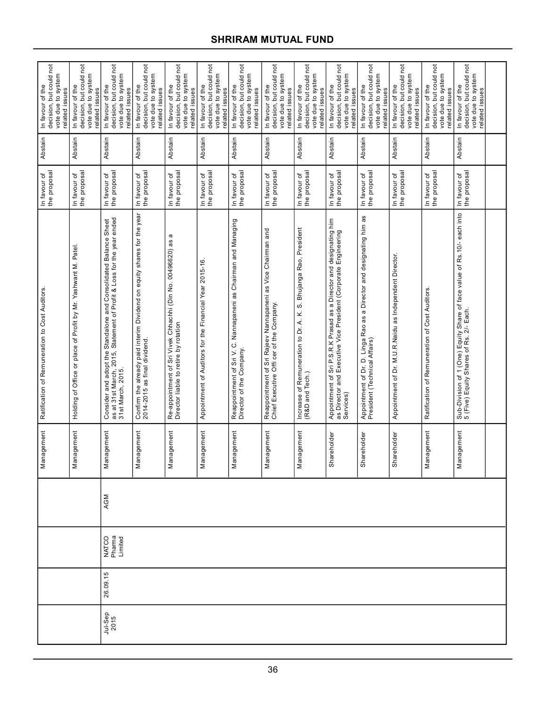|                 |          |                            |     | agement<br>Man          | Ratification of Remuneration to Cost Auditors                                                                                                                  | In favour of<br>the proposal | Abstain | decision, but could not<br>vote due to system<br>In favour of the<br>related issues |
|-----------------|----------|----------------------------|-----|-------------------------|----------------------------------------------------------------------------------------------------------------------------------------------------------------|------------------------------|---------|-------------------------------------------------------------------------------------|
|                 |          |                            |     | agement<br>Man          | Holding of Office or place of Profit by Mr. Yashwant M. Patel                                                                                                  | In favour of<br>the proposal | Abstain | decision, but could not<br>vote due to system<br>In favour of the<br>related issues |
| Jul-Sep<br>2015 | 26.09.15 | NATCO<br>Pharma<br>Limited | AGM | agement<br>Man          | Consider and adopt the Standalone and Consolidated Balance Sheet<br>as at 31st March, 2015, Statement of Profit & Loss for the year ended<br>31st March, 2015. | In favour of<br>the proposal | Abstain | decision, but could not<br>vote due to system<br>In favour of the<br>related issues |
|                 |          |                            |     | agement<br>Man          | Confirm the already paid interim Dividend on equity shares for the year<br>2014-2015 as final dividend.                                                        | In favour of<br>the proposal | Abstain | In favour of the<br>decision, but could not<br>vote due to system<br>related issues |
|                 |          |                            |     | agement<br>Man          | a<br>Re-appointment of Sri Vivek Chhachhi (Din No. 00496620) as<br>Director liable to retire by rotation                                                       | In favour of<br>the proposal | Abstain | decision, but could not<br>vote due to system<br>In favour of the<br>related issues |
|                 |          |                            |     | agement<br>Man          | Appointment of Auditors for the Financial Year 2015-16                                                                                                         | In favour of<br>the proposal | Abstain | decision, but could not<br>vote due to system<br>In favour of the<br>related issues |
|                 |          |                            |     | agement<br>Man          | Nannapaneni as Chairman and Managing<br>Reappointment of Sri V.C.<br>Director of the Company.                                                                  | In favour of<br>the proposal | Abstain | decision, but could not<br>vote due to system<br>In favour of the<br>related issues |
|                 |          |                            |     | agement<br>Man          | Reappointment of Sri Rajeev Nannapaneni as Vice Chairman and<br>Chief Executive Offi cer of the Company.                                                       | In favour of<br>the proposal | Abstain | decision, but could not<br>vote due to system<br>In favour of the<br>related issues |
|                 |          |                            |     | agement<br>Man          | S. Bhujanga Rao, President<br>Increase of Remuneration to Dr. A. K.<br>(R&D and Tech.)                                                                         | the proposal<br>In favour of | Abstain | decision, but could not<br>vote due to system<br>In favour of the<br>related issues |
|                 |          |                            |     | Shareholder             | Appointment of Sri P.S.R.K Prasad as a Director and designating him<br>as Director and Executive Vice President (Corporate Engineering<br>Services)            | In favour of<br>the proposal | Abstain | decision, but could not<br>vote due to system<br>In favour of the<br>related issues |
|                 |          |                            |     | <b>ureholder</b><br>Sha | Appointment of Dr. D. Linga Rao as a Director and designating him as<br>President (Technical Affairs)                                                          | In favour of<br>the proposal | Abstain | decision, but could not<br>vote due to system<br>In favour of the<br>related issues |
|                 |          |                            |     | ireholder<br>Sha        | Appointment of Dr. M.U.R.Naidu as Independent Director.                                                                                                        | In favour of<br>the proposal | Abstain | decision, but could not<br>vote due to system<br>related issues<br>In favour of the |
|                 |          |                            |     | agement<br>Man          | Ratification of Remuneration of Cost Auditors                                                                                                                  | In favour of<br>the proposal | Abstain | decision, but could not<br>vote due to system<br>In favour of the<br>related issues |
|                 |          |                            |     | agement<br>Man          | Sub-Division of 1 (One) Equity Share of face value of Rs.10/- each into<br>5 (Five) Equity Shares of Rs. 2/- Each.                                             | In favour of<br>the proposal | Abstain | decision, but could not<br>vote due to system<br>In favour of the<br>related issues |
|                 |          |                            |     |                         |                                                                                                                                                                |                              |         |                                                                                     |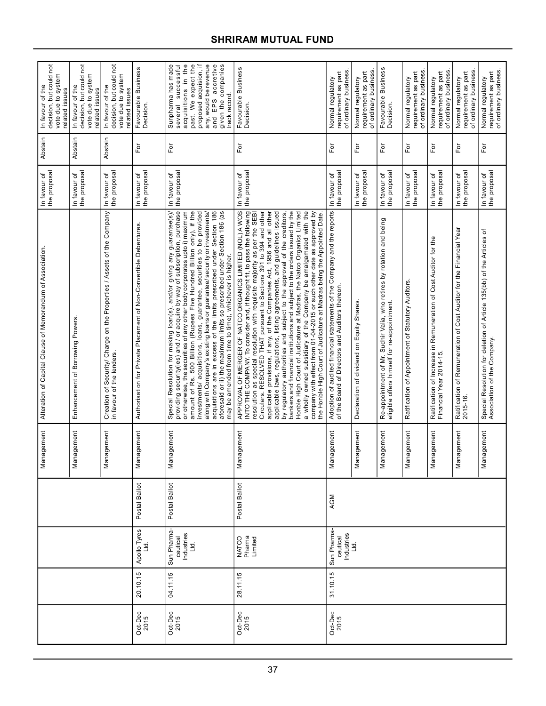| decision, but could not<br>vote due to system<br>In favour of the<br>related issues | decision, but could not<br>vote due to system<br>In favour of the<br>related issues | decision, but could not<br>vote due to system<br>In favour of the<br>related issues                 | Favourable Business<br>Decision.                                  | acquisitions in the<br>past. We expect the<br>proposed acquision, if<br>any, would be revenue<br>and EPS accretive<br>given the companies<br>Sunpharma has made<br>successful<br>track record.<br>and EPS<br>several                                                                                                                                                                                                                                                                                                                                                                                                                                                            | Favourable Business<br>Decision.                                                                                                                                                                                                                                                                                                                                                                                                                                                                                                                                                                                                                                                                                                                                                                                                                                                                      | of ordinary business<br>requirement as part<br>Normal regulatory                                                           | of ordinary business<br>requirement as part<br>Normal regulatory | Favourable Business<br>Decision.                                                                                                          | of ordinary business<br>requirement as part<br>Normal regulatory | of ordinary business<br>requirement as part<br>Normal regulatory                            | of ordinary business<br>requirement as part<br>Normal regulatory                | requirement as part<br>of ordinary business<br>Normal regulatory                                     |
|-------------------------------------------------------------------------------------|-------------------------------------------------------------------------------------|-----------------------------------------------------------------------------------------------------|-------------------------------------------------------------------|---------------------------------------------------------------------------------------------------------------------------------------------------------------------------------------------------------------------------------------------------------------------------------------------------------------------------------------------------------------------------------------------------------------------------------------------------------------------------------------------------------------------------------------------------------------------------------------------------------------------------------------------------------------------------------|-------------------------------------------------------------------------------------------------------------------------------------------------------------------------------------------------------------------------------------------------------------------------------------------------------------------------------------------------------------------------------------------------------------------------------------------------------------------------------------------------------------------------------------------------------------------------------------------------------------------------------------------------------------------------------------------------------------------------------------------------------------------------------------------------------------------------------------------------------------------------------------------------------|----------------------------------------------------------------------------------------------------------------------------|------------------------------------------------------------------|-------------------------------------------------------------------------------------------------------------------------------------------|------------------------------------------------------------------|---------------------------------------------------------------------------------------------|---------------------------------------------------------------------------------|------------------------------------------------------------------------------------------------------|
| Abstain                                                                             | Abstain                                                                             | Abstain                                                                                             | For                                                               | For                                                                                                                                                                                                                                                                                                                                                                                                                                                                                                                                                                                                                                                                             | $\mathsf{For}$                                                                                                                                                                                                                                                                                                                                                                                                                                                                                                                                                                                                                                                                                                                                                                                                                                                                                        | For                                                                                                                        | For                                                              | For                                                                                                                                       | $F$ or                                                           | For                                                                                         | Ĕō                                                                              | For                                                                                                  |
| the proposal<br>In favour of                                                        | the proposal<br>In favour of                                                        | the proposal<br>In favour of                                                                        | the proposal<br>In favour of                                      | the proposal<br>In favour of                                                                                                                                                                                                                                                                                                                                                                                                                                                                                                                                                                                                                                                    | the proposal<br>In favour of                                                                                                                                                                                                                                                                                                                                                                                                                                                                                                                                                                                                                                                                                                                                                                                                                                                                          | the proposal<br>In favour of                                                                                               | the proposal<br>In favour of                                     | the proposal<br>In favour of                                                                                                              | the proposal<br>In favour of                                     | In favour of<br>the proposal                                                                | the proposal<br>In favour of                                                    | the proposal<br>In favour of                                                                         |
| Alteration of Capital Clause of Memorandum of Association                           | Enhancement of Borrowing Powers                                                     | Creation of Security/ Charge on the Properties / Assets of the Company<br>in favour of the lenders. | Authorisation for Private Placement of Non-Convertible Debentures | Special Resolution for making loan(s), and/or giving any guarantee(s)/<br>providing security(ies) and / or acquire by way of subscription, purchase<br>or otherwise, the securities of any other body corporates upto i) maximum<br>acquisitions are in excess of the limits prescribed under Section 186<br>aforesaid or ii) the maximum limits so prescribed under Section 186 (as<br>amount of Rs. 500 Billion (Rupees Five Hundred Billion only), if the<br>investments/ acquisitions, loans, guarantee, securities to be provided<br>along with Company's existing loans or guarantee/ security or investments.<br>may be amended from time to time), whichever is higher. | APPROVAL OF MERGER OF NATCO ORGANICS LIMITED (NOL) A WOS<br>INTO THE COMPANY. To consider and, if thought fit, to pass the following<br>Honble High Court of Judicature at Madras, the Natco Organics Limited<br>a wholly owned subsidiary of the Company be amalgamated with the<br>applicable laws, regulations, listing agreements, and guidelines issued<br>by regulatory authorities and subject to the approval of the creditors,<br>bankers and financial institutions and subject to the orders issued by the<br>Circulars. RESOLVED THAT pursuant to Sections 391 to 394 and other<br>company with effect from 01-04-2015 or such other date as approved by<br>resolution as special resolution with requisite majority as per the SEBI<br>applicable provisions, if any, of the Companies Act, 1956 and all other<br>the Honble High Court of Judicature at Madras being the Appointed Date | Adoption of audited financial statements of the Company and the reports<br>of the Board of Directors and Auditors thereon. | Declaration of dividend on Equity Shares                         | Sudhir Valia, who retires by rotation and being<br>Re-appointment of Mr. Sudhir Valia, who<br>eligible offers himself for re-appointment. | Ratification of Appointment of Statutory Auditors.               | Ratification of Increase in Remuneration of Cost Auditor for the<br>Financial Year 2014-15. | Ratification of Remuneration of Cost Auditor for the Financial Year<br>2015-16. | Special Resolution for deletion of Article 135(bb) of the Articles of<br>Association of the Company. |
| Management                                                                          | Management                                                                          | Management                                                                                          | Management                                                        | Management                                                                                                                                                                                                                                                                                                                                                                                                                                                                                                                                                                                                                                                                      | Management                                                                                                                                                                                                                                                                                                                                                                                                                                                                                                                                                                                                                                                                                                                                                                                                                                                                                            | Management                                                                                                                 | Management                                                       | Management                                                                                                                                | Management                                                       | Management                                                                                  | Management                                                                      | Management                                                                                           |
|                                                                                     |                                                                                     |                                                                                                     | Postal Ballot                                                     | Postal Ballot                                                                                                                                                                                                                                                                                                                                                                                                                                                                                                                                                                                                                                                                   | Postal Ballot                                                                                                                                                                                                                                                                                                                                                                                                                                                                                                                                                                                                                                                                                                                                                                                                                                                                                         | AGM                                                                                                                        |                                                                  |                                                                                                                                           |                                                                  |                                                                                             |                                                                                 |                                                                                                      |
|                                                                                     |                                                                                     |                                                                                                     | Apollo Tyres                                                      | Sun Pharma-<br>Industries<br>Ltd.<br>ceutical                                                                                                                                                                                                                                                                                                                                                                                                                                                                                                                                                                                                                                   | NATCO<br>Pharma<br>Limited                                                                                                                                                                                                                                                                                                                                                                                                                                                                                                                                                                                                                                                                                                                                                                                                                                                                            | Sun Pharma-<br>Industries<br>Ltd.<br>ceutical                                                                              |                                                                  |                                                                                                                                           |                                                                  |                                                                                             |                                                                                 |                                                                                                      |
|                                                                                     |                                                                                     |                                                                                                     | 20.10.15                                                          | 04.11.15                                                                                                                                                                                                                                                                                                                                                                                                                                                                                                                                                                                                                                                                        | 28.11.15                                                                                                                                                                                                                                                                                                                                                                                                                                                                                                                                                                                                                                                                                                                                                                                                                                                                                              | 31.10.15                                                                                                                   |                                                                  |                                                                                                                                           |                                                                  |                                                                                             |                                                                                 |                                                                                                      |
|                                                                                     |                                                                                     |                                                                                                     | Oct-Dec<br>2015                                                   | Oct-Dec<br>2015                                                                                                                                                                                                                                                                                                                                                                                                                                                                                                                                                                                                                                                                 | Oct-Dec<br>2015                                                                                                                                                                                                                                                                                                                                                                                                                                                                                                                                                                                                                                                                                                                                                                                                                                                                                       | Oct-Dec<br>2015                                                                                                            |                                                                  |                                                                                                                                           |                                                                  |                                                                                             |                                                                                 |                                                                                                      |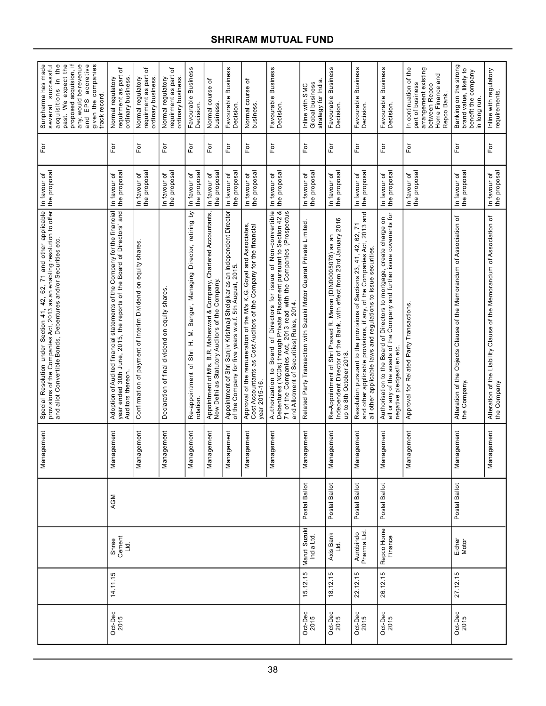| ≔<br>Sunpharma has made<br>successful<br>the<br>past. We expect the<br>any, would be revenue<br>accretive<br>given the companies<br>track record.<br>proposed acquision,<br>acquisitions in<br>and EPS<br>several  | ৳<br>requirment as part<br>Normal regulatory<br>ordinary business.                                                                                                       | ৳<br>requirment as part<br>ordinary business.<br>Normal regulatory | đ<br>requirment as part<br>Normal regulatory<br>ordinary business. | <b>Business</b><br>Favourable<br>Decision.                                       | Normal course of<br>business                                                                                            | <b>Business</b><br>Favourable<br>Decision.                                                                                         | Normal course of<br>business.                                                                                                                            | Favourable Business<br>Decision.                                                                                                                                                                                                                           | strategy for India<br>Global business<br>Inline with SMC            | Favourable Business<br>Decision.                                                                                                                              | <b>Business</b><br>Favourable I<br>Decision.                                                                                                                                                                      | Favourable Business<br>Decision.                                                                                                                                               | In continuation of the<br>arrangement existing<br>Home Finance and<br>part of business<br>between Repco<br>Repco Bank. | Banking on the strong<br>brand value, likely to<br>benefit the company<br>in long run. | Inline with regulatory<br>requirements.                                               |
|--------------------------------------------------------------------------------------------------------------------------------------------------------------------------------------------------------------------|--------------------------------------------------------------------------------------------------------------------------------------------------------------------------|--------------------------------------------------------------------|--------------------------------------------------------------------|----------------------------------------------------------------------------------|-------------------------------------------------------------------------------------------------------------------------|------------------------------------------------------------------------------------------------------------------------------------|----------------------------------------------------------------------------------------------------------------------------------------------------------|------------------------------------------------------------------------------------------------------------------------------------------------------------------------------------------------------------------------------------------------------------|---------------------------------------------------------------------|---------------------------------------------------------------------------------------------------------------------------------------------------------------|-------------------------------------------------------------------------------------------------------------------------------------------------------------------------------------------------------------------|--------------------------------------------------------------------------------------------------------------------------------------------------------------------------------|------------------------------------------------------------------------------------------------------------------------|----------------------------------------------------------------------------------------|---------------------------------------------------------------------------------------|
| For                                                                                                                                                                                                                | $F$ or                                                                                                                                                                   | For                                                                | $\overline{\rm F}$ or                                              | For                                                                              | For                                                                                                                     | For                                                                                                                                | $\bar{\rm e}$                                                                                                                                            | For                                                                                                                                                                                                                                                        | $\bar{\rm e}$                                                       | For                                                                                                                                                           | $\overline{\rm e}$                                                                                                                                                                                                | $F$ or                                                                                                                                                                         | For                                                                                                                    | For                                                                                    | For                                                                                   |
| In favour of<br>the proposal                                                                                                                                                                                       | the proposal<br>In favour of                                                                                                                                             | the proposal<br>In favour of                                       | the proposal<br>In favour of                                       | the proposa<br>In favour of                                                      | the proposa<br>In favour of                                                                                             | the proposa<br>In favour of                                                                                                        | the proposal<br>In favour of                                                                                                                             | the proposal<br>In favour of                                                                                                                                                                                                                               | In favour of<br>the proposal                                        | In favour of<br>the proposal                                                                                                                                  | the proposal<br>In favour of                                                                                                                                                                                      | In favour of<br>the proposal                                                                                                                                                   | In favour of<br>the proposal                                                                                           | In favour of<br>the proposal                                                           | In favour of<br>the proposal                                                          |
| Special Resolution under Section 41, 42, 62, 71 and other applicable<br>provisions of the Companies Act, 2013 as an enabling resolution to offer<br>and allot Convertible Bonds, Debentures and/or Securities etc. | Adoption of Audited financial statements of the Company for the financial<br>year ended 30th June, 2015, the reports of the Board of Directors' and<br>Auditors thereon. | Confirmation of payment of Interim Dividend on equity shares.      | Declaration of final dividend on equity shares                     | Re-appointment of Shri H. M. Bangur, Managing Director, retiring by<br>rotation. | Appointment of M/s. B.R. Maheswari & Company, Chartered Accountants,<br>New Delhi as Statutory Auditors of the Company. | Appointment of Shri Sanjiv Krishnaji Shelgikar as an Independent Director<br>of the Company for five years w.e.f. 5th August, 2015 | Approval of the remuneration of the M/s K.G. Goyal and Associates<br>Cost Accountants as Cost Auditors of the Company for the financial<br>year 2015-16. | Authorization to Board of Directors for issue of Non-convertible<br>Debentures (NCDs) through Private Placement pursuant to Section 42 &<br>71 of the Companies Act, 2013 read with the Companies (Prospectus<br>and Allotment of Securities) Rules, 2014. | Related Party Transaction with Suzuki Motor Gujarat Private Limited | Re-Appointment of Shri Prasad R. Menon (DIN00005078) as an<br>Independent Director of the Bank, with effect from 23rd January 2016<br>up to 8th October 2018. | Resolution pursuant to the provisions of Sections 23, 41, 42, 62, 71<br>and other applicable provisions, if any, of the Companies Act, 2013 and<br>all other applicable laws and regulations to issue securities. | Authorisation to the Board of Directors to mortgage, create charge on<br>all or any of the assets of the Company and further issue covenants for<br>negative pledges/lien etc. | Approval for Related Party Transactions.                                                                               | Alteration of the Objects Clause of the Memorandum of Association of<br>the Company.   | Alteration of the Liability Clause of the Memorandum of Association of<br>the Company |
| Management                                                                                                                                                                                                         | Management                                                                                                                                                               | Management                                                         | Management                                                         | nagement<br>Μai                                                                  | nagement<br>Σã                                                                                                          | nagement<br>$\overline{\mathbf{z}}$                                                                                                | Management                                                                                                                                               | Management                                                                                                                                                                                                                                                 | Management                                                          | Management                                                                                                                                                    | Management                                                                                                                                                                                                        | Management                                                                                                                                                                     | Management                                                                                                             | Management                                                                             | Management                                                                            |
|                                                                                                                                                                                                                    | AGM                                                                                                                                                                      |                                                                    |                                                                    |                                                                                  |                                                                                                                         |                                                                                                                                    |                                                                                                                                                          |                                                                                                                                                                                                                                                            | Postal Ballot                                                       | Postal Ballot                                                                                                                                                 | Postal Ballot                                                                                                                                                                                                     | Postal Ballot                                                                                                                                                                  |                                                                                                                        | Postal Ballot                                                                          |                                                                                       |
|                                                                                                                                                                                                                    | Shree<br>Cement<br>Ltd.                                                                                                                                                  |                                                                    |                                                                    |                                                                                  |                                                                                                                         |                                                                                                                                    |                                                                                                                                                          |                                                                                                                                                                                                                                                            | Maruti Suzuki<br>India Ltd.                                         | Axis Bank<br>Ltd.                                                                                                                                             | Aurobindo<br>Pharma Ltd.                                                                                                                                                                                          | Repco Home                                                                                                                                                                     |                                                                                                                        | Eicher<br>Motor                                                                        |                                                                                       |
|                                                                                                                                                                                                                    | 14.11.15                                                                                                                                                                 |                                                                    |                                                                    |                                                                                  |                                                                                                                         |                                                                                                                                    |                                                                                                                                                          |                                                                                                                                                                                                                                                            | 15.12.15                                                            | 18.12.15                                                                                                                                                      | 22.12.15                                                                                                                                                                                                          | 26.12.15                                                                                                                                                                       |                                                                                                                        | 27.12.15                                                                               |                                                                                       |
|                                                                                                                                                                                                                    | Oct-Dec<br>2015                                                                                                                                                          |                                                                    |                                                                    |                                                                                  |                                                                                                                         |                                                                                                                                    |                                                                                                                                                          |                                                                                                                                                                                                                                                            | Oct-Dec<br>2015                                                     | Oct-Dec<br>2015                                                                                                                                               | Oct-Dec<br>2015                                                                                                                                                                                                   | Oct-Dec<br>2015                                                                                                                                                                |                                                                                                                        | Oct-Dec<br>2015                                                                        |                                                                                       |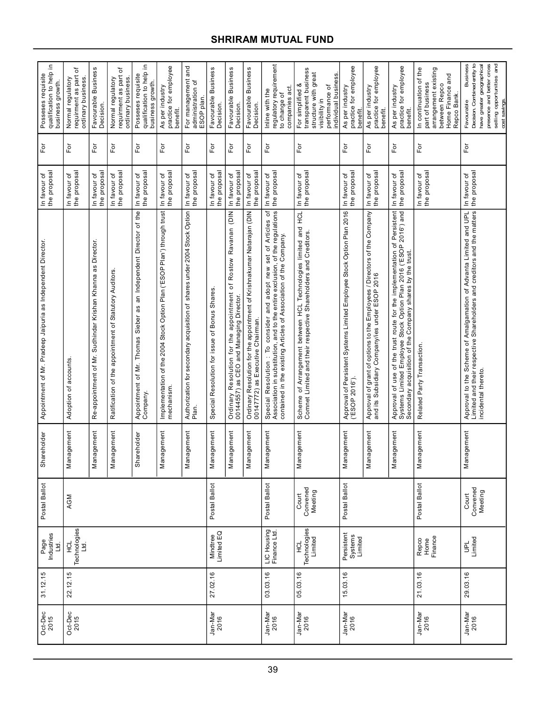| Ξ.<br>qualification to help<br>Posseses requisite<br>business growth. | ৳<br>requirment as part<br>Normal regulatory<br>ordinary business | Favourable Business<br>Decision.                           | đ<br>requirment as part<br>Normal regulatory<br>ordinary business | 으<br>qualification to help<br>Posseses requisite<br>business growth.              | practice for employee<br>As per industry<br>benefit                                    | For management and<br>administration of<br>ESOP plan                                  | Favourable Business<br><b>Decision</b>        | Favourable Business<br>Decision.                                                                                                          | Favourable Business<br>Decision.                                                                           | regulatory requirement<br>companies act<br>Inline with the<br>to change of                                                                                                                                            | transparent business<br>structure with great<br>individual business<br>For simplified &<br>performance of<br>visibility in        | practice for employee<br>As per industry<br>benefit                                      | practice for employee<br>As per industry<br>benefit                                                                        | practice for employee<br>As per industry<br>benefit                                                                                                                                                       | In continuation of the<br>part of business<br>arrangement existing<br>Home Finance and<br>between Repco<br>Repco Bank | Business<br>Decision. Combined entity to<br>presence and better cross<br>have greater geographical<br>selling opportunities and<br>Favourable<br>cost savings       |
|-----------------------------------------------------------------------|-------------------------------------------------------------------|------------------------------------------------------------|-------------------------------------------------------------------|-----------------------------------------------------------------------------------|----------------------------------------------------------------------------------------|---------------------------------------------------------------------------------------|-----------------------------------------------|-------------------------------------------------------------------------------------------------------------------------------------------|------------------------------------------------------------------------------------------------------------|-----------------------------------------------------------------------------------------------------------------------------------------------------------------------------------------------------------------------|-----------------------------------------------------------------------------------------------------------------------------------|------------------------------------------------------------------------------------------|----------------------------------------------------------------------------------------------------------------------------|-----------------------------------------------------------------------------------------------------------------------------------------------------------------------------------------------------------|-----------------------------------------------------------------------------------------------------------------------|---------------------------------------------------------------------------------------------------------------------------------------------------------------------|
| For                                                                   | Ĕ                                                                 | $\overline{F}$ or                                          | $\mathsf{F}\mathsf{or}$                                           | $\bar{F}$ or                                                                      | For                                                                                    | For                                                                                   | $\overline{\mathsf{F}}$ or                    | Ēδr                                                                                                                                       | $\overline{F}$                                                                                             | Ĕō                                                                                                                                                                                                                    | For                                                                                                                               | Γō                                                                                       | For                                                                                                                        | For                                                                                                                                                                                                       | For                                                                                                                   | For                                                                                                                                                                 |
| the proposal<br>In favour of                                          | In favour of<br>the proposal                                      | the proposal<br>In favour of                               | In favour of<br>the proposal                                      | the proposal<br>In favour of                                                      | the proposal<br>In favour of                                                           | the proposal<br>In favour of                                                          | the proposal<br>In favour of                  | the proposa<br>In favour of                                                                                                               | the proposal<br>In favour of                                                                               | the proposal<br>In favour of                                                                                                                                                                                          | the proposal<br>In favour of                                                                                                      | the proposal<br>In favour of                                                             | the proposal<br>đ<br>In favour                                                                                             | the proposal<br>đ<br>In favour                                                                                                                                                                            | In favour of<br>the proposal                                                                                          | the proposal<br>In favour of                                                                                                                                        |
| Appointment of Mr. Pradeep Jaipuria as Independent Director           | Adoption of accounts                                              | Re-appointment of Mr. Sudhindar Krishan Khanna as Director | Ratification of the appointment of Statutory Auditors.            | an Independent Director of the<br>Appointment of Mr. Thomas Sieber as<br>Company. | Implementation of the 2004 Stock Option Plan ('ESOP Plan') through trust<br>mechanism. | shares under 2004 Stock Option<br>Authorization for secondary acquisition of<br>Plan. | Special Resolution for issue of Bonus Shares. | NIQ)<br>Ravanan<br>Rostow<br>ŏ<br>for the appointment<br>Ordinary Resolution for the appointmen<br>00144557) as CEO and Managing Director | Ordinary Resolution for the appointment of Krishnakumar Natarajan (DIN<br>00147772) as Executive Chairman. | Special Resolution: To consider and adopt new set of Articles of<br>Association in substitution, and to the entire exclusion, of the regulations<br>contained in the existing Articles of Association of the Company. | Scheme of Arrangement between HCL Technologies limited and HCL<br>Comnet Limited and their respective Shareholders and Creditors. | Approval of Persistent Systems Limited Employee Stock Option Plan 2016<br>('ESOP 2016'). | Approval of grant of options to the Employees / Directors of the Company<br>and its Subsidiary Company/ies under ESOP 2016 | Approval of use of the trust route for the implementation of Persistent<br>Systems Limited Employee Stock Option Plan 2016 ('ESOP 2016') and<br>Secondary acquisition of the Company shares by the trust. | Related Party Transaction.                                                                                            | Approval to the Scheme of Amalgamation of Advanta Limited and UPL<br>Limited and their respective Shareholders and creditors and the matters<br>incidental thereto. |
| Shareholder                                                           | lagement<br>Nar                                                   | lagement<br>Nar                                            | nagement<br>Nar                                                   | Shareholder                                                                       | Management                                                                             | Management                                                                            | Management                                    | lagement<br>Mar                                                                                                                           | agement<br>Nar                                                                                             | lagement<br>Man                                                                                                                                                                                                       | lagement<br>Nar                                                                                                                   | Management                                                                               | lagement<br>Mar                                                                                                            | agement<br>Nar                                                                                                                                                                                            | agement<br>Nar                                                                                                        | nagement<br>$\overline{\mathsf{M}}$ ar                                                                                                                              |
| Postal Ballot                                                         | AGM                                                               |                                                            |                                                                   |                                                                                   |                                                                                        |                                                                                       | Postal Ballot                                 |                                                                                                                                           |                                                                                                            | Postal Ballot                                                                                                                                                                                                         | Convened<br>Meeting<br>Court                                                                                                      | Postal Ballot                                                                            |                                                                                                                            |                                                                                                                                                                                                           | Postal Ballot                                                                                                         | Convened<br>Meeting<br>Court                                                                                                                                        |
| Industries<br>Ltd.<br>Page                                            | Technologies<br>로                                                 |                                                            |                                                                   |                                                                                   |                                                                                        |                                                                                       | Mindtree<br>Limited EQ                        |                                                                                                                                           |                                                                                                            | LIC Housing<br>Finance Ltd.                                                                                                                                                                                           | Technologies<br>덮                                                                                                                 | Persistent<br>Systems<br>Limited                                                         |                                                                                                                            |                                                                                                                                                                                                           | Repco<br>Home<br>Finance                                                                                              | UPL<br>Limited                                                                                                                                                      |
| 31.12.15                                                              | 22.12.15                                                          |                                                            |                                                                   |                                                                                   |                                                                                        |                                                                                       | 27.02.16                                      |                                                                                                                                           |                                                                                                            | 03.03.16                                                                                                                                                                                                              | 05.03.16                                                                                                                          | 15.03.16                                                                                 |                                                                                                                            |                                                                                                                                                                                                           | 21.03.16                                                                                                              | 29.03.16                                                                                                                                                            |
| Oct-Dec<br>2015                                                       | Oct-Dec<br>2015                                                   |                                                            |                                                                   |                                                                                   |                                                                                        |                                                                                       | Jan-Mar<br>2016                               |                                                                                                                                           |                                                                                                            | Jan-Mar<br>2016                                                                                                                                                                                                       | Jan-Mar<br>2016                                                                                                                   | Jan-Mar<br>2016                                                                          |                                                                                                                            |                                                                                                                                                                                                           | Jan-Mar<br>2016                                                                                                       | Jan-Mar<br>2016                                                                                                                                                     |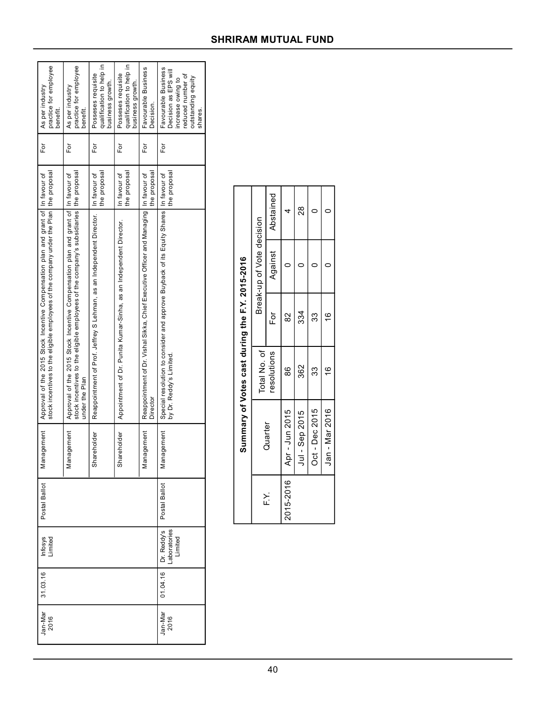| practice for employee<br>As per industry<br>benefit.                                                                                                                        | practice for employee<br>As per industry<br>benefit.                                                                                                                                          | qualification to help in<br>Posseses requisite<br>business growth.   | qualification to help in<br>Posseses requisite<br>business growth  | Favourable Business<br>Decision.                                                                   | Favourable Business<br>Decision as EPS will<br>reduced number of<br>outstanding equity<br>increase owing to<br>shares. |
|-----------------------------------------------------------------------------------------------------------------------------------------------------------------------------|-----------------------------------------------------------------------------------------------------------------------------------------------------------------------------------------------|----------------------------------------------------------------------|--------------------------------------------------------------------|----------------------------------------------------------------------------------------------------|------------------------------------------------------------------------------------------------------------------------|
| ūΕ                                                                                                                                                                          | For                                                                                                                                                                                           | For                                                                  | ūΕ                                                                 | For                                                                                                | For                                                                                                                    |
|                                                                                                                                                                             |                                                                                                                                                                                               | the proposal<br>In favour of                                         | the proposal<br>In favour of                                       | the proposal                                                                                       | the proposal                                                                                                           |
| stock incentives to the eligible employees of the company under the Plan   the proposal<br>Approval of the 2015 Stock Incentive Compensation plan and grant of In favour of | stock incentives to the eligible employees of the company's subsidiaries   the proposal<br>Approval of the 2015 Stock Incentive Compensation plan and grant of In favour of<br>under the Plan | Reappointment of Prof. Jeffrey S Lehman, as an Independent Director. | Appointment of Dr. Punita Kumar-Sinha, as an Independent Director. | Reappointment of Dr. Vishal Sikka, Chief Executive Officer and Managing   In favour of<br>Director | Special resolution to consider and approve Buyback of its Equity Shares   In favour of<br>by Dr. Reddy's Limited       |
| iagement<br>Σã                                                                                                                                                              | iagement<br>īēM                                                                                                                                                                               | Shareholder                                                          | Shareholder                                                        | Management                                                                                         | Management                                                                                                             |
| Postal Ballot                                                                                                                                                               |                                                                                                                                                                                               |                                                                      |                                                                    |                                                                                                    | Postal Ballot                                                                                                          |
| Infosys<br>Limited                                                                                                                                                          |                                                                                                                                                                                               |                                                                      |                                                                    |                                                                                                    | $01.04.16$ $Dr. Reddy's$<br>Laboratories<br>Limited                                                                    |
| 31.03.16                                                                                                                                                                    |                                                                                                                                                                                               |                                                                      |                                                                    |                                                                                                    |                                                                                                                        |
| Jan-Mar<br>2016                                                                                                                                                             |                                                                                                                                                                                               |                                                                      |                                                                    |                                                                                                    | Jan-Mar<br>2016                                                                                                        |

|          | Summary of Votes cast during the F.Y. 2015-2016 |                      |                                |                           |               |
|----------|-------------------------------------------------|----------------------|--------------------------------|---------------------------|---------------|
|          |                                                 | Total No. of         |                                | Break-up of Vote decision |               |
| بر<br>سا | Quarter                                         | resolutions          | io∃                            | Against                   | Abstained     |
|          | 2015-2016   Apr - Jun 2015                      | 86<br>8              | $\approx$                      |                           |               |
|          | Jul - Sep 2015                                  | 362                  | 334                            |                           | $\frac{8}{2}$ |
|          | Oct - Dec 2015                                  | 33                   | 33                             |                           |               |
|          | Jan - Mar 2016                                  | $\overset{\circ}{=}$ | $\overset{\circ}{\rightarrow}$ |                           |               |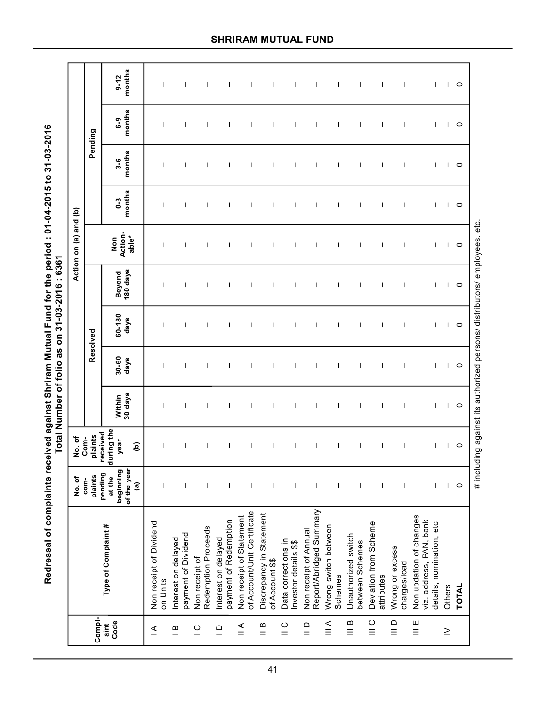Redressal of complaints received against Shriram Mutual Fund for the period : 01-04-2015 to 31-03-2016<br>Total Number of folio as on 31-03-2016 : 6361 **Redressal of complaints received against Shriram Mutual Fund for the period : 01-04-2015 to 31-03-2016 Total Number of folio as on 31-03-2016 : 6361**

|                                       |                                                                                | No. of                                                                  | No.of                                           |                               |                               |                  |                                                                      | Action on (a) and (b)         |                               |                               |                               |                               |
|---------------------------------------|--------------------------------------------------------------------------------|-------------------------------------------------------------------------|-------------------------------------------------|-------------------------------|-------------------------------|------------------|----------------------------------------------------------------------|-------------------------------|-------------------------------|-------------------------------|-------------------------------|-------------------------------|
| Compl-                                |                                                                                | plaints<br>com-                                                         | plaints<br>Com-                                 |                               |                               | Resolved         |                                                                      |                               |                               |                               | Pending                       |                               |
| Code<br>aint                          | Type of Complaint#                                                             | of the year<br>beginning<br>pending<br>at the<br>$\widehat{\mathbf{e}}$ | during the<br>received<br>year<br>$\widehat{e}$ | Within<br>30 days             | $30 - 60$<br>days             | 60-180<br>days   | 180 days<br>Beyond                                                   | Action-<br>able*<br>Non       | months<br>$0 - 3$             | months<br>$3-6$               | months<br><b>ი</b><br>ბ       | months<br>$9 - 12$            |
| $\leq$                                | Non receipt of Dividend<br>on Units                                            | $\mathbf{I}$                                                            | $\mathbf{I}$                                    | $\mathbf{I}$                  | $\mathsf{I}$                  | $\mathbf{I}$     | $\mathbf{I}$                                                         | $\mathbf{I}$                  | $\mathbf{I}$                  | $\mathbf{I}$                  | $\mathbf{I}$                  | $\mathbf{I}$                  |
| $\mathbf  m$                          | payment of Dividend<br>Interest on delayed                                     | $\mathbf{I}$                                                            | $\mathbf{I}$                                    | $\mathbf{I}$                  | $\mathbf{I}$                  | $\mathbf{I}$     | $\mathbf{I}$                                                         | $\mathbf{I}$                  | $\mathbf{I}$                  | $\mathbf{I}$                  | $\mathbf{I}$                  | $\mathbf{I}$                  |
| $\overline{C}$                        | Redemption Proceeds<br>Non receipt of                                          | $\mathbf{I}$                                                            | $\mathbf{I}$                                    | $\mathbf{I}$                  | $\mathbf{I}$                  | $\mathbf{I}$     | $\mathbf{I}$                                                         | $\mathbf{I}$                  | $\mathbf{I}$                  | $\mathbf{I}$                  | $\mathbf{I}$                  | $\mathbf{I}$                  |
| $\supseteq$                           | payment of Redemption<br>Interest on delayed                                   | $\mathbf{I}$                                                            | $\mathbf{I}$                                    | $\mathbf{I}$                  | $\mathbf{I}$                  | $\mathbf{I}$     | $\mathbf{I}$                                                         | $\mathbf{I}$                  | $\mathbf{I}$                  | $\mathbf{I}$                  | $\mathbf{I}$                  | $\mathbf{I}$                  |
| $\leq$                                | of Account/Unit Certificate<br>Non receipt of Statement                        | $\mathbf{I}$                                                            | $\mathbf{I}$                                    | $\mathbf{I}$                  | $\mathbf{I}$                  | $\mathbf{I}$     | $\mathbf{I}$                                                         | $\mathbf{I}$                  | $\mathbf{I}$                  | $\mathbf{I}$                  | $\mathbf{I}$                  | $\mathbf{I}$                  |
| $\frac{8}{11}$                        | Discrepancy in Statement<br>of Account \$\$                                    | $\mathbf{I}$                                                            | T                                               | $\mathsf{I}$                  | $\mathsf{I}$                  | $\mathbf{I}$     | $\mathbf{I}$                                                         | $\mathsf{I}$                  | T                             | $\mathbf{I}$                  | $\mathsf{I}$                  | $\mathbf{I}$                  |
| $\frac{0}{1}$                         | Data corrections in<br>Investor details \$\$                                   | J.                                                                      | $\mathbf{I}$                                    | $\mathsf{I}$                  | $\mathbf{I}$                  | $\mathbf{I}$     | $\mathbf{I}$                                                         | $\mathbf{I}$                  | $\mathbf{I}$                  | $\mathbf{I}$                  | $\mathbf{I}$                  | $\mathbf{I}$                  |
| $\frac{0}{1}$                         | Report/Abridged Summary<br>Non receipt of Annual                               | $\mathbf{I}$                                                            | $\mathbf{I}$                                    | $\mathbf{I}$                  | $\mathbf{I}$                  | $\mathbf{I}$     | $\mathbf{I}$                                                         | $\mathbf{I}$                  | $\mathbf{I}$                  | $\mathbf{I}$                  | $\mathbf{I}$                  | $\mathbf{I}$                  |
| $\stackrel{\leq}{\equiv}$             | Wrong switch between<br>Schemes                                                | $\mathbf{I}$                                                            | $\mathbf{I}$                                    | $\mathbf{I}$                  | $\mathbf{I}$                  | $\mathbf{I}$     | $\mathbf{I}$                                                         | $\mathbf{I}$                  | $\mathbf{I}$                  | $\mathbf{I}$                  | $\mathbf{I}$                  | $\mathbf{I}$                  |
| $\mathbf  \, \mathbf  \,$<br>$\equiv$ | Unauthorized switch<br>between Schemes                                         | J.                                                                      | $\mathbf{I}$                                    | J.                            | I                             | $\mathbf{I}$     | $\mathbf{I}$                                                         | $\mathbf{I}$                  | T                             | J.                            | $\mathbf{I}$                  | T                             |
| $\circ$<br>$\equiv$                   | Deviation from Scheme<br>attributes                                            | $\mathbf{I}$                                                            | $\mathbf{I}$                                    | $\mathbf{I}$                  | $\mathbf{I}$                  | $\mathbf{I}$     | $\mathbf{I}$                                                         | $\mathbf{I}$                  | $\mathbf{I}$                  | $\mathbf{I}$                  | $\mathbf{I}$                  | $\mathbf{I}$                  |
| $\supseteq$                           | Wrong or excess<br>charges/load                                                | $\mathbf{I}$                                                            | T                                               | $\mathbf{I}$                  | T                             | $\mathbf{I}$     | T                                                                    | $\mathbf{I}$                  | T                             | $\mathbf{I}$                  | $\mathbf{I}$                  | $\mathbf{I}$                  |
| Ш<br>$\equiv$                         | Non updation of changes<br>viz. address, PAN, bank<br>details, nomination, etc | $\mathbf{I}$                                                            | $\mathbf{I}$                                    | $\mathbf{I}$                  | $\mathsf{I}$                  | $\mathsf{I}$     | $\mathbf{I}$                                                         | $\mathbf{I}$                  | $\mathbf{I}$                  | T.                            | $\mathbf{I}$                  | $\mathbf{L}$                  |
| $\geq$                                | Others                                                                         | $\mathbf{L}$                                                            |                                                 |                               |                               |                  |                                                                      |                               |                               |                               |                               |                               |
|                                       | TOTAL                                                                          | $\circ$                                                                 | $\overline{1}$ $\overline{0}$                   | $\overline{1}$ $\overline{0}$ | $\overline{1}$ $\overline{0}$ | $\overline{1}$ 0 | $\overline{1}$ 0                                                     | $\overline{1}$ $\overline{0}$ | $\overline{1}$ $\overline{0}$ | $\overline{1}$ $\overline{0}$ | $\overline{1}$ $\overline{0}$ | $\overline{1}$ $\overline{0}$ |
|                                       |                                                                                |                                                                         |                                                 |                               |                               |                  | # including against its authorized persons/ distributors/ employees. | etc.                          |                               |                               |                               |                               |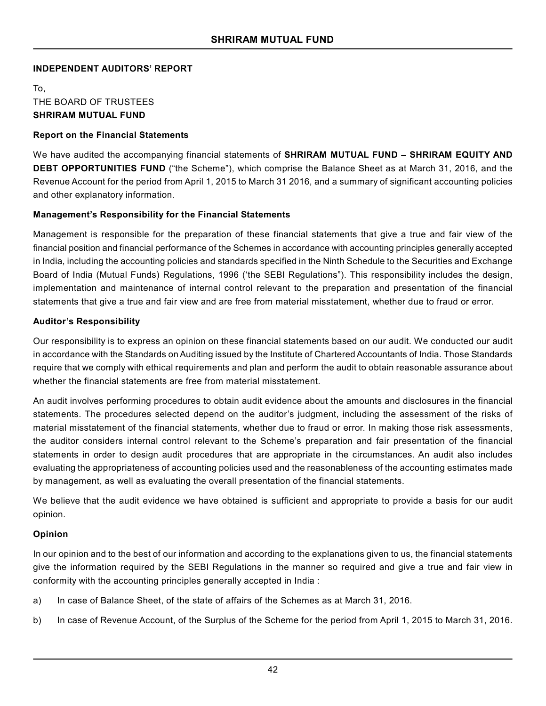# **INDEPENDENT AUDITORS' REPORT**

To, THE BOARD OF TRUSTEES **SHRIRAM MUTUAL FUND**

# **Report on the Financial Statements**

We have audited the accompanying financial statements of **SHRIRAM MUTUAL FUND – SHRIRAM EQUITY AND DEBT OPPORTUNITIES FUND** ("the Scheme"), which comprise the Balance Sheet as at March 31, 2016, and the Revenue Account for the period from April 1, 2015 to March 31 2016, and a summary of significant accounting policies and other explanatory information.

# **Management's Responsibility for the Financial Statements**

Management is responsible for the preparation of these financial statements that give a true and fair view of the financial position and financial performance of the Schemes in accordance with accounting principles generally accepted in India, including the accounting policies and standards specified in the Ninth Schedule to the Securities and Exchange Board of India (Mutual Funds) Regulations, 1996 ('the SEBI Regulations"). This responsibility includes the design, implementation and maintenance of internal control relevant to the preparation and presentation of the financial statements that give a true and fair view and are free from material misstatement, whether due to fraud or error.

# **Auditor's Responsibility**

Our responsibility is to express an opinion on these financial statements based on our audit. We conducted our audit in accordance with the Standards on Auditing issued by the Institute of Chartered Accountants of India. Those Standards require that we comply with ethical requirements and plan and perform the audit to obtain reasonable assurance about whether the financial statements are free from material misstatement.

An audit involves performing procedures to obtain audit evidence about the amounts and disclosures in the financial statements. The procedures selected depend on the auditor's judgment, including the assessment of the risks of material misstatement of the financial statements, whether due to fraud or error. In making those risk assessments, the auditor considers internal control relevant to the Scheme's preparation and fair presentation of the financial statements in order to design audit procedures that are appropriate in the circumstances. An audit also includes evaluating the appropriateness of accounting policies used and the reasonableness of the accounting estimates made by management, as well as evaluating the overall presentation of the financial statements.

We believe that the audit evidence we have obtained is sufficient and appropriate to provide a basis for our audit opinion.

# **Opinion**

In our opinion and to the best of our information and according to the explanations given to us, the financial statements give the information required by the SEBI Regulations in the manner so required and give a true and fair view in conformity with the accounting principles generally accepted in India :

- a) In case of Balance Sheet, of the state of affairs of the Schemes as at March 31, 2016.
- b) In case of Revenue Account, of the Surplus of the Scheme for the period from April 1, 2015 to March 31, 2016.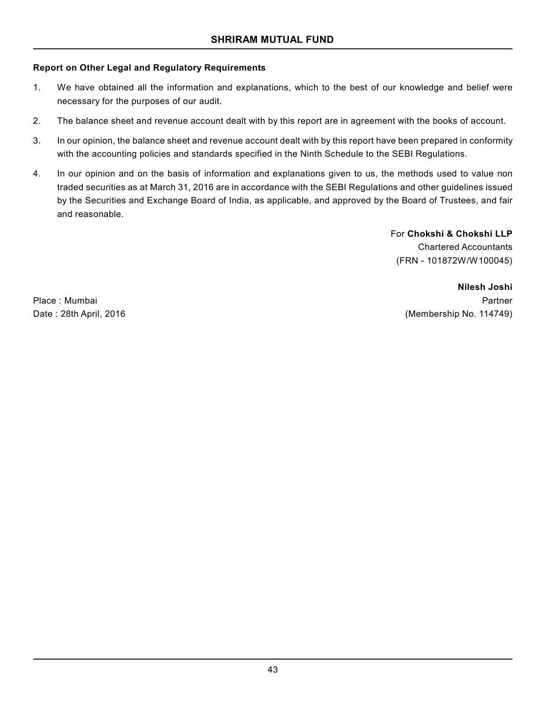# **Report on Other Legal and Regulatory Requirements**

- 1. We have obtained all the information and explanations, which to the best of our knowledge and belief were necessary for the purposes of our audit.
- 2. The balance sheet and revenue account dealt with by this report are in agreement with the books of account.
- 3. In our opinion, the balance sheet and revenue account dealt with by this report have been prepared in conformity with the accounting policies and standards specified in the Ninth Schedule to the SEBI Regulations.
- 4. In our opinion and on the basis of information and explanations given to us, the methods used to value non traded securities as at March 31, 2016 are in accordance with the SEBI Regulations and other guidelines issued by the Securities and Exchange Board of India, as applicable, and approved by the Board of Trustees, and fair and reasonable.

For **Chokshi & Chokshi LLP** Chartered Accountants (FRN - 101872W/W100045)

**Nilesh Joshi** Place : Mumbai Partner Date : 28th April, 2016 **(Membership No. 114749)**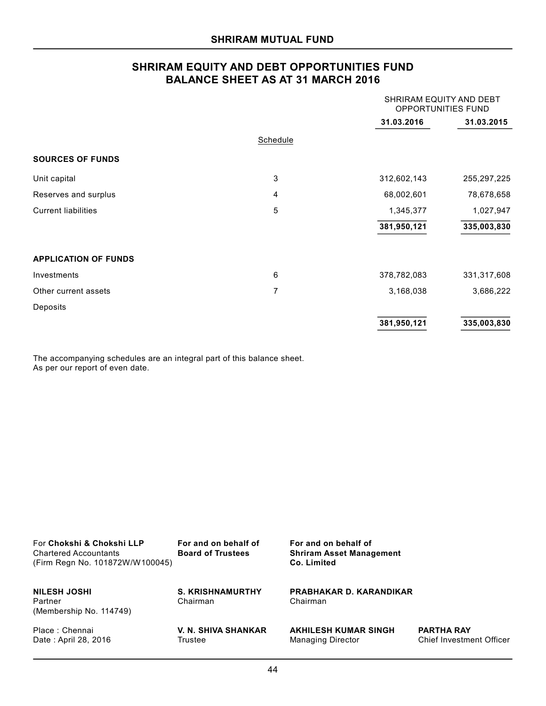# **SHRIRAM EQUITY AND DEBT OPPORTUNITIES FUND BALANCE SHEET AS AT 31 MARCH 2016**

|                             |                 | SHRIRAM EQUITY AND DEBT<br>OPPORTUNITIES FUND |               |
|-----------------------------|-----------------|-----------------------------------------------|---------------|
|                             |                 | 31.03.2016                                    | 31.03.2015    |
|                             | <b>Schedule</b> |                                               |               |
| <b>SOURCES OF FUNDS</b>     |                 |                                               |               |
| Unit capital                | 3               | 312,602,143                                   | 255, 297, 225 |
| Reserves and surplus        | 4               | 68,002,601                                    | 78,678,658    |
| <b>Current liabilities</b>  | 5               | 1,345,377                                     | 1,027,947     |
|                             |                 | 381,950,121                                   | 335,003,830   |
| <b>APPLICATION OF FUNDS</b> |                 |                                               |               |
| Investments                 | 6               | 378,782,083                                   | 331,317,608   |
| Other current assets        | 7               | 3,168,038                                     | 3,686,222     |
| Deposits                    |                 |                                               |               |
|                             |                 | 381,950,121                                   | 335,003,830   |

The accompanying schedules are an integral part of this balance sheet. As per our report of even date.

| For Chokshi & Chokshi LLP<br><b>Chartered Accountants</b><br>(Firm Regn No. 101872W/W100045) | For and on behalf of<br><b>Board of Trustees</b> | For and on behalf of<br><b>Shriram Asset Management</b><br>Co. Limited |                                                      |
|----------------------------------------------------------------------------------------------|--------------------------------------------------|------------------------------------------------------------------------|------------------------------------------------------|
| <b>NILESH JOSHI</b><br>Partner<br>(Membership No. 114749)                                    | <b>S. KRISHNAMURTHY</b><br>Chairman              | <b>PRABHAKAR D. KARANDIKAR</b><br>Chairman                             |                                                      |
| Place: Chennai<br>Date: April 28, 2016                                                       | <b>V. N. SHIVA SHANKAR</b><br>Trustee            | <b>AKHILESH KUMAR SINGH</b><br><b>Managing Director</b>                | <b>PARTHA RAY</b><br><b>Chief Investment Officer</b> |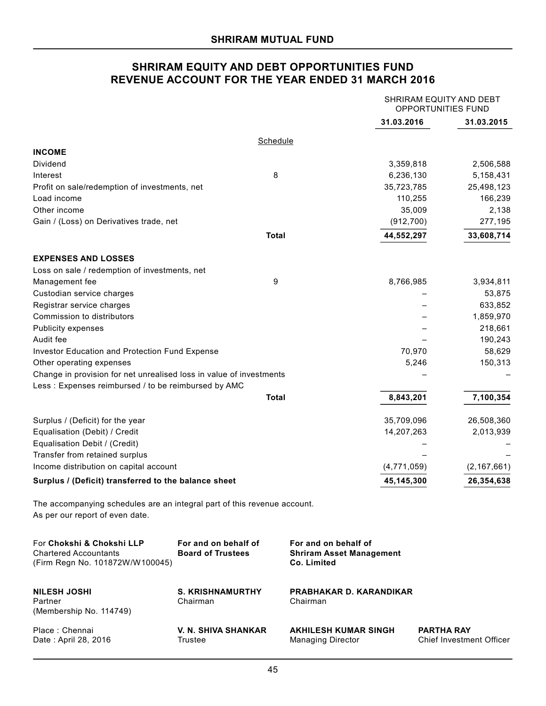# **SHRIRAM EQUITY AND DEBT OPPORTUNITIES FUND REVENUE ACCOUNT FOR THE YEAR ENDED 31 MARCH 2016**

|                                                                                                             |                                                  |                                                                        |             | SHRIRAM EQUITY AND DEBT<br>OPPORTUNITIES FUND        |       |
|-------------------------------------------------------------------------------------------------------------|--------------------------------------------------|------------------------------------------------------------------------|-------------|------------------------------------------------------|-------|
|                                                                                                             |                                                  |                                                                        | 31.03.2016  | 31.03.2015                                           |       |
|                                                                                                             | <b>Schedule</b>                                  |                                                                        |             |                                                      |       |
| <b>INCOME</b>                                                                                               |                                                  |                                                                        |             |                                                      |       |
| Dividend                                                                                                    |                                                  |                                                                        | 3,359,818   | 2,506,588                                            |       |
| Interest                                                                                                    | 8                                                |                                                                        | 6,236,130   | 5,158,431                                            |       |
| Profit on sale/redemption of investments, net                                                               |                                                  |                                                                        | 35,723,785  | 25,498,123                                           |       |
| Load income                                                                                                 |                                                  |                                                                        | 110,255     | 166,239                                              |       |
| Other income                                                                                                |                                                  |                                                                        | 35,009      |                                                      | 2,138 |
| Gain / (Loss) on Derivatives trade, net                                                                     |                                                  |                                                                        | (912, 700)  | 277,195                                              |       |
|                                                                                                             | <b>Total</b>                                     |                                                                        | 44,552,297  | 33,608,714                                           |       |
| <b>EXPENSES AND LOSSES</b>                                                                                  |                                                  |                                                                        |             |                                                      |       |
| Loss on sale / redemption of investments, net                                                               |                                                  |                                                                        |             |                                                      |       |
| Management fee                                                                                              | 9                                                |                                                                        | 8,766,985   | 3,934,811                                            |       |
| Custodian service charges                                                                                   |                                                  |                                                                        |             | 53,875                                               |       |
| Registrar service charges                                                                                   |                                                  |                                                                        |             | 633,852                                              |       |
| Commission to distributors                                                                                  |                                                  |                                                                        |             | 1,859,970                                            |       |
| <b>Publicity expenses</b>                                                                                   |                                                  |                                                                        |             | 218,661                                              |       |
| Audit fee                                                                                                   |                                                  |                                                                        |             | 190,243                                              |       |
| Investor Education and Protection Fund Expense                                                              |                                                  |                                                                        | 70,970      | 58,629                                               |       |
| Other operating expenses                                                                                    |                                                  |                                                                        | 5,246       | 150,313                                              |       |
| Change in provision for net unrealised loss in value of investments                                         |                                                  |                                                                        |             |                                                      |       |
| Less: Expenses reimbursed / to be reimbursed by AMC                                                         |                                                  |                                                                        |             |                                                      |       |
|                                                                                                             | <b>Total</b>                                     |                                                                        | 8,843,201   | 7,100,354                                            |       |
| Surplus / (Deficit) for the year                                                                            |                                                  |                                                                        | 35,709,096  | 26,508,360                                           |       |
| Equalisation (Debit) / Credit                                                                               |                                                  |                                                                        | 14,207,263  | 2,013,939                                            |       |
| Equalisation Debit / (Credit)                                                                               |                                                  |                                                                        |             |                                                      |       |
| Transfer from retained surplus                                                                              |                                                  |                                                                        |             |                                                      |       |
| Income distribution on capital account                                                                      |                                                  |                                                                        | (4,771,059) | (2, 167, 661)                                        |       |
| Surplus / (Deficit) transferred to the balance sheet                                                        |                                                  |                                                                        | 45,145,300  | 26,354,638                                           |       |
| The accompanying schedules are an integral part of this revenue account.<br>As per our report of even date. |                                                  |                                                                        |             |                                                      |       |
| For Chokshi & Chokshi LLP<br><b>Chartered Accountants</b><br>(Firm Regn No. 101872W/W100045)                | For and on behalf of<br><b>Board of Trustees</b> | For and on behalf of<br><b>Shriram Asset Management</b><br>Co. Limited |             |                                                      |       |
| <b>NILESH JOSHI</b><br>Partner<br>(Membership No. 114749)                                                   | <b>S. KRISHNAMURTHY</b><br>Chairman              | PRABHAKAR D. KARANDIKAR<br>Chairman                                    |             |                                                      |       |
| Place: Chennai<br>Date: April 28, 2016                                                                      | V. N. SHIVA SHANKAR<br>Trustee                   | <b>AKHILESH KUMAR SINGH</b><br><b>Managing Director</b>                |             | <b>PARTHA RAY</b><br><b>Chief Investment Officer</b> |       |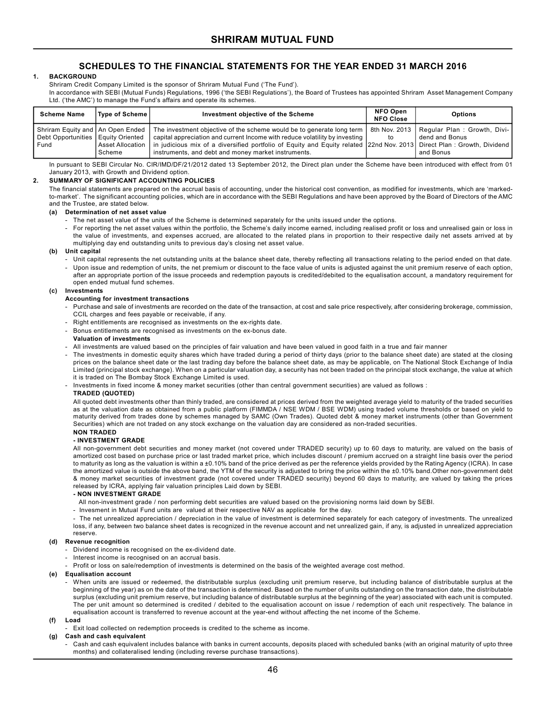#### **1. BACKGROUND**

Shriram Credit Company Limited is the sponsor of Shriram Mutual Fund ('The Fund').

In accordance with SEBI (Mutual Funds) Regulations, 1996 ('the SEBI Regulations'), the Board of Trustees has appointed Shriram Asset Management Company Ltd. ('the AMC') to manage the Fund's affairs and operate its schemes.

| <b>Scheme Name</b>                                                                 | Type of Scheme               | Investment objective of the Scheme                                                                                                                                                                                                                                                                       | NFO Open<br><b>NFO Close</b> | <b>Options</b>                                                                              |
|------------------------------------------------------------------------------------|------------------------------|----------------------------------------------------------------------------------------------------------------------------------------------------------------------------------------------------------------------------------------------------------------------------------------------------------|------------------------------|---------------------------------------------------------------------------------------------|
| Shriram Equity and   An Open Ended<br>Debt Opportunities   Equity Oriented<br>Fund | l Asset Allocation<br>Scheme | The investment objective of the scheme would be to generate long term  <br>capital appreciation and current Income with reduce volatility by investing<br>in judicious mix of a diversified portfolio of Equity and Equity related 22nd Nov. 2013<br>instruments, and debt and money market instruments. | 8th Nov. 2013 1<br>to        | Regular Plan: Growth, Divi-<br>dend and Bonus<br>Direct Plan: Growth, Dividend<br>and Bonus |

In pursuant to SEBI Circular No. CIR/IMD/DF/21/2012 dated 13 September 2012, the Direct plan under the Scheme have been introduced with effect from 01 January 2013, with Growth and Dividend option.

#### **2. SUMMARY OF SIGNIFICANT ACCOUNTING POLICIES**

The financial statements are prepared on the accrual basis of accounting, under the historical cost convention, as modified for investments, which are 'markedto-market'. The significant accounting policies, which are in accordance with the SEBI Regulations and have been approved by the Board of Directors of the AMC and the Trustee, are stated below.

#### **(a) Determination of net asset value**

- The net asset value of the units of the Scheme is determined separately for the units issued under the options.
- For reporting the net asset values within the portfolio, the Scheme's daily income earned, including realised profit or loss and unrealised gain or loss in the value of investments, and expenses accrued, are allocated to the related plans in proportion to their respective daily net assets arrived at by multiplying day end outstanding units to previous day's closing net asset value.

#### **(b) Unit capital**

- Unit capital represents the net outstanding units at the balance sheet date, thereby reflecting all transactions relating to the period ended on that date.
- Upon issue and redemption of units, the net premium or discount to the face value of units is adjusted against the unit premium reserve of each option, after an appropriate portion of the issue proceeds and redemption payouts is credited/debited to the equalisation account, a mandatory requirement for open ended mutual fund schemes.

#### **(c) Investments**

#### **Accounting for investment transactions**

- Purchase and sale of investments are recorded on the date of the transaction, at cost and sale price respectively, after considering brokerage, commission, CCIL charges and fees payable or receivable, if any
- Right entitlements are recognised as investments on the ex-rights date.
- Bonus entitlements are recognised as investments on the ex-bonus date.

#### **Valuation of investments**

- All investments are valued based on the principles of fair valuation and have been valued in good faith in a true and fair manner
- The investments in domestic equity shares which have traded during a period of thirty days (prior to the balance sheet date) are stated at the closing prices on the balance sheet date or the last trading day before the balance sheet date, as may be applicable, on The National Stock Exchange of India Limited (principal stock exchange). When on a particular valuation day, a security has not been traded on the principal stock exchange, the value at which it is traded on The Bombay Stock Exchange Limited is used.
- Investments in fixed income & money market securities (other than central government securities) are valued as follows :

#### **TRADED (QUOTED)**

All quoted debt investments other than thinly traded, are considered at prices derived from the weighted average yield to maturity of the traded securities as at the valuation date as obtained from a public platform (FIMMDA / NSE WDM / BSE WDM) using traded volume thresholds or based on yield to maturity derived from trades done by schemes managed by SAMC (Own Trades). Quoted debt & money market instruments (other than Government Securities) which are not traded on any stock exchange on the valuation day are considered as non-traded securities.

# **NON TRADED**

#### **- INVESTMENT GRADE**

All non-government debt securities and money market (not covered under TRADED security) up to 60 days to maturity, are valued on the basis of amortized cost based on purchase price or last traded market price, which includes discount / premium accrued on a straight line basis over the period to maturity as long as the valuation is within a ±0.10% band of the price derived as per the reference yields provided by the Rating Agency (ICRA). In case the amortized value is outside the above band, the YTM of the security is adjusted to bring the price within the ±0.10% band. Other non-government debt & money market securities of investment grade (not covered under TRADED security) beyond 60 days to maturity, are valued by taking the prices released by ICRA, applying fair valuation principles Laid down by SEBI.

#### **- NON INVESTMENT GRADE**

All non-investment grade / non performing debt securities are valued based on the provisioning norms laid down by SEBI.

- Invesment in Mutual Fund units are valued at their respective NAV as applicable for the day.

- The net unrealized appreciation / depreciation in the value of investment is determined separately for each category of investments. The unrealized loss, if any, between two balance sheet dates is recognized in the revenue account and net unrealized gain, if any, is adjusted in unrealized appreciation reserve.

#### **(d) Revenue recognition**

- Dividend income is recognised on the ex-dividend date.
- Interest income is recognised on an accrual basis.
- Profit or loss on sale/redemption of investments is determined on the basis of the weighted average cost method.

#### **(e) Equalisation account**

- When units are issued or redeemed, the distributable surplus (excluding unit premium reserve, but including balance of distributable surplus at the beginning of the year) as on the date of the transaction is determined. Based on the number of units outstanding on the transaction date, the distributable surplus (excluding unit premium reserve, but including balance of distributable surplus at the beginning of the year) associated with each unit is computed. The per unit amount so determined is credited / debited to the equalisation account on issue / redemption of each unit respectively. The balance in equalisation account is transferred to revenue account at the year-end without affecting the net income of the Scheme.
- **(f) Load**
	- Exit load collected on redemption proceeds is credited to the scheme as income.

#### **(g) Cash and cash equivalent**

Cash and cash equivalent includes balance with banks in current accounts, deposits placed with scheduled banks (with an original maturity of upto three months) and collateralised lending (including reverse purchase transactions).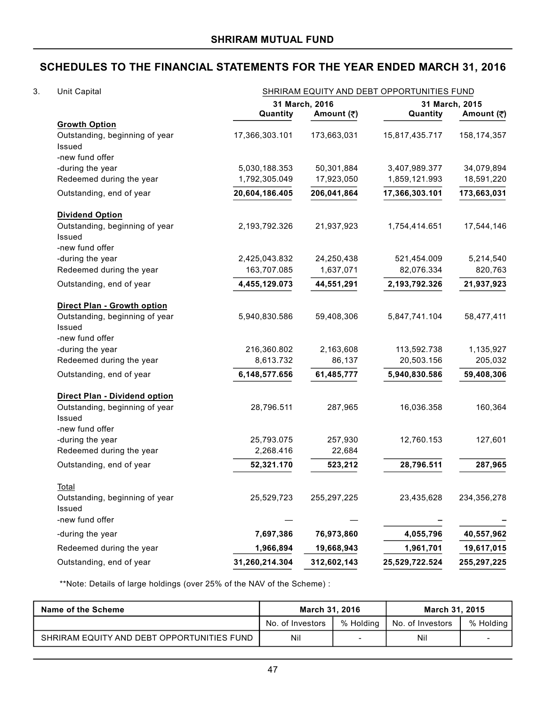| 3. | Unit Capital                                                     |                          |                              | SHRIRAM EQUITY AND DEBT OPPORTUNITIES FUND |                              |
|----|------------------------------------------------------------------|--------------------------|------------------------------|--------------------------------------------|------------------------------|
|    |                                                                  | Quantity                 | 31 March, 2016<br>Amount (₹) | Quantity                                   | 31 March, 2015<br>Amount (₹) |
|    | <b>Growth Option</b><br>Outstanding, beginning of year<br>Issued | 17,366,303.101           | 173,663,031                  | 15,817,435.717                             | 158, 174, 357                |
|    | -new fund offer                                                  |                          |                              |                                            |                              |
|    | -during the year                                                 | 5,030,188.353            | 50,301,884                   | 3,407,989.377                              | 34,079,894                   |
|    | Redeemed during the year                                         | 1,792,305.049            | 17,923,050                   | 1,859,121.993                              | 18,591,220                   |
|    | Outstanding, end of year                                         | 20,604,186.405           | 206,041,864                  | 17,366,303.101                             | 173,663,031                  |
|    | <b>Dividend Option</b>                                           |                          |                              |                                            |                              |
|    | Outstanding, beginning of year<br>Issued<br>-new fund offer      | 2,193,792.326            | 21,937,923                   | 1,754,414.651                              | 17,544,146                   |
|    | -during the year                                                 | 2,425,043.832            | 24,250,438                   | 521,454.009                                | 5,214,540                    |
|    | Redeemed during the year                                         | 163,707.085              | 1,637,071                    | 82,076.334                                 | 820,763                      |
|    | Outstanding, end of year                                         | 4,455,129.073            | 44,551,291                   | 2,193,792.326                              | 21,937,923                   |
|    | Direct Plan - Growth option                                      |                          |                              |                                            |                              |
|    | Outstanding, beginning of year<br>Issued                         | 5,940,830.586            | 59,408,306                   | 5,847,741.104                              | 58,477,411                   |
|    | -new fund offer                                                  |                          | 2,163,608                    |                                            |                              |
|    | -during the year<br>Redeemed during the year                     | 216,360.802<br>8,613.732 | 86,137                       | 113,592.738<br>20,503.156                  | 1,135,927<br>205,032         |
|    | Outstanding, end of year                                         | 6,148,577.656            | 61,485,777                   | 5,940,830.586                              | 59,408,306                   |
|    | Direct Plan - Dividend option                                    |                          |                              |                                            |                              |
|    | Outstanding, beginning of year<br>Issued                         | 28,796.511               | 287,965                      | 16,036.358                                 | 160,364                      |
|    | -new fund offer<br>-during the year                              | 25,793.075               | 257,930                      | 12,760.153                                 | 127,601                      |
|    | Redeemed during the year                                         | 2,268.416                | 22,684                       |                                            |                              |
|    | Outstanding, end of year                                         | 52,321.170               | 523,212                      | 28,796.511                                 | 287,965                      |
|    | <b>Total</b>                                                     |                          |                              |                                            |                              |
|    | Outstanding, beginning of year<br>Issued                         | 25,529,723               | 255, 297, 225                | 23,435,628                                 | 234,356,278                  |
|    | -new fund offer                                                  |                          |                              |                                            |                              |
|    | -during the year                                                 | 7,697,386                | 76,973,860                   | 4,055,796                                  | 40,557,962                   |
|    | Redeemed during the year                                         | 1,966,894                | 19,668,943                   | 1,961,701                                  | 19,617,015                   |
|    | Outstanding, end of year                                         | 31,260,214.304           | 312,602,143                  | 25,529,722.524                             | 255,297,225                  |

\*\*Note: Details of large holdings (over 25% of the NAV of the Scheme) :

| Name of the Scheme                         | March 31, 2016   |           | March 31, 2015     |           |
|--------------------------------------------|------------------|-----------|--------------------|-----------|
|                                            | No. of Investors | % Holding | I No. of Investors | % Holding |
| SHRIRAM EQUITY AND DEBT OPPORTUNITIES FUND | Nil              |           | Nil                |           |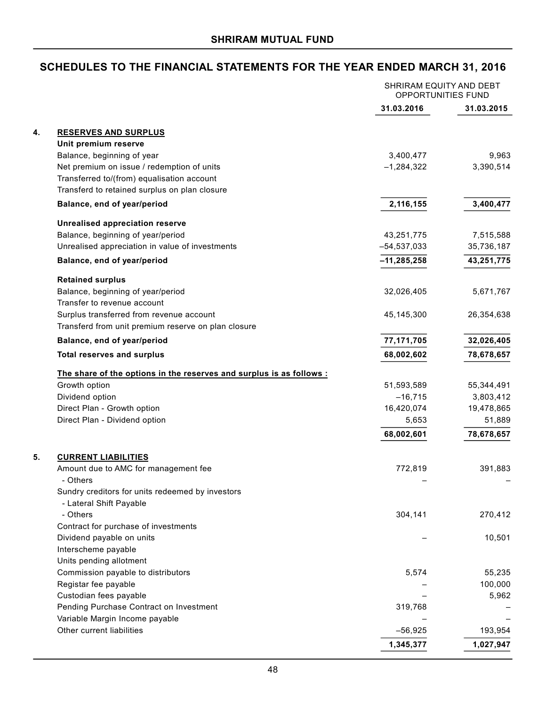|    |                                                                                                 | SHRIRAM EQUITY AND DEBT<br>OPPORTUNITIES FUND |            |
|----|-------------------------------------------------------------------------------------------------|-----------------------------------------------|------------|
|    |                                                                                                 | 31.03.2016                                    | 31.03.2015 |
| 4. | <b>RESERVES AND SURPLUS</b>                                                                     |                                               |            |
|    | Unit premium reserve                                                                            |                                               |            |
|    | Balance, beginning of year                                                                      | 3,400,477                                     | 9,963      |
|    | Net premium on issue / redemption of units                                                      | $-1,284,322$                                  | 3,390,514  |
|    | Transferred to/(from) equalisation account                                                      |                                               |            |
|    | Transferd to retained surplus on plan closure                                                   |                                               |            |
|    | Balance, end of year/period                                                                     | 2,116,155                                     | 3,400,477  |
|    | <b>Unrealised appreciation reserve</b>                                                          |                                               |            |
|    | Balance, beginning of year/period                                                               | 43,251,775                                    | 7,515,588  |
|    | Unrealised appreciation in value of investments                                                 | $-54,537,033$                                 | 35,736,187 |
|    | Balance, end of year/period                                                                     | $-11,285,258$                                 | 43,251,775 |
|    |                                                                                                 |                                               |            |
|    | <b>Retained surplus</b>                                                                         |                                               |            |
|    | Balance, beginning of year/period                                                               | 32,026,405                                    | 5,671,767  |
|    | Transfer to revenue account                                                                     |                                               |            |
|    | Surplus transferred from revenue account<br>Transferd from unit premium reserve on plan closure | 45,145,300                                    | 26,354,638 |
|    |                                                                                                 |                                               |            |
|    | Balance, end of year/period                                                                     | 77,171,705                                    | 32,026,405 |
|    | <b>Total reserves and surplus</b>                                                               | 68,002,602                                    | 78,678,657 |
|    | The share of the options in the reserves and surplus is as follows :                            |                                               |            |
|    | Growth option                                                                                   | 51,593,589                                    | 55,344,491 |
|    | Dividend option                                                                                 | $-16,715$                                     | 3,803,412  |
|    | Direct Plan - Growth option                                                                     | 16,420,074                                    | 19,478,865 |
|    | Direct Plan - Dividend option                                                                   | 5,653                                         | 51,889     |
|    |                                                                                                 | 68,002,601                                    | 78,678,657 |
| 5. | <b>CURRENT LIABILITIES</b>                                                                      |                                               |            |
|    | Amount due to AMC for management fee                                                            | 772,819                                       | 391,883    |
|    | Others                                                                                          |                                               |            |
|    | Sundry creditors for units redeemed by investors                                                |                                               |            |
|    | - Lateral Shift Payable                                                                         |                                               |            |
|    | - Others                                                                                        | 304,141                                       | 270,412    |
|    | Contract for purchase of investments                                                            |                                               |            |
|    | Dividend payable on units                                                                       |                                               | 10,501     |
|    | Interscheme payable                                                                             |                                               |            |
|    | Units pending allotment                                                                         |                                               |            |
|    | Commission payable to distributors                                                              | 5,574                                         | 55,235     |
|    | Registar fee payable                                                                            |                                               | 100,000    |
|    | Custodian fees payable                                                                          |                                               | 5,962      |
|    | Pending Purchase Contract on Investment                                                         | 319,768                                       |            |
|    | Variable Margin Income payable                                                                  |                                               |            |
|    | Other current liabilities                                                                       | $-56,925$                                     | 193,954    |
|    |                                                                                                 | 1,345,377                                     | 1,027,947  |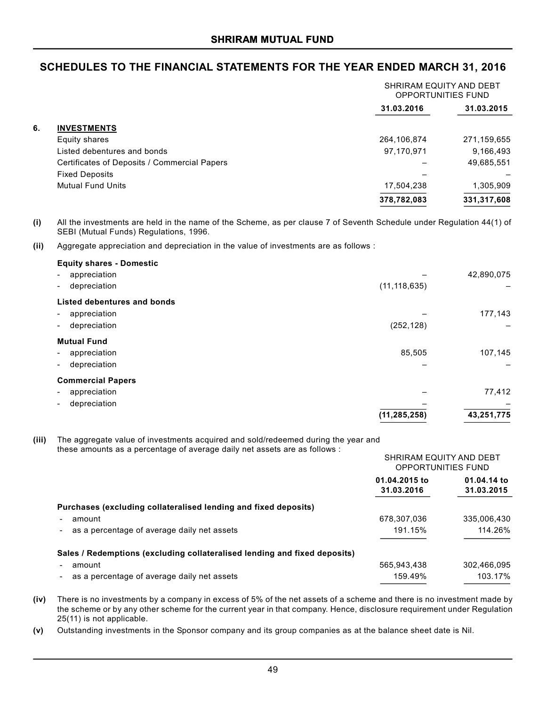|    |                                              | SHRIRAM EQUITY AND DEBT<br><b>OPPORTUNITIES FUND</b> |             |
|----|----------------------------------------------|------------------------------------------------------|-------------|
|    |                                              | 31.03.2016                                           | 31.03.2015  |
| 6. | <b>INVESTMENTS</b>                           |                                                      |             |
|    | Equity shares                                | 264,106,874                                          | 271,159,655 |
|    | Listed debentures and bonds                  | 97,170,971                                           | 9,166,493   |
|    | Certificates of Deposits / Commercial Papers |                                                      | 49,685,551  |
|    | <b>Fixed Deposits</b>                        |                                                      |             |
|    | <b>Mutual Fund Units</b>                     | 17,504,238                                           | 1,305,909   |
|    |                                              | 378,782,083                                          | 331,317,608 |
|    |                                              |                                                      |             |

**(i)** All the investments are held in the name of the Scheme, as per clause 7 of Seventh Schedule under Regulation 44(1) of SEBI (Mutual Funds) Regulations, 1996.

**(ii)** Aggregate appreciation and depreciation in the value of investments are as follows :

|                | 42,890,075 |
|----------------|------------|
| (11, 118, 635) |            |
|                |            |
|                | 177,143    |
| (252, 128)     |            |
|                |            |
| 85,505         | 107,145    |
|                |            |
|                |            |
|                | 77,412     |
|                |            |
| (11, 285, 258) | 43,251,775 |
|                |            |

**(iii)** The aggregate value of investments acquired and sold/redeemed during the year and these amounts as a percentage of average daily net assets are as follows :

| 01.04.2015 to<br>31.03.2016<br>Purchases (excluding collateralised lending and fixed deposits)<br>678,307,036<br>amount<br>191.15%<br>as a percentage of average daily net assets<br>Sales / Redemptions (excluding collateralised lending and fixed deposits)<br>565,943,438<br>amount<br>159.49%<br>as a percentage of average daily net assets | SHRIRAM EQUITY AND DEBT<br><b>OPPORTUNITIES FUND</b> |                           |
|---------------------------------------------------------------------------------------------------------------------------------------------------------------------------------------------------------------------------------------------------------------------------------------------------------------------------------------------------|------------------------------------------------------|---------------------------|
|                                                                                                                                                                                                                                                                                                                                                   |                                                      | 01.04.14 to<br>31.03.2015 |
|                                                                                                                                                                                                                                                                                                                                                   |                                                      |                           |
|                                                                                                                                                                                                                                                                                                                                                   |                                                      | 335,006,430               |
|                                                                                                                                                                                                                                                                                                                                                   |                                                      | 114.26%                   |
|                                                                                                                                                                                                                                                                                                                                                   |                                                      |                           |
|                                                                                                                                                                                                                                                                                                                                                   |                                                      | 302.466.095               |
|                                                                                                                                                                                                                                                                                                                                                   |                                                      | 103.17%                   |

**(iv)** There is no investments by a company in excess of 5% of the net assets of a scheme and there is no investment made by the scheme or by any other scheme for the current year in that company. Hence, disclosure requirement under Regulation 25(11) is not applicable.

**(v)** Outstanding investments in the Sponsor company and its group companies as at the balance sheet date is Nil.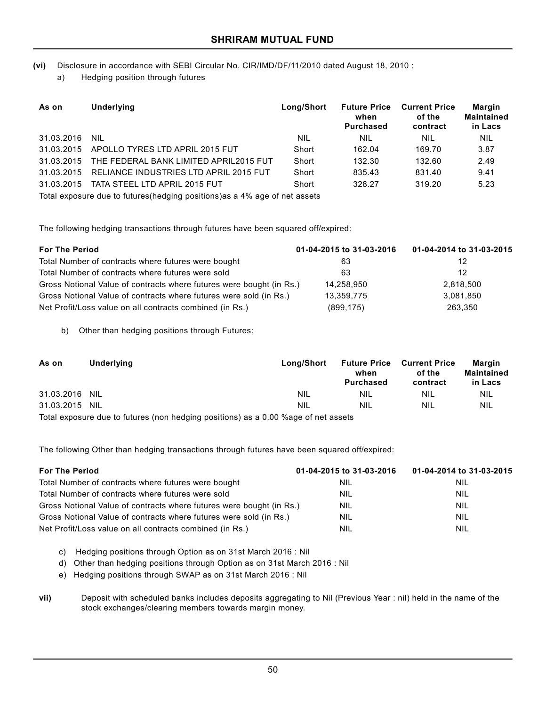**(vi)** Disclosure in accordance with SEBI Circular No. CIR/IMD/DF/11/2010 dated August 18, 2010 :

a) Hedging position through futures

| As on      | <b>Underlying</b>                                                           | Long/Short | <b>Future Price</b><br>when<br><b>Purchased</b> | <b>Current Price</b><br>of the<br>contract | <b>Margin</b><br><b>Maintained</b><br>in Lacs |  |  |
|------------|-----------------------------------------------------------------------------|------------|-------------------------------------------------|--------------------------------------------|-----------------------------------------------|--|--|
| 31.03.2016 | <b>NIL</b>                                                                  | <b>NIL</b> | NIL                                             | NIL                                        | <b>NIL</b>                                    |  |  |
| 31.03.2015 | APOLLO TYRES LTD APRIL 2015 FUT                                             | Short      | 162.04                                          | 169.70                                     | 3.87                                          |  |  |
| 31.03.2015 | THE FEDERAL BANK LIMITED APRIL2015 FUT                                      | Short      | 132.30                                          | 132.60                                     | 2.49                                          |  |  |
| 31.03.2015 | RELIANCE INDUSTRIES LTD APRIL 2015 FUT                                      | Short      | 835.43                                          | 831.40                                     | 9.41                                          |  |  |
| 31.03.2015 | TATA STEEL LTD APRIL 2015 FUT                                               | Short      | 328.27                                          | 319.20                                     | 5.23                                          |  |  |
|            | Total exposure due to futures (hedging positions) as a 4% age of net assets |            |                                                 |                                            |                                               |  |  |

The following hedging transactions through futures have been squared off/expired:

| <b>For The Period</b>                                                | 01-04-2015 to 31-03-2016 | 01-04-2014 to 31-03-2015 |
|----------------------------------------------------------------------|--------------------------|--------------------------|
| Total Number of contracts where futures were bought                  | 63                       | 12                       |
| Total Number of contracts where futures were sold                    | 63                       | 12                       |
| Gross Notional Value of contracts where futures were bought (in Rs.) | 14,258,950               | 2,818,500                |
| Gross Notional Value of contracts where futures were sold (in Rs.)   | 13,359,775               | 3,081,850                |
| Net Profit/Loss value on all contracts combined (in Rs.)             | (899, 175)               | 263.350                  |

b) Other than hedging positions through Futures:

| As on          | Underlying | Long/Short | when<br><b>Purchased</b> | <b>Future Price Current Price</b><br>of the<br>contract | Margin<br>Maintained<br>in Lacs |
|----------------|------------|------------|--------------------------|---------------------------------------------------------|---------------------------------|
| 31.03.2016 NIL |            | NIL        | <b>NIL</b>               | NIL                                                     | NIL                             |
| 31.03.2015 NIL |            | NIL        | <b>NIL</b>               | <b>NIL</b>                                              | <b>NIL</b>                      |
|                |            |            |                          |                                                         |                                 |

Total exposure due to futures (non hedging positions) as a 0.00 %age of net assets

The following Other than hedging transactions through futures have been squared off/expired:

| <b>For The Period</b>                                                | 01-04-2015 to 31-03-2016 | 01-04-2014 to 31-03-2015 |
|----------------------------------------------------------------------|--------------------------|--------------------------|
| Total Number of contracts where futures were bought                  | <b>NIL</b>               | <b>NIL</b>               |
| Total Number of contracts where futures were sold                    | <b>NIL</b>               | <b>NIL</b>               |
| Gross Notional Value of contracts where futures were bought (in Rs.) | NIL                      | <b>NIL</b>               |
| Gross Notional Value of contracts where futures were sold (in Rs.)   | NIL                      | <b>NIL</b>               |
| Net Profit/Loss value on all contracts combined (in Rs.)             | Nil                      | NIL                      |

c) Hedging positions through Option as on 31st March 2016 : Nil

d) Other than hedging positions through Option as on 31st March 2016 : Nil

e) Hedging positions through SWAP as on 31st March 2016 : Nil

**vii)** Deposit with scheduled banks includes deposits aggregating to Nil (Previous Year : nil) held in the name of the stock exchanges/clearing members towards margin money.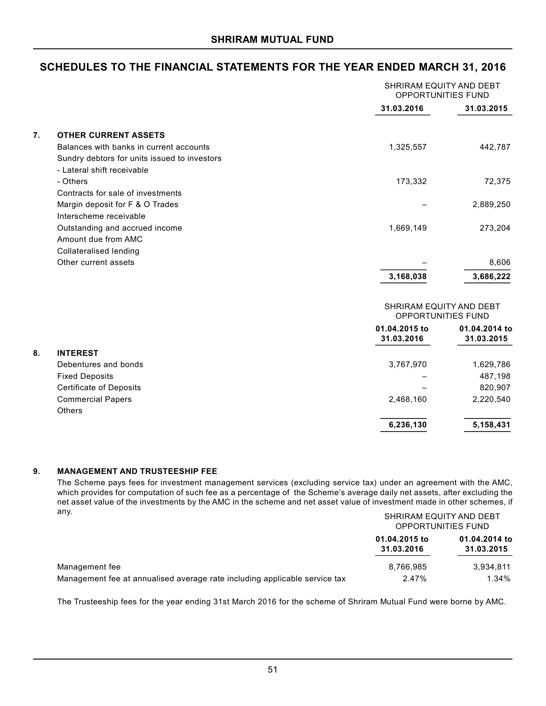|    |                                              | SHRIRAM EQUITY AND DEBT<br>OPPORTUNITIES FUND |                             |
|----|----------------------------------------------|-----------------------------------------------|-----------------------------|
|    |                                              | 31.03.2016                                    | 31.03.2015                  |
| 7. | <b>OTHER CURRENT ASSETS</b>                  |                                               |                             |
|    | Balances with banks in current accounts      | 1,325,557                                     | 442,787                     |
|    | Sundry debtors for units issued to investors |                                               |                             |
|    | - Lateral shift receivable                   |                                               |                             |
|    | - Others                                     | 173,332                                       | 72,375                      |
|    | Contracts for sale of investments            |                                               |                             |
|    | Margin deposit for F & O Trades              |                                               | 2,889,250                   |
|    | Interscheme receivable                       |                                               |                             |
|    | Outstanding and accrued income               | 1,669,149                                     | 273,204                     |
|    | Amount due from AMC                          |                                               |                             |
|    | <b>Collateralised lending</b>                |                                               |                             |
|    | Other current assets                         |                                               | 8,606                       |
|    |                                              | 3,168,038                                     | 3,686,222                   |
|    |                                              | SHRIRAM EQUITY AND DEBT<br>OPPORTUNITIES FUND |                             |
|    |                                              | 01.04.2015 to<br>31.03.2016                   | 01.04.2014 to<br>31.03.2015 |
| 8. | <b>INTEREST</b>                              |                                               |                             |
|    | Debentures and bonds                         | 3,767,970                                     | 1,629,786                   |
|    | <b>Fixed Deposits</b>                        |                                               | 487,198                     |
|    | <b>Certificate of Deposits</b>               |                                               | 820,907                     |
|    | <b>Commercial Papers</b>                     | 2,468,160                                     | 2,220,540                   |
|    | <b>Others</b>                                |                                               |                             |
|    |                                              | 6,236,130                                     | 5,158,431                   |

#### **9. MANAGEMENT AND TRUSTEESHIP FEE**

The Scheme pays fees for investment management services (excluding service tax) under an agreement with the AMC, which provides for computation of such fee as a percentage of the Scheme's average daily net assets, after excluding the net asset value of the investments by the AMC in the scheme and net asset value of investment made in other schemes, if any. SHRIRAM EQUITY AND DEBT

|                                                                            | SHRIRAM EQUITY AND DEBT<br>OPPORTUNITIES FUND |                             |  |
|----------------------------------------------------------------------------|-----------------------------------------------|-----------------------------|--|
|                                                                            | 01.04.2015 to<br>31.03.2016                   | 01.04.2014 to<br>31.03.2015 |  |
| Management fee                                                             | 8.766.985                                     | 3.934.811                   |  |
| Management fee at annualised average rate including applicable service tax | 2.47%                                         | $1.34\%$                    |  |

The Trusteeship fees for the year ending 31st March 2016 for the scheme of Shriram Mutual Fund were borne by AMC.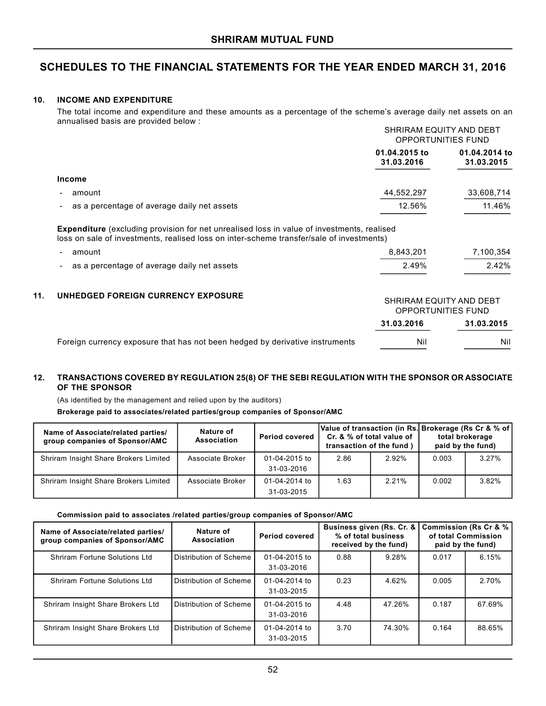#### **10. INCOME AND EXPENDITURE**

The total income and expenditure and these amounts as a percentage of the scheme's average daily net assets on an annualised basis are provided below :

|                                                                                                                                                                                               |                                               | SHRIRAM EQUITY AND DEBT<br>OPPORTUNITIES FUND |  |
|-----------------------------------------------------------------------------------------------------------------------------------------------------------------------------------------------|-----------------------------------------------|-----------------------------------------------|--|
|                                                                                                                                                                                               | 01.04.2015 to<br>31.03.2016                   | 01.04.2014 to<br>31.03.2015                   |  |
| <b>Income</b>                                                                                                                                                                                 |                                               |                                               |  |
| amount                                                                                                                                                                                        | 44,552,297                                    | 33,608,714                                    |  |
| as a percentage of average daily net assets                                                                                                                                                   | 12.56%                                        | 11.46%                                        |  |
| <b>Expenditure</b> (excluding provision for net unrealised loss in value of investments, realised<br>loss on sale of investments, realised loss on inter-scheme transfer/sale of investments) |                                               |                                               |  |
| amount                                                                                                                                                                                        | 8,843,201                                     | 7,100,354                                     |  |
| as a percentage of average daily net assets                                                                                                                                                   | 2.49%                                         | 2.42%                                         |  |
| 11.<br>UNHEDGED FOREIGN CURRENCY EXPOSURE                                                                                                                                                     | SHRIRAM EQUITY AND DEBT<br>OPPORTUNITIES FUND |                                               |  |

|                                                                              | 31.03.2016 | 31.03.2015 |
|------------------------------------------------------------------------------|------------|------------|
| Foreign currency exposure that has not been hedged by derivative instruments | Ni         | Nil        |

### **12. TRANSACTIONS COVERED BY REGULATION 25(8) OF THE SEBI REGULATION WITH THE SPONSOR OR ASSOCIATE OF THE SPONSOR**

(As identified by the management and relied upon by the auditors)

**Brokerage paid to associates/related parties/group companies of Sponsor/AMC**

| Name of Associate/related parties/<br>group companies of Sponsor/AMC | Nature of<br>Association | <b>Period covered</b> | Value of transaction (in Rs.  Brokerage (Rs Cr & % of  <br>Cr. & % of total value of<br>transaction of the fund) |          |       | total brokerage<br>paid by the fund) |
|----------------------------------------------------------------------|--------------------------|-----------------------|------------------------------------------------------------------------------------------------------------------|----------|-------|--------------------------------------|
| Shriram Insight Share Brokers Limited                                | Associate Broker         | 01-04-2015 to         | 2.86                                                                                                             | $2.92\%$ | 0.003 | 3.27%                                |
|                                                                      |                          | 31-03-2016            |                                                                                                                  |          |       |                                      |
| Shriram Insight Share Brokers Limited                                | Associate Broker         | 01-04-2014 to         | 1.63                                                                                                             | 2.21%    | 0.002 | 3.82%                                |
|                                                                      |                          | 31-03-2015            |                                                                                                                  |          |       |                                      |

#### **Commission paid to associates /related parties/group companies of Sponsor/AMC**

| Name of Associate/related parties/<br>group companies of Sponsor/AMC | Nature of<br>Association      | <b>Period covered</b>       | Business given (Rs. Cr. &<br>% of total business<br>received by the fund) |        |       | Commission (Rs Cr & %)<br>of total Commission<br>paid by the fund) |
|----------------------------------------------------------------------|-------------------------------|-----------------------------|---------------------------------------------------------------------------|--------|-------|--------------------------------------------------------------------|
| Shriram Fortune Solutions Ltd                                        | Distribution of Scheme        | 01-04-2015 to<br>31-03-2016 | 0.88                                                                      | 9.28%  | 0.017 | 6.15%                                                              |
| Shriram Fortune Solutions Ltd                                        | Distribution of Scheme        | 01-04-2014 to<br>31-03-2015 | 0.23                                                                      | 4.62%  | 0.005 | 2.70%                                                              |
| Shriram Insight Share Brokers Ltd                                    | <b>Distribution of Scheme</b> | 01-04-2015 to<br>31-03-2016 | 4.48                                                                      | 47.26% | 0.187 | 67.69%                                                             |
| Shriram Insight Share Brokers Ltd                                    | Distribution of Scheme        | 01-04-2014 to<br>31-03-2015 | 3.70                                                                      | 74.30% | 0.164 | 88.65%                                                             |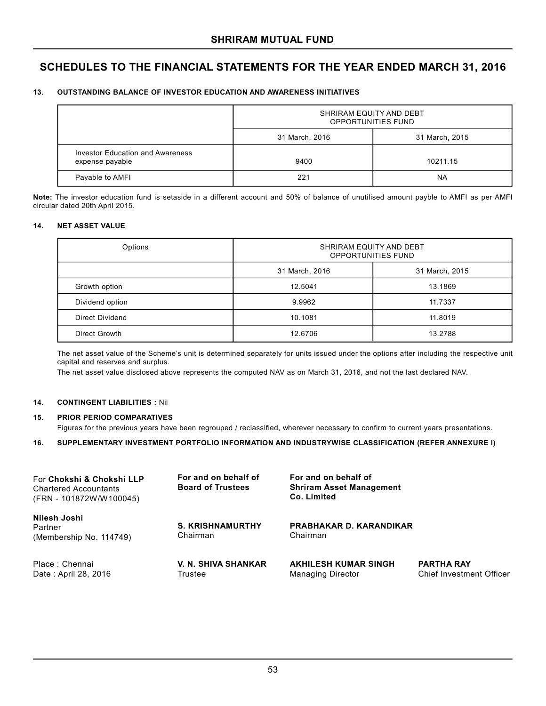#### **13. OUTSTANDING BALANCE OF INVESTOR EDUCATION AND AWARENESS INITIATIVES**

|                                                            | SHRIRAM EQUITY AND DEBT<br><b>OPPORTUNITIES FUND</b> |          |  |  |
|------------------------------------------------------------|------------------------------------------------------|----------|--|--|
|                                                            | 31 March, 2015<br>31 March, 2016                     |          |  |  |
| <b>Investor Education and Awareness</b><br>expense payable | 9400                                                 | 10211.15 |  |  |
| Payable to AMFI                                            | 221                                                  | NA       |  |  |

**Note:** The investor education fund is setaside in a different account and 50% of balance of unutilised amount payble to AMFI as per AMFI circular dated 20th April 2015.

#### **14. NET ASSET VALUE**

| Options         | SHRIRAM EQUITY AND DEBT<br><b>OPPORTUNITIES FUND</b> |                |  |
|-----------------|------------------------------------------------------|----------------|--|
|                 | 31 March, 2016                                       | 31 March, 2015 |  |
| Growth option   | 12.5041                                              | 13.1869        |  |
| Dividend option | 9.9962                                               | 11.7337        |  |
| Direct Dividend | 10.1081                                              | 11.8019        |  |
| Direct Growth   | 12.6706                                              | 13.2788        |  |

The net asset value of the Scheme's unit is determined separately for units issued under the options after including the respective unit capital and reserves and surplus.

The net asset value disclosed above represents the computed NAV as on March 31, 2016, and not the last declared NAV.

#### **14. CONTINGENT LIABILITIES :** Nil

#### **15. PRIOR PERIOD COMPARATIVES**

Figures for the previous years have been regrouped / reclassified, wherever necessary to confirm to current years presentations.

#### **16. SUPPLEMENTARY INVESTMENT PORTFOLIO INFORMATION AND INDUSTRYWISE CLASSIFICATION (REFER ANNEXURE I)**

| For Chokshi & Chokshi LLP<br><b>Chartered Accountants</b><br>(FRN - 101872W/W100045) | For and on behalf of<br><b>Board of Trustees</b> | For and on behalf of<br><b>Shriram Asset Management</b><br>Co. Limited |                                                      |
|--------------------------------------------------------------------------------------|--------------------------------------------------|------------------------------------------------------------------------|------------------------------------------------------|
| Nilesh Joshi<br>Partner<br>(Membership No. 114749)                                   | <b>S. KRISHNAMURTHY</b><br>Chairman              | <b>PRABHAKAR D. KARANDIKAR</b><br>Chairman                             |                                                      |
| Place: Chennai<br>Date: April 28, 2016                                               | <b>V. N. SHIVA SHANKAR</b><br>Trustee            | <b>AKHILESH KUMAR SINGH</b><br><b>Managing Director</b>                | <b>PARTHA RAY</b><br><b>Chief Investment Officer</b> |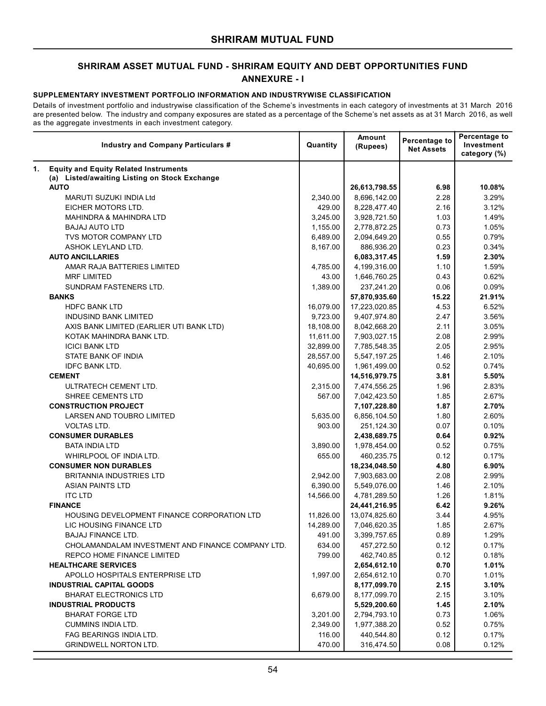# **SHRIRAM ASSET MUTUAL FUND - SHRIRAM EQUITY AND DEBT OPPORTUNITIES FUND ANNEXURE - I**

#### **SUPPLEMENTARY INVESTMENT PORTFOLIO INFORMATION AND INDUSTRYWISE CLASSIFICATION**

Details of investment portfolio and industrywise classification of the Scheme's investments in each category of investments at 31 March 2016 are presented below. The industry and company exposures are stated as a percentage of the Scheme's net assets as at 31 March 2016, as well as the aggregate investments in each investment category.

|    | Industry and Company Particulars #                | Quantity  | Amount<br>(Rupees) | Percentage to<br><b>Net Assets</b> | Percentage to<br>Investment<br>category (%) |
|----|---------------------------------------------------|-----------|--------------------|------------------------------------|---------------------------------------------|
| 1. | <b>Equity and Equity Related Instruments</b>      |           |                    |                                    |                                             |
|    | (a) Listed/awaiting Listing on Stock Exchange     |           |                    |                                    |                                             |
|    | <b>AUTO</b>                                       |           | 26,613,798.55      | 6.98                               | 10.08%                                      |
|    | <b>MARUTI SUZUKI INDIA Ltd</b>                    | 2,340.00  | 8,696,142.00       | 2.28                               | 3.29%                                       |
|    | EICHER MOTORS LTD.                                | 429.00    | 8,228,477.40       | 2.16                               | 3.12%                                       |
|    | <b>MAHINDRA &amp; MAHINDRA LTD</b>                | 3,245.00  | 3,928,721.50       | 1.03                               | 1.49%                                       |
|    | <b>BAJAJ AUTO LTD</b>                             | 1,155.00  | 2,778,872.25       | 0.73                               | 1.05%                                       |
|    | TVS MOTOR COMPANY LTD                             | 6,489.00  | 2,094,649.20       | 0.55                               | 0.79%                                       |
|    | ASHOK LEYLAND LTD.                                | 8,167.00  | 886,936.20         | 0.23                               | 0.34%                                       |
|    | <b>AUTO ANCILLARIES</b>                           |           | 6,083,317.45       | 1.59                               | 2.30%                                       |
|    | AMAR RAJA BATTERIES LIMITED                       | 4,785.00  | 4,199,316.00       | 1.10                               | 1.59%                                       |
|    | <b>MRF LIMITED</b>                                | 43.00     | 1,646,760.25       | 0.43                               | 0.62%                                       |
|    | SUNDRAM FASTENERS LTD.                            | 1,389.00  | 237,241.20         | 0.06                               | 0.09%                                       |
|    | <b>BANKS</b>                                      |           | 57,870,935.60      | 15.22                              | 21.91%                                      |
|    | <b>HDFC BANK LTD</b>                              | 16,079.00 | 17,223,020.85      | 4.53                               | 6.52%                                       |
|    | INDUSIND BANK LIMITED                             | 9,723.00  | 9,407,974.80       | 2.47                               | 3.56%                                       |
|    | AXIS BANK LIMITED (EARLIER UTI BANK LTD)          | 18,108.00 | 8,042,668.20       | 2.11                               | 3.05%                                       |
|    | KOTAK MAHINDRA BANK LTD.                          | 11,611.00 | 7,903,027.15       | 2.08                               | 2.99%                                       |
|    | <b>ICICI BANK LTD</b>                             | 32,899.00 | 7,785,548.35       | 2.05                               | 2.95%                                       |
|    | STATE BANK OF INDIA                               | 28,557.00 | 5,547,197.25       | 1.46                               | 2.10%                                       |
|    | <b>IDFC BANK LTD.</b>                             | 40,695.00 | 1,961,499.00       | 0.52                               | 0.74%                                       |
|    | <b>CEMENT</b>                                     |           | 14,516,979.75      | 3.81                               | 5.50%                                       |
|    | ULTRATECH CEMENT LTD.                             | 2,315.00  | 7,474,556.25       | 1.96                               | 2.83%                                       |
|    | SHREE CEMENTS LTD                                 | 567.00    | 7,042,423.50       | 1.85                               | 2.67%                                       |
|    | <b>CONSTRUCTION PROJECT</b>                       |           | 7,107,228.80       | 1.87                               | 2.70%                                       |
|    | LARSEN AND TOUBRO LIMITED                         | 5,635.00  | 6,856,104.50       | 1.80                               | 2.60%                                       |
|    | <b>VOLTAS LTD.</b>                                | 903.00    | 251,124.30         | 0.07                               | 0.10%                                       |
|    | <b>CONSUMER DURABLES</b>                          |           | 2,438,689.75       | 0.64                               | 0.92%                                       |
|    | BATA INDIA LTD                                    | 3,890.00  | 1,978,454.00       | 0.52                               | 0.75%                                       |
|    | WHIRLPOOL OF INDIA LTD.                           | 655.00    | 460,235.75         | 0.12                               | 0.17%                                       |
|    | <b>CONSUMER NON DURABLES</b>                      |           | 18,234,048.50      | 4.80                               | 6.90%                                       |
|    | BRITANNIA INDUSTRIES LTD                          | 2,942.00  | 7,903,683.00       | 2.08                               | 2.99%                                       |
|    | <b>ASIAN PAINTS LTD</b>                           | 6,390.00  | 5,549,076.00       | 1.46                               | 2.10%                                       |
|    | <b>ITC LTD</b>                                    | 14,566.00 | 4,781,289.50       | 1.26                               | 1.81%                                       |
|    | <b>FINANCE</b>                                    |           | 24,441,216.95      | 6.42                               | 9.26%                                       |
|    | HOUSING DEVELOPMENT FINANCE CORPORATION LTD       | 11,826.00 | 13,074,825.60      | 3.44                               | 4.95%                                       |
|    | LIC HOUSING FINANCE LTD                           | 14,289.00 | 7,046,620.35       | 1.85                               | 2.67%                                       |
|    | BAJAJ FINANCE LTD.                                | 491.00    | 3,399,757.65       | 0.89                               | 1.29%                                       |
|    | CHOLAMANDALAM INVESTMENT AND FINANCE COMPANY LTD. | 634.00    | 457,272.50         | 0.12                               | 0.17%                                       |
|    | REPCO HOME FINANCE LIMITED                        | 799.00    | 462,740.85         | 0.12                               | 0.18%                                       |
|    | <b>HEALTHCARE SERVICES</b>                        |           | 2,654,612.10       | 0.70                               | 1.01%                                       |
|    | APOLLO HOSPITALS ENTERPRISE LTD                   | 1,997.00  | 2,654,612.10       | 0.70                               | 1.01%                                       |
|    | <b>INDUSTRIAL CAPITAL GOODS</b>                   |           | 8,177,099.70       | 2.15                               | 3.10%                                       |
|    | <b>BHARAT ELECTRONICS LTD</b>                     | 6,679.00  | 8,177,099.70       | 2.15                               | 3.10%                                       |
|    | <b>INDUSTRIAL PRODUCTS</b>                        |           | 5,529,200.60       | 1.45                               | 2.10%                                       |
|    | BHARAT FORGE LTD                                  | 3,201.00  | 2,794,793.10       | 0.73                               | 1.06%                                       |
|    | <b>CUMMINS INDIA LTD.</b>                         | 2,349.00  | 1,977,388.20       | 0.52                               | 0.75%                                       |
|    | FAG BEARINGS INDIA LTD.                           | 116.00    | 440,544.80         | 0.12                               | 0.17%                                       |
|    | <b>GRINDWELL NORTON LTD.</b>                      | 470.00    | 316,474.50         | 0.08                               | 0.12%                                       |
|    |                                                   |           |                    |                                    |                                             |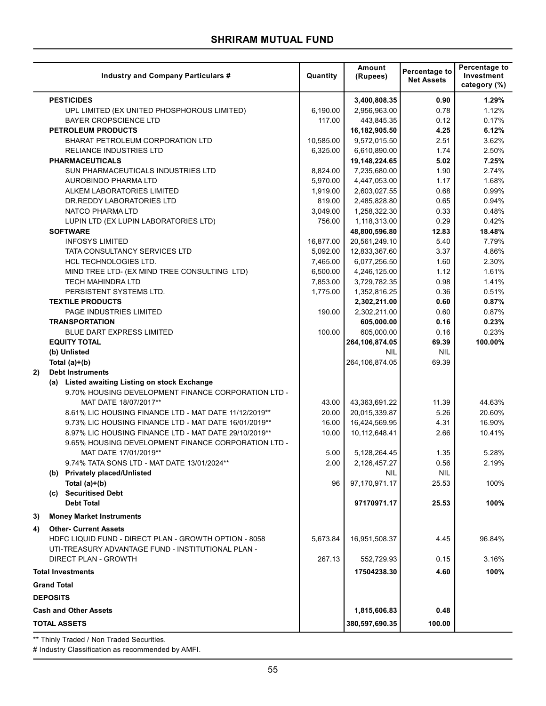|    |                    | <b>Industry and Company Particulars #</b>                                                                      | Quantity       | Amount<br>(Rupees)             | Percentage to<br><b>Net Assets</b> | Percentage to<br>Investment<br>category (%) |
|----|--------------------|----------------------------------------------------------------------------------------------------------------|----------------|--------------------------------|------------------------------------|---------------------------------------------|
|    |                    | <b>PESTICIDES</b>                                                                                              |                | 3,400,808.35                   | 0.90                               | 1.29%                                       |
|    |                    | UPL LIMITED (EX UNITED PHOSPHOROUS LIMITED)                                                                    | 6,190.00       | 2,956,963.00                   | 0.78                               | 1.12%                                       |
|    |                    | <b>BAYER CROPSCIENCE LTD</b>                                                                                   | 117.00         | 443,845.35                     | 0.12                               | 0.17%                                       |
|    |                    | <b>PETROLEUM PRODUCTS</b>                                                                                      |                | 16,182,905.50                  | 4.25                               | 6.12%                                       |
|    |                    | BHARAT PETROLEUM CORPORATION LTD                                                                               | 10,585.00      | 9,572,015.50                   | 2.51                               | 3.62%                                       |
|    |                    | RELIANCE INDUSTRIES LTD                                                                                        | 6,325.00       | 6,610,890.00                   | 1.74                               | 2.50%                                       |
|    |                    | <b>PHARMACEUTICALS</b>                                                                                         |                | 19,148,224.65                  | 5.02                               | 7.25%                                       |
|    |                    | SUN PHARMACEUTICALS INDUSTRIES LTD                                                                             | 8,824.00       | 7,235,680.00                   | 1.90                               | 2.74%                                       |
|    |                    | AUROBINDO PHARMA LTD                                                                                           | 5,970.00       | 4,447,053.00                   | 1.17                               | 1.68%                                       |
|    |                    | ALKEM LABORATORIES LIMITED                                                                                     | 1,919.00       | 2,603,027.55                   | 0.68                               | 0.99%                                       |
|    |                    | DR. REDDY LABORATORIES LTD                                                                                     | 819.00         | 2,485,828.80                   | 0.65                               | 0.94%                                       |
|    |                    | NATCO PHARMA LTD                                                                                               | 3,049.00       | 1,258,322.30                   | 0.33                               | 0.48%                                       |
|    |                    | LUPIN LTD (EX LUPIN LABORATORIES LTD)                                                                          | 756.00         | 1,118,313.00                   | 0.29                               | 0.42%                                       |
|    |                    | <b>SOFTWARE</b>                                                                                                |                | 48,800,596.80                  | 12.83                              | 18.48%                                      |
|    |                    | <b>INFOSYS LIMITED</b>                                                                                         | 16,877.00      | 20,561,249.10                  | 5.40                               | 7.79%                                       |
|    |                    | TATA CONSULTANCY SERVICES LTD                                                                                  | 5,092.00       | 12,833,367.60                  | 3.37                               | 4.86%                                       |
|    |                    | HCL TECHNOLOGIES LTD.                                                                                          | 7,465.00       | 6,077,256.50                   | 1.60                               | 2.30%                                       |
|    |                    | MIND TREE LTD- (EX MIND TREE CONSULTING LTD)                                                                   | 6,500.00       | 4,246,125.00                   | 1.12                               | 1.61%                                       |
|    |                    | <b>TECH MAHINDRA LTD</b>                                                                                       | 7,853.00       | 3,729,782.35                   | 0.98                               | 1.41%                                       |
|    |                    | PERSISTENT SYSTEMS LTD.                                                                                        | 1,775.00       | 1,352,816.25                   | 0.36                               | 0.51%                                       |
|    |                    | <b>TEXTILE PRODUCTS</b>                                                                                        |                | 2,302,211.00                   | 0.60                               | 0.87%                                       |
|    |                    | PAGE INDUSTRIES LIMITED                                                                                        | 190.00         | 2,302,211.00                   | 0.60                               | 0.87%                                       |
|    |                    | <b>TRANSPORTATION</b>                                                                                          |                | 605,000.00                     | 0.16                               | 0.23%                                       |
|    |                    | <b>BLUE DART EXPRESS LIMITED</b>                                                                               | 100.00         | 605,000.00                     | 0.16                               | 0.23%                                       |
|    |                    | <b>EQUITY TOTAL</b>                                                                                            |                | 264,106,874.05                 | 69.39                              | 100.00%                                     |
|    |                    | (b) Unlisted                                                                                                   |                | <b>NIL</b>                     | <b>NIL</b>                         |                                             |
|    |                    | Total $(a)+(b)$                                                                                                |                | 264,106,874.05                 | 69.39                              |                                             |
| 2) |                    | <b>Debt Instruments</b>                                                                                        |                |                                |                                    |                                             |
|    |                    | (a) Listed awaiting Listing on stock Exchange                                                                  |                |                                |                                    |                                             |
|    |                    | 9.70% HOUSING DEVELOPMENT FINANCE CORPORATION LTD -                                                            |                |                                |                                    |                                             |
|    |                    | MAT DATE 18/07/2017**                                                                                          | 43.00          | 43,363,691.22                  | 11.39<br>5.26                      | 44.63%                                      |
|    |                    | 8.61% LIC HOUSING FINANCE LTD - MAT DATE 11/12/2019**<br>9.73% LIC HOUSING FINANCE LTD - MAT DATE 16/01/2019** | 20.00<br>16.00 | 20,015,339.87<br>16,424,569.95 | 4.31                               | 20.60%<br>16.90%                            |
|    |                    | 8.97% LIC HOUSING FINANCE LTD - MAT DATE 29/10/2019**                                                          | 10.00          | 10,112,648.41                  | 2.66                               | 10.41%                                      |
|    |                    | 9.65% HOUSING DEVELOPMENT FINANCE CORPORATION LTD -                                                            |                |                                |                                    |                                             |
|    |                    | MAT DATE 17/01/2019**                                                                                          | 5.00           | 5, 128, 264. 45                | 1.35                               | 5.28%                                       |
|    |                    | 9.74% TATA SONS LTD - MAT DATE 13/01/2024**                                                                    | 2.00           | 2,126,457.27                   | 0.56                               | 2.19%                                       |
|    |                    | (b) Privately placed/Unlisted                                                                                  |                | <b>NIL</b>                     | <b>NIL</b>                         |                                             |
|    |                    | Total $(a)+(b)$                                                                                                | 96             | 97,170,971.17                  | 25.53                              | 100%                                        |
|    |                    | (c) Securitised Debt                                                                                           |                |                                |                                    |                                             |
|    |                    | <b>Debt Total</b>                                                                                              |                | 97170971.17                    | 25.53                              | 100%                                        |
| 3) |                    | <b>Money Market Instruments</b>                                                                                |                |                                |                                    |                                             |
|    |                    |                                                                                                                |                |                                |                                    |                                             |
| 4) |                    | <b>Other- Current Assets</b>                                                                                   |                |                                |                                    |                                             |
|    |                    | HDFC LIQUID FUND - DIRECT PLAN - GROWTH OPTION - 8058                                                          | 5,673.84       | 16,951,508.37                  | 4.45                               | 96.84%                                      |
|    |                    | UTI-TREASURY ADVANTAGE FUND - INSTITUTIONAL PLAN -                                                             |                |                                |                                    |                                             |
|    |                    | <b>DIRECT PLAN - GROWTH</b>                                                                                    | 267.13         | 552,729.93                     | 0.15                               | 3.16%                                       |
|    |                    | <b>Total Investments</b>                                                                                       |                | 17504238.30                    | 4.60                               | 100%                                        |
|    | <b>Grand Total</b> |                                                                                                                |                |                                |                                    |                                             |
|    | <b>DEPOSITS</b>    |                                                                                                                |                |                                |                                    |                                             |
|    |                    | <b>Cash and Other Assets</b>                                                                                   |                | 1,815,606.83                   | 0.48                               |                                             |
|    |                    | TOTAL ASSETS                                                                                                   |                | 380,597,690.35                 | 100.00                             |                                             |

\*\* Thinly Traded / Non Traded Securities.

# Industry Classification as recommended by AMFI.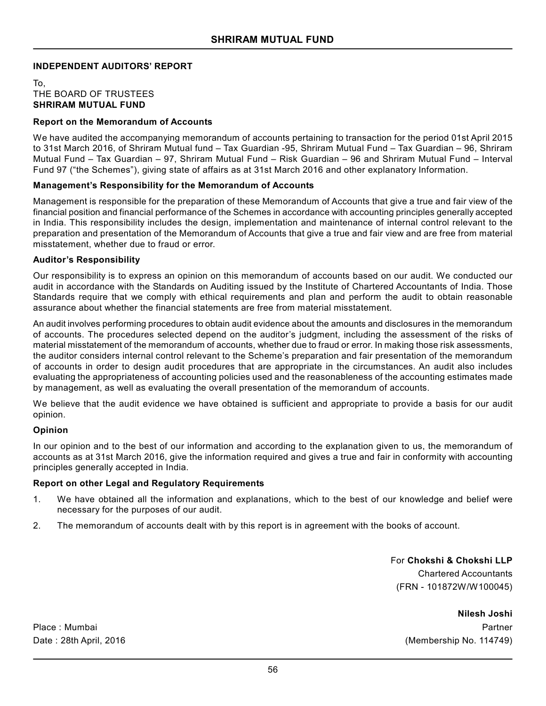# **INDEPENDENT AUDITORS' REPORT**

To, THE BOARD OF TRUSTEES **SHRIRAM MUTUAL FUND**

### **Report on the Memorandum of Accounts**

We have audited the accompanying memorandum of accounts pertaining to transaction for the period 01st April 2015 to 31st March 2016, of Shriram Mutual fund – Tax Guardian -95, Shriram Mutual Fund – Tax Guardian – 96, Shriram Mutual Fund – Tax Guardian – 97, Shriram Mutual Fund – Risk Guardian – 96 and Shriram Mutual Fund – Interval Fund 97 ("the Schemes"), giving state of affairs as at 31st March 2016 and other explanatory Information.

### **Management's Responsibility for the Memorandum of Accounts**

Management is responsible for the preparation of these Memorandum of Accounts that give a true and fair view of the financial position and financial performance of the Schemes in accordance with accounting principles generally accepted in India. This responsibility includes the design, implementation and maintenance of internal control relevant to the preparation and presentation of the Memorandum of Accounts that give a true and fair view and are free from material misstatement, whether due to fraud or error.

#### **Auditor's Responsibility**

Our responsibility is to express an opinion on this memorandum of accounts based on our audit. We conducted our audit in accordance with the Standards on Auditing issued by the Institute of Chartered Accountants of India. Those Standards require that we comply with ethical requirements and plan and perform the audit to obtain reasonable assurance about whether the financial statements are free from material misstatement.

An audit involves performing procedures to obtain audit evidence about the amounts and disclosures in the memorandum of accounts. The procedures selected depend on the auditor's judgment, including the assessment of the risks of material misstatement of the memorandum of accounts, whether due to fraud or error. In making those risk assessments, the auditor considers internal control relevant to the Scheme's preparation and fair presentation of the memorandum of accounts in order to design audit procedures that are appropriate in the circumstances. An audit also includes evaluating the appropriateness of accounting policies used and the reasonableness of the accounting estimates made by management, as well as evaluating the overall presentation of the memorandum of accounts.

We believe that the audit evidence we have obtained is sufficient and appropriate to provide a basis for our audit opinion.

#### **Opinion**

In our opinion and to the best of our information and according to the explanation given to us, the memorandum of accounts as at 31st March 2016, give the information required and gives a true and fair in conformity with accounting principles generally accepted in India.

# **Report on other Legal and Regulatory Requirements**

- 1. We have obtained all the information and explanations, which to the best of our knowledge and belief were necessary for the purposes of our audit.
- 2. The memorandum of accounts dealt with by this report is in agreement with the books of account.

For **Chokshi & Chokshi LLP** Chartered Accountants (FRN - 101872W/W100045)

**Nilesh Joshi** Place : Mumbai **Partner** Partner Partner Partner Partner Partner Partner Partner Partner Partner Partner Partner

Date : 28th April, 2016 (Membership No. 114749)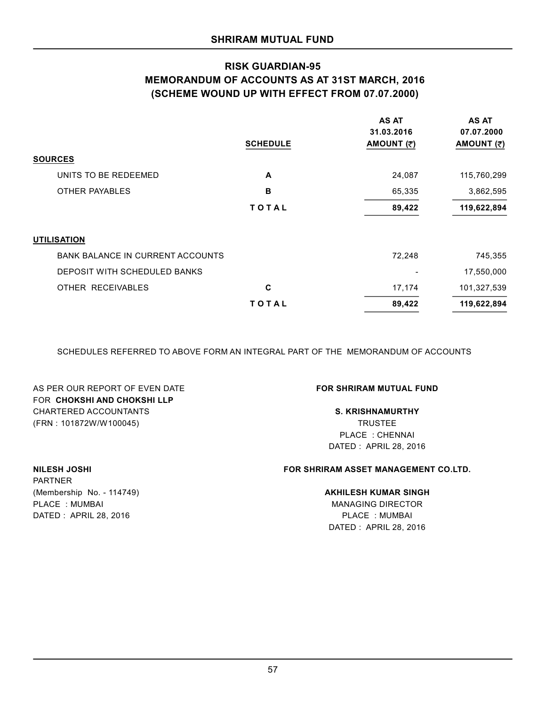# **RISK GUARDIAN-95 MEMORANDUM OF ACCOUNTS AS AT 31ST MARCH, 2016 (SCHEME WOUND UP WITH EFFECT FROM 07.07.2000)**

|                                         | <b>SCHEDULE</b> | <b>AS AT</b><br>31.03.2016<br>AMOUNT (₹) | <b>AS AT</b><br>07.07.2000<br>AMOUNT (₹) |
|-----------------------------------------|-----------------|------------------------------------------|------------------------------------------|
| <b>SOURCES</b>                          |                 |                                          |                                          |
| UNITS TO BE REDEEMED                    | A               | 24,087                                   | 115,760,299                              |
| <b>OTHER PAYABLES</b>                   | B               | 65,335                                   | 3,862,595                                |
|                                         | TOTAL           | 89,422                                   | 119,622,894                              |
| <b>UTILISATION</b>                      |                 |                                          |                                          |
| <b>BANK BALANCE IN CURRENT ACCOUNTS</b> |                 | 72,248                                   | 745,355                                  |
| DEPOSIT WITH SCHEDULED BANKS            |                 | $\overline{\phantom{a}}$                 | 17,550,000                               |
| OTHER RECEIVABLES                       | C               | 17,174                                   | 101,327,539                              |
|                                         | TOTAL           | 89,422                                   | 119,622,894                              |

SCHEDULES REFERRED TO ABOVE FORM AN INTEGRAL PART OF THE MEMORANDUM OF ACCOUNTS

AS PER OUR REPORT OF EVEN DATE **FOR SHRIRAM MUTUAL FUND** FOR **CHOKSHI AND CHOKSHI LLP** CHARTERED ACCOUNTANTS **S. KRISHNAMURTHY** (FRN : 101872W/W100045) TRUSTEE

PLACE : CHENNAI DATED : APRIL 28, 2016

# **NILESH JOSHI FOR SHRIRAM ASSET MANAGEMENT CO.LTD.**

#### (Membership No. - 114749) **AKHILESH KUMAR SINGH**

DATED : APRIL 28, 2016 PLACE : MUMBAI DATED : APRIL 28, 2016

# PARTNER PLACE : MUMBAI MANAGING DIRECTOR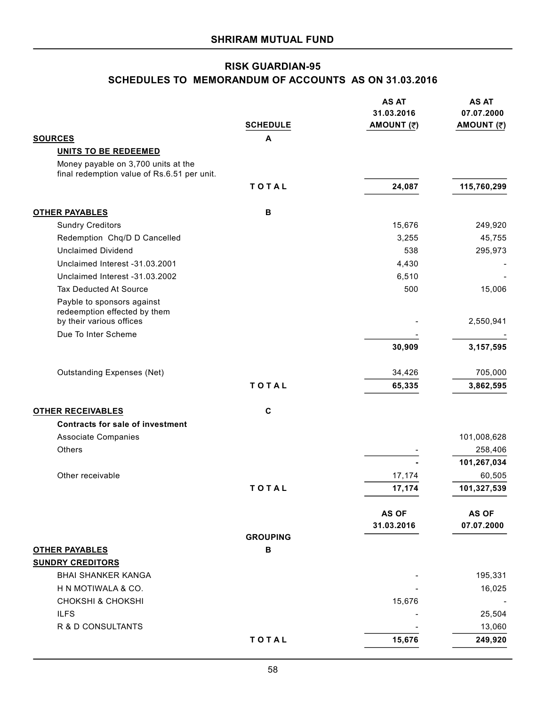# **RISK GUARDIAN-95 SCHEDULES TO MEMORANDUM OF ACCOUNTS AS ON 31.03.2016**

|                                                                                        |                 | <b>AS AT</b><br>31.03.2016 | <b>AS AT</b><br>07.07.2000 |
|----------------------------------------------------------------------------------------|-----------------|----------------------------|----------------------------|
|                                                                                        | <b>SCHEDULE</b> | AMOUNT (₹)                 | AMOUNT (₹)                 |
| <b>SOURCES</b>                                                                         | A               |                            |                            |
| <b>UNITS TO BE REDEEMED</b>                                                            |                 |                            |                            |
| Money payable on 3,700 units at the<br>final redemption value of Rs.6.51 per unit.     |                 |                            |                            |
|                                                                                        | TOTAL           | 24,087                     | 115,760,299                |
| <b>OTHER PAYABLES</b>                                                                  | В               |                            |                            |
| <b>Sundry Creditors</b>                                                                |                 | 15,676                     | 249,920                    |
| Redemption Chq/D D Cancelled                                                           |                 | 3,255                      | 45,755                     |
| <b>Unclaimed Dividend</b>                                                              |                 | 538                        | 295,973                    |
| Unclaimed Interest -31.03.2001                                                         |                 | 4,430                      |                            |
| Unclaimed Interest -31.03.2002                                                         |                 | 6,510                      |                            |
| <b>Tax Deducted At Source</b>                                                          |                 | 500                        | 15,006                     |
| Payble to sponsors against<br>redeemption effected by them<br>by their various offices |                 |                            | 2,550,941                  |
| Due To Inter Scheme                                                                    |                 |                            |                            |
|                                                                                        |                 | 30,909                     | 3, 157, 595                |
| <b>Outstanding Expenses (Net)</b>                                                      |                 | 34,426                     | 705,000                    |
|                                                                                        | TOTAL           | 65,335                     | 3,862,595                  |
| <b>OTHER RECEIVABLES</b>                                                               | $\mathbf c$     |                            |                            |
| <b>Contracts for sale of investment</b>                                                |                 |                            |                            |
| <b>Associate Companies</b>                                                             |                 |                            | 101,008,628                |
| Others                                                                                 |                 |                            | 258,406                    |
|                                                                                        |                 |                            | 101,267,034                |
| Other receivable                                                                       |                 | 17,174                     | 60,505                     |
|                                                                                        | TOTAL           | 17,174                     | 101,327,539                |
|                                                                                        |                 | AS OF                      | <b>AS OF</b>               |
|                                                                                        |                 | 31.03.2016                 | 07.07.2000                 |
|                                                                                        | <b>GROUPING</b> |                            |                            |
| <b>OTHER PAYABLES</b>                                                                  | $\mathbf B$     |                            |                            |
| <b>SUNDRY CREDITORS</b>                                                                |                 |                            |                            |
| <b>BHAI SHANKER KANGA</b>                                                              |                 |                            | 195,331                    |
| H N MOTIWALA & CO.                                                                     |                 |                            | 16,025                     |
| <b>CHOKSHI &amp; CHOKSHI</b>                                                           |                 | 15,676                     |                            |
| <b>ILFS</b>                                                                            |                 |                            | 25,504                     |
| R & D CONSULTANTS                                                                      |                 |                            | 13,060                     |
|                                                                                        | TOTAL           | 15,676                     | 249,920                    |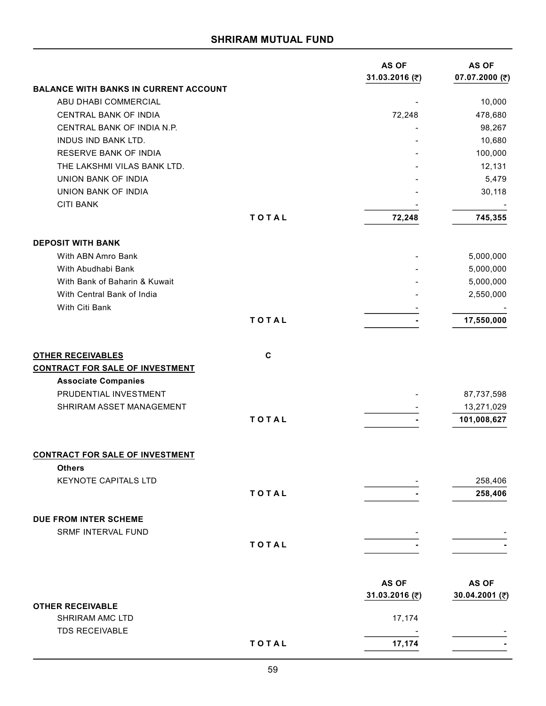|                                                                    |       | <b>AS OF</b><br>31.03.2016 (₹) | <b>AS OF</b><br>07.07.2000 (₹) |
|--------------------------------------------------------------------|-------|--------------------------------|--------------------------------|
| <b>BALANCE WITH BANKS IN CURRENT ACCOUNT</b>                       |       |                                |                                |
| ABU DHABI COMMERCIAL                                               |       |                                | 10,000                         |
| CENTRAL BANK OF INDIA                                              |       | 72,248                         | 478,680                        |
| CENTRAL BANK OF INDIA N.P.                                         |       |                                | 98,267                         |
| INDUS IND BANK LTD.                                                |       |                                | 10,680                         |
| <b>RESERVE BANK OF INDIA</b>                                       |       |                                | 100,000                        |
| THE LAKSHMI VILAS BANK LTD.                                        |       |                                | 12,131                         |
| <b>UNION BANK OF INDIA</b>                                         |       |                                | 5,479                          |
| UNION BANK OF INDIA                                                |       |                                | 30,118                         |
| <b>CITI BANK</b>                                                   |       |                                |                                |
|                                                                    | TOTAL | 72,248                         | 745,355                        |
| <b>DEPOSIT WITH BANK</b>                                           |       |                                |                                |
| With ABN Amro Bank                                                 |       |                                | 5,000,000                      |
| With Abudhabi Bank                                                 |       |                                | 5,000,000                      |
| With Bank of Baharin & Kuwait                                      |       |                                | 5,000,000                      |
| With Central Bank of India                                         |       |                                | 2,550,000                      |
| With Citi Bank                                                     |       |                                |                                |
|                                                                    | TOTAL |                                | 17,550,000                     |
| <b>OTHER RECEIVABLES</b><br><b>CONTRACT FOR SALE OF INVESTMENT</b> | C     |                                |                                |
| <b>Associate Companies</b>                                         |       |                                |                                |
| PRUDENTIAL INVESTMENT                                              |       |                                |                                |
|                                                                    |       |                                | 87,737,598                     |
| SHRIRAM ASSET MANAGEMENT                                           |       |                                | 13,271,029                     |
|                                                                    | TOTAL |                                | 101,008,627                    |
| <b>CONTRACT FOR SALE OF INVESTMENT</b>                             |       |                                |                                |
| <b>Others</b>                                                      |       |                                |                                |
| KEYNOTE CAPITALS LTD                                               |       |                                | 258,406                        |
|                                                                    | TOTAL |                                | 258,406                        |
| DUE FROM INTER SCHEME                                              |       |                                |                                |
| SRMF INTERVAL FUND                                                 |       |                                |                                |
|                                                                    | TOTAL |                                |                                |
|                                                                    |       |                                |                                |
|                                                                    |       | <b>AS OF</b><br>31.03.2016 (₹) | AS OF<br>30.04.2001 (₹)        |
| <b>OTHER RECEIVABLE</b>                                            |       |                                |                                |
| SHRIRAM AMC LTD<br><b>TDS RECEIVABLE</b>                           |       | 17,174                         |                                |
|                                                                    | TOTAL | 17,174                         |                                |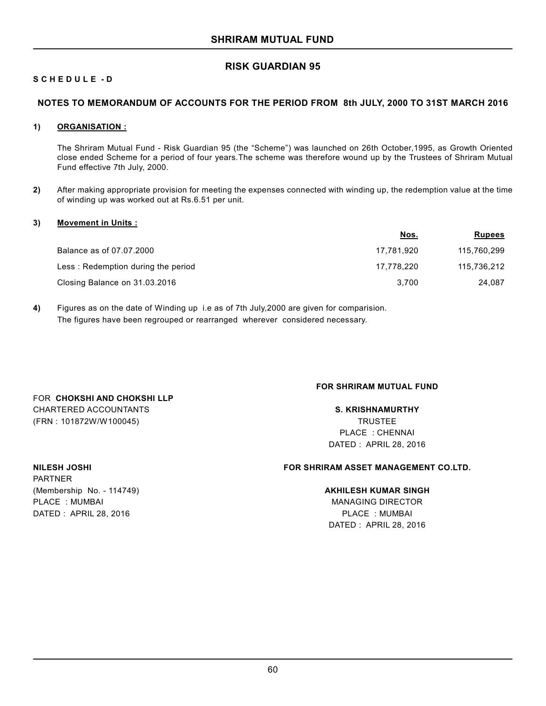# **RISK GUARDIAN 95**

# **S C H E D U L E - D**

# **NOTES TO MEMORANDUM OF ACCOUNTS FOR THE PERIOD FROM 8th JULY, 2000 TO 31ST MARCH 2016**

#### **1) ORGANISATION :**

The Shriram Mutual Fund - Risk Guardian 95 (the "Scheme") was launched on 26th October,1995, as Growth Oriented close ended Scheme for a period of four years.The scheme was therefore wound up by the Trustees of Shriram Mutual Fund effective 7th July, 2000.

**2)** After making appropriate provision for meeting the expenses connected with winding up, the redemption value at the time of winding up was worked out at Rs.6.51 per unit.

### **3) Movement in Units :**

|                                    | <u>Nos.</u> | <b>Rupees</b> |
|------------------------------------|-------------|---------------|
| Balance as of 07.07.2000           | 17.781.920  | 115,760,299   |
| Less: Redemption during the period | 17.778.220  | 115,736,212   |
| Closing Balance on 31.03.2016      | 3.700       | 24.087        |

**4)** Figures as on the date of Winding up i.e as of 7th July,2000 are given for comparision. The figures have been regrouped or rearranged wherever considered necessary.

#### **FOR SHRIRAM MUTUAL FUND**

# CHARTERED ACCOUNTANTS **S. KRISHNAMURTHY** (FRN : 101872W/W100045) TRUSTEE PLACE : CHENNAI DATED : APRIL 28, 2016

PARTNER (Membership No. - 114749) **AKHILESH KUMAR SINGH** PLACE : MUMBAI MANAGING DIRECTOR DATED : APRIL 28, 2016 PLACE : MUMBAI

FOR **CHOKSHI AND CHOKSHI LLP**

# **NILESH JOSHI FOR SHRIRAM ASSET MANAGEMENT CO.LTD.**

DATED : APRIL 28, 2016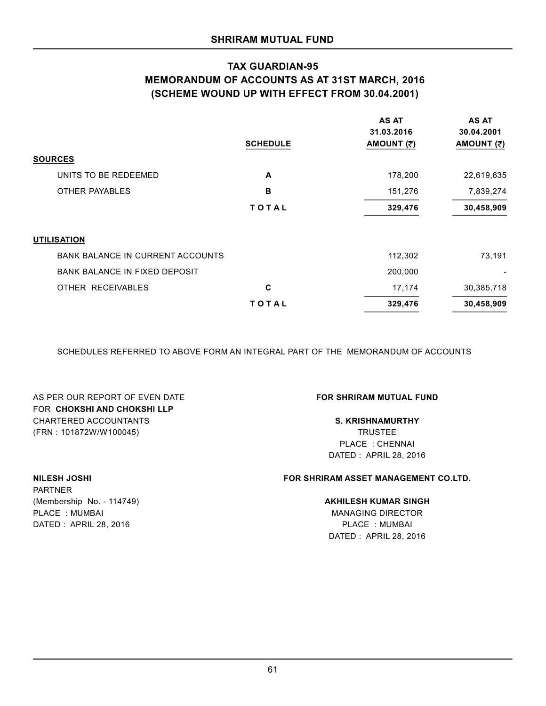# **TAX GUARDIAN-95 MEMORANDUM OF ACCOUNTS AS AT 31ST MARCH, 2016 (SCHEME WOUND UP WITH EFFECT FROM 30.04.2001)**

|                                         | <b>SCHEDULE</b> | <b>AS AT</b><br>31.03.2016<br>AMOUNT (₹) | <b>AS AT</b><br>30.04.2001<br>AMOUNT (₹) |
|-----------------------------------------|-----------------|------------------------------------------|------------------------------------------|
| <b>SOURCES</b>                          |                 |                                          |                                          |
| UNITS TO BE REDEEMED                    | A               | 178,200                                  | 22,619,635                               |
| <b>OTHER PAYABLES</b>                   | B               | 151,276                                  | 7,839,274                                |
|                                         | TOTAL           | 329,476                                  | 30,458,909                               |
| <b>UTILISATION</b>                      |                 |                                          |                                          |
| <b>BANK BALANCE IN CURRENT ACCOUNTS</b> |                 | 112,302                                  | 73,191                                   |
| <b>BANK BALANCE IN FIXED DEPOSIT</b>    |                 | 200,000                                  |                                          |
| OTHER RECEIVABLES                       | C               | 17,174                                   | 30,385,718                               |
|                                         | TOTAL           | 329,476                                  | 30,458,909                               |

SCHEDULES REFERRED TO ABOVE FORM AN INTEGRAL PART OF THE MEMORANDUM OF ACCOUNTS

AS PER OUR REPORT OF EVEN DATE **FOR SHRIRAM MUTUAL FUND** FOR **CHOKSHI AND CHOKSHI LLP** CHARTERED ACCOUNTANTS **S. KRISHNAMURTHY** (FRN : 101872W/W100045) TRUSTEE

PLACE : CHENNAI DATED : APRIL 28, 2016

# **NILESH JOSHI FOR SHRIRAM ASSET MANAGEMENT CO.LTD.**

DATED : APRIL 28, 2016

PARTNER (Membership No. - 114749) **AKHILESH KUMAR SINGH** PLACE : MUMBAI MANAGING DIRECTOR DATED : APRIL 28, 2016 PLACE : MUMBAI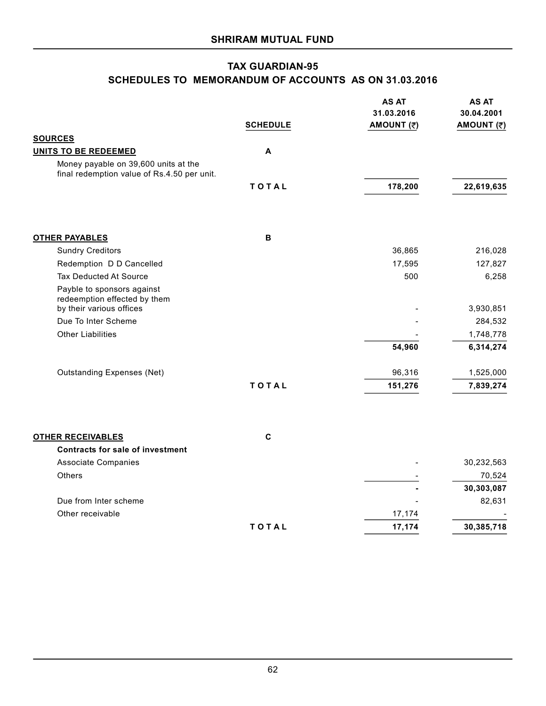# **TAX GUARDIAN-95 SCHEDULES TO MEMORANDUM OF ACCOUNTS AS ON 31.03.2016**

|                                                                                     | <b>SCHEDULE</b> | <b>AS AT</b><br>31.03.2016<br>AMOUNT (₹) | <b>AS AT</b><br>30.04.2001<br>AMOUNT (₹) |
|-------------------------------------------------------------------------------------|-----------------|------------------------------------------|------------------------------------------|
| <b>SOURCES</b>                                                                      |                 |                                          |                                          |
| <b>UNITS TO BE REDEEMED</b>                                                         | A               |                                          |                                          |
| Money payable on 39,600 units at the<br>final redemption value of Rs.4.50 per unit. |                 |                                          |                                          |
|                                                                                     | TOTAL           | 178,200                                  | 22,619,635                               |
| <b>OTHER PAYABLES</b>                                                               | B               |                                          |                                          |
| <b>Sundry Creditors</b>                                                             |                 | 36,865                                   | 216,028                                  |
| Redemption D D Cancelled                                                            |                 | 17,595                                   | 127,827                                  |
| <b>Tax Deducted At Source</b>                                                       |                 | 500                                      | 6,258                                    |
| Payble to sponsors against<br>redeemption effected by them                          |                 |                                          |                                          |
| by their various offices                                                            |                 |                                          | 3,930,851                                |
| Due To Inter Scheme                                                                 |                 |                                          | 284,532                                  |
| <b>Other Liabilities</b>                                                            |                 |                                          | 1,748,778                                |
|                                                                                     |                 | 54,960                                   | 6,314,274                                |
| <b>Outstanding Expenses (Net)</b>                                                   |                 | 96,316                                   | 1,525,000                                |
|                                                                                     | TOTAL           | 151,276                                  | 7,839,274                                |
|                                                                                     |                 |                                          |                                          |
| <b>OTHER RECEIVABLES</b>                                                            | $\mathbf c$     |                                          |                                          |
| <b>Contracts for sale of investment</b>                                             |                 |                                          | 30,232,563                               |
| <b>Associate Companies</b><br>Others                                                |                 |                                          | 70,524                                   |
|                                                                                     |                 |                                          | 30,303,087                               |
| Due from Inter scheme                                                               |                 |                                          | 82,631                                   |
| Other receivable                                                                    |                 | 17,174                                   |                                          |
|                                                                                     | TOTAL           | 17,174                                   | 30,385,718                               |
|                                                                                     |                 |                                          |                                          |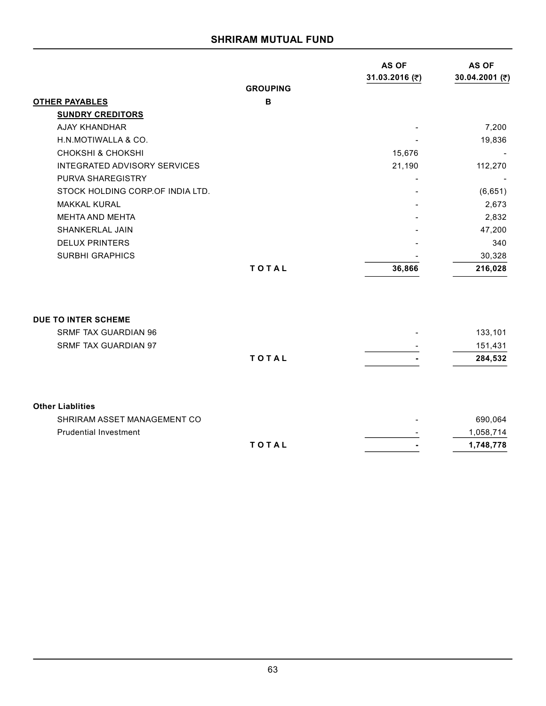|                                     |                 | <b>AS OF</b>   | <b>AS OF</b>   |
|-------------------------------------|-----------------|----------------|----------------|
|                                     | <b>GROUPING</b> | 31.03.2016 (₹) | 30.04.2001 (₹) |
|                                     | $\mathbf B$     |                |                |
| <b>OTHER PAYABLES</b>               |                 |                |                |
| <b>SUNDRY CREDITORS</b>             |                 |                |                |
| <b>AJAY KHANDHAR</b>                |                 |                | 7,200          |
| H.N.MOTIWALLA & CO.                 |                 |                | 19,836         |
| <b>CHOKSHI &amp; CHOKSHI</b>        |                 | 15,676         |                |
| <b>INTEGRATED ADVISORY SERVICES</b> |                 | 21,190         | 112,270        |
| PURVA SHAREGISTRY                   |                 |                |                |
| STOCK HOLDING CORP.OF INDIA LTD.    |                 |                | (6,651)        |
| <b>MAKKAL KURAL</b>                 |                 |                | 2,673          |
| <b>MEHTA AND MEHTA</b>              |                 |                | 2,832          |
| SHANKERLAL JAIN                     |                 |                | 47,200         |
| <b>DELUX PRINTERS</b>               |                 |                | 340            |
| <b>SURBHI GRAPHICS</b>              |                 |                | 30,328         |
|                                     | TOTAL           | 36,866         | 216,028        |
|                                     |                 |                |                |
| <b>DUE TO INTER SCHEME</b>          |                 |                |                |
| <b>SRMF TAX GUARDIAN 96</b>         |                 |                | 133,101        |
| <b>SRMF TAX GUARDIAN 97</b>         |                 |                | 151,431        |
|                                     | TOTAL           |                | 284,532        |
| <b>Other Liablities</b>             |                 |                |                |
| SHRIRAM ASSET MANAGEMENT CO         |                 |                |                |
|                                     |                 |                | 690,064        |
| <b>Prudential Investment</b>        |                 |                | 1,058,714      |
|                                     | TOTAL           |                | 1,748,778      |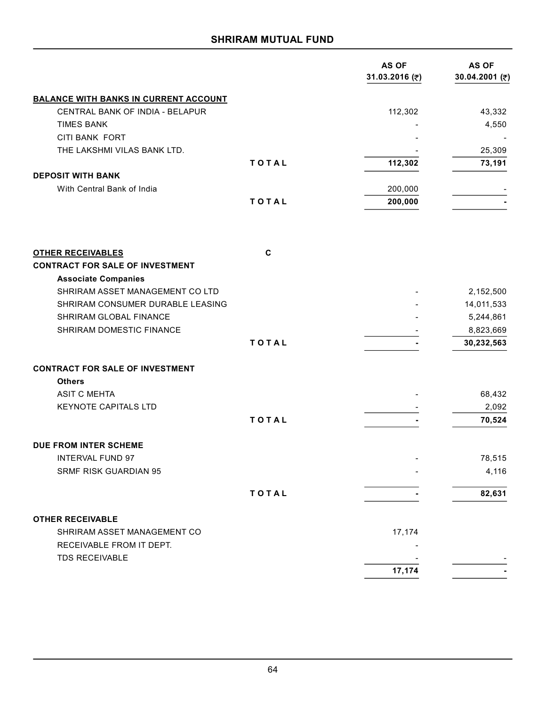|                                                                     |             | AS OF<br>31.03.2016 (₹) | <b>AS OF</b><br>30.04.2001 (₹) |
|---------------------------------------------------------------------|-------------|-------------------------|--------------------------------|
| <b>BALANCE WITH BANKS IN CURRENT ACCOUNT</b>                        |             |                         |                                |
| CENTRAL BANK OF INDIA - BELAPUR                                     |             | 112,302                 | 43,332                         |
| <b>TIMES BANK</b>                                                   |             |                         | 4,550                          |
| CITI BANK FORT                                                      |             |                         |                                |
| THE LAKSHMI VILAS BANK LTD.                                         |             |                         | 25,309                         |
|                                                                     | TOTAL       | 112,302                 | 73,191                         |
| <b>DEPOSIT WITH BANK</b>                                            |             |                         |                                |
| With Central Bank of India                                          |             | 200,000                 |                                |
|                                                                     | TOTAL       | 200,000                 |                                |
| <b>OTHER RECEIVABLES</b>                                            | $\mathbf c$ |                         |                                |
| <b>CONTRACT FOR SALE OF INVESTMENT</b>                              |             |                         |                                |
| <b>Associate Companies</b>                                          |             |                         |                                |
| SHRIRAM ASSET MANAGEMENT CO LTD<br>SHRIRAM CONSUMER DURABLE LEASING |             |                         | 2,152,500                      |
| <b>SHRIRAM GLOBAL FINANCE</b>                                       |             |                         | 14,011,533                     |
| SHRIRAM DOMESTIC FINANCE                                            |             |                         | 5,244,861                      |
|                                                                     | TOTAL       |                         | 8,823,669<br>30,232,563        |
|                                                                     |             |                         |                                |
| <b>CONTRACT FOR SALE OF INVESTMENT</b>                              |             |                         |                                |
| <b>Others</b>                                                       |             |                         |                                |
| <b>ASIT C MEHTA</b>                                                 |             |                         | 68,432                         |
| <b>KEYNOTE CAPITALS LTD</b>                                         |             |                         | 2,092                          |
|                                                                     | TOTAL       |                         | 70,524                         |
| DUE FROM INTER SCHEME                                               |             |                         |                                |
| <b>INTERVAL FUND 97</b>                                             |             |                         | 78,515                         |
| <b>SRMF RISK GUARDIAN 95</b>                                        |             |                         | 4,116                          |
|                                                                     |             |                         |                                |
|                                                                     | TOTAL       |                         | 82,631                         |
| <b>OTHER RECEIVABLE</b>                                             |             |                         |                                |
| SHRIRAM ASSET MANAGEMENT CO                                         |             | 17,174                  |                                |
| RECEIVABLE FROM IT DEPT.                                            |             |                         |                                |
| <b>TDS RECEIVABLE</b>                                               |             |                         |                                |
|                                                                     |             | 17,174                  |                                |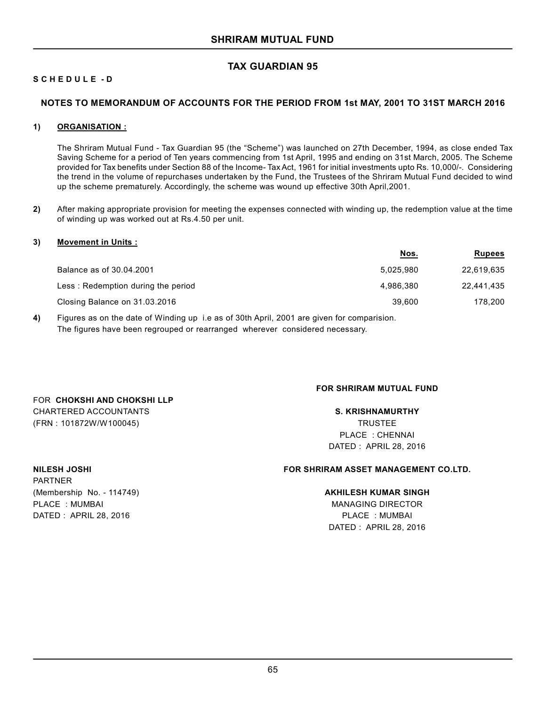# **TAX GUARDIAN 95**

# **S C H E D U L E - D**

### **NOTES TO MEMORANDUM OF ACCOUNTS FOR THE PERIOD FROM 1st MAY, 2001 TO 31ST MARCH 2016**

#### **1) ORGANISATION :**

The Shriram Mutual Fund - Tax Guardian 95 (the "Scheme") was launched on 27th December, 1994, as close ended Tax Saving Scheme for a period of Ten years commencing from 1st April, 1995 and ending on 31st March, 2005. The Scheme provided for Tax benefits under Section 88 of the Income- Tax Act, 1961 for initial investments upto Rs. 10,000/-. Considering the trend in the volume of repurchases undertaken by the Fund, the Trustees of the Shriram Mutual Fund decided to wind up the scheme prematurely. Accordingly, the scheme was wound up effective 30th April,2001.

**2)** After making appropriate provision for meeting the expenses connected with winding up, the redemption value at the time of winding up was worked out at Rs.4.50 per unit.

#### **3) Movement in Units :**

|                                    | <u>Nos.</u> | <b>Rupees</b> |
|------------------------------------|-------------|---------------|
| Balance as of 30.04.2001           | 5.025.980   | 22,619,635    |
| Less: Redemption during the period | 4.986.380   | 22.441.435    |
| Closing Balance on 31.03.2016      | 39,600      | 178.200       |

**4)** Figures as on the date of Winding up i.e as of 30th April, 2001 are given for comparision. The figures have been regrouped or rearranged wherever considered necessary.

### **FOR SHRIRAM MUTUAL FUND**

CHARTERED ACCOUNTANTS **S. KRISHNAMURTHY** (FRN : 101872W/W100045) TRUSTEE PLACE : CHENNAI DATED : APRIL 28, 2016

PARTNER (Membership No. - 114749) **AKHILESH KUMAR SINGH** PLACE : MUMBAI MANAGING DIRECTOR DATED : APRIL 28, 2016 PLACE : MUMBAI

FOR **CHOKSHI AND CHOKSHI LLP**

### **NILESH JOSHI FOR SHRIRAM ASSET MANAGEMENT CO.LTD.**

DATED : APRIL 28, 2016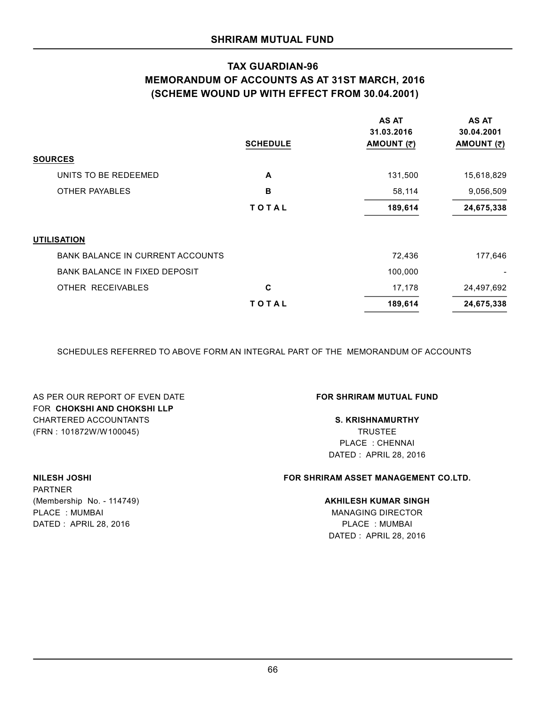# **TAX GUARDIAN-96 MEMORANDUM OF ACCOUNTS AS AT 31ST MARCH, 2016 (SCHEME WOUND UP WITH EFFECT FROM 30.04.2001)**

|                                         | <b>SCHEDULE</b> | <b>AS AT</b><br>31.03.2016<br>AMOUNT (₹) | <b>AS AT</b><br>30.04.2001<br>AMOUNT (₹) |
|-----------------------------------------|-----------------|------------------------------------------|------------------------------------------|
| <b>SOURCES</b>                          |                 |                                          |                                          |
| UNITS TO BE REDEEMED                    | A               | 131,500                                  | 15,618,829                               |
| <b>OTHER PAYABLES</b>                   | B               | 58,114                                   | 9,056,509                                |
|                                         | TOTAL           | 189,614                                  | 24,675,338                               |
| <b>UTILISATION</b>                      |                 |                                          |                                          |
| <b>BANK BALANCE IN CURRENT ACCOUNTS</b> |                 | 72,436                                   | 177,646                                  |
| <b>BANK BALANCE IN FIXED DEPOSIT</b>    |                 | 100,000                                  |                                          |
| OTHER RECEIVABLES                       | C               | 17,178                                   | 24,497,692                               |
|                                         | TOTAL           | 189,614                                  | 24,675,338                               |

SCHEDULES REFERRED TO ABOVE FORM AN INTEGRAL PART OF THE MEMORANDUM OF ACCOUNTS

AS PER OUR REPORT OF EVEN DATE **FOR SHRIRAM MUTUAL FUND** FOR **CHOKSHI AND CHOKSHI LLP** CHARTERED ACCOUNTANTS **S. KRISHNAMURTHY** (FRN : 101872W/W100045) TRUSTEE

PLACE : CHENNAI DATED : APRIL 28, 2016

# **NILESH JOSHI FOR SHRIRAM ASSET MANAGEMENT CO.LTD.**

DATED : APRIL 28, 2016

PARTNER (Membership No. - 114749) **AKHILESH KUMAR SINGH** PLACE : MUMBAI MANAGING DIRECTOR DATED : APRIL 28, 2016 PLACE : MUMBAI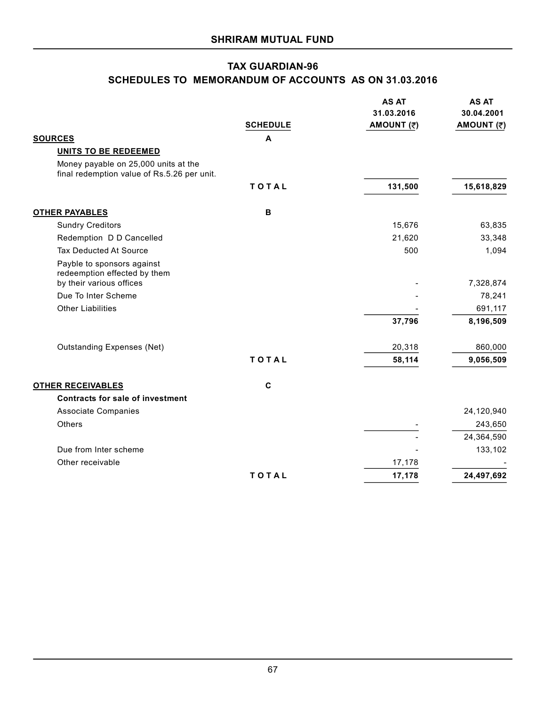# **TAX GUARDIAN-96 SCHEDULES TO MEMORANDUM OF ACCOUNTS AS ON 31.03.2016**

|                                                                                     | <b>SCHEDULE</b> | <b>AS AT</b><br>31.03.2016<br>AMOUNT (₹) | <b>AS AT</b><br>30.04.2001<br>AMOUNT (₹) |
|-------------------------------------------------------------------------------------|-----------------|------------------------------------------|------------------------------------------|
| <b>SOURCES</b>                                                                      | A               |                                          |                                          |
| <b>UNITS TO BE REDEEMED</b>                                                         |                 |                                          |                                          |
| Money payable on 25,000 units at the<br>final redemption value of Rs.5.26 per unit. |                 |                                          |                                          |
|                                                                                     | TOTAL           | 131,500                                  | 15,618,829                               |
| <b>OTHER PAYABLES</b>                                                               | B               |                                          |                                          |
| <b>Sundry Creditors</b>                                                             |                 | 15,676                                   | 63,835                                   |
| Redemption D D Cancelled                                                            |                 | 21,620                                   | 33,348                                   |
| <b>Tax Deducted At Source</b>                                                       |                 | 500                                      | 1,094                                    |
| Payble to sponsors against<br>redeemption effected by them                          |                 |                                          |                                          |
| by their various offices                                                            |                 |                                          | 7,328,874                                |
| Due To Inter Scheme                                                                 |                 |                                          | 78,241                                   |
| <b>Other Liabilities</b>                                                            |                 |                                          | 691,117                                  |
|                                                                                     |                 | 37,796                                   | 8,196,509                                |
| <b>Outstanding Expenses (Net)</b>                                                   |                 | 20,318                                   | 860,000                                  |
|                                                                                     | TOTAL           | 58,114                                   | 9,056,509                                |
| <b>OTHER RECEIVABLES</b>                                                            | $\mathbf c$     |                                          |                                          |
| <b>Contracts for sale of investment</b>                                             |                 |                                          |                                          |
| <b>Associate Companies</b>                                                          |                 |                                          | 24,120,940                               |
| Others                                                                              |                 |                                          | 243,650                                  |
|                                                                                     |                 |                                          | 24,364,590                               |
| Due from Inter scheme                                                               |                 |                                          | 133,102                                  |
| Other receivable                                                                    |                 | 17,178                                   |                                          |
|                                                                                     | TOTAL           | 17,178                                   | 24,497,692                               |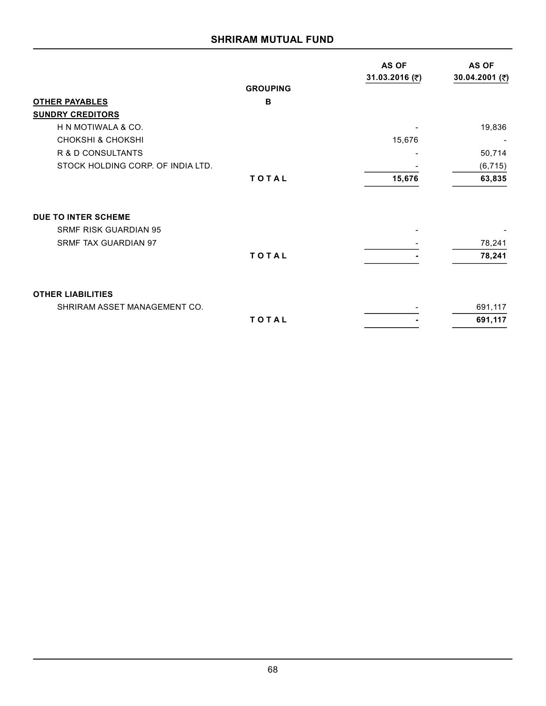|                                   |                 | <b>AS OF</b><br>31.03.2016 (₹) | <b>AS OF</b><br>30.04.2001 (₹) |
|-----------------------------------|-----------------|--------------------------------|--------------------------------|
|                                   | <b>GROUPING</b> |                                |                                |
| <b>OTHER PAYABLES</b>             | B               |                                |                                |
| <b>SUNDRY CREDITORS</b>           |                 |                                |                                |
| H N MOTIWALA & CO.                |                 |                                | 19,836                         |
| <b>CHOKSHI &amp; CHOKSHI</b>      |                 | 15,676                         |                                |
| R & D CONSULTANTS                 |                 |                                | 50,714                         |
| STOCK HOLDING CORP. OF INDIA LTD. |                 |                                | (6, 715)                       |
|                                   | TOTAL           | 15,676                         | 63,835                         |
| <b>DUE TO INTER SCHEME</b>        |                 |                                |                                |
| <b>SRMF RISK GUARDIAN 95</b>      |                 |                                |                                |
| <b>SRMF TAX GUARDIAN 97</b>       |                 |                                | 78,241                         |
|                                   | TOTAL           |                                | 78,241                         |
| <b>OTHER LIABILITIES</b>          |                 |                                |                                |
| SHRIRAM ASSET MANAGEMENT CO.      |                 |                                | 691,117                        |
|                                   | TOTAL           |                                | 691,117                        |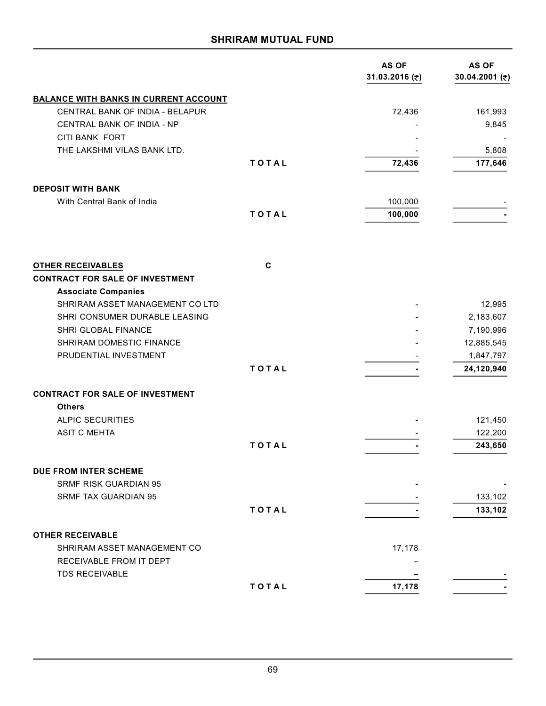|                                                                    |             | AS OF<br>31.03.2016 (₹) | <b>AS OF</b><br>30.04.2001 (₹) |
|--------------------------------------------------------------------|-------------|-------------------------|--------------------------------|
| <b>BALANCE WITH BANKS IN CURRENT ACCOUNT</b>                       |             |                         |                                |
| CENTRAL BANK OF INDIA - BELAPUR                                    |             | 72,436                  | 161,993                        |
| CENTRAL BANK OF INDIA - NP                                         |             |                         | 9,845                          |
| <b>CITI BANK FORT</b>                                              |             |                         |                                |
| THE LAKSHMI VILAS BANK LTD.                                        |             |                         | 5,808                          |
|                                                                    | TOTAL       | 72,436                  | 177,646                        |
| <b>DEPOSIT WITH BANK</b>                                           |             |                         |                                |
| With Central Bank of India                                         |             | 100,000                 |                                |
|                                                                    | TOTAL       | 100,000                 |                                |
|                                                                    |             |                         |                                |
| <b>OTHER RECEIVABLES</b><br><b>CONTRACT FOR SALE OF INVESTMENT</b> | $\mathbf c$ |                         |                                |
| <b>Associate Companies</b>                                         |             |                         |                                |
| SHRIRAM ASSET MANAGEMENT CO LTD                                    |             |                         | 12,995                         |
| SHRI CONSUMER DURABLE LEASING                                      |             |                         | 2,183,607                      |
| SHRI GLOBAL FINANCE                                                |             |                         | 7,190,996                      |
| SHRIRAM DOMESTIC FINANCE                                           |             |                         | 12,885,545                     |
| PRUDENTIAL INVESTMENT                                              |             |                         | 1,847,797                      |
|                                                                    | TOTAL       |                         | 24,120,940                     |
| <b>CONTRACT FOR SALE OF INVESTMENT</b>                             |             |                         |                                |
| <b>Others</b>                                                      |             |                         |                                |
| <b>ALPIC SECURITIES</b>                                            |             |                         | 121,450                        |
| <b>ASIT C MEHTA</b>                                                |             |                         | 122,200                        |
|                                                                    | TOTAL       |                         | 243,650                        |
| <b>DUE FROM INTER SCHEME</b>                                       |             |                         |                                |
| <b>SRMF RISK GUARDIAN 95</b>                                       |             |                         |                                |
| <b>SRMF TAX GUARDIAN 95</b>                                        |             |                         | 133,102                        |
|                                                                    | TOTAL       |                         | 133,102                        |
| <b>OTHER RECEIVABLE</b>                                            |             |                         |                                |
| SHRIRAM ASSET MANAGEMENT CO                                        |             | 17,178                  |                                |
| RECEIVABLE FROM IT DEPT                                            |             |                         |                                |
| <b>TDS RECEIVABLE</b>                                              |             |                         |                                |
|                                                                    | TOTAL       | 17,178                  |                                |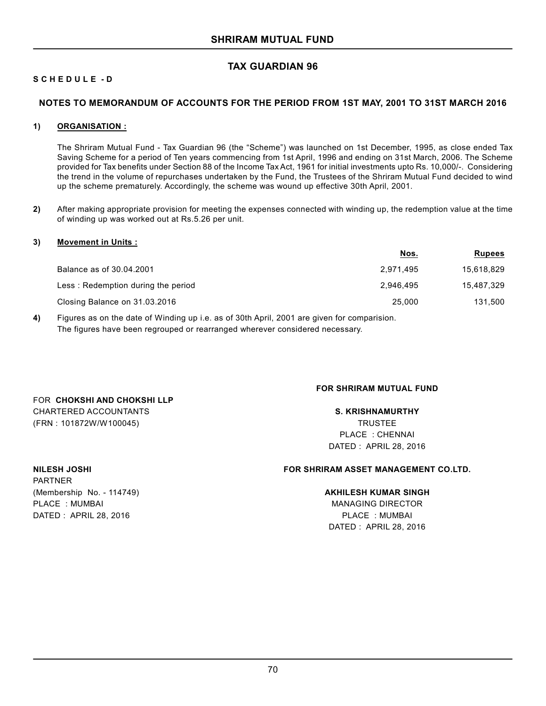# **TAX GUARDIAN 96**

# **S C H E D U L E - D**

### **NOTES TO MEMORANDUM OF ACCOUNTS FOR THE PERIOD FROM 1ST MAY, 2001 TO 31ST MARCH 2016**

#### **1) ORGANISATION :**

The Shriram Mutual Fund - Tax Guardian 96 (the "Scheme") was launched on 1st December, 1995, as close ended Tax Saving Scheme for a period of Ten years commencing from 1st April, 1996 and ending on 31st March, 2006. The Scheme provided for Tax benefits under Section 88 of the Income Tax Act, 1961 for initial investments upto Rs. 10,000/-. Considering the trend in the volume of repurchases undertaken by the Fund, the Trustees of the Shriram Mutual Fund decided to wind up the scheme prematurely. Accordingly, the scheme was wound up effective 30th April, 2001.

**2)** After making appropriate provision for meeting the expenses connected with winding up, the redemption value at the time of winding up was worked out at Rs.5.26 per unit.

#### **3) Movement in Units :**

|                                    | <u>Nos.</u> | <b>Rupees</b> |
|------------------------------------|-------------|---------------|
| Balance as of 30.04.2001           | 2.971.495   | 15,618,829    |
| Less: Redemption during the period | 2.946.495   | 15,487,329    |
| Closing Balance on 31.03.2016      | 25.000      | 131,500       |

**4)** Figures as on the date of Winding up i.e. as of 30th April, 2001 are given for comparision. The figures have been regrouped or rearranged wherever considered necessary.

# **FOR SHRIRAM MUTUAL FUND**

CHARTERED ACCOUNTANTS **S. KRISHNAMURTHY** (FRN : 101872W/W100045) TRUSTEE PLACE : CHENNAI DATED : APRIL 28, 2016

PARTNER (Membership No. - 114749) **AKHILESH KUMAR SINGH** PLACE : MUMBAI MANAGING DIRECTOR DATED : APRIL 28, 2016 PLACE : MUMBAI

FOR **CHOKSHI AND CHOKSHI LLP**

### **NILESH JOSHI FOR SHRIRAM ASSET MANAGEMENT CO.LTD.**

DATED : APRIL 28, 2016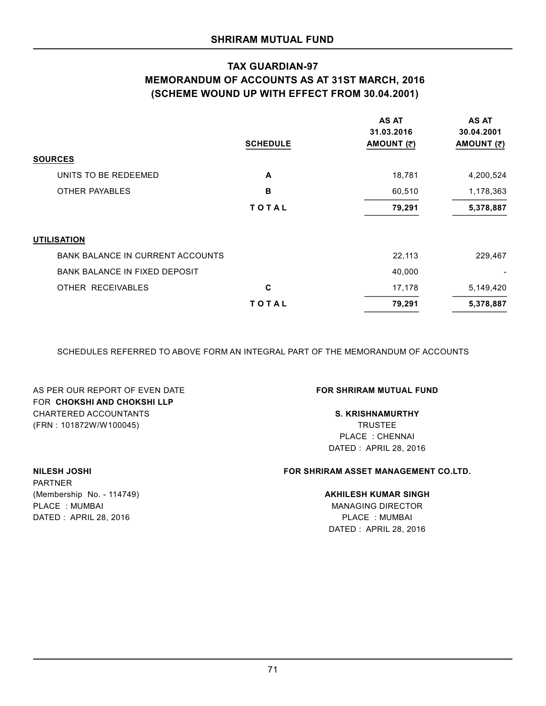# **TAX GUARDIAN-97 MEMORANDUM OF ACCOUNTS AS AT 31ST MARCH, 2016 (SCHEME WOUND UP WITH EFFECT FROM 30.04.2001)**

|                                         | <b>SCHEDULE</b> | <b>AS AT</b><br>31.03.2016<br>AMOUNT (₹) | <b>AS AT</b><br>30.04.2001<br>AMOUNT (₹) |
|-----------------------------------------|-----------------|------------------------------------------|------------------------------------------|
| <b>SOURCES</b>                          |                 |                                          |                                          |
| UNITS TO BE REDEEMED                    | A               | 18,781                                   | 4,200,524                                |
| <b>OTHER PAYABLES</b>                   | B               | 60,510                                   | 1,178,363                                |
|                                         | <b>TOTAL</b>    | 79,291                                   | 5,378,887                                |
| <b>UTILISATION</b>                      |                 |                                          |                                          |
| <b>BANK BALANCE IN CURRENT ACCOUNTS</b> |                 | 22,113                                   | 229,467                                  |
| <b>BANK BALANCE IN FIXED DEPOSIT</b>    |                 | 40,000                                   |                                          |
| OTHER RECEIVABLES                       | C               | 17,178                                   | 5,149,420                                |
|                                         | TOTAL           | 79,291                                   | 5,378,887                                |

SCHEDULES REFERRED TO ABOVE FORM AN INTEGRAL PART OF THE MEMORANDUM OF ACCOUNTS

AS PER OUR REPORT OF EVEN DATE **FOR SHRIRAM MUTUAL FUND** FOR **CHOKSHI AND CHOKSHI LLP** CHARTERED ACCOUNTANTS **S. KRISHNAMURTHY** (FRN : 101872W/W100045) TRUSTEE

PLACE : CHENNAI DATED : APRIL 28, 2016

# **NILESH JOSHI FOR SHRIRAM ASSET MANAGEMENT CO.LTD.**

# (Membership No. - 114749) **AKHILESH KUMAR SINGH**

DATED : APRIL 28, 2016

PARTNER PLACE : MUMBAI MANAGING DIRECTOR DATED : APRIL 28, 2016 PLACE : MUMBAI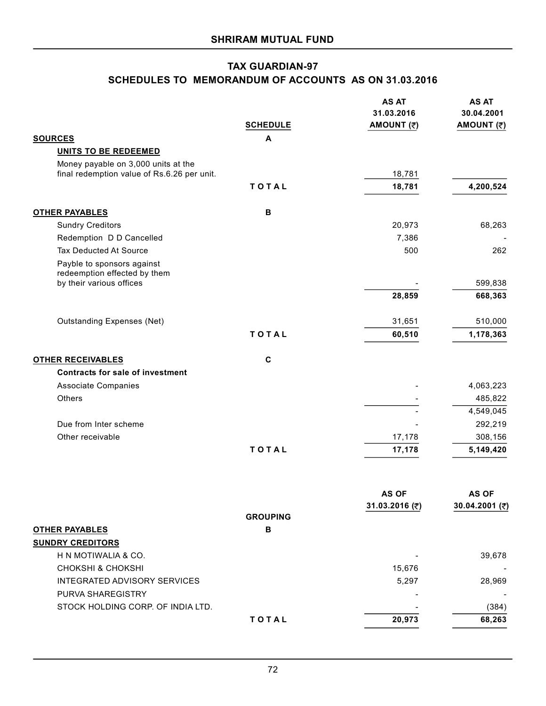# **TAX GUARDIAN-97 SCHEDULES TO MEMORANDUM OF ACCOUNTS AS ON 31.03.2016**

|                                             |                 | <b>AS AT</b>   | <b>AS AT</b>       |
|---------------------------------------------|-----------------|----------------|--------------------|
|                                             |                 | 31.03.2016     | 30.04.2001         |
|                                             | <b>SCHEDULE</b> | AMOUNT (₹)     | AMOUNT (₹)         |
| <b>SOURCES</b>                              | A               |                |                    |
| <b>UNITS TO BE REDEEMED</b>                 |                 |                |                    |
| Money payable on 3,000 units at the         |                 |                |                    |
| final redemption value of Rs.6.26 per unit. |                 | 18,781         |                    |
|                                             | TOTAL           | 18,781         | 4,200,524          |
| <b>OTHER PAYABLES</b>                       | в               |                |                    |
| <b>Sundry Creditors</b>                     |                 | 20,973         | 68,263             |
| Redemption D D Cancelled                    |                 | 7,386          |                    |
| Tax Deducted At Source                      |                 | 500            | 262                |
| Payble to sponsors against                  |                 |                |                    |
| redeemption effected by them                |                 |                |                    |
| by their various offices                    |                 | 28,859         | 599,838<br>668,363 |
|                                             |                 |                |                    |
| <b>Outstanding Expenses (Net)</b>           |                 | 31,651         | 510,000            |
|                                             | TOTAL           | 60,510         | 1,178,363          |
|                                             |                 |                |                    |
| <b>OTHER RECEIVABLES</b>                    | $\mathbf c$     |                |                    |
| <b>Contracts for sale of investment</b>     |                 |                |                    |
| Associate Companies                         |                 |                | 4,063,223          |
| Others                                      |                 |                | 485,822            |
|                                             |                 |                | 4,549,045          |
| Due from Inter scheme                       |                 |                | 292,219            |
| Other receivable                            |                 | 17,178         | 308,156            |
|                                             | TOTAL           | 17,178         | 5,149,420          |
|                                             |                 |                |                    |
|                                             |                 | <b>AS OF</b>   | <b>AS OF</b>       |
|                                             |                 | 31.03.2016 (₹) | 30.04.2001 (₹)     |
|                                             | <b>GROUPING</b> |                |                    |
| <b>OTHER PAYABLES</b>                       | в               |                |                    |
| <b>SUNDRY CREDITORS</b>                     |                 |                |                    |
| H N MOTIWALIA & CO.                         |                 |                | 39,678             |
| <b>CHOKSHI &amp; CHOKSHI</b>                |                 | 15,676         |                    |
| INTEGRATED ADVISORY SERVICES                |                 | 5,297          | 28,969             |
| PURVA SHAREGISTRY                           |                 |                |                    |
| STOCK HOLDING CORP. OF INDIA LTD.           |                 |                | (384)              |
|                                             | TOTAL           | 20,973         | 68,263             |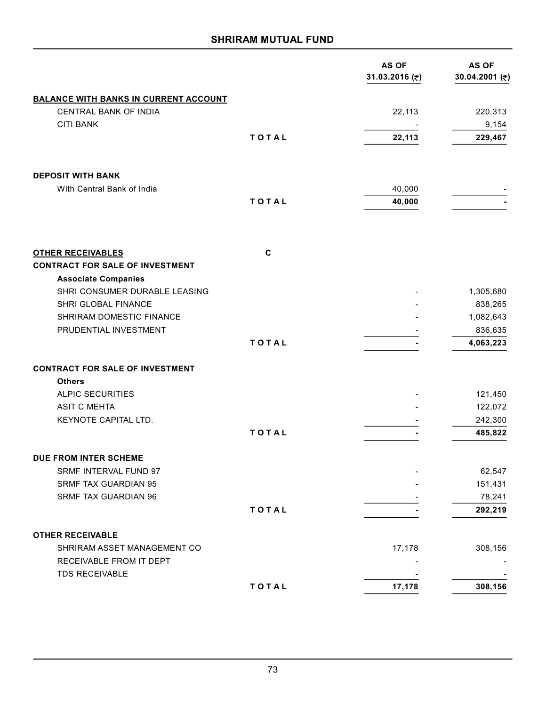# **SHRIRAM MUTUAL FUND**

|                                                             |       | AS OF<br>31.03.2016 (₹) | <b>AS OF</b><br>30.04.2001 (₹) |
|-------------------------------------------------------------|-------|-------------------------|--------------------------------|
| <b>BALANCE WITH BANKS IN CURRENT ACCOUNT</b>                |       |                         |                                |
| CENTRAL BANK OF INDIA                                       |       | 22,113                  | 220,313                        |
| <b>CITI BANK</b>                                            |       |                         | 9,154                          |
|                                                             | TOTAL | 22,113                  | 229,467                        |
| <b>DEPOSIT WITH BANK</b>                                    |       |                         |                                |
| With Central Bank of India                                  |       | 40,000                  |                                |
|                                                             | TOTAL | 40,000                  |                                |
| <b>OTHER RECEIVABLES</b>                                    | C     |                         |                                |
| <b>CONTRACT FOR SALE OF INVESTMENT</b>                      |       |                         |                                |
| <b>Associate Companies</b><br>SHRI CONSUMER DURABLE LEASING |       |                         | 1,305,680                      |
| SHRI GLOBAL FINANCE                                         |       |                         | 838,265                        |
| SHRIRAM DOMESTIC FINANCE                                    |       |                         | 1,082,643                      |
| PRUDENTIAL INVESTMENT                                       |       |                         | 836,635                        |
|                                                             | TOTAL |                         | 4,063,223                      |
| <b>CONTRACT FOR SALE OF INVESTMENT</b>                      |       |                         |                                |
| <b>Others</b>                                               |       |                         |                                |
| <b>ALPIC SECURITIES</b>                                     |       |                         | 121,450                        |
| <b>ASIT C MEHTA</b>                                         |       |                         | 122,072                        |
| KEYNOTE CAPITAL LTD.                                        |       |                         | 242,300                        |
|                                                             | TOTAL |                         | 485,822                        |
| DUE FROM INTER SCHEME                                       |       |                         |                                |
| SRMF INTERVAL FUND 97                                       |       |                         | 62,547                         |
| SRMF TAX GUARDIAN 95                                        |       |                         | 151,431                        |
| SRMF TAX GUARDIAN 96                                        |       |                         | 78,241                         |
|                                                             | TOTAL |                         | 292,219                        |
| <b>OTHER RECEIVABLE</b>                                     |       |                         |                                |
| SHRIRAM ASSET MANAGEMENT CO                                 |       | 17,178                  | 308,156                        |
| RECEIVABLE FROM IT DEPT<br><b>TDS RECEIVABLE</b>            |       |                         |                                |
|                                                             | TOTAL | 17,178                  | 308,156                        |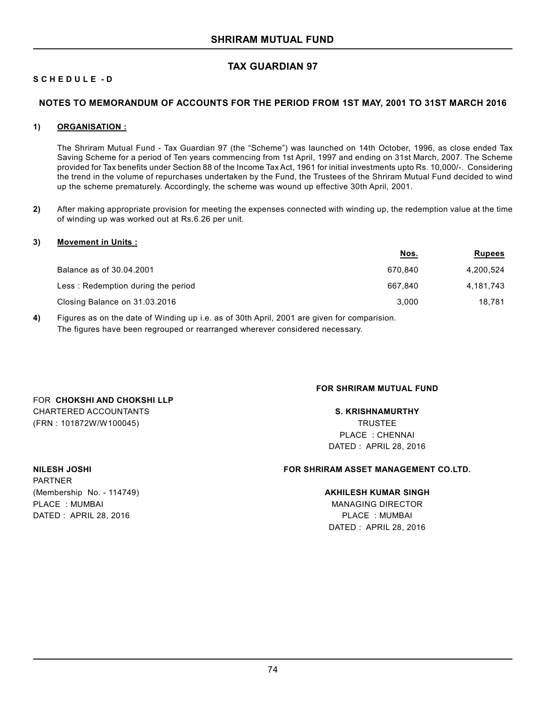# **TAX GUARDIAN 97**

# **S C H E D U L E - D**

# **NOTES TO MEMORANDUM OF ACCOUNTS FOR THE PERIOD FROM 1ST MAY, 2001 TO 31ST MARCH 2016**

### **1) ORGANISATION :**

The Shriram Mutual Fund - Tax Guardian 97 (the "Scheme") was launched on 14th October, 1996, as close ended Tax Saving Scheme for a period of Ten years commencing from 1st April, 1997 and ending on 31st March, 2007. The Scheme provided for Tax benefits under Section 88 of the Income Tax Act, 1961 for initial investments upto Rs. 10,000/-. Considering the trend in the volume of repurchases undertaken by the Fund, the Trustees of the Shriram Mutual Fund decided to wind up the scheme prematurely. Accordingly, the scheme was wound up effective 30th April, 2001.

**2)** After making appropriate provision for meeting the expenses connected with winding up, the redemption value at the time of winding up was worked out at Rs.6.26 per unit.

### **3) Movement in Units :**

|                                    | <u>Nos.</u> | <b>Rupees</b> |
|------------------------------------|-------------|---------------|
| Balance as of 30.04.2001           | 670.840     | 4,200,524     |
| Less: Redemption during the period | 667.840     | 4.181.743     |
| Closing Balance on 31.03.2016      | 3.000       | 18.781        |

**4)** Figures as on the date of Winding up i.e. as of 30th April, 2001 are given for comparision. The figures have been regrouped or rearranged wherever considered necessary.

# **FOR SHRIRAM MUTUAL FUND**

# CHARTERED ACCOUNTANTS **S. KRISHNAMURTHY** (FRN : 101872W/W100045) TRUSTEE PLACE : CHENNAI DATED : APRIL 28, 2016

PARTNER (Membership No. - 114749) **AKHILESH KUMAR SINGH** PLACE : MUMBAI MANAGING DIRECTOR DATED : APRIL 28, 2016 PLACE : MUMBAI

FOR **CHOKSHI AND CHOKSHI LLP**

## **NILESH JOSHI FOR SHRIRAM ASSET MANAGEMENT CO.LTD.**

DATED : APRIL 28, 2016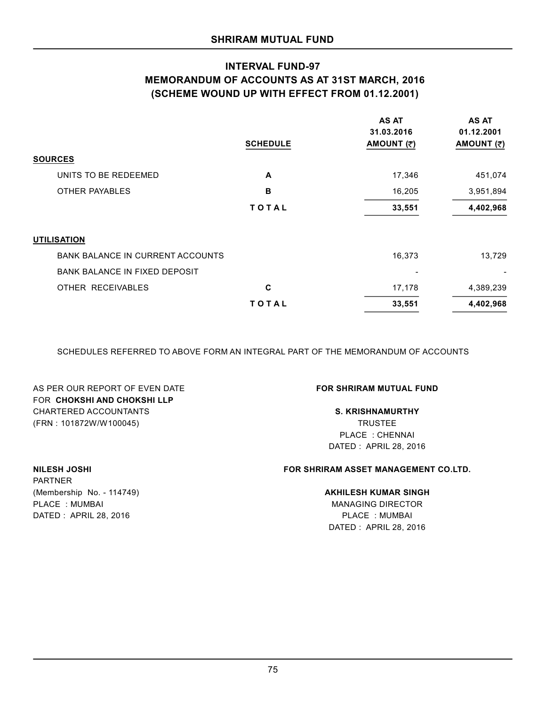# **INTERVAL FUND-97 MEMORANDUM OF ACCOUNTS AS AT 31ST MARCH, 2016 (SCHEME WOUND UP WITH EFFECT FROM 01.12.2001)**

|                                         | <b>SCHEDULE</b> | <b>AS AT</b><br>31.03.2016<br>AMOUNT (₹) | <b>AS AT</b><br>01.12.2001<br>AMOUNT (₹) |
|-----------------------------------------|-----------------|------------------------------------------|------------------------------------------|
| <b>SOURCES</b>                          |                 |                                          |                                          |
| UNITS TO BE REDEEMED                    | A               | 17,346                                   | 451,074                                  |
| OTHER PAYABLES                          | в               | 16,205                                   | 3,951,894                                |
|                                         | <b>TOTAL</b>    | 33,551                                   | 4,402,968                                |
| <b>UTILISATION</b>                      |                 |                                          |                                          |
| <b>BANK BALANCE IN CURRENT ACCOUNTS</b> |                 | 16,373                                   | 13,729                                   |
| <b>BANK BALANCE IN FIXED DEPOSIT</b>    |                 | ۰                                        |                                          |
| OTHER RECEIVABLES                       | C               | 17,178                                   | 4,389,239                                |
|                                         | <b>TOTAL</b>    | 33,551                                   | 4,402,968                                |

SCHEDULES REFERRED TO ABOVE FORM AN INTEGRAL PART OF THE MEMORANDUM OF ACCOUNTS

AS PER OUR REPORT OF EVEN DATE **FOR SHRIRAM MUTUAL FUND** FOR **CHOKSHI AND CHOKSHI LLP** CHARTERED ACCOUNTANTS **S. KRISHNAMURTHY** (FRN : 101872W/W100045) TRUSTEE

PLACE : CHENNAI DATED : APRIL 28, 2016

# **NILESH JOSHI FOR SHRIRAM ASSET MANAGEMENT CO.LTD.**

## (Membership No. - 114749) **AKHILESH KUMAR SINGH**

DATED : APRIL 28, 2016 PLACE : MUMBAI DATED : APRIL 28, 2016

# PARTNER PLACE : MUMBAI MANAGING DIRECTOR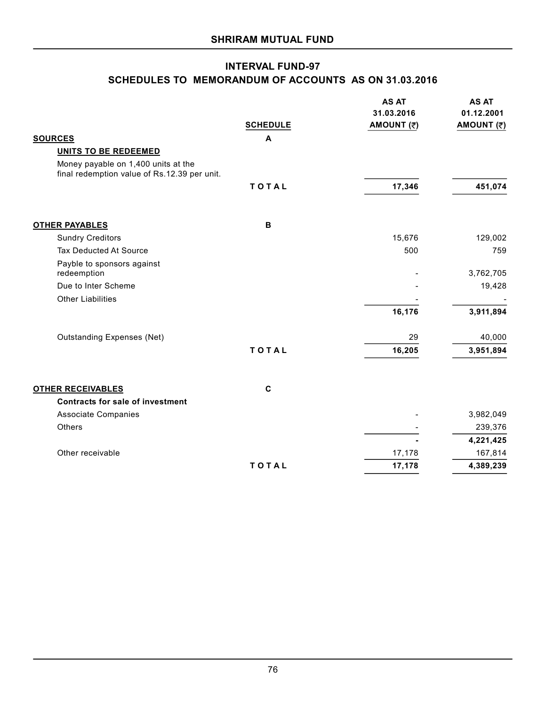# **INTERVAL FUND-97 SCHEDULES TO MEMORANDUM OF ACCOUNTS AS ON 31.03.2016**

|                                                                                     | <b>SCHEDULE</b> | <b>AS AT</b><br>31.03.2016<br>AMOUNT (₹) | <b>AS AT</b><br>01.12.2001<br>AMOUNT (₹) |
|-------------------------------------------------------------------------------------|-----------------|------------------------------------------|------------------------------------------|
| <b>SOURCES</b>                                                                      | A               |                                          |                                          |
| <b>UNITS TO BE REDEEMED</b>                                                         |                 |                                          |                                          |
| Money payable on 1,400 units at the<br>final redemption value of Rs.12.39 per unit. |                 |                                          |                                          |
|                                                                                     | TOTAL           | 17,346                                   | 451,074                                  |
| <b>OTHER PAYABLES</b>                                                               | B               |                                          |                                          |
| <b>Sundry Creditors</b>                                                             |                 | 15,676                                   | 129,002                                  |
| Tax Deducted At Source                                                              |                 | 500                                      | 759                                      |
| Payble to sponsors against<br>redeemption                                           |                 |                                          | 3,762,705                                |
| Due to Inter Scheme                                                                 |                 |                                          | 19,428                                   |
| <b>Other Liabilities</b>                                                            |                 |                                          |                                          |
|                                                                                     |                 | 16,176                                   | 3,911,894                                |
| <b>Outstanding Expenses (Net)</b>                                                   |                 | 29                                       | 40,000                                   |
|                                                                                     | TOTAL           | 16,205                                   | 3,951,894                                |
| <b>OTHER RECEIVABLES</b>                                                            | $\mathbf c$     |                                          |                                          |
| <b>Contracts for sale of investment</b>                                             |                 |                                          |                                          |
| <b>Associate Companies</b>                                                          |                 |                                          | 3,982,049                                |
| Others                                                                              |                 |                                          | 239,376                                  |
|                                                                                     |                 |                                          | 4,221,425                                |
| Other receivable                                                                    |                 | 17,178                                   | 167,814                                  |
|                                                                                     | TOTAL           | 17,178                                   | 4,389,239                                |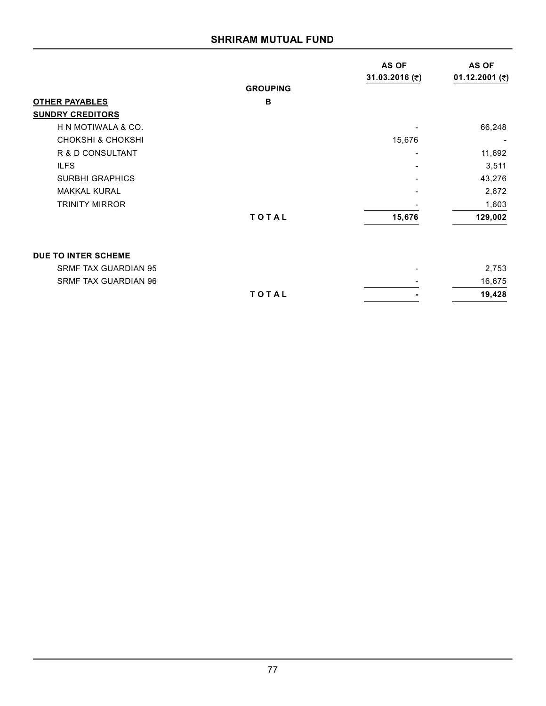# **SHRIRAM MUTUAL FUND**

|                              |                 | AS OF<br>31.03.2016 (₹) | AS OF<br>01.12.2001 (₹) |
|------------------------------|-----------------|-------------------------|-------------------------|
|                              | <b>GROUPING</b> |                         |                         |
| <b>OTHER PAYABLES</b>        | B               |                         |                         |
| <b>SUNDRY CREDITORS</b>      |                 |                         |                         |
| H N MOTIWALA & CO.           |                 |                         | 66,248                  |
| <b>CHOKSHI &amp; CHOKSHI</b> |                 | 15,676                  |                         |
| R & D CONSULTANT             |                 |                         | 11,692                  |
| <b>ILFS</b>                  |                 |                         | 3,511                   |
| <b>SURBHI GRAPHICS</b>       |                 |                         | 43,276                  |
| <b>MAKKAL KURAL</b>          |                 |                         | 2,672                   |
| <b>TRINITY MIRROR</b>        |                 |                         | 1,603                   |
|                              | TOTAL           | 15,676                  | 129,002                 |
| DUE TO INTER SCHEME          |                 |                         |                         |
| <b>SRMF TAX GUARDIAN 95</b>  |                 |                         | 2,753                   |
| <b>SRMF TAX GUARDIAN 96</b>  |                 |                         | 16,675                  |
|                              | TOTAL           |                         | 19,428                  |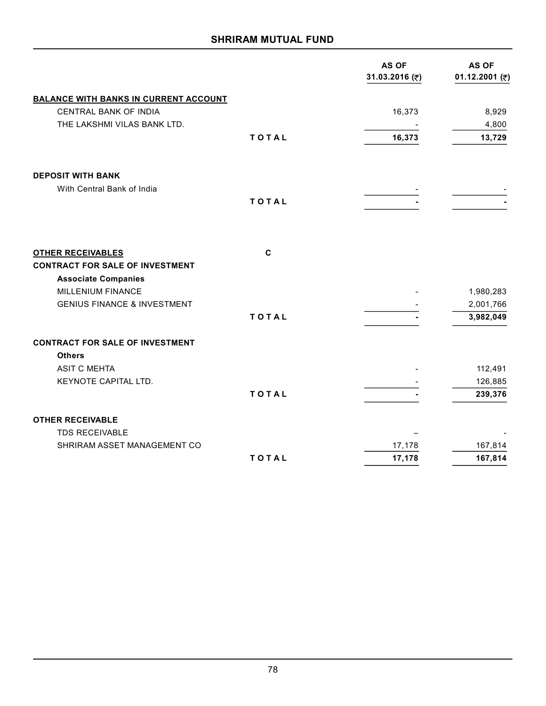# **SHRIRAM MUTUAL FUND**

|                                                                    |             | <b>AS OF</b><br>31.03.2016 (₹) | <b>AS OF</b><br>01.12.2001 (₹) |
|--------------------------------------------------------------------|-------------|--------------------------------|--------------------------------|
| <b>BALANCE WITH BANKS IN CURRENT ACCOUNT</b>                       |             |                                |                                |
| CENTRAL BANK OF INDIA                                              |             | 16,373                         | 8,929                          |
| THE LAKSHMI VILAS BANK LTD.                                        |             |                                | 4,800                          |
|                                                                    | TOTAL       | 16,373                         | 13,729                         |
| <b>DEPOSIT WITH BANK</b>                                           |             |                                |                                |
| With Central Bank of India                                         |             |                                |                                |
|                                                                    | TOTAL       |                                |                                |
|                                                                    |             |                                |                                |
| <b>OTHER RECEIVABLES</b><br><b>CONTRACT FOR SALE OF INVESTMENT</b> | $\mathbf c$ |                                |                                |
| <b>Associate Companies</b>                                         |             |                                |                                |
| MILLENIUM FINANCE                                                  |             |                                | 1,980,283                      |
| <b>GENIUS FINANCE &amp; INVESTMENT</b>                             |             |                                | 2,001,766                      |
|                                                                    | TOTAL       |                                | 3,982,049                      |
| <b>CONTRACT FOR SALE OF INVESTMENT</b>                             |             |                                |                                |
| <b>Others</b>                                                      |             |                                |                                |
| <b>ASIT C MEHTA</b>                                                |             |                                | 112,491                        |
| KEYNOTE CAPITAL LTD.                                               |             |                                | 126,885                        |
|                                                                    | TOTAL       |                                | 239,376                        |
| <b>OTHER RECEIVABLE</b>                                            |             |                                |                                |
| <b>TDS RECEIVABLE</b>                                              |             |                                |                                |
| SHRIRAM ASSET MANAGEMENT CO                                        |             | 17,178                         | 167,814                        |
|                                                                    | TOTAL       | 17,178                         | 167,814                        |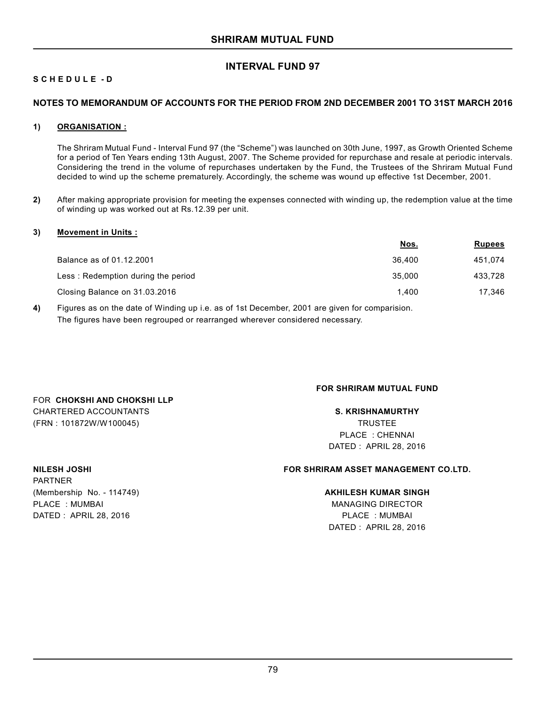# **INTERVAL FUND 97**

# **S C H E D U L E - D**

## **NOTES TO MEMORANDUM OF ACCOUNTS FOR THE PERIOD FROM 2ND DECEMBER 2001 TO 31ST MARCH 2016**

## **1) ORGANISATION :**

The Shriram Mutual Fund - Interval Fund 97 (the "Scheme") was launched on 30th June, 1997, as Growth Oriented Scheme for a period of Ten Years ending 13th August, 2007. The Scheme provided for repurchase and resale at periodic intervals. Considering the trend in the volume of repurchases undertaken by the Fund, the Trustees of the Shriram Mutual Fund decided to wind up the scheme prematurely. Accordingly, the scheme was wound up effective 1st December, 2001.

**2)** After making appropriate provision for meeting the expenses connected with winding up, the redemption value at the time of winding up was worked out at Rs.12.39 per unit.

### **3) Movement in Units :**

|                                    | <u>Nos.</u> | <b>Rupees</b> |
|------------------------------------|-------------|---------------|
| Balance as of 01.12.2001           | 36.400      | 451,074       |
| Less: Redemption during the period | 35,000      | 433.728       |
| Closing Balance on 31.03.2016      | 1.400       | 17.346        |
|                                    |             |               |

**4)** Figures as on the date of Winding up i.e. as of 1st December, 2001 are given for comparision. The figures have been regrouped or rearranged wherever considered necessary.

# FOR **CHOKSHI AND CHOKSHI LLP** CHARTERED ACCOUNTANTS **S. KRISHNAMURTHY** (FRN : 101872W/W100045) TRUSTEE

PARTNER

## **FOR SHRIRAM MUTUAL FUND**

PLACE : CHENNAI DATED : APRIL 28, 2016

## **NILESH JOSHI FOR SHRIRAM ASSET MANAGEMENT CO.LTD.**

## (Membership No. - 114749) **AKHILESH KUMAR SINGH**

PLACE : MUMBAI MANAGING DIRECTOR DATED : APRIL 28, 2016 PLACE : MUMBAI DATED : APRIL 28, 2016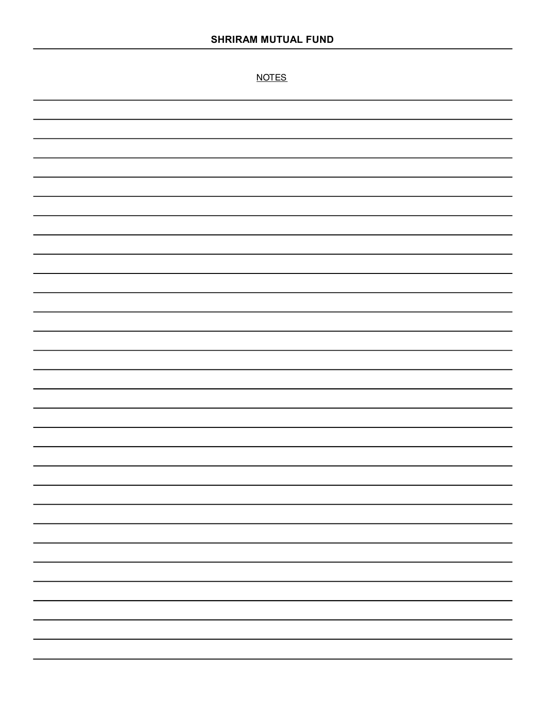NOTES

| ۰ |
|---|
|   |